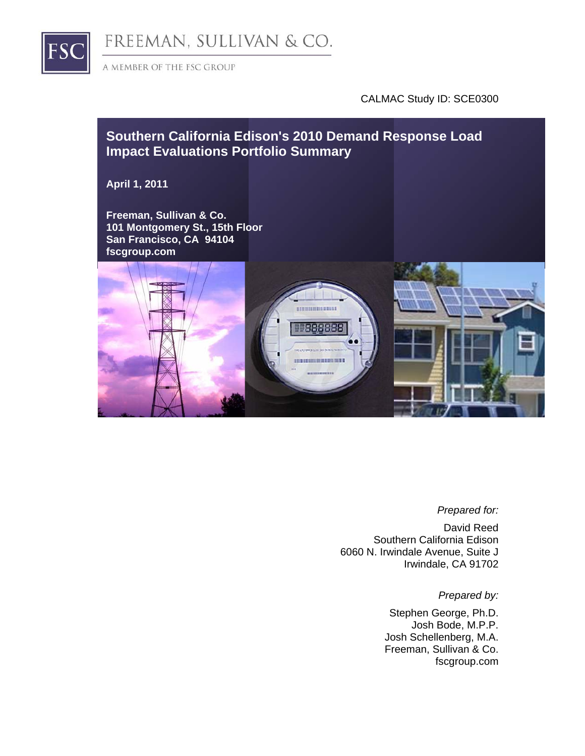

FREEMAN, SULLIVAN & CO.

A MEMBER OF THE FSC GROUP

#### CALMAC Study ID: SCE0300

# **Southern California Edison's 2010 Demand Response Load Impact Evaluations Portfolio Summary April 1, 2011 Freeman, Sullivan & Co. 101 Montgomery St., 15th Floor San Francisco, CA 94104 fscgroup.com TELEVISION IN** 1388888 naioinii

#### *Prepared for:*

David Reed Southern California Edison 6060 N. Irwindale Avenue, Suite J Irwindale, CA 91702

*Prepared by:* 

Stephen George, Ph.D. Josh Bode, M.P.P. Josh Schellenberg, M.A. Freeman, Sullivan & Co. fscgroup.com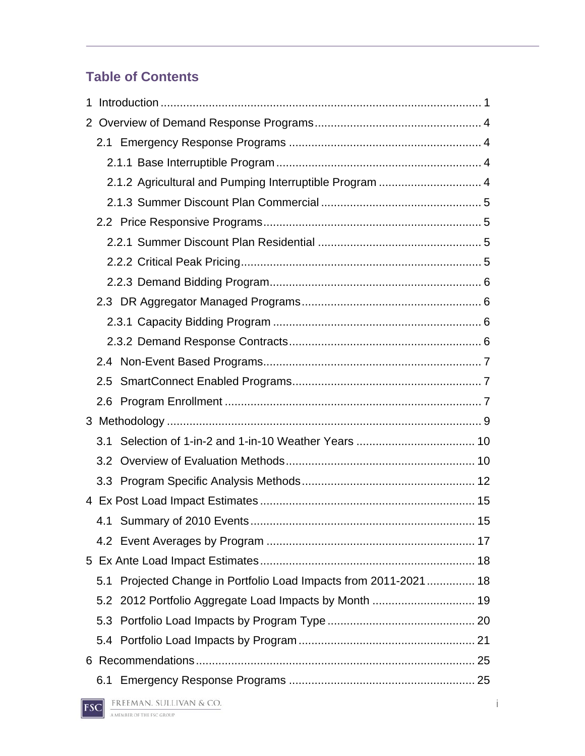# **Table of Contents**

|     | 2.1.2 Agricultural and Pumping Interruptible Program  4       |    |
|-----|---------------------------------------------------------------|----|
|     |                                                               |    |
|     |                                                               |    |
|     |                                                               |    |
|     |                                                               |    |
|     |                                                               |    |
|     |                                                               |    |
|     |                                                               |    |
|     |                                                               |    |
|     |                                                               |    |
| 2.5 |                                                               |    |
| 2.6 |                                                               |    |
|     |                                                               |    |
| 3.1 |                                                               |    |
|     |                                                               |    |
|     |                                                               |    |
|     |                                                               |    |
|     |                                                               | 15 |
|     |                                                               |    |
|     |                                                               |    |
| 5.1 | Projected Change in Portfolio Load Impacts from 2011-2021  18 |    |
|     |                                                               |    |
|     |                                                               |    |
|     |                                                               |    |
|     |                                                               |    |
|     |                                                               |    |
|     |                                                               |    |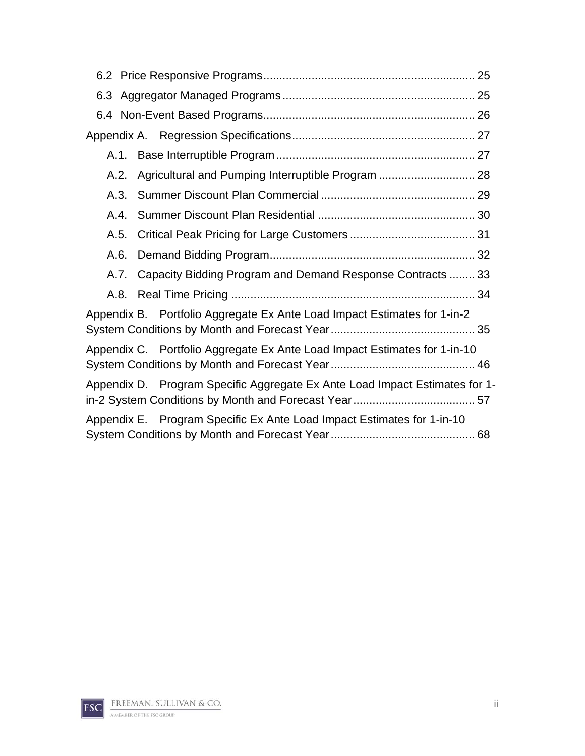| Agricultural and Pumping Interruptible Program  28<br>A.2.                  |
|-----------------------------------------------------------------------------|
| A.3.                                                                        |
| A.4.                                                                        |
| A.5.                                                                        |
| A.6.                                                                        |
| A.7. Capacity Bidding Program and Demand Response Contracts  33             |
|                                                                             |
| Appendix B. Portfolio Aggregate Ex Ante Load Impact Estimates for 1-in-2    |
| Appendix C. Portfolio Aggregate Ex Ante Load Impact Estimates for 1-in-10   |
| Appendix D. Program Specific Aggregate Ex Ante Load Impact Estimates for 1- |
| Appendix E. Program Specific Ex Ante Load Impact Estimates for 1-in-10      |

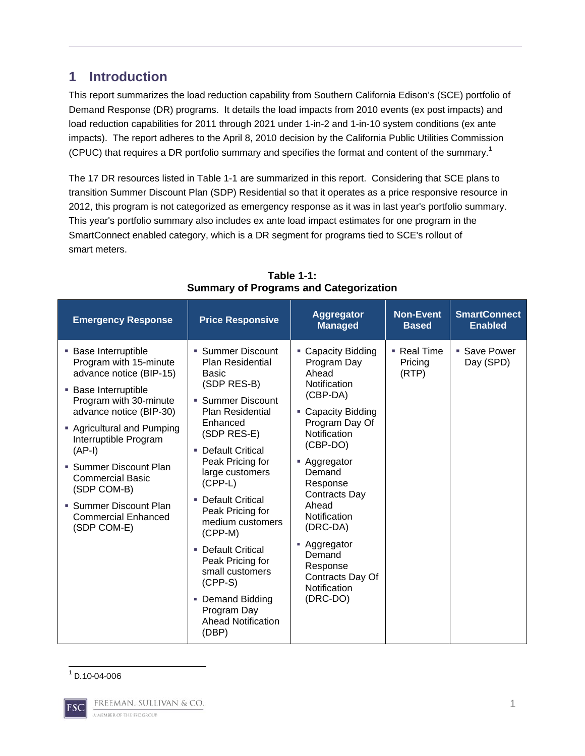## **1 Introduction**

This report summarizes the load reduction capability from Southern California Edison's (SCE) portfolio of Demand Response (DR) programs. It details the load impacts from 2010 events (ex post impacts) and load reduction capabilities for 2011 through 2021 under 1-in-2 and 1-in-10 system conditions (ex ante impacts). The report adheres to the April 8, 2010 decision by the California Public Utilities Commission (CPUC) that requires a DR portfolio summary and specifies the format and content of the summary.<sup>1</sup>

The 17 DR resources listed in Table 1-1 are summarized in this report. Considering that SCE plans to transition Summer Discount Plan (SDP) Residential so that it operates as a price responsive resource in 2012, this program is not categorized as emergency response as it was in last year's portfolio summary. This year's portfolio summary also includes ex ante load impact estimates for one program in the SmartConnect enabled category, which is a DR segment for programs tied to SCE's rollout of smart meters.

| <b>Emergency Response</b>                                                                                                                                                                                                                                                                                                                                                      | <b>Price Responsive</b>                                                                                                                                                                                                                                                                                                                                                                                                                                                  | <b>Aggregator</b><br><b>Managed</b>                                                                                                                                                                                                                                                                                                 | <b>Non-Event</b><br><b>Based</b>             | <b>SmartConnect</b><br><b>Enabled</b> |
|--------------------------------------------------------------------------------------------------------------------------------------------------------------------------------------------------------------------------------------------------------------------------------------------------------------------------------------------------------------------------------|--------------------------------------------------------------------------------------------------------------------------------------------------------------------------------------------------------------------------------------------------------------------------------------------------------------------------------------------------------------------------------------------------------------------------------------------------------------------------|-------------------------------------------------------------------------------------------------------------------------------------------------------------------------------------------------------------------------------------------------------------------------------------------------------------------------------------|----------------------------------------------|---------------------------------------|
| <b>Base Interruptible</b><br>Program with 15-minute<br>advance notice (BIP-15)<br><b>Base Interruptible</b><br>Program with 30-minute<br>advance notice (BIP-30)<br>• Agricultural and Pumping<br>Interruptible Program<br>$(AP-I)$<br>• Summer Discount Plan<br><b>Commercial Basic</b><br>(SDP COM-B)<br>• Summer Discount Plan<br><b>Commercial Enhanced</b><br>(SDP COM-E) | • Summer Discount<br><b>Plan Residential</b><br><b>Basic</b><br>(SDP RES-B)<br>• Summer Discount<br><b>Plan Residential</b><br>Enhanced<br>(SDP RES-E)<br>• Default Critical<br>Peak Pricing for<br>large customers<br>$(CPP-L)$<br><b>Default Critical</b><br>Peak Pricing for<br>medium customers<br>$(CPP-M)$<br><b>Default Critical</b><br>Peak Pricing for<br>small customers<br>$(CPP-S)$<br>• Demand Bidding<br>Program Day<br><b>Ahead Notification</b><br>(DBP) | • Capacity Bidding<br>Program Day<br>Ahead<br><b>Notification</b><br>(CBP-DA)<br>• Capacity Bidding<br>Program Day Of<br>Notification<br>(CBP-DO)<br>■ Aggregator<br>Demand<br>Response<br>Contracts Day<br>Ahead<br>Notification<br>(DRC-DA)<br>- Aggregator<br>Demand<br>Response<br>Contracts Day Of<br>Notification<br>(DRC-DO) | $\blacksquare$ Real Time<br>Pricing<br>(RTP) | ■ Save Power<br>Day (SPD)             |

**Table 1-1: Summary of Programs and Categorization** 

#### 1 D.10-04-006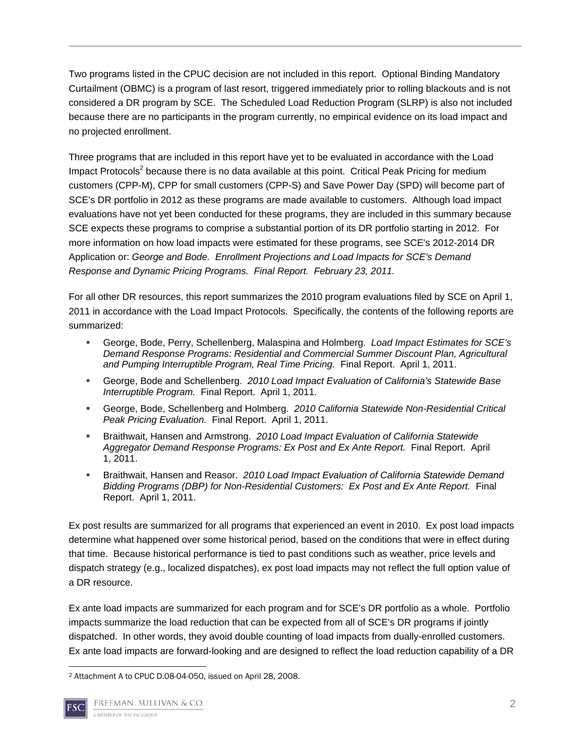Two programs listed in the CPUC decision are not included in this report. Optional Binding Mandatory Curtailment (OBMC) is a program of last resort, triggered immediately prior to rolling blackouts and is not considered a DR program by SCE. The Scheduled Load Reduction Program (SLRP) is also not included because there are no participants in the program currently, no empirical evidence on its load impact and no projected enrollment.

Three programs that are included in this report have yet to be evaluated in accordance with the Load Impact Protocols<sup>2</sup> because there is no data available at this point. Critical Peak Pricing for medium customers (CPP-M), CPP for small customers (CPP-S) and Save Power Day (SPD) will become part of SCE's DR portfolio in 2012 as these programs are made available to customers. Although load impact evaluations have not yet been conducted for these programs, they are included in this summary because SCE expects these programs to comprise a substantial portion of its DR portfolio starting in 2012. For more information on how load impacts were estimated for these programs, see SCE's 2012-2014 DR Application or: *George and Bode. Enrollment Projections and Load Impacts for SCE's Demand Response and Dynamic Pricing Programs. Final Report. February 23, 2011.*

For all other DR resources, this report summarizes the 2010 program evaluations filed by SCE on April 1, 2011 in accordance with the Load Impact Protocols. Specifically, the contents of the following reports are summarized:

- George, Bode, Perry, Schellenberg, Malaspina and Holmberg. *Load Impact Estimates for SCE's Demand Response Programs: Residential and Commercial Summer Discount Plan, Agricultural and Pumping Interruptible Program, Real Time Pricing.* Final Report. April 1, 2011.
- George, Bode and Schellenberg. *2010 Load Impact Evaluation of California's Statewide Base Interruptible Program.* Final Report. April 1, 2011.
- George, Bode, Schellenberg and Holmberg. *2010 California Statewide Non-Residential Critical Peak Pricing Evaluation.* Final Report. April 1, 2011.
- Braithwait, Hansen and Armstrong. *2010 Load Impact Evaluation of California Statewide Aggregator Demand Response Programs: Ex Post and Ex Ante Report.* Final Report. April 1, 2011.
- Braithwait, Hansen and Reasor. *2010 Load Impact Evaluation of California Statewide Demand Bidding Programs (DBP) for Non-Residential Customers: Ex Post and Ex Ante Report.* Final Report. April 1, 2011.

Ex post results are summarized for all programs that experienced an event in 2010. Ex post load impacts determine what happened over some historical period, based on the conditions that were in effect during that time. Because historical performance is tied to past conditions such as weather, price levels and dispatch strategy (e.g., localized dispatches), ex post load impacts may not reflect the full option value of a DR resource.

Ex ante load impacts are summarized for each program and for SCE's DR portfolio as a whole. Portfolio impacts summarize the load reduction that can be expected from all of SCE's DR programs if jointly dispatched. In other words, they avoid double counting of load impacts from dually-enrolled customers. Ex ante load impacts are forward-looking and are designed to reflect the load reduction capability of a DR

 2 Attachment A to CPUC D.08-04-050, issued on April 28, 2008.

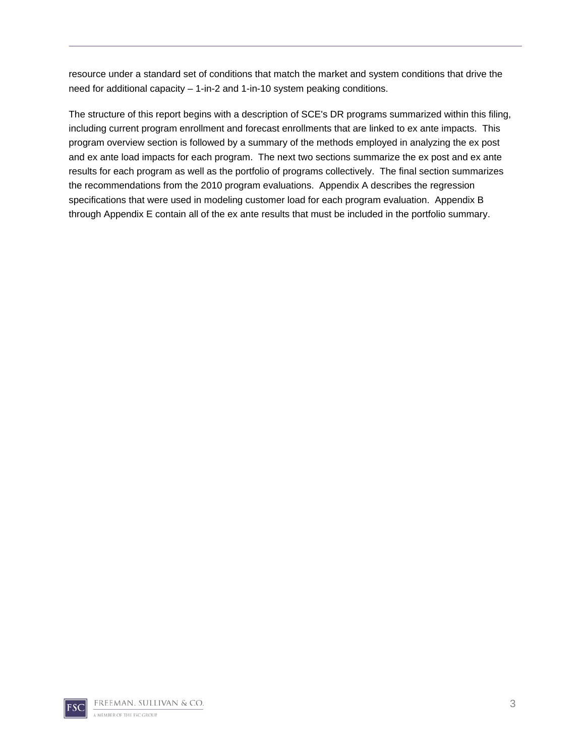resource under a standard set of conditions that match the market and system conditions that drive the need for additional capacity – 1-in-2 and 1-in-10 system peaking conditions.

The structure of this report begins with a description of SCE's DR programs summarized within this filing, including current program enrollment and forecast enrollments that are linked to ex ante impacts. This program overview section is followed by a summary of the methods employed in analyzing the ex post and ex ante load impacts for each program. The next two sections summarize the ex post and ex ante results for each program as well as the portfolio of programs collectively. The final section summarizes the recommendations from the 2010 program evaluations. Appendix A describes the regression specifications that were used in modeling customer load for each program evaluation. Appendix B through Appendix E contain all of the ex ante results that must be included in the portfolio summary.

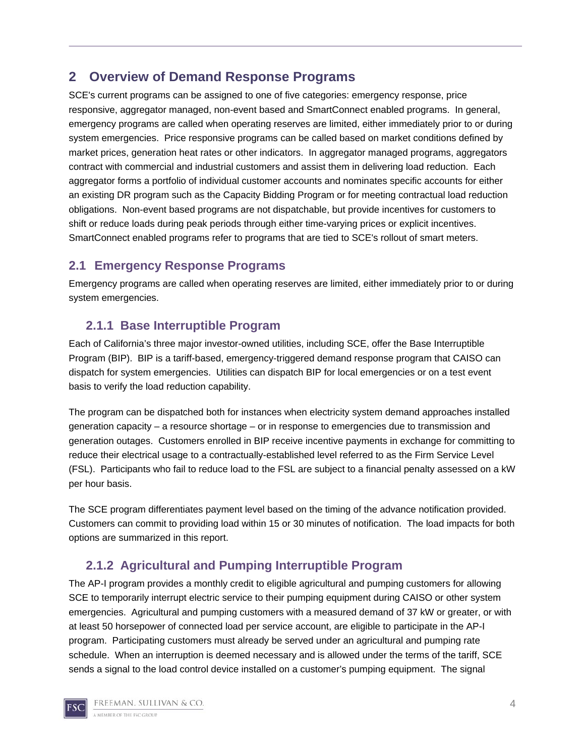## **2 Overview of Demand Response Programs**

SCE's current programs can be assigned to one of five categories: emergency response, price responsive, aggregator managed, non-event based and SmartConnect enabled programs. In general, emergency programs are called when operating reserves are limited, either immediately prior to or during system emergencies. Price responsive programs can be called based on market conditions defined by market prices, generation heat rates or other indicators. In aggregator managed programs, aggregators contract with commercial and industrial customers and assist them in delivering load reduction. Each aggregator forms a portfolio of individual customer accounts and nominates specific accounts for either an existing DR program such as the Capacity Bidding Program or for meeting contractual load reduction obligations. Non-event based programs are not dispatchable, but provide incentives for customers to shift or reduce loads during peak periods through either time-varying prices or explicit incentives. SmartConnect enabled programs refer to programs that are tied to SCE's rollout of smart meters.

## **2.1 Emergency Response Programs**

Emergency programs are called when operating reserves are limited, either immediately prior to or during system emergencies.

## **2.1.1 Base Interruptible Program**

Each of California's three major investor-owned utilities, including SCE, offer the Base Interruptible Program (BIP). BIP is a tariff-based, emergency-triggered demand response program that CAISO can dispatch for system emergencies. Utilities can dispatch BIP for local emergencies or on a test event basis to verify the load reduction capability.

The program can be dispatched both for instances when electricity system demand approaches installed generation capacity – a resource shortage – or in response to emergencies due to transmission and generation outages. Customers enrolled in BIP receive incentive payments in exchange for committing to reduce their electrical usage to a contractually-established level referred to as the Firm Service Level (FSL). Participants who fail to reduce load to the FSL are subject to a financial penalty assessed on a kW per hour basis.

The SCE program differentiates payment level based on the timing of the advance notification provided. Customers can commit to providing load within 15 or 30 minutes of notification. The load impacts for both options are summarized in this report.

## **2.1.2 Agricultural and Pumping Interruptible Program**

The AP-I program provides a monthly credit to eligible agricultural and pumping customers for allowing SCE to temporarily interrupt electric service to their pumping equipment during CAISO or other system emergencies. Agricultural and pumping customers with a measured demand of 37 kW or greater, or with at least 50 horsepower of connected load per service account, are eligible to participate in the AP-I program. Participating customers must already be served under an agricultural and pumping rate schedule. When an interruption is deemed necessary and is allowed under the terms of the tariff, SCE sends a signal to the load control device installed on a customer's pumping equipment. The signal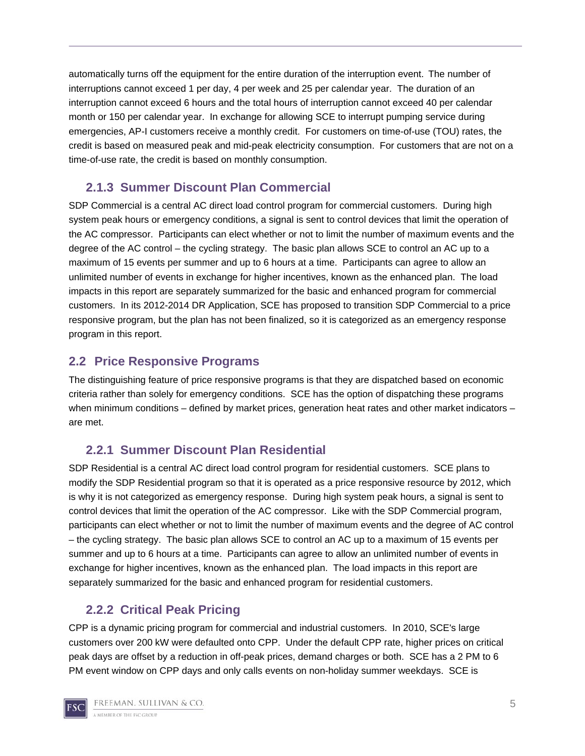automatically turns off the equipment for the entire duration of the interruption event. The number of interruptions cannot exceed 1 per day, 4 per week and 25 per calendar year. The duration of an interruption cannot exceed 6 hours and the total hours of interruption cannot exceed 40 per calendar month or 150 per calendar year. In exchange for allowing SCE to interrupt pumping service during emergencies, AP-I customers receive a monthly credit. For customers on time-of-use (TOU) rates, the credit is based on measured peak and mid-peak electricity consumption. For customers that are not on a time-of-use rate, the credit is based on monthly consumption.

## **2.1.3 Summer Discount Plan Commercial**

SDP Commercial is a central AC direct load control program for commercial customers. During high system peak hours or emergency conditions, a signal is sent to control devices that limit the operation of the AC compressor. Participants can elect whether or not to limit the number of maximum events and the degree of the AC control – the cycling strategy. The basic plan allows SCE to control an AC up to a maximum of 15 events per summer and up to 6 hours at a time. Participants can agree to allow an unlimited number of events in exchange for higher incentives, known as the enhanced plan. The load impacts in this report are separately summarized for the basic and enhanced program for commercial customers. In its 2012-2014 DR Application, SCE has proposed to transition SDP Commercial to a price responsive program, but the plan has not been finalized, so it is categorized as an emergency response program in this report.

## **2.2 Price Responsive Programs**

The distinguishing feature of price responsive programs is that they are dispatched based on economic criteria rather than solely for emergency conditions. SCE has the option of dispatching these programs when minimum conditions – defined by market prices, generation heat rates and other market indicators – are met.

## **2.2.1 Summer Discount Plan Residential**

SDP Residential is a central AC direct load control program for residential customers. SCE plans to modify the SDP Residential program so that it is operated as a price responsive resource by 2012, which is why it is not categorized as emergency response. During high system peak hours, a signal is sent to control devices that limit the operation of the AC compressor. Like with the SDP Commercial program, participants can elect whether or not to limit the number of maximum events and the degree of AC control – the cycling strategy. The basic plan allows SCE to control an AC up to a maximum of 15 events per summer and up to 6 hours at a time. Participants can agree to allow an unlimited number of events in exchange for higher incentives, known as the enhanced plan. The load impacts in this report are separately summarized for the basic and enhanced program for residential customers.

## **2.2.2 Critical Peak Pricing**

CPP is a dynamic pricing program for commercial and industrial customers. In 2010, SCE's large customers over 200 kW were defaulted onto CPP. Under the default CPP rate, higher prices on critical peak days are offset by a reduction in off-peak prices, demand charges or both. SCE has a 2 PM to 6 PM event window on CPP days and only calls events on non-holiday summer weekdays. SCE is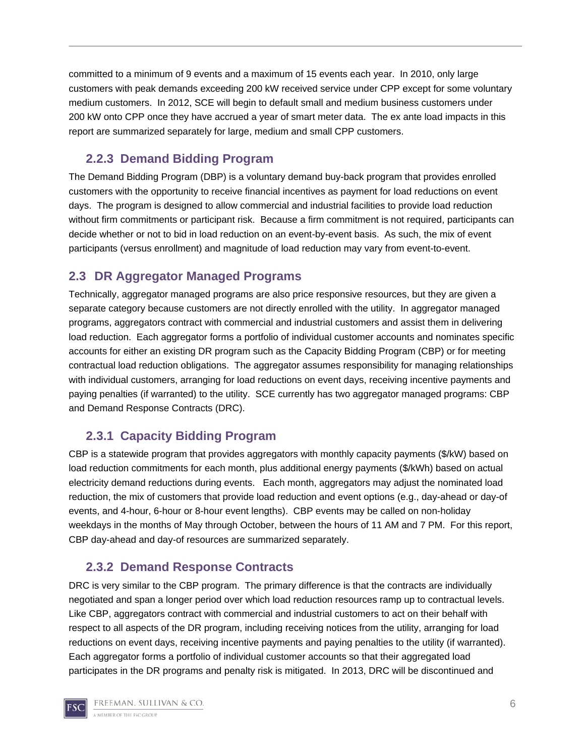committed to a minimum of 9 events and a maximum of 15 events each year. In 2010, only large customers with peak demands exceeding 200 kW received service under CPP except for some voluntary medium customers. In 2012, SCE will begin to default small and medium business customers under 200 kW onto CPP once they have accrued a year of smart meter data. The ex ante load impacts in this report are summarized separately for large, medium and small CPP customers.

## **2.2.3 Demand Bidding Program**

The Demand Bidding Program (DBP) is a voluntary demand buy-back program that provides enrolled customers with the opportunity to receive financial incentives as payment for load reductions on event days. The program is designed to allow commercial and industrial facilities to provide load reduction without firm commitments or participant risk. Because a firm commitment is not required, participants can decide whether or not to bid in load reduction on an event-by-event basis. As such, the mix of event participants (versus enrollment) and magnitude of load reduction may vary from event-to-event.

## **2.3 DR Aggregator Managed Programs**

Technically, aggregator managed programs are also price responsive resources, but they are given a separate category because customers are not directly enrolled with the utility. In aggregator managed programs, aggregators contract with commercial and industrial customers and assist them in delivering load reduction. Each aggregator forms a portfolio of individual customer accounts and nominates specific accounts for either an existing DR program such as the Capacity Bidding Program (CBP) or for meeting contractual load reduction obligations. The aggregator assumes responsibility for managing relationships with individual customers, arranging for load reductions on event days, receiving incentive payments and paying penalties (if warranted) to the utility. SCE currently has two aggregator managed programs: CBP and Demand Response Contracts (DRC).

## **2.3.1 Capacity Bidding Program**

CBP is a statewide program that provides aggregators with monthly capacity payments (\$/kW) based on load reduction commitments for each month, plus additional energy payments (\$/kWh) based on actual electricity demand reductions during events. Each month, aggregators may adjust the nominated load reduction, the mix of customers that provide load reduction and event options (e.g., day-ahead or day-of events, and 4-hour, 6-hour or 8-hour event lengths). CBP events may be called on non-holiday weekdays in the months of May through October, between the hours of 11 AM and 7 PM. For this report, CBP day-ahead and day-of resources are summarized separately.

## **2.3.2 Demand Response Contracts**

DRC is very similar to the CBP program. The primary difference is that the contracts are individually negotiated and span a longer period over which load reduction resources ramp up to contractual levels. Like CBP, aggregators contract with commercial and industrial customers to act on their behalf with respect to all aspects of the DR program, including receiving notices from the utility, arranging for load reductions on event days, receiving incentive payments and paying penalties to the utility (if warranted). Each aggregator forms a portfolio of individual customer accounts so that their aggregated load participates in the DR programs and penalty risk is mitigated. In 2013, DRC will be discontinued and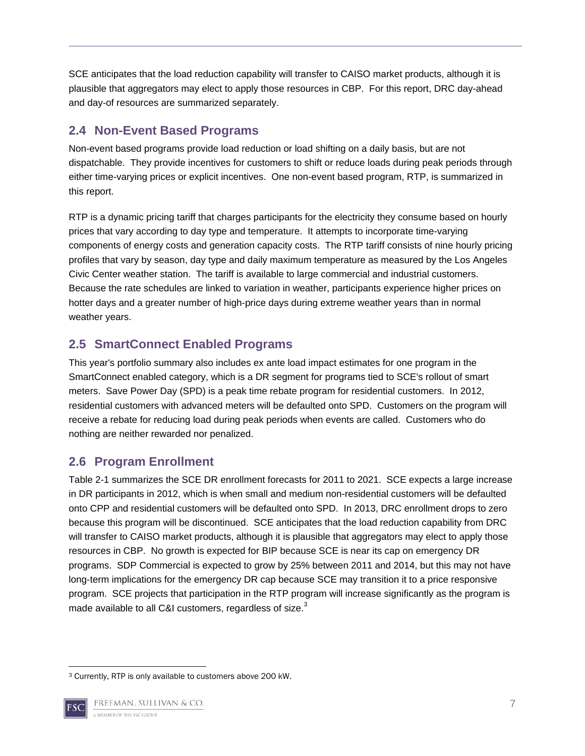SCE anticipates that the load reduction capability will transfer to CAISO market products, although it is plausible that aggregators may elect to apply those resources in CBP. For this report, DRC day-ahead and day-of resources are summarized separately.

## **2.4 Non-Event Based Programs**

Non-event based programs provide load reduction or load shifting on a daily basis, but are not dispatchable. They provide incentives for customers to shift or reduce loads during peak periods through either time-varying prices or explicit incentives. One non-event based program, RTP, is summarized in this report.

RTP is a dynamic pricing tariff that charges participants for the electricity they consume based on hourly prices that vary according to day type and temperature. It attempts to incorporate time-varying components of energy costs and generation capacity costs. The RTP tariff consists of nine hourly pricing profiles that vary by season, day type and daily maximum temperature as measured by the Los Angeles Civic Center weather station. The tariff is available to large commercial and industrial customers. Because the rate schedules are linked to variation in weather, participants experience higher prices on hotter days and a greater number of high-price days during extreme weather years than in normal weather years.

## **2.5 SmartConnect Enabled Programs**

This year's portfolio summary also includes ex ante load impact estimates for one program in the SmartConnect enabled category, which is a DR segment for programs tied to SCE's rollout of smart meters. Save Power Day (SPD) is a peak time rebate program for residential customers. In 2012, residential customers with advanced meters will be defaulted onto SPD. Customers on the program will receive a rebate for reducing load during peak periods when events are called. Customers who do nothing are neither rewarded nor penalized.

## **2.6 Program Enrollment**

Table 2-1 summarizes the SCE DR enrollment forecasts for 2011 to 2021. SCE expects a large increase in DR participants in 2012, which is when small and medium non-residential customers will be defaulted onto CPP and residential customers will be defaulted onto SPD. In 2013, DRC enrollment drops to zero because this program will be discontinued. SCE anticipates that the load reduction capability from DRC will transfer to CAISO market products, although it is plausible that aggregators may elect to apply those resources in CBP. No growth is expected for BIP because SCE is near its cap on emergency DR programs. SDP Commercial is expected to grow by 25% between 2011 and 2014, but this may not have long-term implications for the emergency DR cap because SCE may transition it to a price responsive program. SCE projects that participation in the RTP program will increase significantly as the program is made available to all C&I customers, regardless of size.<sup>3</sup>

 3 Currently, RTP is only available to customers above 200 kW.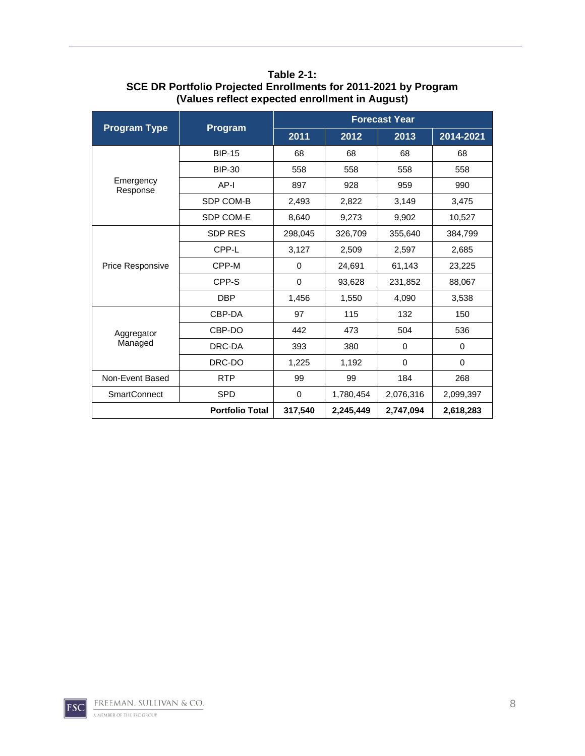|                       |                        | <b>Forecast Year</b> |           |           |           |  |  |  |
|-----------------------|------------------------|----------------------|-----------|-----------|-----------|--|--|--|
| <b>Program Type</b>   | Program                | 2011                 | 2012      | 2013      | 2014-2021 |  |  |  |
|                       | <b>BIP-15</b>          | 68                   | 68        | 68        | 68        |  |  |  |
|                       | <b>BIP-30</b>          | 558                  | 558       | 558       | 558       |  |  |  |
| Emergency<br>Response | AP-I                   | 897                  | 928       | 959       | 990       |  |  |  |
|                       | SDP COM-B              | 2,493                | 2,822     | 3,149     | 3,475     |  |  |  |
|                       | SDP COM-E              | 8,640                | 9,273     | 9,902     | 10,527    |  |  |  |
|                       | <b>SDP RES</b>         | 298,045              | 326,709   | 355,640   | 384,799   |  |  |  |
|                       | CPP-L                  | 3,127                | 2,509     | 2,597     | 2,685     |  |  |  |
| Price Responsive      | CPP-M                  | 0                    | 24,691    | 61,143    | 23,225    |  |  |  |
|                       | CPP-S                  | 0                    | 93,628    | 231,852   | 88,067    |  |  |  |
|                       | <b>DBP</b>             | 1,456                | 1,550     | 4,090     | 3,538     |  |  |  |
|                       | CBP-DA                 | 97                   | 115       | 132       | 150       |  |  |  |
| Aggregator            | CBP-DO                 | 442                  | 473       | 504       | 536       |  |  |  |
| Managed               | DRC-DA                 | 393                  | 380       | $\Omega$  | 0         |  |  |  |
|                       | DRC-DO                 | 1,225                | 1,192     | 0         | $\Omega$  |  |  |  |
| Non-Event Based       | <b>RTP</b>             | 99                   | 99        | 184       | 268       |  |  |  |
| <b>SmartConnect</b>   | <b>SPD</b>             | $\Omega$             | 1,780,454 | 2,076,316 | 2,099,397 |  |  |  |
|                       | <b>Portfolio Total</b> | 317,540              | 2,245,449 | 2,747,094 | 2,618,283 |  |  |  |

**Table 2-1: SCE DR Portfolio Projected Enrollments for 2011-2021 by Program (Values reflect expected enrollment in August)**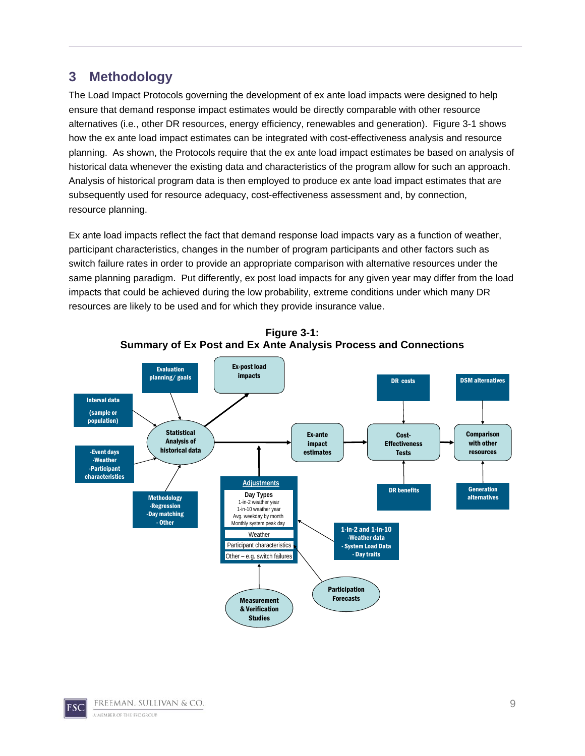## **3 Methodology**

The Load Impact Protocols governing the development of ex ante load impacts were designed to help ensure that demand response impact estimates would be directly comparable with other resource alternatives (i.e., other DR resources, energy efficiency, renewables and generation). Figure 3-1 shows how the ex ante load impact estimates can be integrated with cost-effectiveness analysis and resource planning. As shown, the Protocols require that the ex ante load impact estimates be based on analysis of historical data whenever the existing data and characteristics of the program allow for such an approach. Analysis of historical program data is then employed to produce ex ante load impact estimates that are subsequently used for resource adequacy, cost-effectiveness assessment and, by connection, resource planning.

Ex ante load impacts reflect the fact that demand response load impacts vary as a function of weather, participant characteristics, changes in the number of program participants and other factors such as switch failure rates in order to provide an appropriate comparison with alternative resources under the same planning paradigm. Put differently, ex post load impacts for any given year may differ from the load impacts that could be achieved during the low probability, extreme conditions under which many DR resources are likely to be used and for which they provide insurance value.



**Figure 3-1: Summary of Ex Post and Ex Ante Analysis Process and Connections**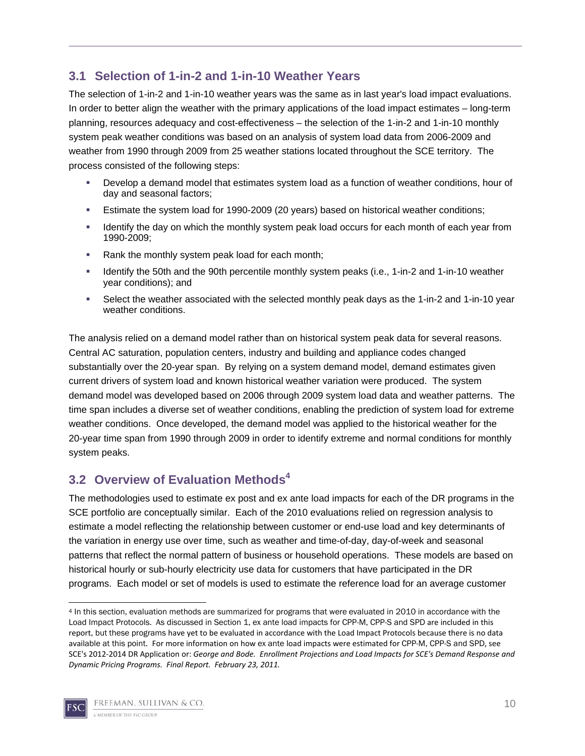## **3.1 Selection of 1-in-2 and 1-in-10 Weather Years**

The selection of 1-in-2 and 1-in-10 weather years was the same as in last year's load impact evaluations. In order to better align the weather with the primary applications of the load impact estimates – long-term planning, resources adequacy and cost-effectiveness – the selection of the 1-in-2 and 1-in-10 monthly system peak weather conditions was based on an analysis of system load data from 2006-2009 and weather from 1990 through 2009 from 25 weather stations located throughout the SCE territory. The process consisted of the following steps:

- Develop a demand model that estimates system load as a function of weather conditions, hour of day and seasonal factors;
- Estimate the system load for 1990-2009 (20 years) based on historical weather conditions;
- Identify the day on which the monthly system peak load occurs for each month of each year from 1990-2009;
- Rank the monthly system peak load for each month;
- Identify the 50th and the 90th percentile monthly system peaks (i.e., 1-in-2 and 1-in-10 weather year conditions); and
- Select the weather associated with the selected monthly peak days as the 1-in-2 and 1-in-10 year weather conditions.

The analysis relied on a demand model rather than on historical system peak data for several reasons. Central AC saturation, population centers, industry and building and appliance codes changed substantially over the 20-year span. By relying on a system demand model, demand estimates given current drivers of system load and known historical weather variation were produced. The system demand model was developed based on 2006 through 2009 system load data and weather patterns. The time span includes a diverse set of weather conditions, enabling the prediction of system load for extreme weather conditions. Once developed, the demand model was applied to the historical weather for the 20-year time span from 1990 through 2009 in order to identify extreme and normal conditions for monthly system peaks.

## **3.2 Overview of Evaluation Methods4**

The methodologies used to estimate ex post and ex ante load impacts for each of the DR programs in the SCE portfolio are conceptually similar. Each of the 2010 evaluations relied on regression analysis to estimate a model reflecting the relationship between customer or end-use load and key determinants of the variation in energy use over time, such as weather and time-of-day, day-of-week and seasonal patterns that reflect the normal pattern of business or household operations. These models are based on historical hourly or sub-hourly electricity use data for customers that have participated in the DR programs. Each model or set of models is used to estimate the reference load for an average customer

 4 In this section, evaluation methods are summarized for programs that were evaluated in 2010 in accordance with the Load Impact Protocols. As discussed in Section 1, ex ante load impacts for CPP-M, CPP-S and SPD are included in this report, but these programs have yet to be evaluated in accordance with the Load Impact Protocols because there is no data available at this point. For more information on how ex ante load impacts were estimated for CPP-M, CPP-S and SPD, see SCE's 2012‐2014 DR Application or: *George and Bode. Enrollment Projections and Load Impacts for SCE's Demand Response and Dynamic Pricing Programs. Final Report. February 23, 2011.*

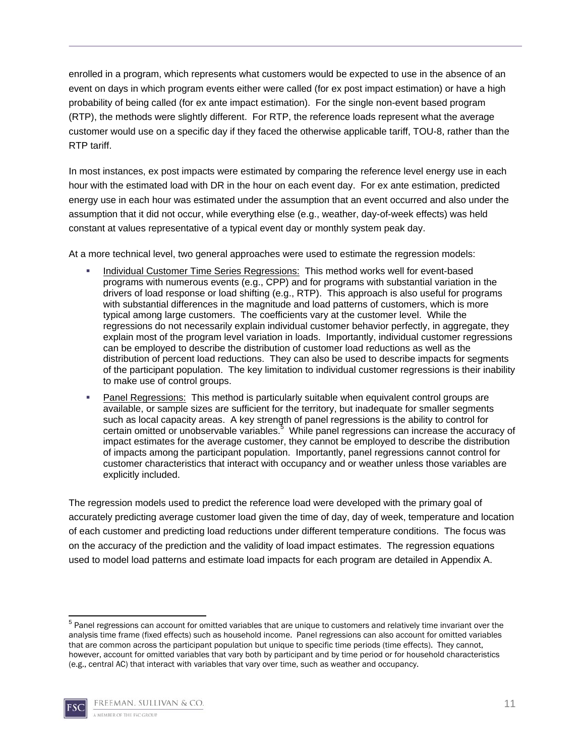enrolled in a program, which represents what customers would be expected to use in the absence of an event on days in which program events either were called (for ex post impact estimation) or have a high probability of being called (for ex ante impact estimation). For the single non-event based program (RTP), the methods were slightly different. For RTP, the reference loads represent what the average customer would use on a specific day if they faced the otherwise applicable tariff, TOU-8, rather than the RTP tariff.

In most instances, ex post impacts were estimated by comparing the reference level energy use in each hour with the estimated load with DR in the hour on each event day. For ex ante estimation, predicted energy use in each hour was estimated under the assumption that an event occurred and also under the assumption that it did not occur, while everything else (e.g., weather, day-of-week effects) was held constant at values representative of a typical event day or monthly system peak day.

At a more technical level, two general approaches were used to estimate the regression models:

- Individual Customer Time Series Regressions: This method works well for event-based programs with numerous events (e.g., CPP) and for programs with substantial variation in the drivers of load response or load shifting (e.g., RTP). This approach is also useful for programs with substantial differences in the magnitude and load patterns of customers, which is more typical among large customers. The coefficients vary at the customer level. While the regressions do not necessarily explain individual customer behavior perfectly, in aggregate, they explain most of the program level variation in loads. Importantly, individual customer regressions can be employed to describe the distribution of customer load reductions as well as the distribution of percent load reductions. They can also be used to describe impacts for segments of the participant population. The key limitation to individual customer regressions is their inability to make use of control groups.
- Panel Regressions: This method is particularly suitable when equivalent control groups are available, or sample sizes are sufficient for the territory, but inadequate for smaller segments such as local capacity areas. A key strength of panel regressions is the ability to control for certain omitted or unobservable variables.<sup>5</sup> While panel regressions can increase the accuracy of impact estimates for the average customer, they cannot be employed to describe the distribution of impacts among the participant population. Importantly, panel regressions cannot control for customer characteristics that interact with occupancy and or weather unless those variables are explicitly included.

The regression models used to predict the reference load were developed with the primary goal of accurately predicting average customer load given the time of day, day of week, temperature and location of each customer and predicting load reductions under different temperature conditions. The focus was on the accuracy of the prediction and the validity of load impact estimates. The regression equations used to model load patterns and estimate load impacts for each program are detailed in Appendix A.

 5 Panel regressions can account for omitted variables that are unique to customers and relatively time invariant over the analysis time frame (fixed effects) such as household income. Panel regressions can also account for omitted variables that are common across the participant population but unique to specific time periods (time effects). They cannot, however, account for omitted variables that vary both by participant and by time period or for household characteristics (e.g., central AC) that interact with variables that vary over time, such as weather and occupancy.

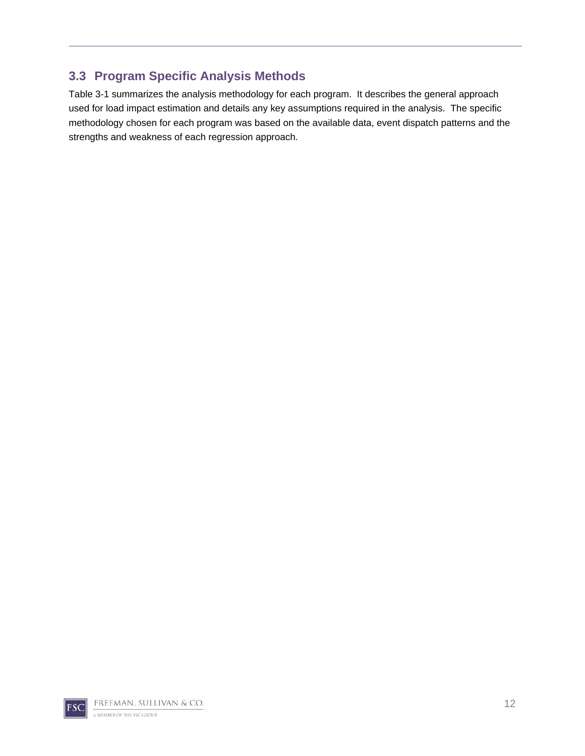## **3.3 Program Specific Analysis Methods**

Table 3-1 summarizes the analysis methodology for each program. It describes the general approach used for load impact estimation and details any key assumptions required in the analysis. The specific methodology chosen for each program was based on the available data, event dispatch patterns and the strengths and weakness of each regression approach.

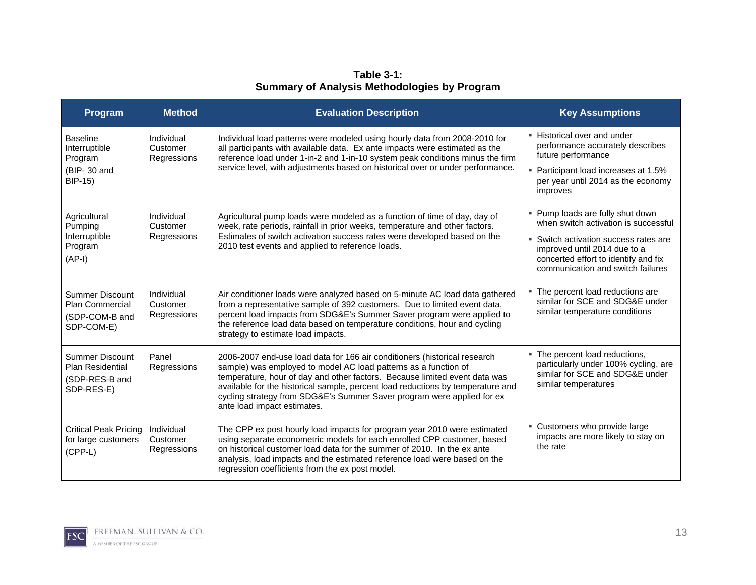**Table 3-1: Summary of Analysis Methodologies by Program** 

| Program                                                                          | <b>Method</b>                         | <b>Evaluation Description</b>                                                                                                                                                                                                                                                                                                                                                                                          | <b>Key Assumptions</b>                                                                                                                                                                                                         |
|----------------------------------------------------------------------------------|---------------------------------------|------------------------------------------------------------------------------------------------------------------------------------------------------------------------------------------------------------------------------------------------------------------------------------------------------------------------------------------------------------------------------------------------------------------------|--------------------------------------------------------------------------------------------------------------------------------------------------------------------------------------------------------------------------------|
| <b>Baseline</b><br>Interruptible<br>Program<br>(BIP-30 and<br><b>BIP-15)</b>     | Individual<br>Customer<br>Regressions | Individual load patterns were modeled using hourly data from 2008-2010 for<br>all participants with available data. Ex ante impacts were estimated as the<br>reference load under 1-in-2 and 1-in-10 system peak conditions minus the firm<br>service level, with adjustments based on historical over or under performance.                                                                                           | • Historical over and under<br>performance accurately describes<br>future performance<br>• Participant load increases at 1.5%<br>per year until 2014 as the economy<br>improves                                                |
| Agricultural<br>Pumping<br>Interruptible<br>Program<br>$(AP-I)$                  | Individual<br>Customer<br>Regressions | Agricultural pump loads were modeled as a function of time of day, day of<br>week, rate periods, rainfall in prior weeks, temperature and other factors.<br>Estimates of switch activation success rates were developed based on the<br>2010 test events and applied to reference loads.                                                                                                                               | • Pump loads are fully shut down<br>when switch activation is successful<br>• Switch activation success rates are<br>improved until 2014 due to a<br>concerted effort to identify and fix<br>communication and switch failures |
| <b>Summer Discount</b><br><b>Plan Commercial</b><br>(SDP-COM-B and<br>SDP-COM-E) | Individual<br>Customer<br>Regressions | Air conditioner loads were analyzed based on 5-minute AC load data gathered<br>from a representative sample of 392 customers. Due to limited event data,<br>percent load impacts from SDG&E's Summer Saver program were applied to<br>the reference load data based on temperature conditions, hour and cycling<br>strategy to estimate load impacts.                                                                  | • The percent load reductions are<br>similar for SCE and SDG&E under<br>similar temperature conditions                                                                                                                         |
| Summer Discount<br><b>Plan Residential</b><br>(SDP-RES-B and<br>SDP-RES-E)       | Panel<br>Regressions                  | 2006-2007 end-use load data for 166 air conditioners (historical research<br>sample) was employed to model AC load patterns as a function of<br>temperature, hour of day and other factors. Because limited event data was<br>available for the historical sample, percent load reductions by temperature and<br>cycling strategy from SDG&E's Summer Saver program were applied for ex<br>ante load impact estimates. | • The percent load reductions,<br>particularly under 100% cycling, are<br>similar for SCE and SDG&E under<br>similar temperatures                                                                                              |
| <b>Critical Peak Pricing</b><br>for large customers<br>$(CPP-L)$                 | Individual<br>Customer<br>Regressions | The CPP ex post hourly load impacts for program year 2010 were estimated<br>using separate econometric models for each enrolled CPP customer, based<br>on historical customer load data for the summer of 2010. In the ex ante<br>analysis, load impacts and the estimated reference load were based on the<br>regression coefficients from the ex post model.                                                         | • Customers who provide large<br>impacts are more likely to stay on<br>the rate                                                                                                                                                |



13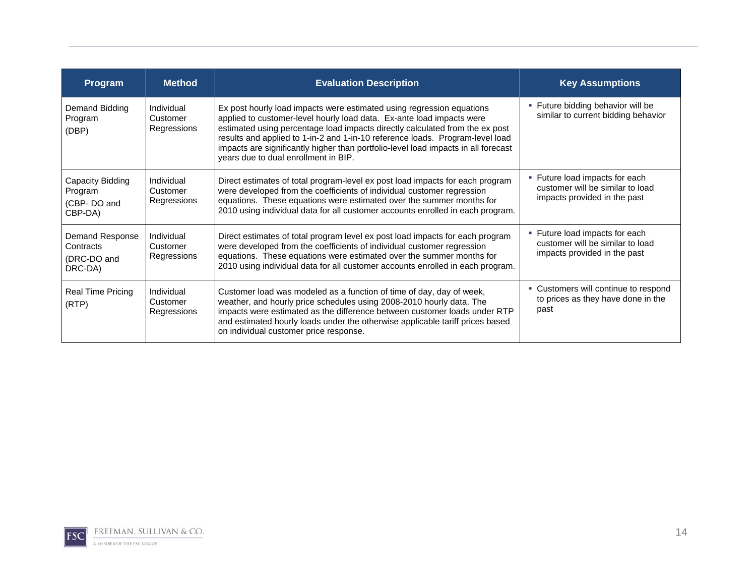| Program                                                       | <b>Method</b>                         | <b>Evaluation Description</b>                                                                                                                                                                                                                                                                                                                                                                                                                 | <b>Key Assumptions</b>                                                                             |
|---------------------------------------------------------------|---------------------------------------|-----------------------------------------------------------------------------------------------------------------------------------------------------------------------------------------------------------------------------------------------------------------------------------------------------------------------------------------------------------------------------------------------------------------------------------------------|----------------------------------------------------------------------------------------------------|
| Demand Bidding<br>Program<br>(DBP)                            | Individual<br>Customer<br>Regressions | Ex post hourly load impacts were estimated using regression equations<br>applied to customer-level hourly load data. Ex-ante load impacts were<br>estimated using percentage load impacts directly calculated from the ex post<br>results and applied to 1-in-2 and 1-in-10 reference loads. Program-level load<br>impacts are significantly higher than portfolio-level load impacts in all forecast<br>years due to dual enrollment in BIP. | • Future bidding behavior will be<br>similar to current bidding behavior                           |
| Capacity Bidding<br>Program<br>(CBP-DO and<br>CBP-DA)         | Individual<br>Customer<br>Regressions | Direct estimates of total program-level ex post load impacts for each program<br>were developed from the coefficients of individual customer regression<br>equations. These equations were estimated over the summer months for<br>2010 using individual data for all customer accounts enrolled in each program.                                                                                                                             | • Future load impacts for each<br>customer will be similar to load<br>impacts provided in the past |
| <b>Demand Response</b><br>Contracts<br>(DRC-DO and<br>DRC-DA) | Individual<br>Customer<br>Regressions | Direct estimates of total program level ex post load impacts for each program<br>were developed from the coefficients of individual customer regression<br>equations. These equations were estimated over the summer months for<br>2010 using individual data for all customer accounts enrolled in each program.                                                                                                                             | • Future load impacts for each<br>customer will be similar to load<br>impacts provided in the past |
| <b>Real Time Pricing</b><br>(RTP)                             | Individual<br>Customer<br>Regressions | Customer load was modeled as a function of time of day, day of week,<br>weather, and hourly price schedules using 2008-2010 hourly data. The<br>impacts were estimated as the difference between customer loads under RTP<br>and estimated hourly loads under the otherwise applicable tariff prices based<br>on individual customer price response.                                                                                          | • Customers will continue to respond<br>to prices as they have done in the<br>past                 |

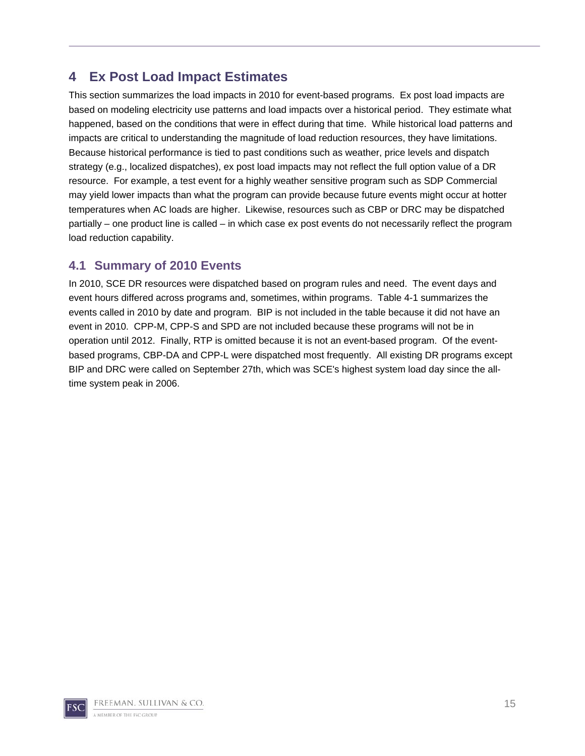## **4 Ex Post Load Impact Estimates**

This section summarizes the load impacts in 2010 for event-based programs. Ex post load impacts are based on modeling electricity use patterns and load impacts over a historical period. They estimate what happened, based on the conditions that were in effect during that time. While historical load patterns and impacts are critical to understanding the magnitude of load reduction resources, they have limitations. Because historical performance is tied to past conditions such as weather, price levels and dispatch strategy (e.g., localized dispatches), ex post load impacts may not reflect the full option value of a DR resource. For example, a test event for a highly weather sensitive program such as SDP Commercial may yield lower impacts than what the program can provide because future events might occur at hotter temperatures when AC loads are higher. Likewise, resources such as CBP or DRC may be dispatched partially – one product line is called – in which case ex post events do not necessarily reflect the program load reduction capability.

### **4.1 Summary of 2010 Events**

In 2010, SCE DR resources were dispatched based on program rules and need. The event days and event hours differed across programs and, sometimes, within programs. Table 4-1 summarizes the events called in 2010 by date and program. BIP is not included in the table because it did not have an event in 2010. CPP-M, CPP-S and SPD are not included because these programs will not be in operation until 2012. Finally, RTP is omitted because it is not an event-based program. Of the eventbased programs, CBP-DA and CPP-L were dispatched most frequently. All existing DR programs except BIP and DRC were called on September 27th, which was SCE's highest system load day since the alltime system peak in 2006.

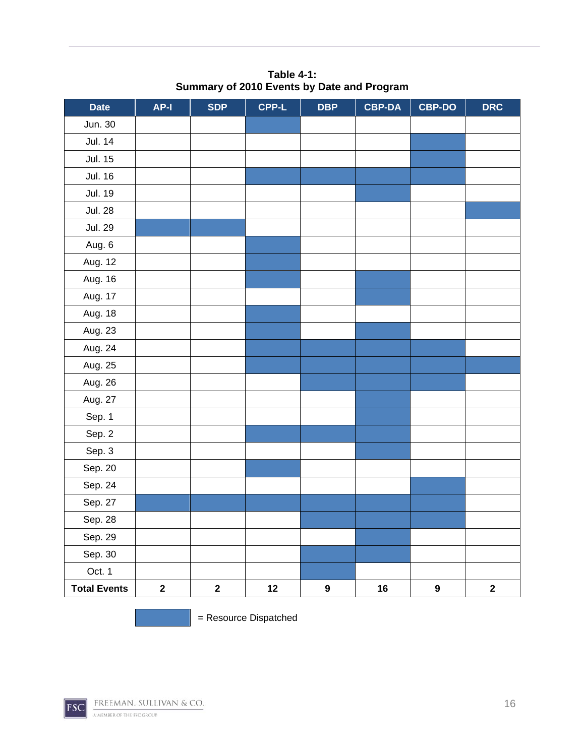| <b>Date</b>         | AP-I        | <b>SDP</b>  | <b>CPP-L</b> | <b>DBP</b>       | <b>CBP-DA</b> | <b>CBP-DO</b>    | <b>DRC</b>  |
|---------------------|-------------|-------------|--------------|------------------|---------------|------------------|-------------|
| Jun. 30             |             |             |              |                  |               |                  |             |
| <b>Jul. 14</b>      |             |             |              |                  |               |                  |             |
| <b>Jul. 15</b>      |             |             |              |                  |               |                  |             |
| <b>Jul. 16</b>      |             |             |              |                  |               |                  |             |
| <b>Jul. 19</b>      |             |             |              |                  |               |                  |             |
| <b>Jul. 28</b>      |             |             |              |                  |               |                  |             |
| <b>Jul. 29</b>      |             |             |              |                  |               |                  |             |
| Aug. 6              |             |             |              |                  |               |                  |             |
| Aug. 12             |             |             |              |                  |               |                  |             |
| Aug. 16             |             |             |              |                  |               |                  |             |
| Aug. 17             |             |             |              |                  |               |                  |             |
| Aug. 18             |             |             |              |                  |               |                  |             |
| Aug. 23             |             |             |              |                  |               |                  |             |
| Aug. 24             |             |             |              |                  |               |                  |             |
| Aug. 25             |             |             |              |                  |               |                  |             |
| Aug. 26             |             |             |              |                  |               |                  |             |
| Aug. 27             |             |             |              |                  |               |                  |             |
| Sep. 1              |             |             |              |                  |               |                  |             |
| Sep. 2              |             |             |              |                  |               |                  |             |
| Sep. 3              |             |             |              |                  |               |                  |             |
| Sep. 20             |             |             |              |                  |               |                  |             |
| Sep. 24             |             |             |              |                  |               |                  |             |
| Sep. 27             |             |             |              |                  |               |                  |             |
| Sep. 28             |             |             |              |                  |               |                  |             |
| Sep. 29             |             |             |              |                  |               |                  |             |
| Sep. 30             |             |             |              |                  |               |                  |             |
| Oct. 1              |             |             |              |                  |               |                  |             |
| <b>Total Events</b> | $\mathbf 2$ | $\mathbf 2$ | 12           | $\boldsymbol{9}$ | 16            | $\boldsymbol{9}$ | $\mathbf 2$ |

**Table 4-1: Summary of 2010 Events by Date and Program** 

= Resource Dispatched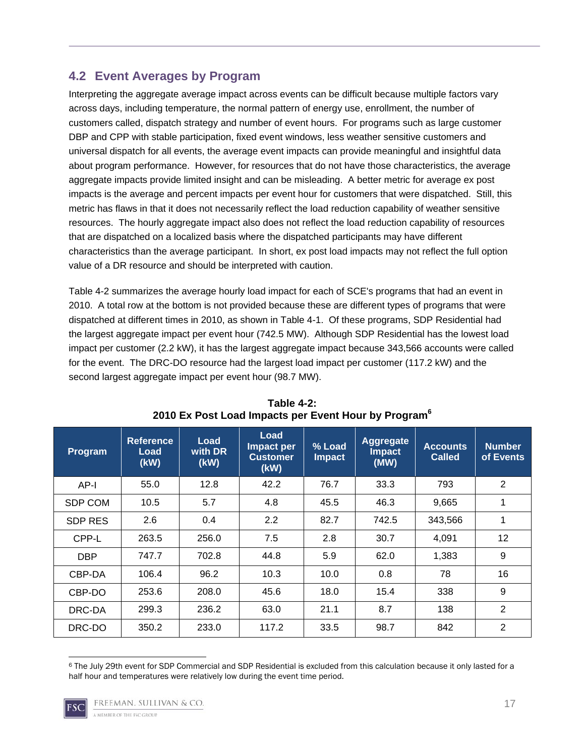## **4.2 Event Averages by Program**

Interpreting the aggregate average impact across events can be difficult because multiple factors vary across days, including temperature, the normal pattern of energy use, enrollment, the number of customers called, dispatch strategy and number of event hours. For programs such as large customer DBP and CPP with stable participation, fixed event windows, less weather sensitive customers and universal dispatch for all events, the average event impacts can provide meaningful and insightful data about program performance. However, for resources that do not have those characteristics, the average aggregate impacts provide limited insight and can be misleading. A better metric for average ex post impacts is the average and percent impacts per event hour for customers that were dispatched. Still, this metric has flaws in that it does not necessarily reflect the load reduction capability of weather sensitive resources. The hourly aggregate impact also does not reflect the load reduction capability of resources that are dispatched on a localized basis where the dispatched participants may have different characteristics than the average participant. In short, ex post load impacts may not reflect the full option value of a DR resource and should be interpreted with caution.

Table 4-2 summarizes the average hourly load impact for each of SCE's programs that had an event in 2010. A total row at the bottom is not provided because these are different types of programs that were dispatched at different times in 2010, as shown in Table 4-1. Of these programs, SDP Residential had the largest aggregate impact per event hour (742.5 MW). Although SDP Residential has the lowest load impact per customer (2.2 kW), it has the largest aggregate impact because 343,566 accounts were called for the event. The DRC-DO resource had the largest load impact per customer (117.2 kW) and the second largest aggregate impact per event hour (98.7 MW).

| Program        | <b>Reference</b><br>Load<br>(kW) | Load<br>with DR<br>(kW) | Load<br>Impact per<br>Customer<br>(kW) | $%$ Load<br><b>Impact</b> | <b>Aggregate</b><br><b>Impact</b><br>(MW) | <b>Accounts</b><br><b>Called</b> | <b>Number</b><br>of Events |
|----------------|----------------------------------|-------------------------|----------------------------------------|---------------------------|-------------------------------------------|----------------------------------|----------------------------|
| AP-I           | 55.0                             | 12.8                    | 42.2                                   | 76.7                      | 33.3                                      | 793                              | $\overline{2}$             |
| <b>SDP COM</b> | 10.5                             | 5.7                     | 4.8                                    | 45.5                      | 46.3                                      | 9,665                            | 1                          |
| <b>SDP RES</b> | 2.6                              | 0.4                     | 2.2                                    | 82.7                      | 742.5                                     | 343,566                          | 1                          |
| CPP-L          | 263.5                            | 256.0                   | 7.5                                    | 2.8                       | 30.7                                      | 4,091                            | 12                         |
| <b>DBP</b>     | 747.7                            | 702.8                   | 44.8                                   | 5.9                       | 62.0                                      | 1,383                            | 9                          |
| CBP-DA         | 106.4                            | 96.2                    | 10.3                                   | 10.0                      | 0.8                                       | 78                               | 16                         |
| CBP-DO         | 253.6                            | 208.0                   | 45.6                                   | 18.0                      | 15.4                                      | 338                              | 9                          |
| DRC-DA         | 299.3                            | 236.2                   | 63.0                                   | 21.1                      | 8.7                                       | 138                              | $\overline{2}$             |
| DRC-DO         | 350.2                            | 233.0                   | 117.2                                  | 33.5                      | 98.7                                      | 842                              | 2                          |

#### **Table 4-2: 2010 Ex Post Load Impacts per Event Hour by Program<sup>6</sup>**

 6 The July 29th event for SDP Commercial and SDP Residential is excluded from this calculation because it only lasted for a half hour and temperatures were relatively low during the event time period.

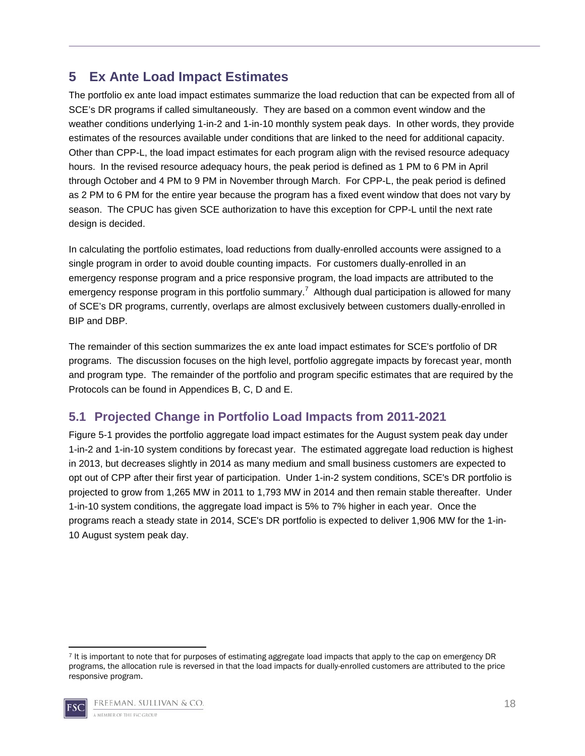## **5 Ex Ante Load Impact Estimates**

The portfolio ex ante load impact estimates summarize the load reduction that can be expected from all of SCE's DR programs if called simultaneously. They are based on a common event window and the weather conditions underlying 1-in-2 and 1-in-10 monthly system peak days. In other words, they provide estimates of the resources available under conditions that are linked to the need for additional capacity. Other than CPP-L, the load impact estimates for each program align with the revised resource adequacy hours. In the revised resource adequacy hours, the peak period is defined as 1 PM to 6 PM in April through October and 4 PM to 9 PM in November through March. For CPP-L, the peak period is defined as 2 PM to 6 PM for the entire year because the program has a fixed event window that does not vary by season. The CPUC has given SCE authorization to have this exception for CPP-L until the next rate design is decided.

In calculating the portfolio estimates, load reductions from dually-enrolled accounts were assigned to a single program in order to avoid double counting impacts. For customers dually-enrolled in an emergency response program and a price responsive program, the load impacts are attributed to the emergency response program in this portfolio summary.<sup>7</sup> Although dual participation is allowed for many of SCE's DR programs, currently, overlaps are almost exclusively between customers dually-enrolled in BIP and DBP.

The remainder of this section summarizes the ex ante load impact estimates for SCE's portfolio of DR programs. The discussion focuses on the high level, portfolio aggregate impacts by forecast year, month and program type. The remainder of the portfolio and program specific estimates that are required by the Protocols can be found in Appendices B, C, D and E.

## **5.1 Projected Change in Portfolio Load Impacts from 2011-2021**

Figure 5-1 provides the portfolio aggregate load impact estimates for the August system peak day under 1-in-2 and 1-in-10 system conditions by forecast year. The estimated aggregate load reduction is highest in 2013, but decreases slightly in 2014 as many medium and small business customers are expected to opt out of CPP after their first year of participation. Under 1-in-2 system conditions, SCE's DR portfolio is projected to grow from 1,265 MW in 2011 to 1,793 MW in 2014 and then remain stable thereafter. Under 1-in-10 system conditions, the aggregate load impact is 5% to 7% higher in each year. Once the programs reach a steady state in 2014, SCE's DR portfolio is expected to deliver 1,906 MW for the 1-in-10 August system peak day.

 7 It is important to note that for purposes of estimating aggregate load impacts that apply to the cap on emergency DR programs, the allocation rule is reversed in that the load impacts for dually-enrolled customers are attributed to the price responsive program.

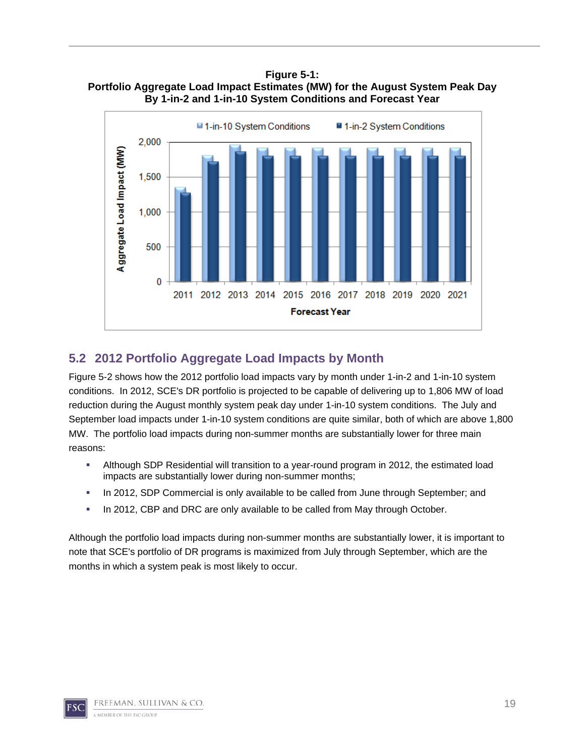**Figure 5-1: Portfolio Aggregate Load Impact Estimates (MW) for the August System Peak Day By 1-in-2 and 1-in-10 System Conditions and Forecast Year** 



## **5.2 2012 Portfolio Aggregate Load Impacts by Month**

Figure 5-2 shows how the 2012 portfolio load impacts vary by month under 1-in-2 and 1-in-10 system conditions. In 2012, SCE's DR portfolio is projected to be capable of delivering up to 1,806 MW of load reduction during the August monthly system peak day under 1-in-10 system conditions. The July and September load impacts under 1-in-10 system conditions are quite similar, both of which are above 1,800 MW. The portfolio load impacts during non-summer months are substantially lower for three main reasons:

- Although SDP Residential will transition to a year-round program in 2012, the estimated load impacts are substantially lower during non-summer months;
- In 2012, SDP Commercial is only available to be called from June through September; and
- In 2012, CBP and DRC are only available to be called from May through October.

Although the portfolio load impacts during non-summer months are substantially lower, it is important to note that SCE's portfolio of DR programs is maximized from July through September, which are the months in which a system peak is most likely to occur.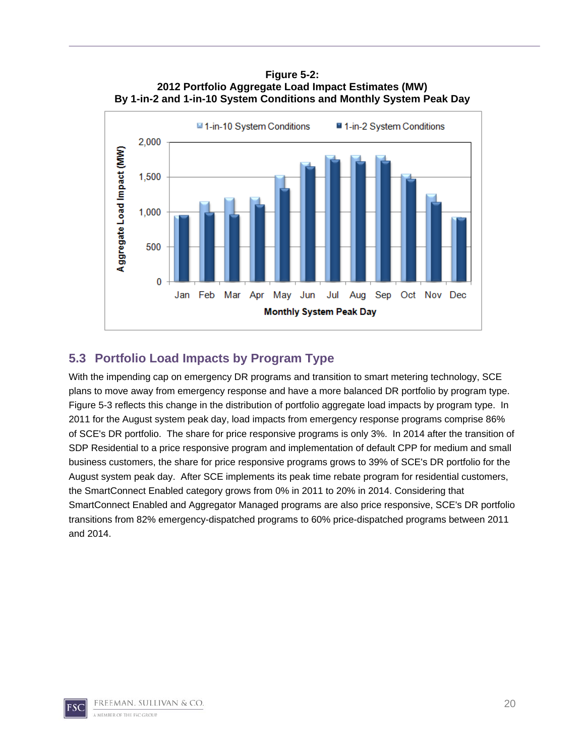**Figure 5-2: 2012 Portfolio Aggregate Load Impact Estimates (MW) By 1-in-2 and 1-in-10 System Conditions and Monthly System Peak Day** 



## **5.3 Portfolio Load Impacts by Program Type**

With the impending cap on emergency DR programs and transition to smart metering technology, SCE plans to move away from emergency response and have a more balanced DR portfolio by program type. Figure 5-3 reflects this change in the distribution of portfolio aggregate load impacts by program type. In 2011 for the August system peak day, load impacts from emergency response programs comprise 86% of SCE's DR portfolio. The share for price responsive programs is only 3%. In 2014 after the transition of SDP Residential to a price responsive program and implementation of default CPP for medium and small business customers, the share for price responsive programs grows to 39% of SCE's DR portfolio for the August system peak day. After SCE implements its peak time rebate program for residential customers, the SmartConnect Enabled category grows from 0% in 2011 to 20% in 2014. Considering that SmartConnect Enabled and Aggregator Managed programs are also price responsive, SCE's DR portfolio transitions from 82% emergency-dispatched programs to 60% price-dispatched programs between 2011 and 2014.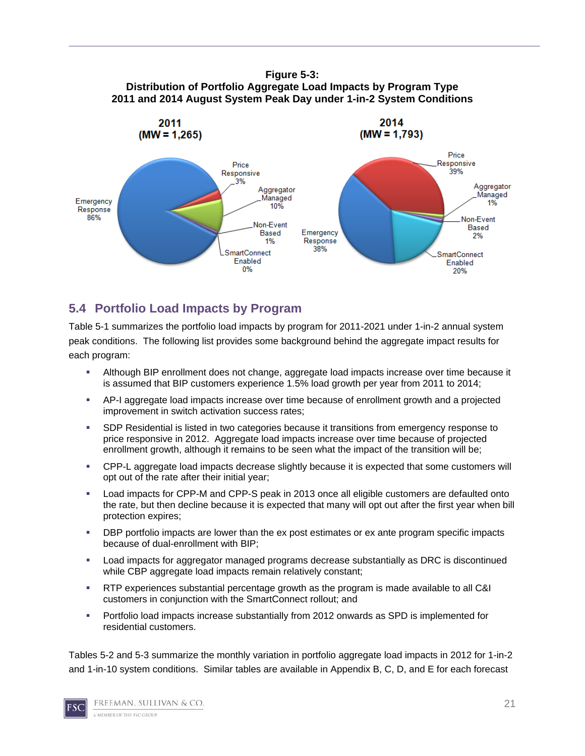#### **Figure 5-3: Distribution of Portfolio Aggregate Load Impacts by Program Type 2011 and 2014 August System Peak Day under 1-in-2 System Conditions**



## **5.4 Portfolio Load Impacts by Program**

Table 5-1 summarizes the portfolio load impacts by program for 2011-2021 under 1-in-2 annual system peak conditions. The following list provides some background behind the aggregate impact results for each program:

- Although BIP enrollment does not change, aggregate load impacts increase over time because it is assumed that BIP customers experience 1.5% load growth per year from 2011 to 2014;
- AP-I aggregate load impacts increase over time because of enrollment growth and a projected improvement in switch activation success rates;
- SDP Residential is listed in two categories because it transitions from emergency response to price responsive in 2012. Aggregate load impacts increase over time because of projected enrollment growth, although it remains to be seen what the impact of the transition will be;
- CPP-L aggregate load impacts decrease slightly because it is expected that some customers will opt out of the rate after their initial year;
- Load impacts for CPP-M and CPP-S peak in 2013 once all eligible customers are defaulted onto the rate, but then decline because it is expected that many will opt out after the first year when bill protection expires;
- **DBP** portfolio impacts are lower than the ex post estimates or ex ante program specific impacts because of dual-enrollment with BIP;
- Load impacts for aggregator managed programs decrease substantially as DRC is discontinued while CBP aggregate load impacts remain relatively constant;
- RTP experiences substantial percentage growth as the program is made available to all C&I customers in conjunction with the SmartConnect rollout; and
- Portfolio load impacts increase substantially from 2012 onwards as SPD is implemented for residential customers.

Tables 5-2 and 5-3 summarize the monthly variation in portfolio aggregate load impacts in 2012 for 1-in-2 and 1-in-10 system conditions. Similar tables are available in Appendix B, C, D, and E for each forecast

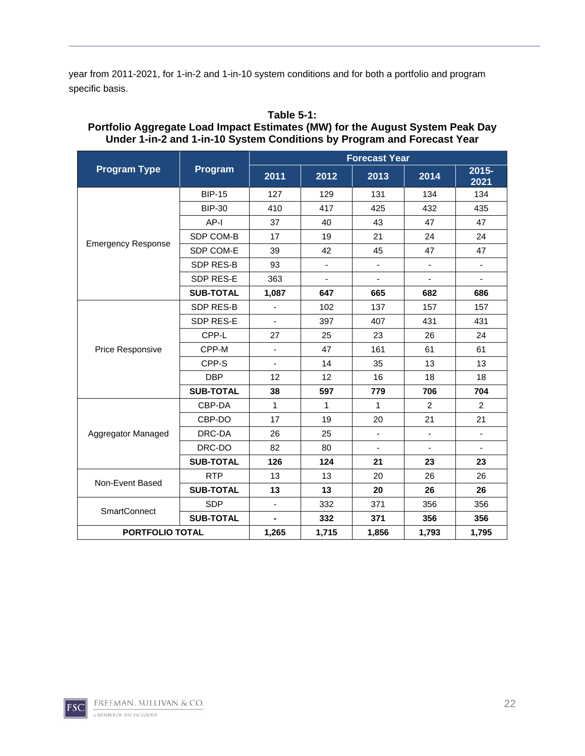year from 2011-2021, for 1-in-2 and 1-in-10 system conditions and for both a portfolio and program specific basis.

|                           |                  |                              |                          | <b>Forecast Year</b>     |                          |                  |
|---------------------------|------------------|------------------------------|--------------------------|--------------------------|--------------------------|------------------|
| <b>Program Type</b>       | Program          | 2011                         | 2012                     | 2013                     | 2014                     | $2015 -$<br>2021 |
|                           | <b>BIP-15</b>    | 127                          | 129                      | 131                      | 134                      | 134              |
|                           | <b>BIP-30</b>    | 410                          | 417                      | 425                      | 432                      | 435              |
|                           | AP-I             | 37                           | 40                       | 43                       | 47                       | 47               |
|                           | SDP COM-B        | 17                           | 19                       | 21                       | 24                       | 24               |
| <b>Emergency Response</b> | SDP COM-E        | 39                           | 42                       | 45                       | 47                       | 47               |
|                           | SDP RES-B        | 93                           | $\overline{\phantom{0}}$ | $\overline{\phantom{a}}$ | $\overline{\phantom{a}}$ | ۰                |
|                           | SDP RES-E        | 363                          | L.                       |                          | $\blacksquare$           |                  |
|                           | <b>SUB-TOTAL</b> | 1,087                        | 647                      | 665                      | 682                      | 686              |
|                           | SDP RES-B        | $\frac{1}{2}$                | 102                      | 137                      | 157                      | 157              |
|                           | SDP RES-E        | $\qquad \qquad \blacksquare$ | 397                      | 407                      | 431                      | 431              |
|                           | CPP-L            | 27                           | 25                       | 23                       | 26                       | 24               |
| Price Responsive          | CPP-M            | $\blacksquare$               | 47                       | 161                      | 61                       | 61               |
|                           | CPP-S            |                              | 14                       | 35                       | 13                       | 13               |
|                           | <b>DBP</b>       | 12                           | 12                       | 16                       | 18                       | 18               |
|                           | <b>SUB-TOTAL</b> | 38                           | 597                      | 779                      | 706                      | 704              |
|                           | CBP-DA           | $\mathbf{1}$                 | 1                        | $\mathbf{1}$             | $\overline{2}$           | 2                |
|                           | CBP-DO           | 17                           | 19                       | 20                       | 21                       | 21               |
| Aggregator Managed        | DRC-DA           | 26                           | 25                       | ä,                       | $\blacksquare$           |                  |
|                           | DRC-DO           | 82                           | 80                       | $\blacksquare$           | $\blacksquare$           |                  |
|                           | <b>SUB-TOTAL</b> | 126                          | 124                      | 21                       | 23                       | 23               |
|                           | <b>RTP</b>       | 13                           | 13                       | 20                       | 26                       | 26               |
| Non-Event Based           | <b>SUB-TOTAL</b> | 13                           | 13                       | 20                       | 26                       | 26               |
|                           | <b>SDP</b>       | $\blacksquare$               | 332                      | 371                      | 356                      | 356              |
| SmartConnect              | <b>SUB-TOTAL</b> |                              | 332                      | 371                      | 356                      | 356              |
| PORTFOLIO TOTAL           | 1,265            | 1,715                        | 1,856                    | 1,793                    | 1,795                    |                  |

#### **Table 5-1: Portfolio Aggregate Load Impact Estimates (MW) for the August System Peak Day Under 1-in-2 and 1-in-10 System Conditions by Program and Forecast Year**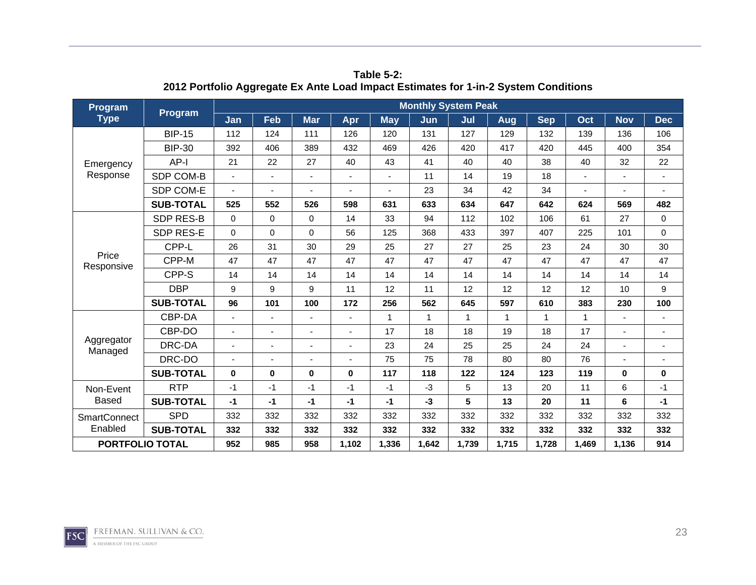| Program                | <b>Program</b>   |                          |                |                          |          |                | <b>Monthly System Peak</b> |              |              |            |             |            |                |
|------------------------|------------------|--------------------------|----------------|--------------------------|----------|----------------|----------------------------|--------------|--------------|------------|-------------|------------|----------------|
| <b>Type</b>            |                  | Jan                      | Feb            | <b>Mar</b>               | Apr      | <b>May</b>     | Jun                        | Jul          | Aug          | <b>Sep</b> | Oct         | <b>Nov</b> | <b>Dec</b>     |
|                        | <b>BIP-15</b>    | 112                      | 124            | 111                      | 126      | 120            | 131                        | 127          | 129          | 132        | 139         | 136        | 106            |
|                        | <b>BIP-30</b>    | 392                      | 406            | 389                      | 432      | 469            | 426                        | 420          | 417          | 420        | 445         | 400        | 354            |
| Emergency              | AP-I             | 21                       | 22             | 27                       | 40       | 43             | 41                         | 40           | 40           | 38         | 40          | 32         | 22             |
| Response               | SDP COM-B        | ÷,                       | $\blacksquare$ | $\overline{\phantom{a}}$ |          | $\blacksquare$ | 11                         | 14           | 19           | 18         |             |            | $\blacksquare$ |
|                        | SDP COM-E        |                          | ٠              |                          |          |                | 23                         | 34           | 42           | 34         |             |            |                |
|                        | <b>SUB-TOTAL</b> | 525                      | 552            | 526                      | 598      | 631            | 633                        | 634          | 647          | 642        | 624         | 569        | 482            |
|                        | <b>SDP RES-B</b> | $\Omega$                 | $\mathbf 0$    | $\Omega$                 | 14       | 33             | 94                         | 112          | 102          | 106        | 61          | 27         | $\mathbf 0$    |
|                        | SDP RES-E        | $\Omega$                 | $\mathbf 0$    | $\Omega$                 | 56       | 125            | 368                        | 433          | 397          | 407        | 225         | 101        | $\mathbf 0$    |
|                        | CPP-L            | 26                       | 31             | 30                       | 29       | 25             | 27                         | 27           | 25           | 23         | 24          | 30         | 30             |
| Price<br>Responsive    | CPP-M            | 47                       | 47             | 47                       | 47       | 47             | 47                         | 47           | 47           | 47         | 47          | 47         | 47             |
|                        | CPP-S            | 14                       | 14             | 14                       | 14       | 14             | 14                         | 14           | 14           | 14         | 14          | 14         | 14             |
|                        | <b>DBP</b>       | 9                        | 9              | 9                        | 11       | 12             | 11                         | 12           | 12           | 12         | 12          | 10         | 9              |
|                        | <b>SUB-TOTAL</b> | 96                       | 101            | 100                      | 172      | 256            | 562                        | 645          | 597          | 610        | 383         | 230        | 100            |
|                        | CBP-DA           |                          |                |                          |          | 1              | 1                          | $\mathbf{1}$ | $\mathbf{1}$ | 1          | $\mathbf 1$ |            | $\blacksquare$ |
|                        | CBP-DO           |                          | $\blacksquare$ |                          |          | 17             | 18                         | 18           | 19           | 18         | 17          |            | ÷,             |
| Aggregator<br>Managed  | DRC-DA           | $\overline{\phantom{a}}$ | ٠              |                          |          | 23             | 24                         | 25           | 25           | 24         | 24          |            | $\blacksquare$ |
|                        | DRC-DO           |                          | ٠              |                          |          | 75             | 75                         | 78           | 80           | 80         | 76          |            |                |
|                        | <b>SUB-TOTAL</b> | $\bf{0}$                 | $\bf{0}$       | $\bf{0}$                 | $\bf{0}$ | 117            | 118                        | 122          | 124          | 123        | 119         | $\bf{0}$   | 0              |
| Non-Event              | <b>RTP</b>       | $-1$                     | $-1$           | -1                       | $-1$     | $-1$           | $-3$                       | 5            | 13           | 20         | 11          | 6          | $-1$           |
| <b>Based</b>           | <b>SUB-TOTAL</b> | $-1$                     | $-1$           | $-1$                     | $-1$     | $-1$           | $-3$                       | 5            | 13           | 20         | 11          | 6          | $-1$           |
| <b>SmartConnect</b>    | <b>SPD</b>       | 332                      | 332            | 332                      | 332      | 332            | 332                        | 332          | 332          | 332        | 332         | 332        | 332            |
| Enabled                | <b>SUB-TOTAL</b> | 332                      | 332            | 332                      | 332      | 332            | 332                        | 332          | 332          | 332        | 332         | 332        | 332            |
| <b>PORTFOLIO TOTAL</b> |                  | 952                      | 985            | 958                      | 1,102    | 1,336          | 1,642                      | 1,739        | 1,715        | 1,728      | 1,469       | 1,136      | 914            |

**Table 5-2: 2012 Portfolio Aggregate Ex Ante Load Impact Estimates for 1-in-2 System Conditions** 

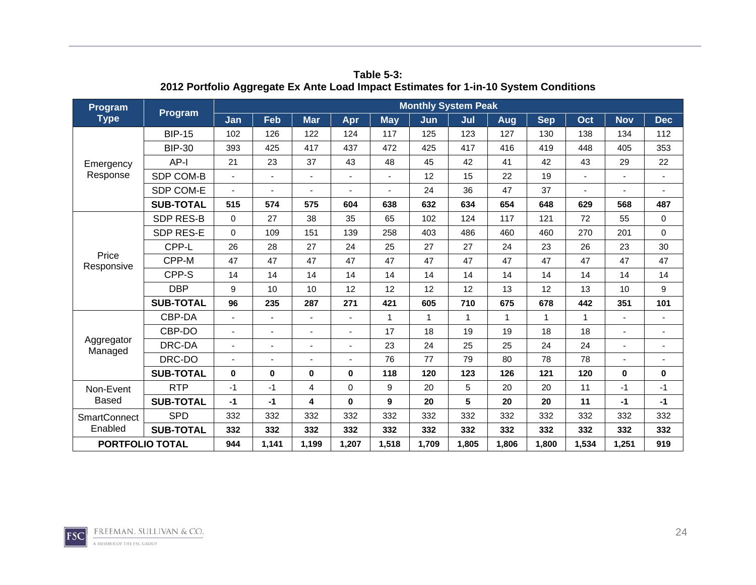| Program                | <b>Program</b>   |              |                          |            | <b>Monthly System Peak</b> |            |       |              |              |            |             |            |                          |  |  |
|------------------------|------------------|--------------|--------------------------|------------|----------------------------|------------|-------|--------------|--------------|------------|-------------|------------|--------------------------|--|--|
| <b>Type</b>            |                  | Jan          | Feb                      | <b>Mar</b> | Apr                        | <b>May</b> | Jun   | Jul          | Aug          | <b>Sep</b> | Oct         | <b>Nov</b> | <b>Dec</b>               |  |  |
|                        | <b>BIP-15</b>    | 102          | 126                      | 122        | 124                        | 117        | 125   | 123          | 127          | 130        | 138         | 134        | 112                      |  |  |
|                        | <b>BIP-30</b>    | 393          | 425                      | 417        | 437                        | 472        | 425   | 417          | 416          | 419        | 448         | 405        | 353                      |  |  |
| Emergency              | AP-I             | 21           | 23                       | 37         | 43                         | 48         | 45    | 42           | 41           | 42         | 43          | 29         | 22                       |  |  |
| Response               | SDP COM-B        | ÷,           | $\blacksquare$           |            |                            |            | 12    | 15           | 22           | 19         |             |            | $\blacksquare$           |  |  |
|                        | SDP COM-E        |              | $\blacksquare$           |            |                            |            | 24    | 36           | 47           | 37         |             |            |                          |  |  |
|                        | <b>SUB-TOTAL</b> | 515          | 574                      | 575        | 604                        | 638        | 632   | 634          | 654          | 648        | 629         | 568        | 487                      |  |  |
|                        | <b>SDP RES-B</b> | $\Omega$     | 27                       | 38         | 35                         | 65         | 102   | 124          | 117          | 121        | 72          | 55         | $\mathbf 0$              |  |  |
|                        | SDP RES-E        | $\Omega$     | 109                      | 151        | 139                        | 258        | 403   | 486          | 460          | 460        | 270         | 201        | $\mathbf 0$              |  |  |
|                        | CPP-L            | 26           | 28                       | 27         | 24                         | 25         | 27    | 27           | 24           | 23         | 26          | 23         | 30                       |  |  |
| Price<br>Responsive    | CPP-M            | 47           | 47                       | 47         | 47                         | 47         | 47    | 47           | 47           | 47         | 47          | 47         | 47                       |  |  |
|                        | CPP-S            | 14           | 14                       | 14         | 14                         | 14         | 14    | 14           | 14           | 14         | 14          | 14         | 14                       |  |  |
|                        | <b>DBP</b>       | 9            | 10                       | 10         | 12                         | 12         | 12    | 12           | 13           | 12         | 13          | 10         | 9                        |  |  |
|                        | <b>SUB-TOTAL</b> | 96           | 235                      | 287        | 271                        | 421        | 605   | 710          | 675          | 678        | 442         | 351        | 101                      |  |  |
|                        | CBP-DA           |              | ٠                        |            |                            | 1          | 1     | $\mathbf{1}$ | $\mathbf{1}$ | 1          | $\mathbf 1$ |            | $\blacksquare$           |  |  |
|                        | CBP-DO           |              | ٠                        |            |                            | 17         | 18    | 19           | 19           | 18         | 18          |            |                          |  |  |
| Aggregator<br>Managed  | DRC-DA           |              | $\overline{\phantom{0}}$ |            |                            | 23         | 24    | 25           | 25           | 24         | 24          |            | $\overline{\phantom{0}}$ |  |  |
|                        | DRC-DO           |              |                          |            |                            | 76         | 77    | 79           | 80           | 78         | 78          |            |                          |  |  |
|                        | <b>SUB-TOTAL</b> | $\mathbf{0}$ | $\bf{0}$                 | $\bf{0}$   | $\mathbf{0}$               | 118        | 120   | 123          | 126          | 121        | 120         | $\bf{0}$   | 0                        |  |  |
| Non-Event              | <b>RTP</b>       | $-1$         | $-1$                     | 4          | $\mathbf 0$                | 9          | 20    | 5            | 20           | 20         | 11          | $-1$       | $-1$                     |  |  |
| <b>Based</b>           | <b>SUB-TOTAL</b> | $-1$         | $-1$                     | 4          | $\mathbf 0$                | 9          | 20    | 5            | 20           | 20         | 11          | $-1$       | $-1$                     |  |  |
| <b>SmartConnect</b>    | <b>SPD</b>       | 332          | 332                      | 332        | 332                        | 332        | 332   | 332          | 332          | 332        | 332         | 332        | 332                      |  |  |
| Enabled                | <b>SUB-TOTAL</b> | 332          | 332                      | 332        | 332                        | 332        | 332   | 332          | 332          | 332        | 332         | 332        | 332                      |  |  |
| <b>PORTFOLIO TOTAL</b> |                  | 944          | 1,141                    | 1,199      | 1,207                      | 1,518      | 1,709 | 1,805        | 1,806        | 1,800      | 1,534       | 1,251      | 919                      |  |  |

**Table 5-3: 2012 Portfolio Aggregate Ex Ante Load Impact Estimates for 1-in-10 System Conditions** 

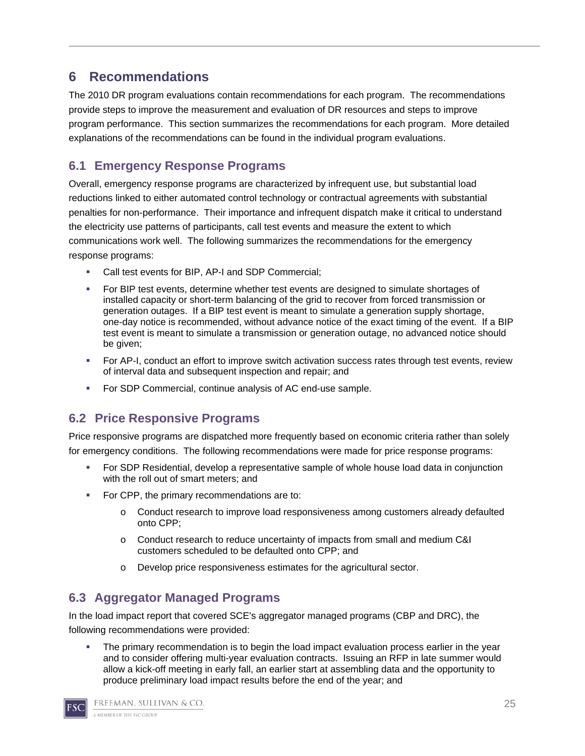## **6 Recommendations**

The 2010 DR program evaluations contain recommendations for each program. The recommendations provide steps to improve the measurement and evaluation of DR resources and steps to improve program performance. This section summarizes the recommendations for each program. More detailed explanations of the recommendations can be found in the individual program evaluations.

## **6.1 Emergency Response Programs**

Overall, emergency response programs are characterized by infrequent use, but substantial load reductions linked to either automated control technology or contractual agreements with substantial penalties for non-performance. Their importance and infrequent dispatch make it critical to understand the electricity use patterns of participants, call test events and measure the extent to which communications work well. The following summarizes the recommendations for the emergency response programs:

- Call test events for BIP, AP-I and SDP Commercial;
- For BIP test events, determine whether test events are designed to simulate shortages of installed capacity or short-term balancing of the grid to recover from forced transmission or generation outages. If a BIP test event is meant to simulate a generation supply shortage, one-day notice is recommended, without advance notice of the exact timing of the event. If a BIP test event is meant to simulate a transmission or generation outage, no advanced notice should be given;
- For AP-I, conduct an effort to improve switch activation success rates through test events, review of interval data and subsequent inspection and repair; and
- For SDP Commercial, continue analysis of AC end-use sample.

## **6.2 Price Responsive Programs**

Price responsive programs are dispatched more frequently based on economic criteria rather than solely for emergency conditions. The following recommendations were made for price response programs:

- For SDP Residential, develop a representative sample of whole house load data in conjunction with the roll out of smart meters; and
- For CPP, the primary recommendations are to:
	- o Conduct research to improve load responsiveness among customers already defaulted onto CPP;
	- o Conduct research to reduce uncertainty of impacts from small and medium C&I customers scheduled to be defaulted onto CPP; and
	- o Develop price responsiveness estimates for the agricultural sector.

## **6.3 Aggregator Managed Programs**

In the load impact report that covered SCE's aggregator managed programs (CBP and DRC), the following recommendations were provided:

 The primary recommendation is to begin the load impact evaluation process earlier in the year and to consider offering multi-year evaluation contracts. Issuing an RFP in late summer would allow a kick-off meeting in early fall, an earlier start at assembling data and the opportunity to produce preliminary load impact results before the end of the year; and

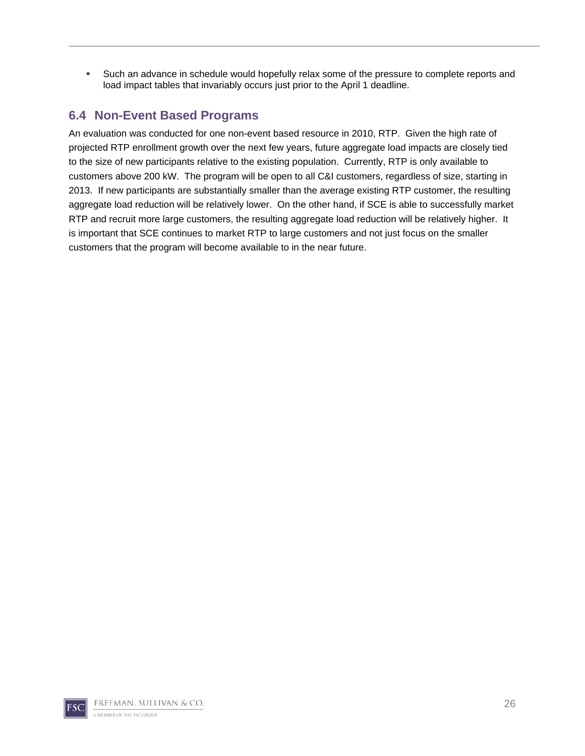Such an advance in schedule would hopefully relax some of the pressure to complete reports and load impact tables that invariably occurs just prior to the April 1 deadline.

## **6.4 Non-Event Based Programs**

An evaluation was conducted for one non-event based resource in 2010, RTP. Given the high rate of projected RTP enrollment growth over the next few years, future aggregate load impacts are closely tied to the size of new participants relative to the existing population. Currently, RTP is only available to customers above 200 kW. The program will be open to all C&I customers, regardless of size, starting in 2013. If new participants are substantially smaller than the average existing RTP customer, the resulting aggregate load reduction will be relatively lower. On the other hand, if SCE is able to successfully market RTP and recruit more large customers, the resulting aggregate load reduction will be relatively higher. It is important that SCE continues to market RTP to large customers and not just focus on the smaller customers that the program will become available to in the near future.

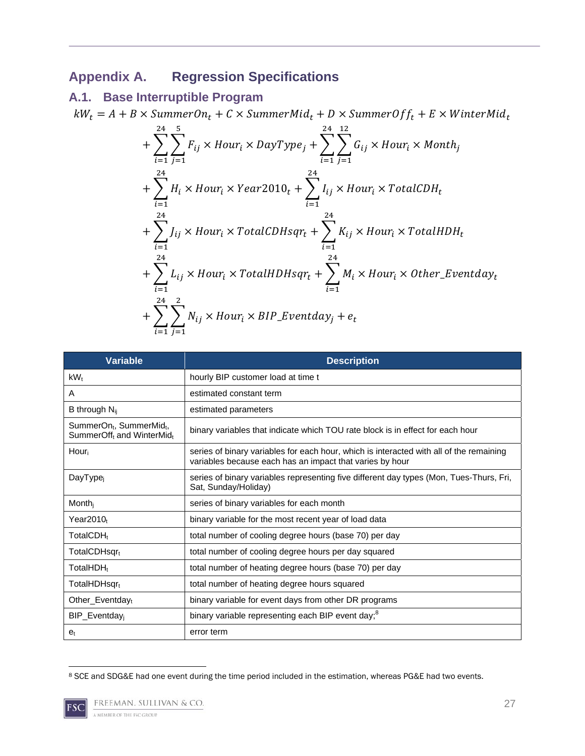# **Appendix A. Regression Specifications**

## **A.1. Base Interruptible Program**

 $kW_t = A + B \times \text{SummerOn}_t + C \times \text{SummerMid}_t + D \times \text{SummerOff}_t + E \times \text{WinterMid}_t$ 

$$
+\sum_{i=1}^{24}\sum_{j=1}^{5}F_{ij}\times hour_{i}\times DayType_{j}+\sum_{i=1}^{24}\sum_{j=1}^{12}G_{ij}\times hour_{i}\times Month_{j}+\sum_{i=1}^{24}H_{i}\times hour_{i}\times Year2010_{t}+\sum_{i=1}^{24}I_{ij}\times hour_{i}\times TotalCDH_{t}+\sum_{i=1}^{24}J_{ij}\times hour_{i}\times TotalCDHsqr_{t}+\sum_{i=1}^{24}K_{ij}\times hour_{i}\times TotalHDH_{t}+\sum_{i=1}^{24}L_{ij}\times hour_{i}\times TotalHDHsqr_{t}+\sum_{i=1}^{24}M_{i}\times hour_{i}\times Other\_Eventday_{t}+\sum_{i=1}^{24}\sum_{j=1}^{2}N_{ij}\times hour_{i}\times BIP\_Eventday_{j} + e_{t}
$$

| <b>Variable</b>                                                                           | <b>Description</b>                                                                                                                                  |
|-------------------------------------------------------------------------------------------|-----------------------------------------------------------------------------------------------------------------------------------------------------|
| $kW_{t}$                                                                                  | hourly BIP customer load at time t                                                                                                                  |
| A                                                                                         | estimated constant term                                                                                                                             |
| B through $N_{ij}$                                                                        | estimated parameters                                                                                                                                |
| SummerOn <sub>t</sub> , SummerMid <sub>t</sub> ,<br>SummerOff <sub>t</sub> and WinterMidt | binary variables that indicate which TOU rate block is in effect for each hour                                                                      |
| Hour                                                                                      | series of binary variables for each hour, which is interacted with all of the remaining<br>variables because each has an impact that varies by hour |
| DayType <sub>i</sub>                                                                      | series of binary variables representing five different day types (Mon, Tues-Thurs, Fri,<br>Sat, Sunday/Holiday)                                     |
| $M$ onth <sub>i</sub>                                                                     | series of binary variables for each month                                                                                                           |
| Year2010+                                                                                 | binary variable for the most recent year of load data                                                                                               |
| TotalCDH <sub>t</sub>                                                                     | total number of cooling degree hours (base 70) per day                                                                                              |
| TotalCDHsqrt                                                                              | total number of cooling degree hours per day squared                                                                                                |
| TotalHDH <sub>t</sub>                                                                     | total number of heating degree hours (base 70) per day                                                                                              |
| TotalHDHsqr <sub>t</sub>                                                                  | total number of heating degree hours squared                                                                                                        |
| Other_Eventday $_t$                                                                       | binary variable for event days from other DR programs                                                                                               |
| BIP_Eventday <sub>i</sub>                                                                 | binary variable representing each BIP event day; <sup>8</sup>                                                                                       |
| e <sub>t</sub>                                                                            | error term                                                                                                                                          |

 8 SCE and SDG&E had one event during the time period included in the estimation, whereas PG&E had two events.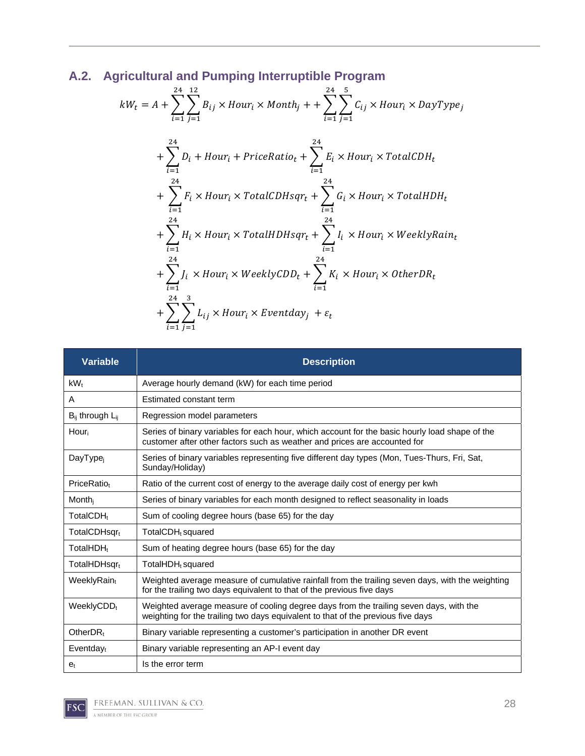# **A.2. Agricultural and Pumping Interruptible Program**

$$
kW_t = A + \sum_{i=1}^{24} \sum_{j=1}^{12} B_{ij} \times Hour_i \times Month_j + + \sum_{i=1}^{24} \sum_{j=1}^{5} C_{ij} \times Hour_i \times DayType_j
$$
  
+ 
$$
\sum_{i=1}^{24} D_i + Hour_i + PriceRatio_t + \sum_{i=1}^{24} E_i \times Hour_i \times TotalCDH_t
$$
  
+ 
$$
\sum_{i=1}^{24} F_i \times Hour_i \times TotalCDHsqr_t + \sum_{i=1}^{24} G_i \times Hour_i \times TotalHDH_t
$$
  
+ 
$$
\sum_{i=1}^{24} H_i \times Hour_i \times TotalHDHsqr_t + \sum_{i=1}^{24} I_i \times Hour_i \times WeaklyRain_t
$$
  
+ 
$$
\sum_{i=1}^{24} J_i \times Hour_i \times WeaklyCDD_t + \sum_{i=1}^{24} K_i \times Hour_i \times OtherDR_t
$$
  
+ 
$$
\sum_{i=1}^{24} \sum_{j=1}^{3} L_{ij} \times Hour_i \times Eventday_j + \varepsilon_t
$$

| <b>Variable</b>           | <b>Description</b>                                                                                                                                                          |
|---------------------------|-----------------------------------------------------------------------------------------------------------------------------------------------------------------------------|
| $kW_t$                    | Average hourly demand (kW) for each time period                                                                                                                             |
| A                         | Estimated constant term                                                                                                                                                     |
| $B_{ii}$ through $L_{ii}$ | Regression model parameters                                                                                                                                                 |
| Hour                      | Series of binary variables for each hour, which account for the basic hourly load shape of the<br>customer after other factors such as weather and prices are accounted for |
| DayType <sub>i</sub>      | Series of binary variables representing five different day types (Mon, Tues-Thurs, Fri, Sat,<br>Sunday/Holiday)                                                             |
| PriceRatio+               | Ratio of the current cost of energy to the average daily cost of energy per kwh                                                                                             |
| Month                     | Series of binary variables for each month designed to reflect seasonality in loads                                                                                          |
| TotalCDH <sub>t</sub>     | Sum of cooling degree hours (base 65) for the day                                                                                                                           |
| TotalCDHsqrt              | TotalCDH <sub>t</sub> squared                                                                                                                                               |
| TotalHDH <sub>t</sub>     | Sum of heating degree hours (base 65) for the day                                                                                                                           |
| TotalHDHsqr <sub>t</sub>  | TotalHDH <sub>t</sub> squared                                                                                                                                               |
| WeeklyRaint               | Weighted average measure of cumulative rainfall from the trailing seven days, with the weighting<br>for the trailing two days equivalent to that of the previous five days  |
| WeeklyCDD <sub>t</sub>    | Weighted average measure of cooling degree days from the trailing seven days, with the<br>weighting for the trailing two days equivalent to that of the previous five days  |
| Other $DR_t$              | Binary variable representing a customer's participation in another DR event                                                                                                 |
| $Eventday_t$              | Binary variable representing an AP-I event day                                                                                                                              |
| e <sub>t</sub>            | Is the error term                                                                                                                                                           |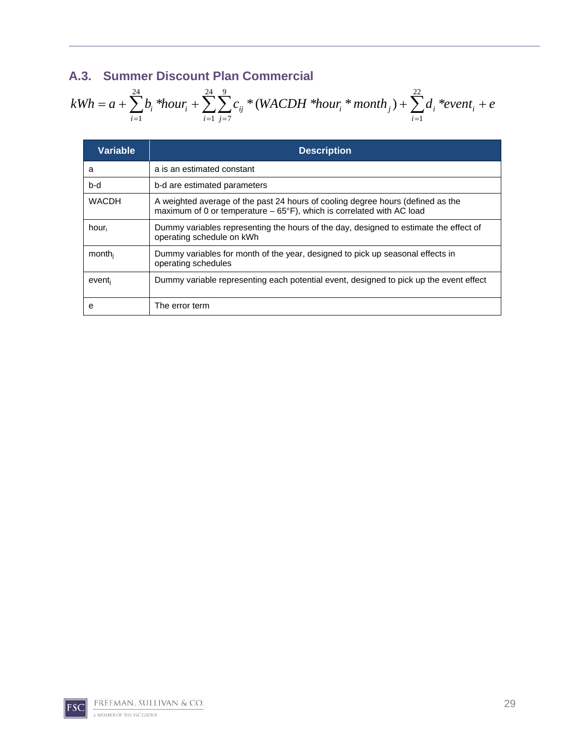## **A.3. Summer Discount Plan Commercial**

$$
kWh = a + \sum_{i=1}^{24} b_i * hour_i + \sum_{i=1}^{24} \sum_{j=7}^{9} c_{ij} * (WACDH * hour_i * month_j) + \sum_{i=1}^{22} d_i * event_i + e
$$

| <b>Variable</b> | <b>Description</b>                                                                                                                                                |
|-----------------|-------------------------------------------------------------------------------------------------------------------------------------------------------------------|
| a               | a is an estimated constant                                                                                                                                        |
| b-d             | b-d are estimated parameters                                                                                                                                      |
| <b>WACDH</b>    | A weighted average of the past 24 hours of cooling degree hours (defined as the<br>maximum of 0 or temperature $-65^{\circ}$ F), which is correlated with AC load |
| hour            | Dummy variables representing the hours of the day, designed to estimate the effect of<br>operating schedule on kWh                                                |
| month           | Dummy variables for month of the year, designed to pick up seasonal effects in<br>operating schedules                                                             |
| event           | Dummy variable representing each potential event, designed to pick up the event effect                                                                            |
| е               | The error term                                                                                                                                                    |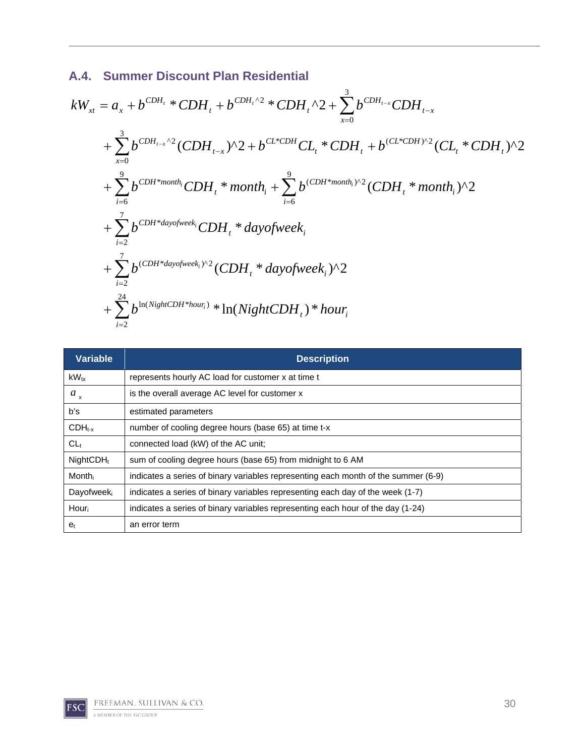## **A.4. Summer Discount Plan Residential**

$$
kW_{xt} = a_x + b^{CDH_t} * CDH_t + b^{CDH_t \cdot 2} * CDH_t \cdot 2 + \sum_{x=0}^{3} b^{CDH_{t-x}} CDH_{t-x}
$$
  
+  $\sum_{x=0}^{3} b^{CDH_{t-x} \cdot 2} (CDH_{t-x})^2 + b^{CL*CDH} CL_t * CDH_t + b^{(CL*CDH)^2} (CL_t * CDH_t)^2$   
+  $\sum_{i=6}^{9} b^{CDH*month_i} CDH_t * month_t + \sum_{i=6}^{9} b^{(CDH*month_i)^2} (CDH_t * month_i)^2$   
+  $\sum_{i=2}^{7} b^{CDH*dayofweek_i} CDH_t * dayofweek_t$   
+  $\sum_{i=2}^{7} b^{(CDH*dayofweek_i)^2} (CDH_t * dayofweek_i)^2$   
+  $\sum_{i=2}^{24} b^{1n(NighCDH*how_i)} * ln(NightCDH_t) * hour_t$ 

| <b>Variable</b>  | <b>Description</b>                                                                 |
|------------------|------------------------------------------------------------------------------------|
| $kW_{tx}$        | represents hourly AC load for customer x at time t                                 |
| $a_{x}$          | is the overall average AC level for customer x                                     |
| b's              | estimated parameters                                                               |
| $CDH_{t-x}$      | number of cooling degree hours (base 65) at time t-x                               |
| $CL_t$           | connected load (kW) of the AC unit;                                                |
| $NightCDH_t$     | sum of cooling degree hours (base 65) from midnight to 6 AM                        |
| Month            | indicates a series of binary variables representing each month of the summer (6-9) |
| <b>Dayofweek</b> | indicates a series of binary variables representing each day of the week (1-7)     |
| Hour             | indicates a series of binary variables representing each hour of the day (1-24)    |
| $e_t$            | an error term                                                                      |

2 *i*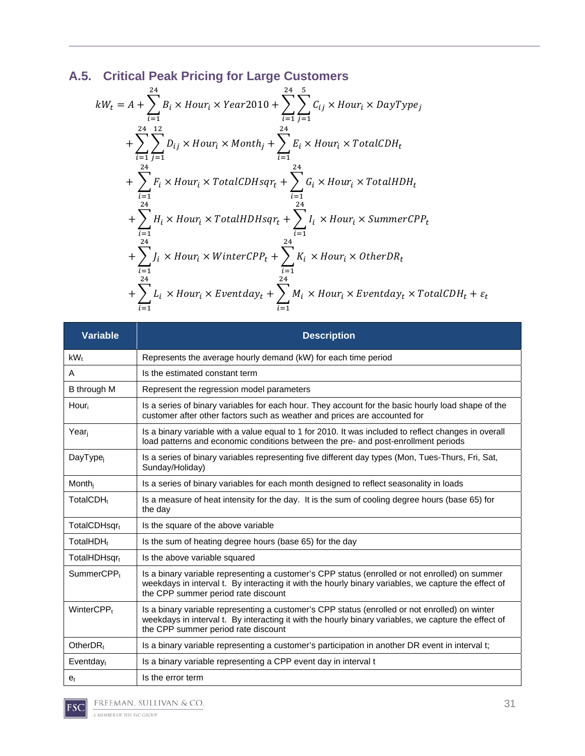# **A.5. Critical Peak Pricing for Large Customers**

$$
kW_t = A + \sum_{i=1}^{24} B_i \times Hour_i \times Year2010 + \sum_{i=1}^{24} \sum_{j=1}^{5} C_{ij} \times Hour_i \times DayType_j
$$
  
+ 
$$
\sum_{i=1}^{24} \sum_{j=1}^{12} D_{ij} \times Hour_i \times Month_j + \sum_{i=1}^{24} E_i \times Hour_i \times TotalCDH_t
$$
  
+ 
$$
\sum_{i=1}^{24} F_i \times Hour_i \times TotalCDHsqr_t + \sum_{i=1}^{24} G_i \times Hour_i \times TotalHDH_t
$$
  
+ 
$$
\sum_{i=1}^{24} H_i \times Hour_i \times TotalHDHsqr_t + \sum_{i=1}^{24} I_i \times Hour_i \times SummerCPP_t
$$
  
+ 
$$
\sum_{i=1}^{24} J_i \times Hour_i \times WinterCPP_t + \sum_{i=1}^{24} K_i \times Hour_i \times OtherDR_t
$$
  
+ 
$$
\sum_{i=1}^{24} L_i \times Hour_i \times Eventday_t + \sum_{i=1}^{24} M_i \times Hour_i \times Eventday_t \times TotalCDH_t + \varepsilon_t
$$

| <b>Variable</b>          | <b>Description</b>                                                                                                                                                                                                                            |
|--------------------------|-----------------------------------------------------------------------------------------------------------------------------------------------------------------------------------------------------------------------------------------------|
| kW <sub>t</sub>          | Represents the average hourly demand (kW) for each time period                                                                                                                                                                                |
| A                        | Is the estimated constant term                                                                                                                                                                                                                |
| B through M              | Represent the regression model parameters                                                                                                                                                                                                     |
| Hour                     | Is a series of binary variables for each hour. They account for the basic hourly load shape of the<br>customer after other factors such as weather and prices are accounted for                                                               |
| Year                     | Is a binary variable with a value equal to 1 for 2010. It was included to reflect changes in overall<br>load patterns and economic conditions between the pre- and post-enrollment periods                                                    |
| DayType <sub>i</sub>     | Is a series of binary variables representing five different day types (Mon, Tues-Thurs, Fri, Sat,<br>Sunday/Holiday)                                                                                                                          |
| Month <sub>i</sub>       | Is a series of binary variables for each month designed to reflect seasonality in loads                                                                                                                                                       |
| TotalCDH <sub>t</sub>    | Is a measure of heat intensity for the day. It is the sum of cooling degree hours (base 65) for<br>the day                                                                                                                                    |
| TotalCDHsqrt             | Is the square of the above variable                                                                                                                                                                                                           |
| TotalHDH <sub>t</sub>    | Is the sum of heating degree hours (base 65) for the day                                                                                                                                                                                      |
| TotalHDHsgr <sub>t</sub> | Is the above variable squared                                                                                                                                                                                                                 |
| SummerCPP <sub>t</sub>   | Is a binary variable representing a customer's CPP status (enrolled or not enrolled) on summer<br>weekdays in interval t. By interacting it with the hourly binary variables, we capture the effect of<br>the CPP summer period rate discount |
| WinterCPP <sub>t</sub>   | Is a binary variable representing a customer's CPP status (enrolled or not enrolled) on winter<br>weekdays in interval t. By interacting it with the hourly binary variables, we capture the effect of<br>the CPP summer period rate discount |
| Other $DR_t$             | Is a binary variable representing a customer's participation in another DR event in interval t;                                                                                                                                               |
| $Eventday_t$             | Is a binary variable representing a CPP event day in interval t                                                                                                                                                                               |
| e <sub>t</sub>           | Is the error term                                                                                                                                                                                                                             |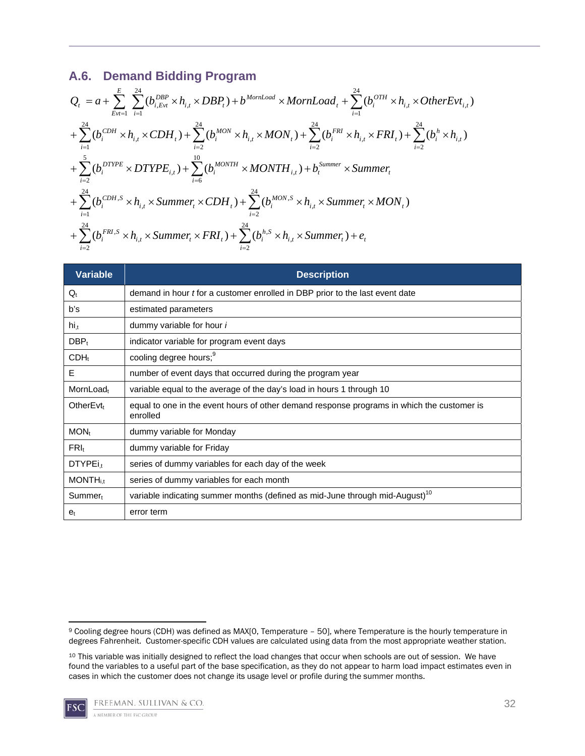## **A.6. Demand Bidding Program**

$$
Q_{t} = a + \sum_{Evt=1}^{E} \sum_{i=1}^{24} (b_{i,Evt}^{DBP} \times h_{i,t} \times DBP_{t}) + b^{MorrLoad} \times MonLoad_{t} + \sum_{i=1}^{24} (b_{i}^{OTH} \times h_{i,t} \times OtherEvt_{i,t})
$$
  
+  $\sum_{i=1}^{24} (b_{i}^{CDH} \times h_{i,t} \times CDH_{t}) + \sum_{i=2}^{24} (b_{i}^{MON} \times h_{i,t} \times MON_{t}) + \sum_{i=2}^{24} (b_{i}^{FRI} \times h_{i,t} \times FRI_{t}) + \sum_{i=2}^{24} (b_{i}^{h} \times h_{i,t})$   
+  $\sum_{i=2}^{5} (b_{i}^{DTYPE} \times DTYPE_{i,t}) + \sum_{i=6}^{10} (b_{i}^{MONTH} \times MONTH_{i,t}) + b_{t}^{Summer} \times Summer_{t}$   
+  $\sum_{i=1}^{24} (b_{i}^{CDH,S} \times h_{i,t} \times Summer_{t} \times CDH_{t}) + \sum_{i=2}^{24} (b_{i}^{MON,S} \times h_{i,t} \times Summer_{t} \times MON_{t})$   
+  $\sum_{i=2}^{24} (b_{i}^{FRI,S} \times h_{i,t} \times Summer_{t} \times FRI_{t}) + \sum_{i=2}^{24} (b_{i}^{h,S} \times h_{i,t} \times Summer_{t}) + e_{t}$ 

| <b>Variable</b>             | <b>Description</b>                                                                                     |
|-----------------------------|--------------------------------------------------------------------------------------------------------|
| $Q_t$                       | demand in hour <i>t</i> for a customer enrolled in DBP prior to the last event date                    |
| b's                         | estimated parameters                                                                                   |
| $hi_{,t}$                   | dummy variable for hour <i>i</i>                                                                       |
| $DBP_t$                     | indicator variable for program event days                                                              |
| $CDH_t$                     | cooling degree hours; <sup>9</sup>                                                                     |
| Е                           | number of event days that occurred during the program year                                             |
| MornLoad <sub>t</sub>       | variable equal to the average of the day's load in hours 1 through 10                                  |
| Other $Evt_t$               | equal to one in the event hours of other demand response programs in which the customer is<br>enrolled |
| $MON_t$                     | dummy variable for Monday                                                                              |
| $FRI_t$                     | dummy variable for Friday                                                                              |
| $DTYPEi_t$                  | series of dummy variables for each day of the week                                                     |
| <b>MONTH</b> <sub>i.t</sub> | series of dummy variables for each month                                                               |
| Summer <sub>t</sub>         | variable indicating summer months (defined as mid-June through mid-August) <sup>10</sup>               |
| $e_t$                       | error term                                                                                             |

<sup>10</sup> This variable was initially designed to reflect the load changes that occur when schools are out of session. We have found the variables to a useful part of the base specification, as they do not appear to harm load impact estimates even in cases in which the customer does not change its usage level or profile during the summer months.



 9 Cooling degree hours (CDH) was defined as MAX[0, Temperature – 50], where Temperature is the hourly temperature in degrees Fahrenheit. Customer-specific CDH values are calculated using data from the most appropriate weather station.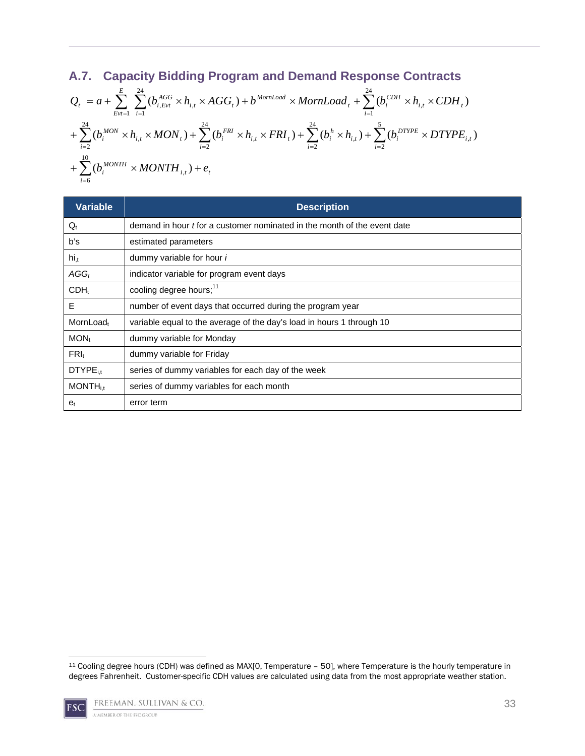## **A.7. Capacity Bidding Program and Demand Response Contracts**

$$
\begin{split} &Q_{t} = a + \sum_{Evt=1}^{E} \sum_{i=1}^{24} (b_{i, Evt}^{AGG} \times h_{i,t} \times AGG_{t}) + b^{MonLoad} \times MornLoad_{t} + \sum_{i=1}^{24} (b_{i}^{CDH} \times h_{i,t} \times CDH_{t}) \\ &+ \sum_{i=2}^{24} (b_{i}^{MON} \times h_{i,t} \times MON_{t}) + \sum_{i=2}^{24} (b_{i}^{FRI} \times h_{i,t} \times FRI_{t}) + \sum_{i=2}^{24} (b_{i}^{h} \times h_{i,t}) + \sum_{i=2}^{5} (b_{i}^{DTPE} \times DTYPE_{i,t}) \\ &+ \sum_{i=6}^{10} (b_{i}^{MONTH} \times MONTH_{i,t}) + e_{t} \end{split}
$$

| <b>Variable</b>             | <b>Description</b>                                                       |
|-----------------------------|--------------------------------------------------------------------------|
| $Q_t$                       | demand in hour t for a customer nominated in the month of the event date |
| b's                         | estimated parameters                                                     |
| $hi_{,t}$                   | dummy variable for hour i                                                |
| $AGG_t$                     | indicator variable for program event days                                |
| $CDH_t$                     | cooling degree hours; <sup>11</sup>                                      |
| E                           | number of event days that occurred during the program year               |
| MornLoad <sub>t</sub>       | variable equal to the average of the day's load in hours 1 through 10    |
| $MON_t$                     | dummy variable for Monday                                                |
| $FRI_t$                     | dummy variable for Friday                                                |
| DTYPE <sub>it</sub>         | series of dummy variables for each day of the week                       |
| <b>MONTH</b> <sub>i,t</sub> | series of dummy variables for each month                                 |
| e <sub>t</sub>              | error term                                                               |

 11 Cooling degree hours (CDH) was defined as MAX[0, Temperature – 50], where Temperature is the hourly temperature in degrees Fahrenheit. Customer-specific CDH values are calculated using data from the most appropriate weather station.

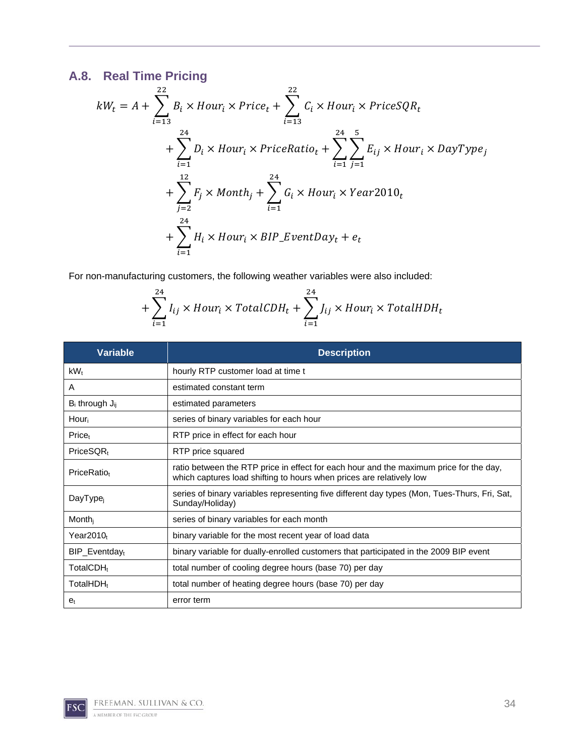# **A.8. Real Time Pricing**

$$
kW_t = A + \sum_{i=13}^{22} B_i \times Hour_i \times Price_t + \sum_{i=13}^{22} C_i \times Hour_i \times PriceSQR_t
$$
  
+ 
$$
\sum_{i=1}^{24} D_i \times Hour_i \times PriceRatio_t + \sum_{i=1}^{24} \sum_{j=1}^{5} E_{ij} \times Hour_i \times DayType_j
$$
  
+ 
$$
\sum_{j=2}^{12} F_j \times Month_j + \sum_{i=1}^{24} G_i \times Hour_i \times Year2010_t
$$
  
+ 
$$
\sum_{i=1}^{24} H_i \times Hour_i \times BIP\_EventDay_t + e_t
$$

For non-manufacturing customers, the following weather variables were also included:

$$
+\sum_{i=1}^{24} I_{ij} \times Hour_i \times TotalCDH_t + \sum_{i=1}^{24} J_{ij} \times Hour_i \times TotalHDH_t
$$

| <b>Variable</b>              | <b>Description</b>                                                                                                                                             |
|------------------------------|----------------------------------------------------------------------------------------------------------------------------------------------------------------|
| $kW_t$                       | hourly RTP customer load at time t                                                                                                                             |
| A                            | estimated constant term                                                                                                                                        |
| $B_i$ through $J_{ii}$       | estimated parameters                                                                                                                                           |
| Hour                         | series of binary variables for each hour                                                                                                                       |
| Price <sub>t</sub>           | RTP price in effect for each hour                                                                                                                              |
| $PriceSQR_t$                 | RTP price squared                                                                                                                                              |
| PriceRatio <sub>t</sub>      | ratio between the RTP price in effect for each hour and the maximum price for the day,<br>which captures load shifting to hours when prices are relatively low |
| DayType <sub>i</sub>         | series of binary variables representing five different day types (Mon, Tues-Thurs, Fri, Sat,<br>Sunday/Holiday)                                                |
| Month                        | series of binary variables for each month                                                                                                                      |
| Year2010t                    | binary variable for the most recent year of load data                                                                                                          |
| $BIP$ _Eventday <sub>t</sub> | binary variable for dually-enrolled customers that participated in the 2009 BIP event                                                                          |
| TotalCDH <sub>t</sub>        | total number of cooling degree hours (base 70) per day                                                                                                         |
| TotalHDH <sub>t</sub>        | total number of heating degree hours (base 70) per day                                                                                                         |
| e <sub>t</sub>               | error term                                                                                                                                                     |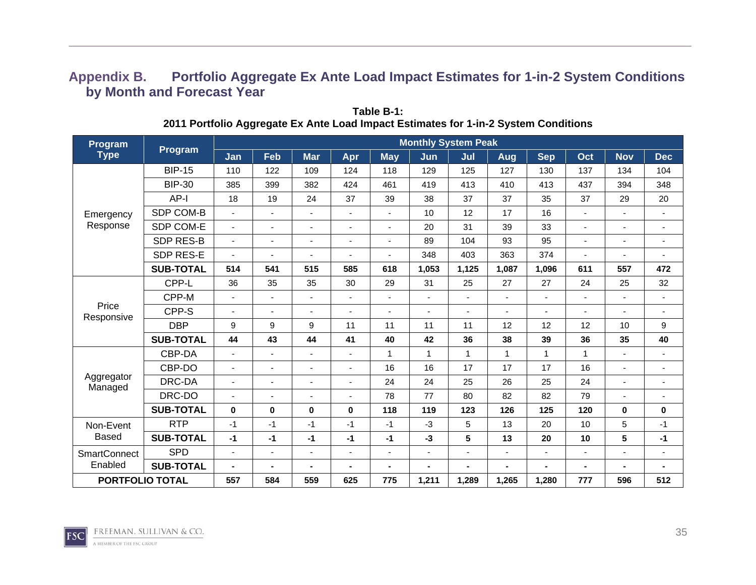## **Appendix B. Portfolio Aggregate Ex Ante Load Impact Estimates for 1-in-2 System Conditions by Month and Forecast Year**

| Program<br><b>Type</b><br>Emergency<br>Response<br>Price<br>Responsive<br>Aggregator<br>Managed |                  |                |                              |                          |                          |                          | <b>Monthly System Peak</b> |                |              |                          |                |                          |                          |
|-------------------------------------------------------------------------------------------------|------------------|----------------|------------------------------|--------------------------|--------------------------|--------------------------|----------------------------|----------------|--------------|--------------------------|----------------|--------------------------|--------------------------|
|                                                                                                 | Program          | Jan            | Feb                          | <b>Mar</b>               | Apr                      | $M$ ay                   | Jun                        | Jul            | Aug          | <b>Sep</b>               | Oct            | <b>Nov</b>               | <b>Dec</b>               |
|                                                                                                 | <b>BIP-15</b>    | 110            | 122                          | 109                      | 124                      | 118                      | 129                        | 125            | 127          | 130                      | 137            | 134                      | 104                      |
|                                                                                                 | <b>BIP-30</b>    | 385            | 399                          | 382                      | 424                      | 461                      | 419                        | 413            | 410          | 413                      | 437            | 394                      | 348                      |
|                                                                                                 | AP-I             | 18             | 19                           | 24                       | 37                       | 39                       | 38                         | 37             | 37           | 35                       | 37             | 29                       | 20                       |
|                                                                                                 | SDP COM-B        | $\blacksquare$ | $\overline{\phantom{a}}$     | $\sim$                   | $\blacksquare$           | $\sim$                   | 10                         | 12             | 17           | 16                       | $\sim$         | $\blacksquare$           | $\blacksquare$           |
|                                                                                                 | SDP COM-E        | $\blacksquare$ | $\blacksquare$               | $\overline{a}$           | $\blacksquare$           | $\blacksquare$           | 20                         | 31             | 39           | 33                       | $\sim$         | $\blacksquare$           | $\blacksquare$           |
|                                                                                                 | <b>SDP RES-B</b> | ۰.             | $\blacksquare$               | $\blacksquare$           |                          | $\blacksquare$           | 89                         | 104            | 93           | 95                       | $\blacksquare$ |                          | $\blacksquare$           |
|                                                                                                 | SDP RES-E        | ٠              | ٠                            |                          | $\blacksquare$           | $\overline{\phantom{a}}$ | 348                        | 403            | 363          | 374                      | $\blacksquare$ | $\overline{\phantom{a}}$ | $\blacksquare$           |
|                                                                                                 | <b>SUB-TOTAL</b> | 514            | 541                          | 515                      | 585                      | 618                      | 1,053                      | 1,125          | 1,087        | 1,096                    | 611            | 557                      | 472                      |
|                                                                                                 | CPP-L            | 36             | 35                           | 35                       | 30                       | 29                       | 31                         | 25             | 27           | 27                       | 24             | 25                       | 32                       |
| Non-Event<br><b>Based</b><br><b>SmartConnect</b><br>Enabled<br><b>PORTFOLIO TOTAL</b>           | CPP-M            | ä,             | $\blacksquare$               | $\overline{\phantom{a}}$ | $\overline{\phantom{a}}$ | $\blacksquare$           | ٠                          | $\blacksquare$ | ÷,           | $\overline{\phantom{0}}$ | $\sim$         | $\overline{\phantom{a}}$ | $\blacksquare$           |
|                                                                                                 | CPP-S            | ٠              | $\overline{\phantom{a}}$     | $\blacksquare$           | $\blacksquare$           | $\blacksquare$           | $\blacksquare$             | ٠              | ٠            | ٠                        | ۰.             | $\overline{\phantom{a}}$ | $\overline{\phantom{a}}$ |
|                                                                                                 | <b>DBP</b>       | 9              | 9                            | 9                        | 11                       | 11                       | 11                         | 11             | 12           | 12                       | 12             | 10                       | 9                        |
|                                                                                                 | <b>SUB-TOTAL</b> | 44             | 43                           | 44                       | 41                       | 40                       | 42                         | 36             | 38           | 39                       | 36             | 35                       | 40                       |
|                                                                                                 | CBP-DA           | ä,             | $\blacksquare$               | $\overline{\phantom{a}}$ |                          | 1                        | $\mathbf{1}$               | $\mathbf{1}$   | $\mathbf{1}$ | 1                        | $\mathbf 1$    |                          | $\blacksquare$           |
|                                                                                                 | CBP-DO           | ٠              | $\qquad \qquad \blacksquare$ |                          | $\blacksquare$           | 16                       | 16                         | 17             | 17           | 17                       | 16             |                          | ٠                        |
|                                                                                                 | DRC-DA           | ٠              | $\blacksquare$               | $\overline{\phantom{a}}$ |                          | 24                       | 24                         | 25             | 26           | 25                       | 24             |                          | $\blacksquare$           |
|                                                                                                 | DRC-DO           |                | $\blacksquare$               |                          |                          | 78                       | 77                         | 80             | 82           | 82                       | 79             |                          | ٠                        |
|                                                                                                 | <b>SUB-TOTAL</b> | $\bf{0}$       | $\pmb{0}$                    | $\bf{0}$                 | 0                        | 118                      | 119                        | 123            | 126          | 125                      | 120            | $\bf{0}$                 | 0                        |
|                                                                                                 | <b>RTP</b>       | $-1$           | $-1$                         | $-1$                     | $-1$                     | $-1$                     | $-3$                       | 5              | 13           | 20                       | 10             | 5                        | $-1$                     |
|                                                                                                 | <b>SUB-TOTAL</b> | $-1$           | $-1$                         | $-1$                     | $-1$                     | $-1$                     | $-3$                       | 5              | 13           | 20                       | 10             | 5                        | $-1$                     |
|                                                                                                 | <b>SPD</b>       | $\blacksquare$ | $\blacksquare$               |                          | $\blacksquare$           | $\overline{\phantom{a}}$ | $\overline{\phantom{a}}$   | $\blacksquare$ | ÷.           | ٠                        |                |                          | $\overline{\phantom{a}}$ |
|                                                                                                 | <b>SUB-TOTAL</b> |                | $\blacksquare$               |                          |                          | $\blacksquare$           |                            | -              |              | $\blacksquare$           |                |                          |                          |
|                                                                                                 |                  | 557            | 584                          | 559                      | 625                      | 775                      | 1,211                      | 1,289          | 1,265        | 1,280                    | 777            | 596                      | 512                      |

**Table B-1: 2011 Portfolio Aggregate Ex Ante Load Impact Estimates for 1-in-2 System Conditions** 

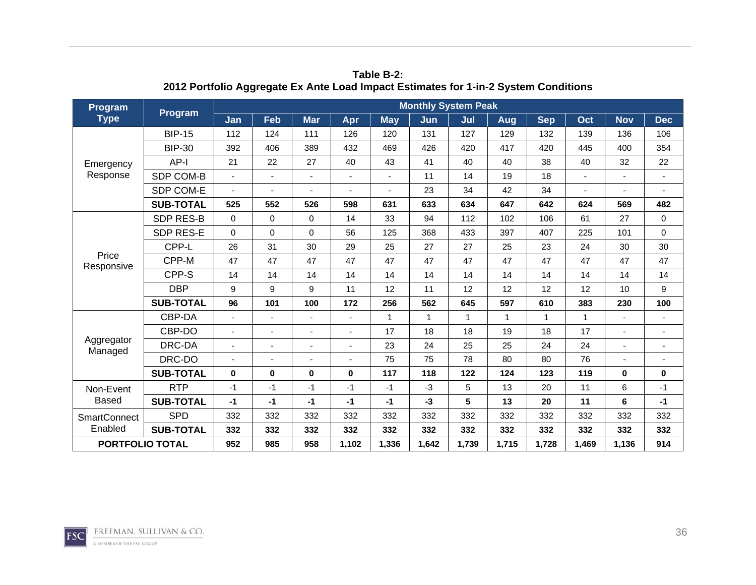| Program<br><b>Type</b><br>Emergency<br>Response<br>Price<br>Responsive<br>Aggregator<br>Managed | <b>Program</b>   |          |                  |                |       |             | <b>Monthly System Peak</b> |              |              |            |       |                                                                                                                           |                |
|-------------------------------------------------------------------------------------------------|------------------|----------|------------------|----------------|-------|-------------|----------------------------|--------------|--------------|------------|-------|---------------------------------------------------------------------------------------------------------------------------|----------------|
|                                                                                                 |                  | Jan      | Feb              | <b>Mar</b>     | Apr   | <b>May</b>  | Jun                        | Jul          | Aug          | <b>Sep</b> | Oct   | <b>Nov</b>                                                                                                                | <b>Dec</b>     |
|                                                                                                 | <b>BIP-15</b>    | 112      | 124              | 111            | 126   | 120         | 131                        | 127          | 129          | 132        | 139   | 136                                                                                                                       | 106            |
|                                                                                                 | <b>BIP-30</b>    | 392      | 406              | 389            | 432   | 469         | 426                        | 420          | 417          | 420        | 445   | 400<br>32<br>569<br>27<br>101<br>30<br>47<br>14<br>10<br>230<br>$\mathbf{1}$<br>$\bf{0}$<br>6<br>6<br>332<br>332<br>1,136 | 354            |
|                                                                                                 | AP-I             | 21       | 22               | 27             | 40    | 43          | 41                         | 40           | 40           | 38         | 40    |                                                                                                                           | 22             |
|                                                                                                 | SDP COM-B        |          | $\blacksquare$   | ÷,             |       |             | 11                         | 14           | 19           | 18         |       |                                                                                                                           | $\blacksquare$ |
|                                                                                                 | SDP COM-E        |          | -                |                |       |             | 23                         | 34           | 42           | 34         |       |                                                                                                                           |                |
|                                                                                                 | <b>SUB-TOTAL</b> | 525      | 552              | 526            | 598   | 631         | 633                        | 634          | 647          | 642        | 624   |                                                                                                                           | 482            |
|                                                                                                 | SDP RES-B        | $\Omega$ | $\mathbf 0$      | $\Omega$       | 14    | 33          | 94                         | 112          | 102          | 106        | 61    |                                                                                                                           | $\mathbf 0$    |
|                                                                                                 | SDP RES-E        | $\Omega$ | $\mathbf 0$      | $\Omega$       | 56    | 125         | 368                        | 433          | 397          | 407        | 225   |                                                                                                                           | $\mathbf 0$    |
|                                                                                                 | CPP-L            | 26       | 31               | 30             | 29    | 25          | 27                         | 27           | 25           | 23         | 24    |                                                                                                                           | 30             |
|                                                                                                 | CPP-M            | 47       | 47               | 47             | 47    | 47          | 47                         | 47           | 47           | 47         | 47    |                                                                                                                           | 47             |
|                                                                                                 | CPP-S            | 14       | 14               | 14             | 14    | 14          | 14                         | 14           | 14           | 14         | 14    |                                                                                                                           | 14             |
|                                                                                                 | <b>DBP</b>       | 9        | $\boldsymbol{9}$ | 9              | 11    | 12          | 11                         | 12           | 12           | 12         | 12    |                                                                                                                           | 9              |
|                                                                                                 | <b>SUB-TOTAL</b> | 96       | 101              | 100            | 172   | 256         | 562                        | 645          | 597          | 610        | 383   |                                                                                                                           | 100            |
|                                                                                                 | CBP-DA           |          | ٠                |                |       | $\mathbf 1$ | $\mathbf{1}$               | $\mathbf{1}$ | $\mathbf{1}$ | 1          |       |                                                                                                                           | $\blacksquare$ |
|                                                                                                 | CBP-DO           |          | ÷.               |                |       | 17          | 18                         | 18           | 19           | 18         | 17    |                                                                                                                           | ÷,             |
|                                                                                                 | DRC-DA           |          | ٠                | $\blacksquare$ |       | 23          | 24                         | 25           | 25           | 24         | 24    |                                                                                                                           | $\blacksquare$ |
|                                                                                                 | DRC-DO           |          |                  |                |       | 75          | 75                         | 78           | 80           | 80         | 76    |                                                                                                                           |                |
|                                                                                                 | <b>SUB-TOTAL</b> | $\bf{0}$ | $\mathbf 0$      | $\bf{0}$       | 0     | 117         | 118                        | 122          | 124          | 123        | 119   |                                                                                                                           | 0              |
| Non-Event                                                                                       | <b>RTP</b>       | $-1$     | -1               | $-1$           | -1    | $-1$        | $-3$                       | 5            | 13           | 20         | 11    |                                                                                                                           | $-1$           |
| <b>Based</b>                                                                                    | <b>SUB-TOTAL</b> | $-1$     | $-1$             | -1             | $-1$  | $-1$        | $-3$                       | 5            | 13           | 20         | 11    |                                                                                                                           | $-1$           |
| <b>SmartConnect</b>                                                                             | <b>SPD</b>       | 332      | 332              | 332            | 332   | 332         | 332                        | 332          | 332          | 332        | 332   |                                                                                                                           | 332            |
| Enabled                                                                                         | <b>SUB-TOTAL</b> | 332      | 332              | 332            | 332   | 332         | 332                        | 332          | 332          | 332        | 332   |                                                                                                                           | 332            |
| <b>PORTFOLIO TOTAL</b>                                                                          |                  | 952      | 985              | 958            | 1,102 | 1,336       | 1,642                      | 1,739        | 1,715        | 1,728      | 1,469 |                                                                                                                           | 914            |

**Table B-2: 2012 Portfolio Aggregate Ex Ante Load Impact Estimates for 1-in-2 System Conditions** 

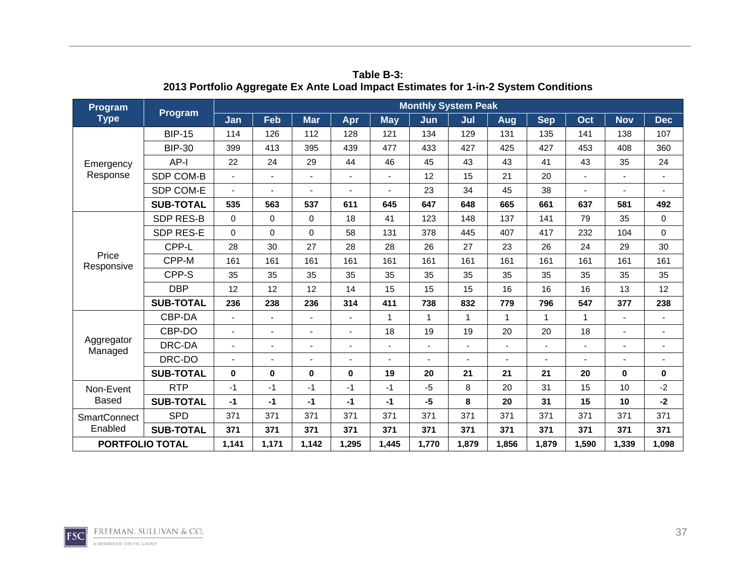| Program                |                  | Jan<br>Feb<br><b>Mar</b><br>Apr<br><b>May</b><br>114<br>126<br>112<br>128<br>121<br>413<br>399<br>395<br>439<br>477<br>22<br>24<br>29<br>44<br>46<br>ä,<br>۰<br>535<br>563<br>537<br>611<br>645<br>$\Omega$<br>$\mathbf 0$<br>$\Omega$<br>18<br>41<br>$\Omega$<br>$\mathbf 0$<br>$\Omega$<br>58<br>131<br>28<br>30<br>27<br>28<br>28<br>161<br>161<br>161<br>161<br>161<br>35<br>35<br>35<br>35<br>35<br>12<br>12<br>12<br>15<br>14<br>236<br>236<br>314<br>411<br>238<br>1<br>ä,<br>÷<br>18<br>$\blacksquare$<br>÷<br>÷<br>٠<br>۰<br>$\bf{0}$<br>$\bf{0}$<br>$\mathbf 0$<br>19<br>0<br>$-1$<br>$-1$<br>$-1$<br>$-1$<br>$-1$<br>$-1$<br>$-1$<br>$-1$<br>$-1$<br>$-1$<br>371<br>371<br>371<br>371<br>371 | <b>Monthly System Peak</b> |       |       |       |              |                |              |            |                                                                                                                                         |            |                          |
|------------------------|------------------|---------------------------------------------------------------------------------------------------------------------------------------------------------------------------------------------------------------------------------------------------------------------------------------------------------------------------------------------------------------------------------------------------------------------------------------------------------------------------------------------------------------------------------------------------------------------------------------------------------------------------------------------------------------------------------------------------------|----------------------------|-------|-------|-------|--------------|----------------|--------------|------------|-----------------------------------------------------------------------------------------------------------------------------------------|------------|--------------------------|
| <b>Type</b>            | <b>Program</b>   |                                                                                                                                                                                                                                                                                                                                                                                                                                                                                                                                                                                                                                                                                                         |                            |       |       |       | Jun          | Jul            | Aug          | <b>Sep</b> | Oct                                                                                                                                     | <b>Nov</b> | <b>Dec</b>               |
|                        | <b>BIP-15</b>    |                                                                                                                                                                                                                                                                                                                                                                                                                                                                                                                                                                                                                                                                                                         |                            |       |       |       | 134          | 129            | 131          | 135        | 141                                                                                                                                     | 138        | 107                      |
|                        | <b>BIP-30</b>    |                                                                                                                                                                                                                                                                                                                                                                                                                                                                                                                                                                                                                                                                                                         |                            |       |       |       | 433          | 427            | 425          | 427        | 453                                                                                                                                     | 408        | 360                      |
| Emergency              | $AP-I$           |                                                                                                                                                                                                                                                                                                                                                                                                                                                                                                                                                                                                                                                                                                         |                            |       |       |       | 45           | 43             | 43           | 41         | 43                                                                                                                                      | 35         | 24                       |
| Response               | SDP COM-B        |                                                                                                                                                                                                                                                                                                                                                                                                                                                                                                                                                                                                                                                                                                         |                            |       |       |       | 12           | 15             | 21           | 20         |                                                                                                                                         |            | $\blacksquare$           |
|                        | SDP COM-E        |                                                                                                                                                                                                                                                                                                                                                                                                                                                                                                                                                                                                                                                                                                         |                            |       |       |       | 23           | 34             | 45           | 38         |                                                                                                                                         |            |                          |
|                        | <b>SUB-TOTAL</b> |                                                                                                                                                                                                                                                                                                                                                                                                                                                                                                                                                                                                                                                                                                         |                            |       |       |       | 647          | 648            | 665          | 661        | 637                                                                                                                                     | 581        | 492                      |
|                        | <b>SDP RES-B</b> |                                                                                                                                                                                                                                                                                                                                                                                                                                                                                                                                                                                                                                                                                                         |                            |       |       |       | 123          | 148            | 137          | 141        | 79                                                                                                                                      | 35         | 0                        |
|                        | SDP RES-E        |                                                                                                                                                                                                                                                                                                                                                                                                                                                                                                                                                                                                                                                                                                         |                            |       |       |       | 378          | 445            | 407          | 417        | 232                                                                                                                                     | 104        | $\mathbf 0$              |
|                        | CPP-L            |                                                                                                                                                                                                                                                                                                                                                                                                                                                                                                                                                                                                                                                                                                         |                            |       |       |       | 26           | 27             | 23           | 26         | 24                                                                                                                                      | 29         | 30                       |
| Price<br>Responsive    | CPP-M            |                                                                                                                                                                                                                                                                                                                                                                                                                                                                                                                                                                                                                                                                                                         |                            |       |       |       | 161          | 161            | 161          | 161        | 161                                                                                                                                     | 161        | 161                      |
|                        | CPP-S            |                                                                                                                                                                                                                                                                                                                                                                                                                                                                                                                                                                                                                                                                                                         |                            |       |       |       | 35           | 35             | 35           | 35         | 35                                                                                                                                      | 35         | 35                       |
|                        | <b>DBP</b>       |                                                                                                                                                                                                                                                                                                                                                                                                                                                                                                                                                                                                                                                                                                         |                            |       |       |       | 15           | 15             | 16           | 16         | 16<br>13<br>547<br>377<br>$\mathbf{1}$<br>18<br>20<br>$\mathbf 0$<br>15<br>10<br>15<br>10<br>371<br>371<br>371<br>371<br>1,339<br>1,590 | 12         |                          |
|                        | <b>SUB-TOTAL</b> |                                                                                                                                                                                                                                                                                                                                                                                                                                                                                                                                                                                                                                                                                                         |                            |       |       |       | 738          | 832            | 779          | 796        |                                                                                                                                         |            | 238                      |
|                        | CBP-DA           |                                                                                                                                                                                                                                                                                                                                                                                                                                                                                                                                                                                                                                                                                                         |                            |       |       |       | $\mathbf{1}$ | $\mathbf{1}$   | $\mathbf{1}$ | 1          |                                                                                                                                         |            |                          |
|                        | CBP-DO           |                                                                                                                                                                                                                                                                                                                                                                                                                                                                                                                                                                                                                                                                                                         |                            |       |       |       | 19           | 19             | 20           | 20         |                                                                                                                                         |            | $\overline{\phantom{a}}$ |
| Aggregator<br>Managed  | DRC-DA           |                                                                                                                                                                                                                                                                                                                                                                                                                                                                                                                                                                                                                                                                                                         |                            |       |       |       |              | $\blacksquare$ | ÷.           |            |                                                                                                                                         |            |                          |
|                        | DRC-DO           |                                                                                                                                                                                                                                                                                                                                                                                                                                                                                                                                                                                                                                                                                                         |                            |       |       |       |              |                |              |            |                                                                                                                                         |            |                          |
|                        | <b>SUB-TOTAL</b> |                                                                                                                                                                                                                                                                                                                                                                                                                                                                                                                                                                                                                                                                                                         |                            |       |       |       | 20           | 21             | 21           | 21         |                                                                                                                                         |            | 0                        |
| Non-Event              | <b>RTP</b>       |                                                                                                                                                                                                                                                                                                                                                                                                                                                                                                                                                                                                                                                                                                         |                            |       |       |       | $-5$         | 8              | 20           | 31         |                                                                                                                                         |            | $-2$                     |
| <b>Based</b>           | <b>SUB-TOTAL</b> |                                                                                                                                                                                                                                                                                                                                                                                                                                                                                                                                                                                                                                                                                                         |                            |       |       |       | $-5$         | 8              | 20           | 31         |                                                                                                                                         |            | $-2$                     |
| <b>SmartConnect</b>    | <b>SPD</b>       |                                                                                                                                                                                                                                                                                                                                                                                                                                                                                                                                                                                                                                                                                                         |                            |       |       |       | 371          | 371            | 371          | 371        |                                                                                                                                         |            | 371                      |
| Enabled                | <b>SUB-TOTAL</b> | 371                                                                                                                                                                                                                                                                                                                                                                                                                                                                                                                                                                                                                                                                                                     | 371                        | 371   | 371   | 371   | 371          | 371            | 371          | 371        |                                                                                                                                         |            | 371                      |
| <b>PORTFOLIO TOTAL</b> |                  | 1,141                                                                                                                                                                                                                                                                                                                                                                                                                                                                                                                                                                                                                                                                                                   | 1,171                      | 1,142 | 1,295 | 1,445 | 1,770        | 1,879          | 1,856        | 1,879      |                                                                                                                                         |            | 1,098                    |

**Table B-3: 2013 Portfolio Aggregate Ex Ante Load Impact Estimates for 1-in-2 System Conditions** 

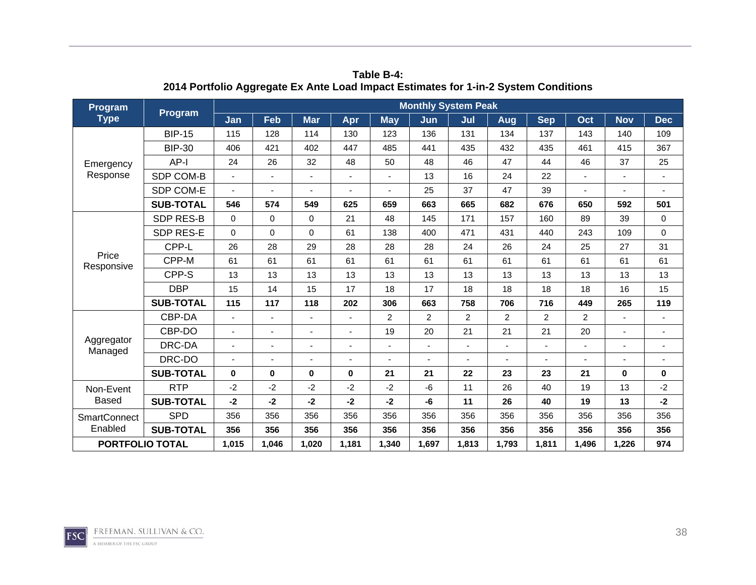| Program                                      |                  |          |                |             |       |                | <b>Monthly System Peak</b> |                |                |                |                                                                                                                              |            |                          |
|----------------------------------------------|------------------|----------|----------------|-------------|-------|----------------|----------------------------|----------------|----------------|----------------|------------------------------------------------------------------------------------------------------------------------------|------------|--------------------------|
| <b>Type</b>                                  | <b>Program</b>   | Jan      | Feb            | <b>Mar</b>  | Apr   | <b>May</b>     | Jun                        | Jul            | Aug            | <b>Sep</b>     | Oct                                                                                                                          | <b>Nov</b> | <b>Dec</b>               |
|                                              | <b>BIP-15</b>    | 115      | 128            | 114         | 130   | 123            | 136                        | 131            | 134            | 137            | 143                                                                                                                          | 140        | 109                      |
|                                              | <b>BIP-30</b>    | 406      | 421            | 402         | 447   | 485            | 441                        | 435            | 432            | 435            | 461                                                                                                                          | 415        | 367                      |
| Emergency                                    | $AP-I$           | 24       | 26             | 32          | 48    | 50             | 48                         | 46             | 47             | 44             | 46                                                                                                                           | 37         | 25                       |
| Response                                     | SDP COM-B        |          | ä,             |             |       |                | 13                         | 16             | 24             | 22             |                                                                                                                              |            | $\blacksquare$           |
|                                              | SDP COM-E        |          | ۰              |             |       |                | 25                         | 37             | 47             | 39             |                                                                                                                              |            |                          |
|                                              | <b>SUB-TOTAL</b> | 546      | 574            | 549         | 625   | 659            | 663                        | 665            | 682            | 676            | 650                                                                                                                          | 592        | 501                      |
|                                              | <b>SDP RES-B</b> | $\Omega$ | 0              | $\Omega$    | 21    | 48             | 145                        | 171            | 157            | 160            | 89                                                                                                                           | 39         | 0                        |
|                                              | SDP RES-E        | $\Omega$ | $\mathbf 0$    | $\Omega$    | 61    | 138            | 400                        | 471            | 431            | 440            | 243                                                                                                                          | 109        | $\mathbf 0$              |
|                                              | CPP-L            | 26       | 28             | 29          | 28    | 28             | 28                         | 24             | 26             | 24             | 25                                                                                                                           | 27         | 31                       |
| Price<br>Responsive<br>Aggregator<br>Managed | CPP-M            | 61       | 61             | 61          | 61    | 61             | 61                         | 61             | 61             | 61             | 61                                                                                                                           | 61         | 61                       |
|                                              | CPP-S            | 13       | 13             | 13          | 13    | 13             | 13                         | 13             | 13             | 13             | 13                                                                                                                           | 13         | 13                       |
|                                              | <b>DBP</b>       | 15       | 14             | 15          | 17    | 18             | 17                         | 18             | 18             | 18             | 18<br>16<br>265<br>449<br>2<br>20<br>21<br>$\mathbf 0$<br>19<br>13<br>19<br>13<br>356<br>356<br>356<br>356<br>1,226<br>1,496 | 15         |                          |
|                                              | <b>SUB-TOTAL</b> | 115      | 117            | 118         | 202   | 306            | 663                        | 758            | 706            | 716            |                                                                                                                              |            | 119                      |
|                                              | CBP-DA           | ä,       | ÷              |             |       | $\overline{2}$ | $\overline{2}$             | $\overline{2}$ | $\overline{2}$ | $\overline{2}$ |                                                                                                                              |            |                          |
|                                              | CBP-DO           |          | $\blacksquare$ |             |       | 19             | 20                         | 21             | 21             | 21             |                                                                                                                              |            | $\overline{\phantom{a}}$ |
|                                              | DRC-DA           | ÷        | ÷              |             |       |                |                            | $\blacksquare$ | $\blacksquare$ |                |                                                                                                                              |            |                          |
|                                              | DRC-DO           |          | ٠              | ۰           |       |                |                            |                |                |                |                                                                                                                              |            |                          |
|                                              | <b>SUB-TOTAL</b> | $\bf{0}$ | 0              | $\mathbf 0$ | 0     | 21             | 21                         | 22             | 23             | 23             |                                                                                                                              |            | 0                        |
| Non-Event                                    | <b>RTP</b>       | $-2$     | $-2$           | $-2$        | $-2$  | $-2$           | $-6$                       | 11             | 26             | 40             |                                                                                                                              |            | $-2$                     |
| <b>Based</b>                                 | <b>SUB-TOTAL</b> | $-2$     | -2             | $-2$        | -2    | $-2$           | -6                         | 11             | 26             | 40             |                                                                                                                              |            | $-2$                     |
| <b>SmartConnect</b>                          | <b>SPD</b>       | 356      | 356            | 356         | 356   | 356            | 356                        | 356            | 356            | 356            |                                                                                                                              |            | 356                      |
| Enabled                                      | <b>SUB-TOTAL</b> | 356      | 356            | 356         | 356   | 356            | 356                        | 356            | 356            | 356            |                                                                                                                              |            | 356                      |
| <b>PORTFOLIO TOTAL</b>                       |                  | 1,015    | 1,046          | 1,020       | 1,181 | 1,340          | 1,697                      | 1,813          | 1,793          | 1,811          |                                                                                                                              |            | 974                      |

**Table B-4: 2014 Portfolio Aggregate Ex Ante Load Impact Estimates for 1-in-2 System Conditions** 

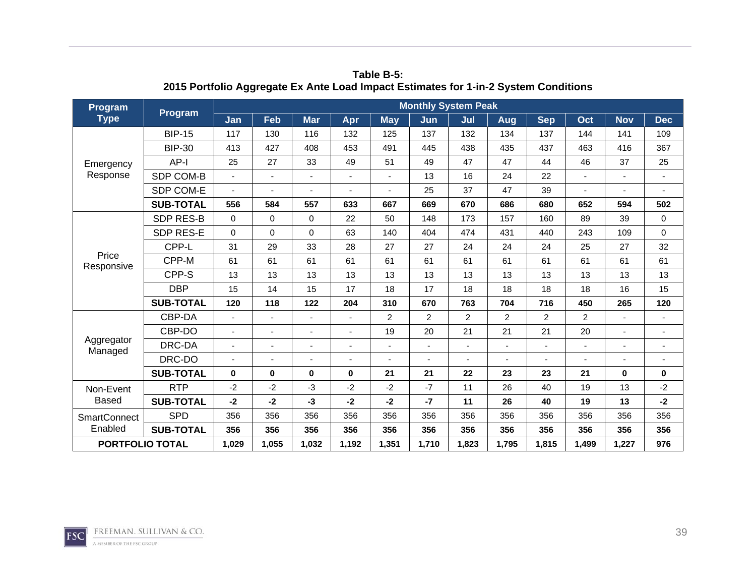| Program                |                                                                                                                                                                                                                                                                                                                        |          |             |            |       |                | <b>Monthly System Peak</b> |                |                |                |                                                                                                                              |            |                          |
|------------------------|------------------------------------------------------------------------------------------------------------------------------------------------------------------------------------------------------------------------------------------------------------------------------------------------------------------------|----------|-------------|------------|-------|----------------|----------------------------|----------------|----------------|----------------|------------------------------------------------------------------------------------------------------------------------------|------------|--------------------------|
| <b>Type</b>            | <b>Program</b>                                                                                                                                                                                                                                                                                                         | Jan      | Feb         | <b>Mar</b> | Apr   | <b>May</b>     | Jun                        | Jul            | Aug            | <b>Sep</b>     | Oct                                                                                                                          | <b>Nov</b> | <b>Dec</b>               |
|                        | <b>BIP-15</b>                                                                                                                                                                                                                                                                                                          | 117      | 130         | 116        | 132   | 125            | 137                        | 132            | 134            | 137            | 144                                                                                                                          | 141        | 109                      |
|                        | <b>BIP-30</b>                                                                                                                                                                                                                                                                                                          | 413      | 427         | 408        | 453   | 491            | 445                        | 438            | 435            | 437            | 463                                                                                                                          | 416        | 367                      |
| Emergency              | $AP-I$                                                                                                                                                                                                                                                                                                                 | 25       | 27          | 33         | 49    | 51             | 49                         | 47             | 47             | 44             | 46                                                                                                                           | 37         | 25                       |
| Response               | SDP COM-B                                                                                                                                                                                                                                                                                                              |          | ä,          |            |       |                | 13                         | 16             | 24             | 22             |                                                                                                                              |            | $\blacksquare$           |
|                        | SDP COM-E                                                                                                                                                                                                                                                                                                              |          | ۰           |            |       |                | 25                         | 37             | 47             | 39             |                                                                                                                              |            |                          |
|                        | <b>SUB-TOTAL</b>                                                                                                                                                                                                                                                                                                       | 556      | 584         | 557        | 633   | 667            | 669                        | 670            | 686            | 680            | 652                                                                                                                          | 594        | 502                      |
|                        | <b>SDP RES-B</b>                                                                                                                                                                                                                                                                                                       | $\Omega$ | 0           | $\Omega$   | 22    | 50             | 148                        | 173            | 157            | 160            | 89                                                                                                                           | 39         | 0                        |
|                        | SDP RES-E                                                                                                                                                                                                                                                                                                              | $\Omega$ | $\mathbf 0$ | $\Omega$   | 63    | 140            | 404                        | 474            | 431            | 440            | 243                                                                                                                          | 109        | $\mathbf 0$              |
|                        | CPP-L                                                                                                                                                                                                                                                                                                                  | 31       | 29          | 33         | 28    | 27             | 27                         | 24             | 24             | 24             | 25                                                                                                                           | 27         | 32                       |
|                        | Price<br>CPP-M<br>61<br>61<br>CPP-S<br>13<br>13<br><b>DBP</b><br>15<br>14<br><b>SUB-TOTAL</b><br>120<br>CBP-DA<br>ä,<br>÷<br>CBP-DO<br>$\blacksquare$<br>Aggregator<br>DRC-DA<br>÷<br>÷<br>Managed<br>DRC-DO<br>٠<br>$\bf{0}$<br><b>SUB-TOTAL</b><br>0<br><b>RTP</b><br>$-2$<br>$-2$<br><b>SUB-TOTAL</b><br>$-2$<br>-2 |          | 61          | 61         | 61    | 61             | 61                         | 61             | 61             | 61             | 61                                                                                                                           | 61         |                          |
| Responsive             |                                                                                                                                                                                                                                                                                                                        |          |             | 13         | 13    | 13             | 13                         | 13             | 13             | 13             | 13                                                                                                                           | 13         | 13                       |
|                        |                                                                                                                                                                                                                                                                                                                        |          |             | 15         | 17    | 18             | 17                         | 18             | 18             | 18             | 18<br>16<br>265<br>450<br>2<br>20<br>21<br>$\mathbf 0$<br>19<br>13<br>19<br>13<br>356<br>356<br>356<br>356<br>1,227<br>1,499 | 15         |                          |
|                        |                                                                                                                                                                                                                                                                                                                        |          | 118         | 122        | 204   | 310            | 670                        | 763            | 704            | 716            |                                                                                                                              |            | 120                      |
|                        |                                                                                                                                                                                                                                                                                                                        |          |             |            |       | $\overline{2}$ | $\overline{2}$             | $\overline{2}$ | $\overline{2}$ | $\overline{2}$ |                                                                                                                              |            |                          |
|                        |                                                                                                                                                                                                                                                                                                                        |          |             |            |       | 19             | 20                         | 21             | 21             | 21             |                                                                                                                              |            | $\overline{\phantom{a}}$ |
|                        |                                                                                                                                                                                                                                                                                                                        |          |             |            |       |                |                            | $\blacksquare$ | $\blacksquare$ |                |                                                                                                                              |            |                          |
|                        |                                                                                                                                                                                                                                                                                                                        |          |             | ۰          |       |                |                            |                |                |                |                                                                                                                              |            |                          |
|                        |                                                                                                                                                                                                                                                                                                                        |          |             | $\bf{0}$   | 0     | 21             | 21                         | 22             | 23             | 23             |                                                                                                                              |            | 0                        |
| Non-Event              |                                                                                                                                                                                                                                                                                                                        |          |             | $-3$       | $-2$  | $-2$           | $-7$                       | 11             | 26             | 40             |                                                                                                                              |            | $-2$                     |
| <b>Based</b>           |                                                                                                                                                                                                                                                                                                                        |          |             | $-3$       | -2    | $-2$           | $-7$                       | 11             | 26             | 40             |                                                                                                                              |            | $-2$                     |
| <b>SmartConnect</b>    | <b>SPD</b>                                                                                                                                                                                                                                                                                                             | 356      | 356         | 356        | 356   | 356            | 356                        | 356            | 356            | 356            |                                                                                                                              |            | 356                      |
| Enabled                | <b>SUB-TOTAL</b>                                                                                                                                                                                                                                                                                                       | 356      | 356         | 356        | 356   | 356            | 356                        | 356            | 356            | 356            |                                                                                                                              |            | 356                      |
| <b>PORTFOLIO TOTAL</b> |                                                                                                                                                                                                                                                                                                                        | 1,029    | 1,055       | 1,032      | 1,192 | 1,351          | 1,710                      | 1,823          | 1,795          | 1,815          |                                                                                                                              |            | 976                      |

**Table B-5: 2015 Portfolio Aggregate Ex Ante Load Impact Estimates for 1-in-2 System Conditions** 

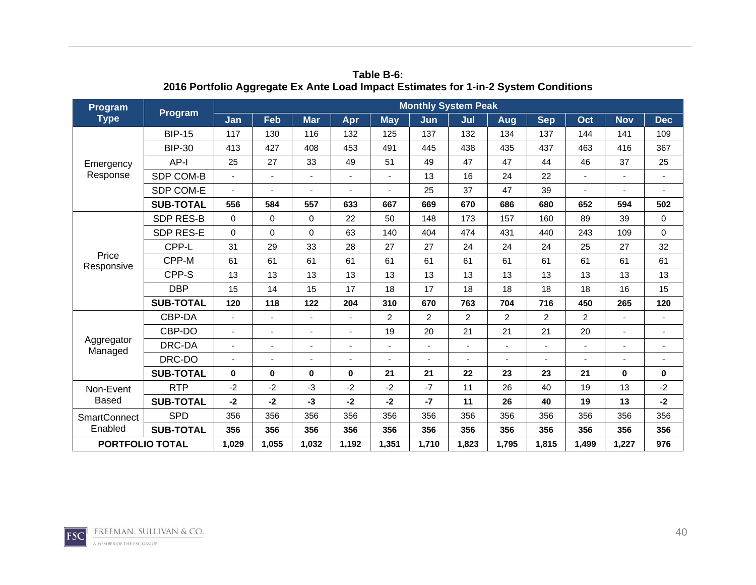| Program                |                                                                                                                                                                                                                                                                                                                        |          |             |            |       |                | <b>Monthly System Peak</b> |                |                |                |                                                                                                                              |            |                          |
|------------------------|------------------------------------------------------------------------------------------------------------------------------------------------------------------------------------------------------------------------------------------------------------------------------------------------------------------------|----------|-------------|------------|-------|----------------|----------------------------|----------------|----------------|----------------|------------------------------------------------------------------------------------------------------------------------------|------------|--------------------------|
| <b>Type</b>            | <b>Program</b>                                                                                                                                                                                                                                                                                                         | Jan      | Feb         | <b>Mar</b> | Apr   | <b>May</b>     | Jun                        | Jul            | Aug            | <b>Sep</b>     | Oct                                                                                                                          | <b>Nov</b> | <b>Dec</b>               |
|                        | <b>BIP-15</b>                                                                                                                                                                                                                                                                                                          | 117      | 130         | 116        | 132   | 125            | 137                        | 132            | 134            | 137            | 144                                                                                                                          | 141        | 109                      |
|                        | <b>BIP-30</b>                                                                                                                                                                                                                                                                                                          | 413      | 427         | 408        | 453   | 491            | 445                        | 438            | 435            | 437            | 463                                                                                                                          | 416        | 367                      |
| Emergency              | $AP-I$                                                                                                                                                                                                                                                                                                                 | 25       | 27          | 33         | 49    | 51             | 49                         | 47             | 47             | 44             | 46                                                                                                                           | 37         | 25                       |
| Response               | SDP COM-B                                                                                                                                                                                                                                                                                                              |          | ä,          |            |       |                | 13                         | 16             | 24             | 22             |                                                                                                                              |            | $\blacksquare$           |
|                        | SDP COM-E                                                                                                                                                                                                                                                                                                              |          | ۰           |            |       |                | 25                         | 37             | 47             | 39             |                                                                                                                              |            |                          |
|                        | <b>SUB-TOTAL</b>                                                                                                                                                                                                                                                                                                       | 556      | 584         | 557        | 633   | 667            | 669                        | 670            | 686            | 680            | 652                                                                                                                          | 594        | 502                      |
|                        | <b>SDP RES-B</b>                                                                                                                                                                                                                                                                                                       | $\Omega$ | 0           | $\Omega$   | 22    | 50             | 148                        | 173            | 157            | 160            | 89                                                                                                                           | 39         | 0                        |
|                        | SDP RES-E                                                                                                                                                                                                                                                                                                              | $\Omega$ | $\mathbf 0$ | $\Omega$   | 63    | 140            | 404                        | 474            | 431            | 440            | 243                                                                                                                          | 109        | $\mathbf 0$              |
|                        | CPP-L                                                                                                                                                                                                                                                                                                                  | 31       | 29          | 33         | 28    | 27             | 27                         | 24             | 24             | 24             | 25                                                                                                                           | 27         | 32                       |
|                        | Price<br>CPP-M<br>61<br>61<br>CPP-S<br>13<br>13<br><b>DBP</b><br>15<br>14<br><b>SUB-TOTAL</b><br>120<br>CBP-DA<br>ä,<br>÷<br>CBP-DO<br>$\blacksquare$<br>Aggregator<br>DRC-DA<br>÷<br>÷<br>Managed<br>DRC-DO<br>٠<br>$\bf{0}$<br><b>SUB-TOTAL</b><br>0<br><b>RTP</b><br>$-2$<br>$-2$<br><b>SUB-TOTAL</b><br>$-2$<br>-2 |          | 61          | 61         | 61    | 61             | 61                         | 61             | 61             | 61             | 61                                                                                                                           | 61         |                          |
| Responsive             |                                                                                                                                                                                                                                                                                                                        |          |             | 13         | 13    | 13             | 13                         | 13             | 13             | 13             | 13                                                                                                                           | 13         | 13                       |
|                        |                                                                                                                                                                                                                                                                                                                        |          |             | 15         | 17    | 18             | 17                         | 18             | 18             | 18             | 18<br>16<br>265<br>450<br>2<br>20<br>21<br>$\mathbf 0$<br>19<br>13<br>19<br>13<br>356<br>356<br>356<br>356<br>1,227<br>1,499 | 15         |                          |
|                        |                                                                                                                                                                                                                                                                                                                        |          | 118         | 122        | 204   | 310            | 670                        | 763            | 704            | 716            |                                                                                                                              |            | 120                      |
|                        |                                                                                                                                                                                                                                                                                                                        |          |             |            |       | $\overline{2}$ | $\overline{2}$             | $\overline{2}$ | $\overline{2}$ | $\overline{2}$ |                                                                                                                              |            |                          |
|                        |                                                                                                                                                                                                                                                                                                                        |          |             |            |       | 19             | 20                         | 21             | 21             | 21             |                                                                                                                              |            | $\overline{\phantom{a}}$ |
|                        |                                                                                                                                                                                                                                                                                                                        |          |             |            |       |                |                            | $\blacksquare$ | $\blacksquare$ |                |                                                                                                                              |            |                          |
|                        |                                                                                                                                                                                                                                                                                                                        |          |             | ۰          |       |                |                            |                |                |                |                                                                                                                              |            |                          |
|                        |                                                                                                                                                                                                                                                                                                                        |          |             | $\bf{0}$   | 0     | 21             | 21                         | 22             | 23             | 23             |                                                                                                                              |            | 0                        |
| Non-Event              |                                                                                                                                                                                                                                                                                                                        |          |             | $-3$       | $-2$  | $-2$           | $-7$                       | 11             | 26             | 40             |                                                                                                                              |            | $-2$                     |
| <b>Based</b>           |                                                                                                                                                                                                                                                                                                                        |          |             | $-3$       | -2    | $-2$           | $-7$                       | 11             | 26             | 40             |                                                                                                                              |            | $-2$                     |
| <b>SmartConnect</b>    | <b>SPD</b>                                                                                                                                                                                                                                                                                                             | 356      | 356         | 356        | 356   | 356            | 356                        | 356            | 356            | 356            |                                                                                                                              |            | 356                      |
| Enabled                | <b>SUB-TOTAL</b>                                                                                                                                                                                                                                                                                                       | 356      | 356         | 356        | 356   | 356            | 356                        | 356            | 356            | 356            |                                                                                                                              |            | 356                      |
| <b>PORTFOLIO TOTAL</b> |                                                                                                                                                                                                                                                                                                                        | 1,029    | 1,055       | 1,032      | 1,192 | 1,351          | 1,710                      | 1,823          | 1,795          | 1,815          |                                                                                                                              |            | 976                      |

**Table B-6: 2016 Portfolio Aggregate Ex Ante Load Impact Estimates for 1-in-2 System Conditions** 

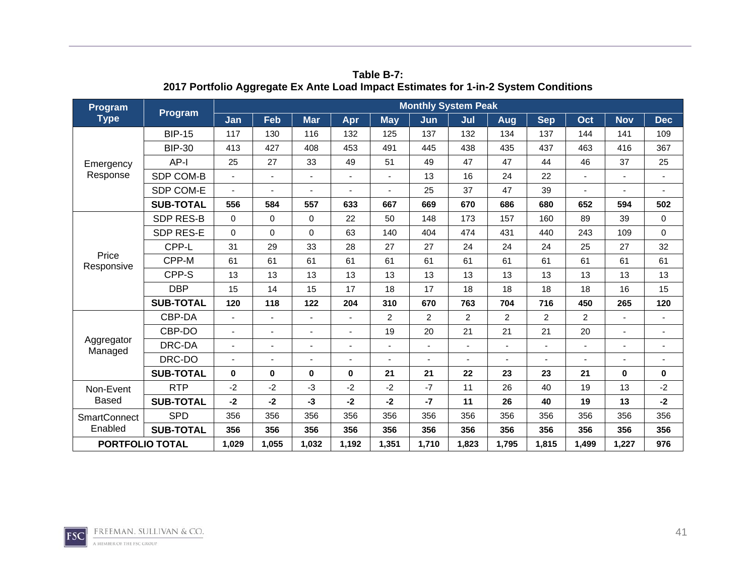| Program<br><b>Type</b><br>Emergency<br>Response<br>Price<br>Responsive<br>Aggregator<br>Managed<br>Non-Event |                  |                |                          |             |       |                | <b>Monthly System Peak</b> |                |                |            |                                                                                                                             |                                                                                                                |                          |
|--------------------------------------------------------------------------------------------------------------|------------------|----------------|--------------------------|-------------|-------|----------------|----------------------------|----------------|----------------|------------|-----------------------------------------------------------------------------------------------------------------------------|----------------------------------------------------------------------------------------------------------------|--------------------------|
|                                                                                                              | <b>Program</b>   | Jan            | Feb                      | <b>Mar</b>  | Apr   | <b>May</b>     | Jun                        | Jul            | Aug            | <b>Sep</b> | Oct                                                                                                                         | <b>Nov</b>                                                                                                     | <b>Dec</b>               |
|                                                                                                              | <b>BIP-15</b>    | 117            | 130                      | 116         | 132   | 125            | 137                        | 132            | 134            | 137        | 144                                                                                                                         | 141                                                                                                            | 109                      |
|                                                                                                              | <b>BIP-30</b>    | 413            | 427                      | 408         | 453   | 491            | 445                        | 438            | 435            | 437        | 463                                                                                                                         | 416<br>37<br>594<br>39<br>109<br>27<br>61<br>13<br>16<br>265<br>$\mathbf 0$<br>13<br>13<br>356<br>356<br>1,227 | 367                      |
|                                                                                                              | AP-I             | 25             | 27                       | 33          | 49    | 51             | 49                         | 47             | 47             | 44         | 46                                                                                                                          |                                                                                                                | 25                       |
|                                                                                                              | SDP COM-B        | $\blacksquare$ | $\blacksquare$           | ÷,          |       | $\blacksquare$ | 13                         | 16             | 24             | 22         |                                                                                                                             |                                                                                                                | $\sim$                   |
|                                                                                                              | SDP COM-E        |                | ۰                        |             |       |                | 25                         | 37             | 47             | 39         |                                                                                                                             |                                                                                                                |                          |
|                                                                                                              | <b>SUB-TOTAL</b> | 556            | 584                      | 557         | 633   | 667            | 669                        | 670            | 686            | 680        | 652                                                                                                                         |                                                                                                                | 502                      |
|                                                                                                              | <b>SDP RES-B</b> | $\Omega$       | 0                        | $\Omega$    | 22    | 50             | 148                        | 173            | 157            | 160        | 89                                                                                                                          |                                                                                                                | $\mathbf 0$              |
|                                                                                                              | SDP RES-E        | $\Omega$       | $\mathbf 0$              | $\Omega$    | 63    | 140            | 404                        | 474            | 431            | 440        | 243                                                                                                                         |                                                                                                                | 0                        |
|                                                                                                              | CPP-L            | 31             | 29                       | 33          | 28    | 27             | 27                         | 24             | 24             | 24         | 25                                                                                                                          |                                                                                                                | 32                       |
| <b>Based</b><br><b>SmartConnect</b>                                                                          | CPP-M            | 61             | 61                       | 61          | 61    | 61             | 61                         | 61             | 61             | 61         | 61                                                                                                                          |                                                                                                                | 61                       |
|                                                                                                              | CPP-S            | 13             | 13                       | 13          | 13    | 13             | 13                         | 13             | 13             | 13         | 13                                                                                                                          |                                                                                                                | 13                       |
|                                                                                                              | <b>DBP</b>       | 15             | 14                       | 15          | 17    | 18             | 17                         | 18             | 18             | 18         | 18<br>450<br>$\overline{2}$<br>$\overline{c}$<br>21<br>20<br>23<br>21<br>19<br>40<br>40<br>19<br>356<br>356<br>356<br>1,499 | 15                                                                                                             |                          |
|                                                                                                              | <b>SUB-TOTAL</b> | 120            | 118                      | 122         | 204   | 310            | 670                        | 763            | 704            | 716        |                                                                                                                             |                                                                                                                | 120                      |
|                                                                                                              | CBP-DA           | $\blacksquare$ | $\overline{\phantom{0}}$ |             |       | $\overline{2}$ | $\overline{2}$             | $\overline{2}$ | $\overline{2}$ |            |                                                                                                                             |                                                                                                                |                          |
|                                                                                                              | CBP-DO           |                | ÷                        |             |       | 19             | 20                         | 21             | 21             |            |                                                                                                                             |                                                                                                                |                          |
|                                                                                                              | DRC-DA           |                | $\overline{\phantom{a}}$ |             |       |                |                            | ٠              | ٠              |            |                                                                                                                             |                                                                                                                | $\overline{\phantom{a}}$ |
|                                                                                                              | DRC-DO           |                | ÷                        |             |       |                |                            |                |                |            |                                                                                                                             |                                                                                                                |                          |
|                                                                                                              | <b>SUB-TOTAL</b> | $\bf{0}$       | $\bf{0}$                 | $\mathbf 0$ | 0     | 21             | 21                         | 22             | 23             |            |                                                                                                                             |                                                                                                                | $\mathbf 0$              |
|                                                                                                              | <b>RTP</b>       | $-2$           | $-2$                     | $-3$        | $-2$  | $-2$           | $-7$                       | 11             | 26             |            |                                                                                                                             |                                                                                                                | $-2$                     |
|                                                                                                              | <b>SUB-TOTAL</b> | $-2$           | -2                       | $-3$        | -2    | $-2$           | $-7$                       | 11             | 26             |            |                                                                                                                             |                                                                                                                | $-2$                     |
|                                                                                                              | <b>SPD</b>       | 356            | 356                      | 356         | 356   | 356            | 356                        | 356            | 356            |            |                                                                                                                             |                                                                                                                | 356                      |
| Enabled                                                                                                      | <b>SUB-TOTAL</b> | 356            | 356                      | 356         | 356   | 356            | 356                        | 356            | 356            | 356        |                                                                                                                             |                                                                                                                | 356                      |
| <b>PORTFOLIO TOTAL</b>                                                                                       |                  | 1,029          | 1,055                    | 1,032       | 1,192 | 1,351          | 1,710                      | 1,823          | 1,795          | 1,815      |                                                                                                                             |                                                                                                                | 976                      |

**Table B-7: 2017 Portfolio Aggregate Ex Ante Load Impact Estimates for 1-in-2 System Conditions** 

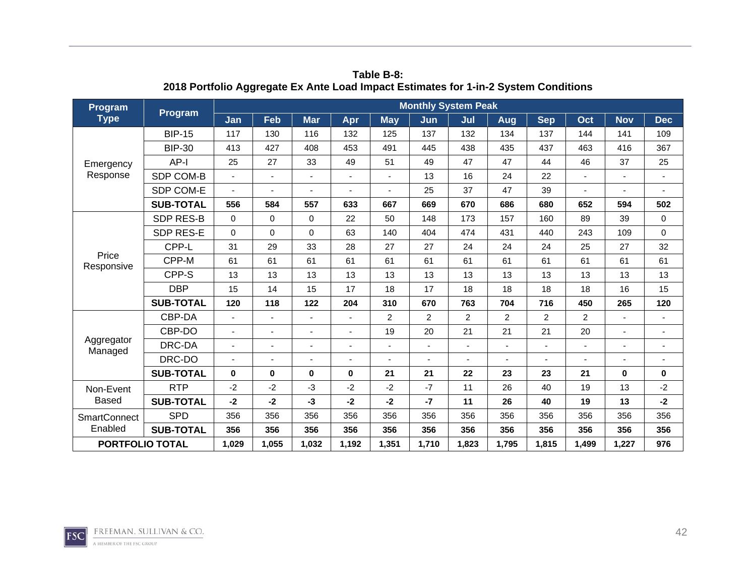| Program                |                                                                                                                                                                                                                                                                                                                        |          |             |            |       |                | <b>Monthly System Peak</b> |                |                |                |                                                                                                                              |            |                          |
|------------------------|------------------------------------------------------------------------------------------------------------------------------------------------------------------------------------------------------------------------------------------------------------------------------------------------------------------------|----------|-------------|------------|-------|----------------|----------------------------|----------------|----------------|----------------|------------------------------------------------------------------------------------------------------------------------------|------------|--------------------------|
| <b>Type</b>            | <b>Program</b>                                                                                                                                                                                                                                                                                                         | Jan      | Feb         | <b>Mar</b> | Apr   | <b>May</b>     | Jun                        | Jul            | Aug            | <b>Sep</b>     | Oct                                                                                                                          | <b>Nov</b> | <b>Dec</b>               |
|                        | <b>BIP-15</b>                                                                                                                                                                                                                                                                                                          | 117      | 130         | 116        | 132   | 125            | 137                        | 132            | 134            | 137            | 144                                                                                                                          | 141        | 109                      |
|                        | <b>BIP-30</b>                                                                                                                                                                                                                                                                                                          | 413      | 427         | 408        | 453   | 491            | 445                        | 438            | 435            | 437            | 463                                                                                                                          | 416        | 367                      |
| Emergency              | $AP-I$                                                                                                                                                                                                                                                                                                                 | 25       | 27          | 33         | 49    | 51             | 49                         | 47             | 47             | 44             | 46                                                                                                                           | 37         | 25                       |
| Response               | SDP COM-B                                                                                                                                                                                                                                                                                                              |          | ä,          |            |       |                | 13                         | 16             | 24             | 22             |                                                                                                                              |            | $\blacksquare$           |
|                        | SDP COM-E                                                                                                                                                                                                                                                                                                              |          | ۰           |            |       |                | 25                         | 37             | 47             | 39             |                                                                                                                              |            |                          |
|                        | <b>SUB-TOTAL</b>                                                                                                                                                                                                                                                                                                       | 556      | 584         | 557        | 633   | 667            | 669                        | 670            | 686            | 680            | 652                                                                                                                          | 594        | 502                      |
|                        | <b>SDP RES-B</b>                                                                                                                                                                                                                                                                                                       | $\Omega$ | 0           | $\Omega$   | 22    | 50             | 148                        | 173            | 157            | 160            | 89                                                                                                                           | 39         | 0                        |
|                        | SDP RES-E                                                                                                                                                                                                                                                                                                              | $\Omega$ | $\mathbf 0$ | $\Omega$   | 63    | 140            | 404                        | 474            | 431            | 440            | 243                                                                                                                          | 109        | $\mathbf 0$              |
|                        | CPP-L                                                                                                                                                                                                                                                                                                                  | 31       | 29          | 33         | 28    | 27             | 27                         | 24             | 24             | 24             | 25                                                                                                                           | 27         | 32                       |
|                        | Price<br>CPP-M<br>61<br>61<br>CPP-S<br>13<br>13<br><b>DBP</b><br>15<br>14<br><b>SUB-TOTAL</b><br>120<br>CBP-DA<br>ä,<br>÷<br>CBP-DO<br>$\blacksquare$<br>Aggregator<br>DRC-DA<br>÷<br>÷<br>Managed<br>DRC-DO<br>٠<br>$\bf{0}$<br><b>SUB-TOTAL</b><br>0<br><b>RTP</b><br>$-2$<br>$-2$<br><b>SUB-TOTAL</b><br>$-2$<br>-2 |          | 61          | 61         | 61    | 61             | 61                         | 61             | 61             | 61             | 61                                                                                                                           | 61         |                          |
| Responsive             |                                                                                                                                                                                                                                                                                                                        |          |             | 13         | 13    | 13             | 13                         | 13             | 13             | 13             | 13                                                                                                                           | 13         | 13                       |
|                        |                                                                                                                                                                                                                                                                                                                        |          |             | 15         | 17    | 18             | 17                         | 18             | 18             | 18             | 18<br>16<br>265<br>450<br>2<br>20<br>21<br>$\mathbf 0$<br>19<br>13<br>19<br>13<br>356<br>356<br>356<br>356<br>1,227<br>1,499 | 15         |                          |
|                        |                                                                                                                                                                                                                                                                                                                        |          | 118         | 122        | 204   | 310            | 670                        | 763            | 704            | 716            |                                                                                                                              |            | 120                      |
|                        |                                                                                                                                                                                                                                                                                                                        |          |             |            |       | $\overline{2}$ | $\overline{2}$             | $\overline{2}$ | $\overline{2}$ | $\overline{2}$ |                                                                                                                              |            |                          |
|                        |                                                                                                                                                                                                                                                                                                                        |          |             |            |       | 19             | 20                         | 21             | 21             | 21             |                                                                                                                              |            | $\overline{\phantom{a}}$ |
|                        |                                                                                                                                                                                                                                                                                                                        |          |             |            |       |                |                            | $\blacksquare$ | $\blacksquare$ |                |                                                                                                                              |            |                          |
|                        |                                                                                                                                                                                                                                                                                                                        |          |             | ۰          |       |                |                            |                |                |                |                                                                                                                              |            |                          |
|                        |                                                                                                                                                                                                                                                                                                                        |          |             | $\bf{0}$   | 0     | 21             | 21                         | 22             | 23             | 23             |                                                                                                                              |            | 0                        |
| Non-Event              |                                                                                                                                                                                                                                                                                                                        |          |             | $-3$       | $-2$  | $-2$           | $-7$                       | 11             | 26             | 40             |                                                                                                                              |            | $-2$                     |
| <b>Based</b>           |                                                                                                                                                                                                                                                                                                                        |          |             | $-3$       | -2    | $-2$           | $-7$                       | 11             | 26             | 40             |                                                                                                                              |            | $-2$                     |
| <b>SmartConnect</b>    | <b>SPD</b>                                                                                                                                                                                                                                                                                                             | 356      | 356         | 356        | 356   | 356            | 356                        | 356            | 356            | 356            |                                                                                                                              |            | 356                      |
| Enabled                | <b>SUB-TOTAL</b>                                                                                                                                                                                                                                                                                                       | 356      | 356         | 356        | 356   | 356            | 356                        | 356            | 356            | 356            |                                                                                                                              |            | 356                      |
| <b>PORTFOLIO TOTAL</b> |                                                                                                                                                                                                                                                                                                                        | 1,029    | 1,055       | 1,032      | 1,192 | 1,351          | 1,710                      | 1,823          | 1,795          | 1,815          |                                                                                                                              |            | 976                      |

**Table B-8: 2018 Portfolio Aggregate Ex Ante Load Impact Estimates for 1-in-2 System Conditions** 

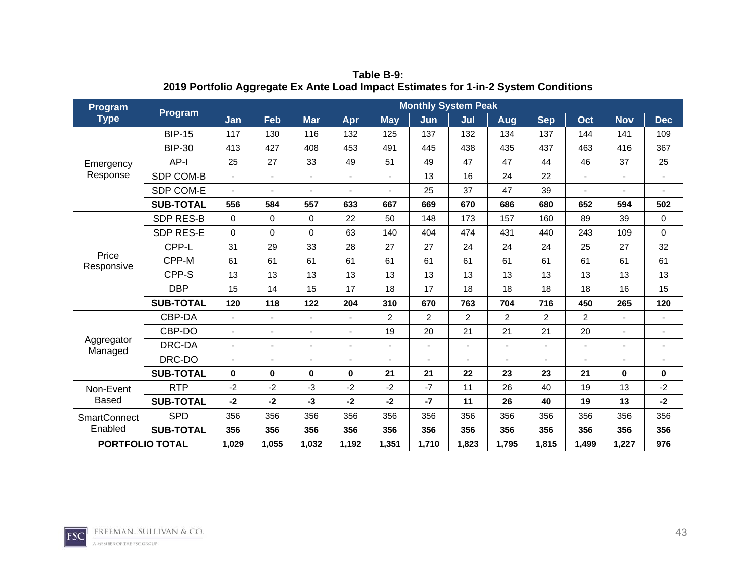| <b>Program</b><br><b>Type</b><br>Emergency<br>Response<br>Price<br>Responsive<br>Aggregator<br>Managed<br>Non-Event | Program          |          |             |                |       |                | <b>Monthly System Peak</b> |                |       |            |                                                               |                                                                                                             |                |
|---------------------------------------------------------------------------------------------------------------------|------------------|----------|-------------|----------------|-------|----------------|----------------------------|----------------|-------|------------|---------------------------------------------------------------|-------------------------------------------------------------------------------------------------------------|----------------|
|                                                                                                                     |                  | Jan      | Feb         | <b>Mar</b>     | Apr   | <b>May</b>     | Jun                        | Jul            | Aug   | <b>Sep</b> | Oct                                                           | <b>Nov</b>                                                                                                  | <b>Dec</b>     |
|                                                                                                                     | <b>BIP-15</b>    | 117      | 130         | 116            | 132   | 125            | 137                        | 132            | 134   | 137        | 144                                                           | 141                                                                                                         | 109            |
|                                                                                                                     | <b>BIP-30</b>    | 413      | 427         | 408            | 453   | 491            | 445                        | 438            | 435   | 437        | 463                                                           | 416<br>37<br>594<br>39<br>109<br>27<br>61<br>13<br>16<br>265<br>$\bf{0}$<br>13<br>13<br>356<br>356<br>1,227 | 367            |
|                                                                                                                     | AP-I             | 25       | 27          | 33             | 49    | 51             | 49                         | 47             | 47    | 44         | 46                                                            |                                                                                                             | 25             |
|                                                                                                                     | SDP COM-B        |          | ÷,          |                |       |                | 13                         | 16             | 24    | 22         |                                                               |                                                                                                             | $\blacksquare$ |
|                                                                                                                     | SDP COM-E        |          | -           |                |       |                | 25                         | 37             | 47    | 39         |                                                               |                                                                                                             |                |
|                                                                                                                     | <b>SUB-TOTAL</b> | 556      | 584         | 557            | 633   | 667            | 669                        | 670            | 686   | 680        | 652                                                           |                                                                                                             | 502            |
|                                                                                                                     | <b>SDP RES-B</b> | $\Omega$ | 0           | $\Omega$       | 22    | 50             | 148                        | 173            | 157   | 160        | 89                                                            |                                                                                                             | $\mathbf 0$    |
|                                                                                                                     | SDP RES-E        | $\Omega$ | $\mathbf 0$ | $\Omega$       | 63    | 140            | 404                        | 474            | 431   | 440        | 243                                                           |                                                                                                             | $\mathbf 0$    |
|                                                                                                                     | CPP-L            | 31       | 29          | 33             | 28    | 27             | 27                         | 24             | 24    | 24         | 25                                                            |                                                                                                             | 32             |
|                                                                                                                     | CPP-M            | 61       | 61          | 61             | 61    | 61             | 61                         | 61             | 61    | 61         | 61                                                            |                                                                                                             | 61             |
|                                                                                                                     | CPP-S            | 13       | 13          | 13             | 13    | 13             | 13                         | 13             | 13    | 13         | 13                                                            |                                                                                                             | 13             |
|                                                                                                                     | <b>DBP</b>       | 15       | 14          | 15             | 17    | 18             | 17                         | 18             | 18    | 18         | 18<br>450<br>2<br>20<br>21<br>19<br>19<br>356<br>356<br>1,499 | 15                                                                                                          |                |
|                                                                                                                     | <b>SUB-TOTAL</b> | 120      | 118         | 122            | 204   | 310            | 670                        | 763            | 704   | 716        |                                                               |                                                                                                             | 120            |
|                                                                                                                     | CBP-DA           |          | ÷.          | $\blacksquare$ |       | $\overline{2}$ | $\overline{2}$             | $\overline{2}$ | 2     | 2          |                                                               |                                                                                                             | ÷,             |
|                                                                                                                     | CBP-DO           |          | ٠           |                |       | 19             | 20                         | 21             | 21    | 21         |                                                               |                                                                                                             | $\blacksquare$ |
|                                                                                                                     | DRC-DA           |          | ٠           |                |       |                |                            | ٠              | L,    |            |                                                               |                                                                                                             | $\blacksquare$ |
|                                                                                                                     | DRC-DO           |          |             | ۰              |       |                |                            |                |       |            |                                                               |                                                                                                             |                |
|                                                                                                                     | <b>SUB-TOTAL</b> | 0        | 0           | $\bf{0}$       | 0     | 21             | 21                         | 22             | 23    | 23         |                                                               |                                                                                                             | 0              |
|                                                                                                                     | <b>RTP</b>       | $-2$     | $-2$        | $-3$           | $-2$  | $-2$           | $-7$                       | 11             | 26    | 40         |                                                               |                                                                                                             | $-2$           |
| Based                                                                                                               | <b>SUB-TOTAL</b> | $-2$     | $-2$        | $-3$           | $-2$  | $-2$           | $-7$                       | 11             | 26    | 40         |                                                               |                                                                                                             | $-2$           |
| <b>SmartConnect</b><br>Enabled<br><b>PORTFOLIO TOTAL</b>                                                            | <b>SPD</b>       | 356      | 356         | 356            | 356   | 356            | 356                        | 356            | 356   | 356        |                                                               |                                                                                                             | 356            |
|                                                                                                                     | <b>SUB-TOTAL</b> | 356      | 356         | 356            | 356   | 356            | 356                        | 356            | 356   | 356        |                                                               |                                                                                                             | 356            |
|                                                                                                                     |                  | 1,029    | 1,055       | 1,032          | 1,192 | 1,351          | 1,710                      | 1,823          | 1,795 | 1,815      |                                                               |                                                                                                             | 976            |

**Table B-9: 2019 Portfolio Aggregate Ex Ante Load Impact Estimates for 1-in-2 System Conditions** 

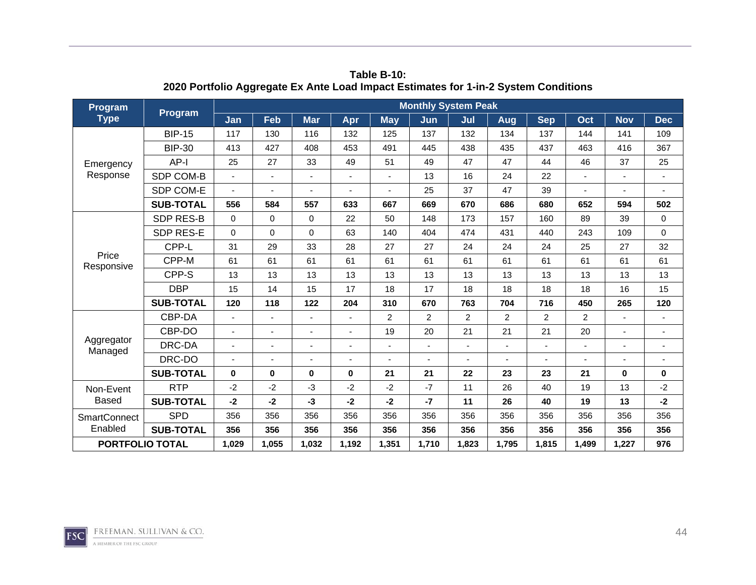| <b>Program</b><br><b>Type</b><br>Emergency<br>Response<br>Price<br>Responsive<br>Aggregator<br>Managed | Program          |          |                |            |       |                | <b>Monthly System Peak</b>                                                                                                                                                                                                                                                                                                                            |     |     |            |                                                                                                                                                                                                                                 |            |                |
|--------------------------------------------------------------------------------------------------------|------------------|----------|----------------|------------|-------|----------------|-------------------------------------------------------------------------------------------------------------------------------------------------------------------------------------------------------------------------------------------------------------------------------------------------------------------------------------------------------|-----|-----|------------|---------------------------------------------------------------------------------------------------------------------------------------------------------------------------------------------------------------------------------|------------|----------------|
|                                                                                                        |                  | Jan      | Feb            | <b>Mar</b> | Apr   | <b>May</b>     | Jun                                                                                                                                                                                                                                                                                                                                                   | Jul | Aug | <b>Sep</b> | Oct                                                                                                                                                                                                                             | <b>Nov</b> | <b>Dec</b>     |
|                                                                                                        | <b>BIP-15</b>    | 117      | 130            | 116        | 132   | 125            | 137                                                                                                                                                                                                                                                                                                                                                   | 132 | 134 | 137        | 144                                                                                                                                                                                                                             | 141        | 109            |
|                                                                                                        | <b>BIP-30</b>    | 413      | 427            | 408        | 453   | 491            | 445                                                                                                                                                                                                                                                                                                                                                   | 438 | 435 | 437        | 463<br>416<br>46<br>37<br>652<br>594<br>39<br>89<br>243<br>109<br>27<br>25<br>61<br>61<br>13<br>13<br>18<br>16<br>265<br>450<br>2<br>20<br>21<br>$\bf{0}$<br>19<br>13<br>13<br>19<br>356<br>356<br>356<br>356<br>1,499<br>1,227 | 367        |                |
|                                                                                                        | AP-I             | 25       | 27             | 33         | 49    | 51             | 49                                                                                                                                                                                                                                                                                                                                                    | 47  | 47  | 44         |                                                                                                                                                                                                                                 |            | 25             |
|                                                                                                        | SDP COM-B        |          | $\blacksquare$ | ÷,         |       |                | 13                                                                                                                                                                                                                                                                                                                                                    | 16  | 24  | 22         |                                                                                                                                                                                                                                 |            | $\blacksquare$ |
|                                                                                                        | SDP COM-E        |          | -              |            |       |                | 25                                                                                                                                                                                                                                                                                                                                                    | 37  | 47  | 39         |                                                                                                                                                                                                                                 |            |                |
|                                                                                                        | <b>SUB-TOTAL</b> | 556      | 584            | 557        | 633   | 667            | 669                                                                                                                                                                                                                                                                                                                                                   | 670 | 686 | 680        |                                                                                                                                                                                                                                 |            | 502            |
|                                                                                                        | <b>SDP RES-B</b> | $\Omega$ | $\mathbf 0$    | $\Omega$   | 22    | 50             | 148                                                                                                                                                                                                                                                                                                                                                   | 173 | 157 | 160        |                                                                                                                                                                                                                                 |            | $\mathbf 0$    |
|                                                                                                        | SDP RES-E        | $\Omega$ | $\mathbf 0$    | $\Omega$   | 63    | 140            | 404                                                                                                                                                                                                                                                                                                                                                   | 474 | 431 | 440        |                                                                                                                                                                                                                                 |            | $\mathbf 0$    |
|                                                                                                        | CPP-L            | 31       | 29             | 33         | 28    | 27             | 27                                                                                                                                                                                                                                                                                                                                                    | 24  | 24  | 24         |                                                                                                                                                                                                                                 |            | 32             |
|                                                                                                        | CPP-M            | 61       | 61             | 61         | 61    | 61             | 61                                                                                                                                                                                                                                                                                                                                                    | 61  | 61  | 61         |                                                                                                                                                                                                                                 |            | 61             |
|                                                                                                        | CPP-S            | 13       | 13             | 13         | 13    | 13             | 13                                                                                                                                                                                                                                                                                                                                                    | 13  | 13  | 13         |                                                                                                                                                                                                                                 |            | 13             |
|                                                                                                        | <b>DBP</b>       | 15       | 14             | 15         | 17    | 18             | 17<br>18<br>18<br>18<br>670<br>763<br>704<br>716<br>$\overline{c}$<br>$\overline{2}$<br>$\overline{2}$<br>$\overline{2}$<br>20<br>21<br>21<br>21<br>÷,<br>$\blacksquare$<br>÷<br>21<br>23<br>23<br>22<br>$-7$<br>26<br>11<br>40<br>$-7$<br>11<br>26<br>40<br>356<br>356<br>356<br>356<br>356<br>356<br>356<br>356<br>1,710<br>1,823<br>1,795<br>1,815 |     |     | 15         |                                                                                                                                                                                                                                 |            |                |
|                                                                                                        | <b>SUB-TOTAL</b> | 120      | 118            | 122        | 204   | 310            |                                                                                                                                                                                                                                                                                                                                                       |     |     |            |                                                                                                                                                                                                                                 |            | 120            |
|                                                                                                        | CBP-DA           |          | ٠              |            |       | $\overline{2}$ |                                                                                                                                                                                                                                                                                                                                                       |     |     |            |                                                                                                                                                                                                                                 |            | $\blacksquare$ |
|                                                                                                        | CBP-DO           |          | ÷,             |            |       | 19             |                                                                                                                                                                                                                                                                                                                                                       |     |     |            |                                                                                                                                                                                                                                 |            |                |
|                                                                                                        | DRC-DA           |          | ٠              |            |       |                |                                                                                                                                                                                                                                                                                                                                                       |     |     |            |                                                                                                                                                                                                                                 |            | $\blacksquare$ |
|                                                                                                        | DRC-DO           |          | ä,             | ٠          |       |                |                                                                                                                                                                                                                                                                                                                                                       |     |     |            |                                                                                                                                                                                                                                 |            |                |
|                                                                                                        | <b>SUB-TOTAL</b> | $\bf{0}$ | $\mathbf 0$    | $\bf{0}$   | 0     | 21             |                                                                                                                                                                                                                                                                                                                                                       |     |     |            |                                                                                                                                                                                                                                 |            | 0              |
| Non-Event                                                                                              | <b>RTP</b>       | $-2$     | $-2$           | $-3$       | $-2$  | $-2$           |                                                                                                                                                                                                                                                                                                                                                       |     |     |            |                                                                                                                                                                                                                                 |            | $-2$           |
| <b>Based</b>                                                                                           | <b>SUB-TOTAL</b> | $-2$     | $-2$           | $-3$       | -2    | $-2$           |                                                                                                                                                                                                                                                                                                                                                       |     |     |            |                                                                                                                                                                                                                                 |            | $-2$           |
| <b>SmartConnect</b>                                                                                    | <b>SPD</b>       | 356      | 356            | 356        | 356   | 356            |                                                                                                                                                                                                                                                                                                                                                       |     |     |            |                                                                                                                                                                                                                                 |            | 356            |
| Enabled                                                                                                | <b>SUB-TOTAL</b> | 356      | 356            | 356        | 356   | 356            |                                                                                                                                                                                                                                                                                                                                                       |     |     |            |                                                                                                                                                                                                                                 |            | 356            |
| <b>PORTFOLIO TOTAL</b>                                                                                 |                  | 1,029    | 1,055          | 1,032      | 1,192 | 1,351          |                                                                                                                                                                                                                                                                                                                                                       |     |     |            |                                                                                                                                                                                                                                 |            | 976            |

**Table B-10: 2020 Portfolio Aggregate Ex Ante Load Impact Estimates for 1-in-2 System Conditions** 

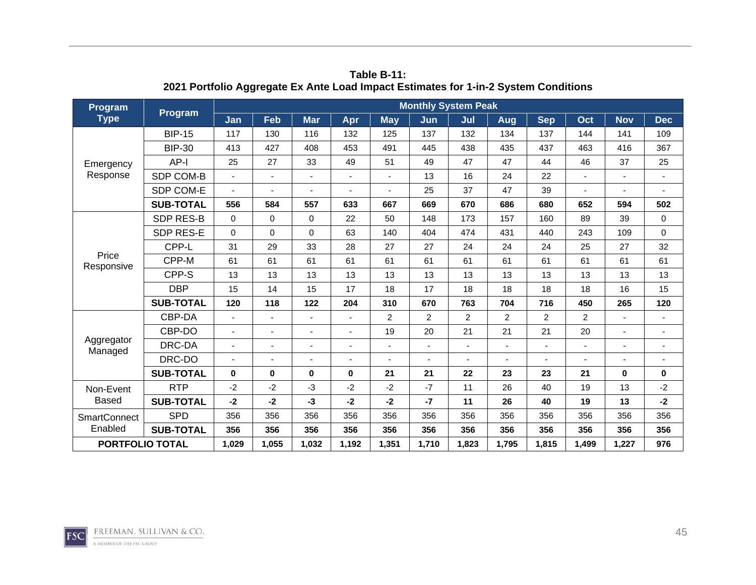| Program<br><b>Type</b><br>Emergency<br>Response<br>Price<br>Responsive<br>Aggregator<br>Managed<br>Non-Event |                  |                |                          |            |       |                | <b>Monthly System Peak</b> |                |                |            |                                                                                                                             |                                                                                                                |                          |
|--------------------------------------------------------------------------------------------------------------|------------------|----------------|--------------------------|------------|-------|----------------|----------------------------|----------------|----------------|------------|-----------------------------------------------------------------------------------------------------------------------------|----------------------------------------------------------------------------------------------------------------|--------------------------|
|                                                                                                              | <b>Program</b>   | Jan            | Feb                      | <b>Mar</b> | Apr   | <b>May</b>     | Jun                        | Jul            | Aug            | <b>Sep</b> | Oct                                                                                                                         | <b>Nov</b>                                                                                                     | <b>Dec</b>               |
|                                                                                                              | <b>BIP-15</b>    | 117            | 130                      | 116        | 132   | 125            | 137                        | 132            | 134            | 137        | 144                                                                                                                         | 141                                                                                                            | 109                      |
|                                                                                                              | <b>BIP-30</b>    | 413            | 427                      | 408        | 453   | 491            | 445                        | 438            | 435            | 437        | 463                                                                                                                         | 416<br>37<br>594<br>39<br>109<br>27<br>61<br>13<br>16<br>265<br>$\mathbf 0$<br>13<br>13<br>356<br>356<br>1,227 | 367                      |
|                                                                                                              | AP-I             | 25             | 27                       | 33         | 49    | 51             | 49                         | 47             | 47             | 44         | 46                                                                                                                          |                                                                                                                | 25                       |
|                                                                                                              | SDP COM-B        | $\blacksquare$ | $\blacksquare$           | ÷,         |       | $\blacksquare$ | 13                         | 16             | 24             | 22         |                                                                                                                             |                                                                                                                | $\sim$                   |
|                                                                                                              | SDP COM-E        |                | ۰                        |            |       |                | 25                         | 37             | 47             | 39         |                                                                                                                             |                                                                                                                |                          |
|                                                                                                              | <b>SUB-TOTAL</b> | 556            | 584                      | 557        | 633   | 667            | 669                        | 670            | 686            | 680        | 652                                                                                                                         |                                                                                                                | 502                      |
|                                                                                                              | <b>SDP RES-B</b> | $\Omega$       | 0                        | $\Omega$   | 22    | 50             | 148                        | 173            | 157            | 160        | 89                                                                                                                          |                                                                                                                | $\mathbf 0$              |
|                                                                                                              | SDP RES-E        | $\Omega$       | $\mathbf 0$              | $\Omega$   | 63    | 140            | 404                        | 474            | 431            | 440        | 243                                                                                                                         |                                                                                                                | 0                        |
|                                                                                                              | CPP-L            | 31             | 29                       | 33         | 28    | 27             | 27                         | 24             | 24             | 24         | 25                                                                                                                          |                                                                                                                | 32                       |
| <b>Based</b><br><b>SmartConnect</b>                                                                          | CPP-M            | 61             | 61                       | 61         | 61    | 61             | 61                         | 61             | 61             | 61         | 61                                                                                                                          |                                                                                                                | 61                       |
|                                                                                                              | CPP-S            | 13             | 13                       | 13         | 13    | 13             | 13                         | 13             | 13             | 13         | 13                                                                                                                          |                                                                                                                | 13                       |
|                                                                                                              | <b>DBP</b>       | 15             | 14                       | 15         | 17    | 18             | 17                         | 18             | 18             | 18         | 18<br>450<br>$\overline{2}$<br>$\overline{c}$<br>21<br>20<br>23<br>21<br>19<br>40<br>40<br>19<br>356<br>356<br>356<br>1,499 | 15                                                                                                             |                          |
|                                                                                                              | <b>SUB-TOTAL</b> | 120            | 118                      | 122        | 204   | 310            | 670                        | 763            | 704            | 716        |                                                                                                                             |                                                                                                                | 120                      |
|                                                                                                              | CBP-DA           | $\blacksquare$ | $\overline{\phantom{0}}$ |            |       | $\overline{2}$ | $\overline{2}$             | $\overline{2}$ | $\overline{2}$ |            |                                                                                                                             |                                                                                                                |                          |
|                                                                                                              | CBP-DO           |                | ÷                        |            |       | 19             | 20                         | 21             | 21             |            |                                                                                                                             |                                                                                                                |                          |
|                                                                                                              | DRC-DA           |                | $\overline{\phantom{0}}$ |            |       |                |                            | ٠              | ٠              |            |                                                                                                                             |                                                                                                                | $\overline{\phantom{a}}$ |
|                                                                                                              | DRC-DO           |                | ÷                        |            |       |                |                            |                |                |            |                                                                                                                             |                                                                                                                |                          |
|                                                                                                              | <b>SUB-TOTAL</b> | $\bf{0}$       | $\bf{0}$                 | $\bf{0}$   | 0     | 21             | 21                         | 22             | 23             |            |                                                                                                                             |                                                                                                                | $\mathbf 0$              |
|                                                                                                              | <b>RTP</b>       | $-2$           | $-2$                     | $-3$       | $-2$  | $-2$           | $-7$                       | 11             | 26             |            |                                                                                                                             |                                                                                                                | $-2$                     |
|                                                                                                              | <b>SUB-TOTAL</b> | $-2$           | -2                       | $-3$       | -2    | $-2$           | $-7$                       | 11             | 26             |            |                                                                                                                             |                                                                                                                | $-2$                     |
|                                                                                                              | <b>SPD</b>       | 356            | 356                      | 356        | 356   | 356            | 356                        | 356            | 356            |            |                                                                                                                             |                                                                                                                | 356                      |
| Enabled                                                                                                      | <b>SUB-TOTAL</b> | 356            | 356                      | 356        | 356   | 356            | 356                        | 356            | 356            | 356        |                                                                                                                             |                                                                                                                | 356                      |
| <b>PORTFOLIO TOTAL</b>                                                                                       |                  | 1,029          | 1,055                    | 1,032      | 1,192 | 1,351          | 1,710                      | 1,823          | 1,795          | 1,815      |                                                                                                                             |                                                                                                                | 976                      |

**Table B-11: 2021 Portfolio Aggregate Ex Ante Load Impact Estimates for 1-in-2 System Conditions** 

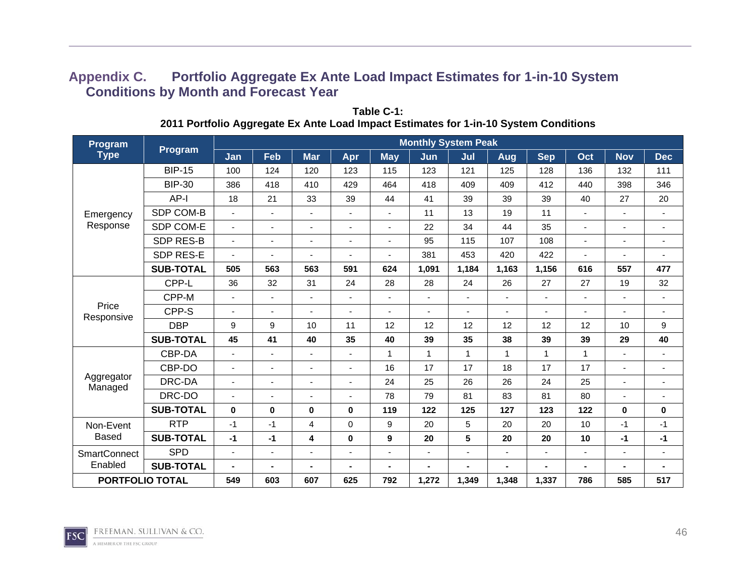## **Appendix C. Portfolio Aggregate Ex Ante Load Impact Estimates for 1-in-10 System Conditions by Month and Forecast Year**

| Program                |                  |                          |                          |                |                          |                | <b>Monthly System Peak</b> |                          |                          |                          |                |                |                          |
|------------------------|------------------|--------------------------|--------------------------|----------------|--------------------------|----------------|----------------------------|--------------------------|--------------------------|--------------------------|----------------|----------------|--------------------------|
| <b>Type</b>            | <b>Program</b>   | Jan                      | Feb                      | <b>Mar</b>     | Apr                      | <b>May</b>     | Jun                        | Jul                      | <b>Aug</b>               | <b>Sep</b>               | Oct            | <b>Nov</b>     | <b>Dec</b>               |
|                        | <b>BIP-15</b>    | 100                      | 124                      | 120            | 123                      | 115            | 123                        | 121                      | 125                      | 128                      | 136            | 132            | 111                      |
|                        | <b>BIP-30</b>    | 386                      | 418                      | 410            | 429                      | 464            | 418                        | 409                      | 409                      | 412                      | 440            | 398            | 346                      |
|                        | AP-I             | 18                       | 21                       | 33             | 39                       | 44             | 41                         | 39                       | 39                       | 39                       | 40             | 27             | 20                       |
| Emergency              | SDP COM-B        | $\overline{a}$           | $\blacksquare$           | $\sim$         | $\blacksquare$           | $\blacksquare$ | 11                         | 13                       | 19                       | 11                       | $\blacksquare$ | $\blacksquare$ | $\blacksquare$           |
| Response               | SDP COM-E        | ٠                        | $\blacksquare$           | $\blacksquare$ | $\blacksquare$           | ٠              | 22                         | 34                       | 44                       | 35                       | $\blacksquare$ | ٠              | ۰                        |
|                        | <b>SDP RES-B</b> | ٠                        | $\overline{\phantom{a}}$ | $\blacksquare$ | ٠                        | ٠              | 95                         | 115                      | 107                      | 108                      | ٠              |                | $\overline{\phantom{0}}$ |
|                        | SDP RES-E        |                          | $\blacksquare$           |                | $\overline{\phantom{a}}$ | $\blacksquare$ | 381                        | 453                      | 420                      | 422                      | $\overline{a}$ | $\blacksquare$ | ٠                        |
|                        | <b>SUB-TOTAL</b> | 505                      | 563                      | 563            | 591                      | 624            | 1,091                      | 1,184                    | 1,163                    | 1,156                    | 616            | 557            | 477                      |
|                        | CPP-L            | 36                       | 32                       | 31             | 24                       | 28             | 28                         | 24                       | 26                       | 27                       | 27             | 19             | 32                       |
|                        | CPP-M            | $\overline{a}$           | $\blacksquare$           | $\sim$         | $\overline{\phantom{a}}$ | $\blacksquare$ | $\blacksquare$             | ٠                        | $\overline{\phantom{a}}$ | $\overline{\phantom{a}}$ | $\overline{a}$ | $\blacksquare$ | $\blacksquare$           |
| Price<br>Responsive    | CPP-S            | ٠                        | $\overline{\phantom{a}}$ | $\blacksquare$ | $\overline{\phantom{a}}$ | ٠              | $\overline{\phantom{0}}$   | $\overline{\phantom{0}}$ | $\blacksquare$           | $\overline{\phantom{a}}$ | ٠              | $\blacksquare$ | $\overline{\phantom{a}}$ |
|                        | <b>DBP</b>       | 9                        | 9                        | 10             | 11                       | 12             | 12                         | 12                       | 12                       | 12                       | 12             | 10             | 9                        |
|                        | <b>SUB-TOTAL</b> | 45                       | 41                       | 40             | 35                       | 40             | 39                         | 35                       | 38                       | 39                       | 39             | 29             | 40                       |
|                        | CBP-DA           | $\blacksquare$           | $\blacksquare$           | $\sim$         | $\overline{\phantom{a}}$ | $\mathbf{1}$   | $\mathbf{1}$               | $\mathbf{1}$             | $\mathbf{1}$             | 1                        | 1              |                | ٠                        |
|                        | CBP-DO           |                          | $\overline{\phantom{a}}$ | $\blacksquare$ | $\overline{\phantom{a}}$ | 16             | 17                         | 17                       | 18                       | 17                       | 17             | $\blacksquare$ | ٠                        |
| Aggregator<br>Managed  | DRC-DA           | ٠                        | $\blacksquare$           | $\blacksquare$ | ٠                        | 24             | 25                         | 26                       | 26                       | 24                       | 25             | ٠              | $\blacksquare$           |
|                        | DRC-DO           | $\overline{\phantom{0}}$ | $\blacksquare$           | $\blacksquare$ | $\overline{\phantom{a}}$ | 78             | 79                         | 81                       | 83                       | 81                       | 80             |                | ۰                        |
|                        | <b>SUB-TOTAL</b> | $\mathbf 0$              | $\mathbf 0$              | 0              | 0                        | 119            | 122                        | 125                      | 127                      | 123                      | 122            | 0              | 0                        |
| Non-Event              | <b>RTP</b>       | -1                       | $-1$                     | 4              | 0                        | 9              | 20                         | 5                        | 20                       | 20                       | 10             | $-1$           | $-1$                     |
| <b>Based</b>           | <b>SUB-TOTAL</b> | $-1$                     | $-1$                     | 4              | 0                        | 9              | 20                         | ${\bf 5}$                | 20                       | 20                       | 10             | $-1$           | $-1$                     |
| <b>SmartConnect</b>    | <b>SPD</b>       | $\blacksquare$           | $\blacksquare$           | $\blacksquare$ | $\blacksquare$           | ٠              | $\blacksquare$             | ۰                        | $\blacksquare$           | $\blacksquare$           | ۰.             | $\blacksquare$ | $\blacksquare$           |
| Enabled                | <b>SUB-TOTAL</b> | $\blacksquare$           | $\blacksquare$           | $\blacksquare$ | $\blacksquare$           | ٠.             |                            | $\blacksquare$           | $\blacksquare$           | $\blacksquare$           | $\blacksquare$ | $\blacksquare$ | Ξ.                       |
| <b>PORTFOLIO TOTAL</b> |                  | 549                      | 603                      | 607            | 625                      | 792            | 1,272                      | 1,349                    | 1,348                    | 1,337                    | 786            | 585            | 517                      |

**Table C-1: 2011 Portfolio Aggregate Ex Ante Load Impact Estimates for 1-in-10 System Conditions** 

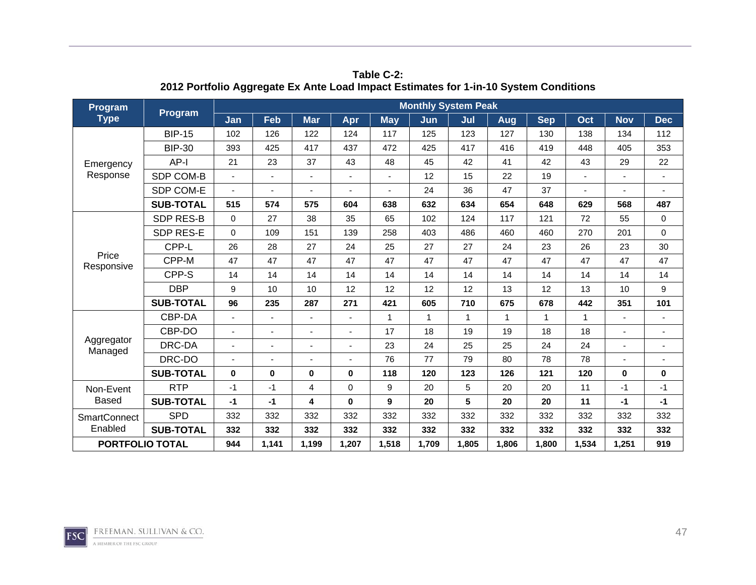| Program                |                  |                          |                          |                |       |                | <b>Monthly System Peak</b> |              |              |            |                |             |                          |
|------------------------|------------------|--------------------------|--------------------------|----------------|-------|----------------|----------------------------|--------------|--------------|------------|----------------|-------------|--------------------------|
| <b>Type</b>            | <b>Program</b>   | Jan                      | Feb                      | <b>Mar</b>     | Apr   | <b>May</b>     | Jun                        | Jul          | Aug          | <b>Sep</b> | Oct            | <b>Nov</b>  | <b>Dec</b>               |
|                        | <b>BIP-15</b>    | 102                      | 126                      | 122            | 124   | 117            | 125                        | 123          | 127          | 130        | 138            | 134         | 112                      |
|                        | <b>BIP-30</b>    | 393                      | 425                      | 417            | 437   | 472            | 425                        | 417          | 416          | 419        | 448            | 405         | 353                      |
| Emergency              | AP-I             | 21                       | 23                       | 37             | 43    | 48             | 45                         | 42           | 41           | 42         | 43             | 29          | 22                       |
| Response               | SDP COM-B        | $\overline{\phantom{a}}$ | $\blacksquare$           | $\overline{a}$ |       | $\blacksquare$ | 12                         | 15           | 22           | 19         | $\overline{a}$ |             | $\blacksquare$           |
|                        | SDP COM-E        |                          | ٠                        |                |       |                | 24                         | 36           | 47           | 37         |                |             |                          |
|                        | <b>SUB-TOTAL</b> | 515                      | 574                      | 575            | 604   | 638            | 632                        | 634          | 654          | 648        | 629            | 568         | 487                      |
|                        | <b>SDP RES-B</b> | $\Omega$                 | 27                       | 38             | 35    | 65             | 102                        | 124          | 117          | 121        | 72             | 55          | $\mathbf 0$              |
|                        | SDP RES-E        | $\Omega$                 | 109                      | 151            | 139   | 258            | 403                        | 486          | 460          | 460        | 270            | 201         | 0                        |
|                        | CPP-L            | 26                       | 28                       | 27             | 24    | 25             | 27                         | 27           | 24           | 23         | 26             | 23          | 30                       |
| Price<br>Responsive    | CPP-M            | 47                       | 47                       | 47             | 47    | 47             | 47                         | 47           | 47           | 47         | 47             | 47          | 47                       |
|                        | CPP-S            | 14                       | 14                       | 14             | 14    | 14             | 14                         | 14           | 14           | 14         | 14             | 14          | 14                       |
|                        | <b>DBP</b>       | 9                        | 10                       | 10             | 12    | 12             | 12                         | 12           | 13           | 12         | 13             | 10          | 9                        |
|                        | <b>SUB-TOTAL</b> | 96                       | 235                      | 287            | 271   | 421            | 605                        | 710          | 675          | 678        | 442            | 351         | 101                      |
|                        | CBP-DA           | $\blacksquare$           | $\overline{\phantom{0}}$ |                |       | $\mathbf 1$    | $\mathbf{1}$               | $\mathbf{1}$ | $\mathbf{1}$ | 1          | $\mathbf{1}$   |             | $\blacksquare$           |
|                        | CBP-DO           |                          | L,                       |                |       | 17             | 18                         | 19           | 19           | 18         | 18             |             |                          |
| Aggregator<br>Managed  | DRC-DA           |                          | $\overline{\phantom{0}}$ |                |       | 23             | 24                         | 25           | 25           | 24         | 24             |             | $\overline{\phantom{a}}$ |
|                        | DRC-DO           |                          | ÷                        |                |       | 76             | 77                         | 79           | 80           | 78         | 78             |             |                          |
|                        | <b>SUB-TOTAL</b> | $\bf{0}$                 | $\bf{0}$                 | $\bf{0}$       | 0     | 118            | 120                        | 123          | 126          | 121        | 120            | $\mathbf 0$ | $\mathbf 0$              |
| Non-Event              | <b>RTP</b>       | $-1$                     | -1                       | $\overline{4}$ | 0     | 9              | 20                         | 5            | 20           | 20         | 11             | $-1$        | $-1$                     |
| <b>Based</b>           | <b>SUB-TOTAL</b> | $-1$                     | $-1$                     | 4              | 0     | 9              | 20                         | 5            | 20           | 20         | 11             | $-1$        | $-1$                     |
| <b>SmartConnect</b>    | <b>SPD</b>       | 332                      | 332                      | 332            | 332   | 332            | 332                        | 332          | 332          | 332        | 332            | 332         | 332                      |
| Enabled                | <b>SUB-TOTAL</b> | 332                      | 332                      | 332            | 332   | 332            | 332                        | 332          | 332          | 332        | 332            | 332         | 332                      |
| <b>PORTFOLIO TOTAL</b> |                  | 944                      | 1,141                    | 1,199          | 1,207 | 1,518          | 1,709                      | 1,805        | 1,806        | 1,800      | 1,534          | 1,251       | 919                      |

**Table C-2: 2012 Portfolio Aggregate Ex Ante Load Impact Estimates for 1-in-10 System Conditions** 

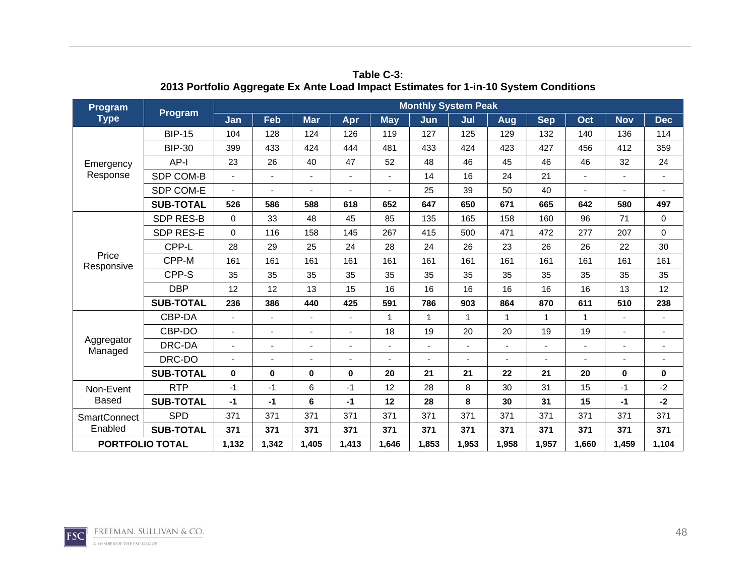| Program                |                  |                          |                          |                          |       |                | <b>Monthly System Peak</b> |                |              |            |              |             |                          |
|------------------------|------------------|--------------------------|--------------------------|--------------------------|-------|----------------|----------------------------|----------------|--------------|------------|--------------|-------------|--------------------------|
| <b>Type</b>            | <b>Program</b>   | Jan                      | Feb                      | <b>Mar</b>               | Apr   | <b>May</b>     | Jun                        | Jul            | Aug          | <b>Sep</b> | Oct          | <b>Nov</b>  | <b>Dec</b>               |
|                        | <b>BIP-15</b>    | 104                      | 128                      | 124                      | 126   | 119            | 127                        | 125            | 129          | 132        | 140          | 136         | 114                      |
|                        | <b>BIP-30</b>    | 399                      | 433                      | 424                      | 444   | 481            | 433                        | 424            | 423          | 427        | 456          | 412         | 359                      |
| Emergency              | AP-I             | 23                       | 26                       | 40                       | 47    | 52             | 48                         | 46             | 45           | 46         | 46           | 32          | 24                       |
| Response               | SDP COM-B        | $\overline{\phantom{a}}$ | $\blacksquare$           | $\overline{\phantom{a}}$ |       | $\blacksquare$ | 14                         | 16             | 24           | 21         |              |             | $\blacksquare$           |
|                        | SDP COM-E        |                          | ٠                        |                          |       |                | 25                         | 39             | 50           | 40         |              |             |                          |
|                        | <b>SUB-TOTAL</b> | 526                      | 586                      | 588                      | 618   | 652            | 647                        | 650            | 671          | 665        | 642          | 580         | 497                      |
|                        | <b>SDP RES-B</b> | $\Omega$                 | 33                       | 48                       | 45    | 85             | 135                        | 165            | 158          | 160        | 96           | 71          | $\mathbf 0$              |
|                        | SDP RES-E        | $\Omega$                 | 116                      | 158                      | 145   | 267            | 415                        | 500            | 471          | 472        | 277          | 207         | 0                        |
|                        | CPP-L            | 28                       | 29                       | 25                       | 24    | 28             | 24                         | 26             | 23           | 26         | 26           | 22          | 30                       |
| Price<br>Responsive    | CPP-M            | 161                      | 161                      | 161                      | 161   | 161            | 161                        | 161            | 161          | 161        | 161          | 161         | 161                      |
|                        | CPP-S            | 35                       | 35                       | 35                       | 35    | 35             | 35                         | 35             | 35           | 35         | 35           | 35          | 35                       |
|                        | <b>DBP</b>       | 12                       | 12                       | 13                       | 15    | 16             | 16                         | 16             | 16           | 16         | 16           | 13          | 12                       |
|                        | <b>SUB-TOTAL</b> | 236                      | 386                      | 440                      | 425   | 591            | 786                        | 903            | 864          | 870        | 611          | 510         | 238                      |
|                        | CBP-DA           | $\blacksquare$           | $\overline{\phantom{0}}$ |                          |       | 1              | $\mathbf{1}$               | $\mathbf{1}$   | $\mathbf{1}$ | 1          | $\mathbf{1}$ |             |                          |
|                        | CBP-DO           |                          | L,                       |                          |       | 18             | 19                         | 20             | 20           | 19         | 19           |             |                          |
| Aggregator<br>Managed  | DRC-DA           |                          | $\overline{\phantom{0}}$ |                          |       |                |                            | $\blacksquare$ | ٠            |            |              |             | $\overline{\phantom{a}}$ |
|                        | DRC-DO           |                          | ÷                        |                          |       |                |                            |                |              |            |              |             |                          |
|                        | <b>SUB-TOTAL</b> | $\bf{0}$                 | $\bf{0}$                 | $\bf{0}$                 | 0     | 20             | 21                         | 21             | 22           | 21         | 20           | $\mathbf 0$ | $\mathbf 0$              |
| Non-Event              | <b>RTP</b>       | $-1$                     | -1                       | 6                        | -1    | 12             | 28                         | 8              | 30           | 31         | 15           | $-1$        | $-2$                     |
| <b>Based</b>           | <b>SUB-TOTAL</b> | $-1$                     | $-1$                     | 6                        | $-1$  | 12             | 28                         | 8              | 30           | 31         | 15           | $-1$        | $-2$                     |
| <b>SmartConnect</b>    | <b>SPD</b>       | 371                      | 371                      | 371                      | 371   | 371            | 371                        | 371            | 371          | 371        | 371          | 371         | 371                      |
| Enabled                | <b>SUB-TOTAL</b> | 371                      | 371                      | 371                      | 371   | 371            | 371                        | 371            | 371          | 371        | 371          | 371         | 371                      |
| <b>PORTFOLIO TOTAL</b> |                  | 1,132                    | 1,342                    | 1,405                    | 1,413 | 1,646          | 1,853                      | 1,953          | 1,958        | 1,957      | 1,660        | 1,459       | 1,104                    |

**Table C-3: 2013 Portfolio Aggregate Ex Ante Load Impact Estimates for 1-in-10 System Conditions** 

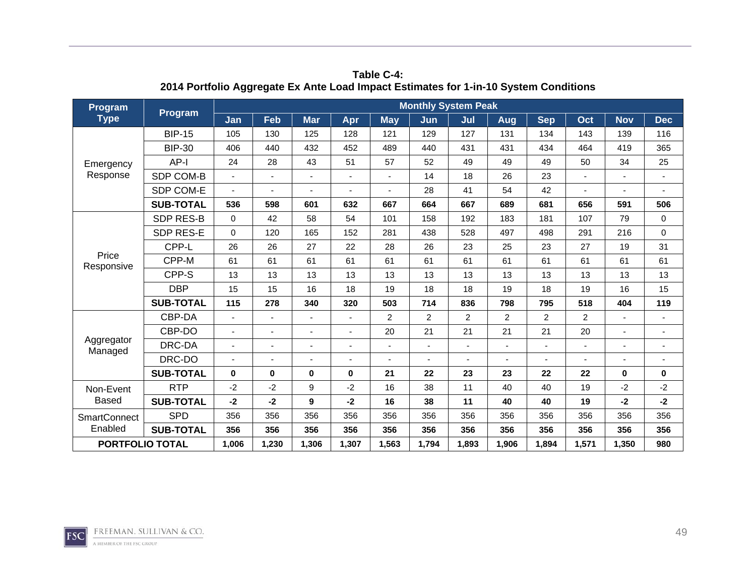| Program                |                  |                          |                          |                          |       |                | <b>Monthly System Peak</b> |                |                |                |                |             |                          |
|------------------------|------------------|--------------------------|--------------------------|--------------------------|-------|----------------|----------------------------|----------------|----------------|----------------|----------------|-------------|--------------------------|
| <b>Type</b>            | <b>Program</b>   | Jan                      | Feb                      | <b>Mar</b>               | Apr   | <b>May</b>     | Jun                        | Jul            | Aug            | <b>Sep</b>     | Oct            | <b>Nov</b>  | <b>Dec</b>               |
|                        | <b>BIP-15</b>    | 105                      | 130                      | 125                      | 128   | 121            | 129                        | 127            | 131            | 134            | 143            | 139         | 116                      |
|                        | <b>BIP-30</b>    | 406                      | 440                      | 432                      | 452   | 489            | 440                        | 431            | 431            | 434            | 464            | 419         | 365                      |
| Emergency              | AP-I             | 24                       | 28                       | 43                       | 51    | 57             | 52                         | 49             | 49             | 49             | 50             | 34          | 25                       |
| Response               | SDP COM-B        | $\overline{\phantom{a}}$ | $\blacksquare$           | $\overline{\phantom{a}}$ |       | $\blacksquare$ | 14                         | 18             | 26             | 23             | $\blacksquare$ |             | $\blacksquare$           |
|                        | SDP COM-E        |                          | ٠                        |                          |       |                | 28                         | 41             | 54             | 42             |                |             |                          |
|                        | <b>SUB-TOTAL</b> | 536                      | 598                      | 601                      | 632   | 667            | 664                        | 667            | 689            | 681            | 656            | 591         | 506                      |
|                        | <b>SDP RES-B</b> | $\Omega$                 | 42                       | 58                       | 54    | 101            | 158                        | 192            | 183            | 181            | 107            | 79          | $\mathbf 0$              |
|                        | SDP RES-E        | $\Omega$                 | 120                      | 165                      | 152   | 281            | 438                        | 528            | 497            | 498            | 291            | 216         | 0                        |
|                        | CPP-L            | 26                       | 26                       | 27                       | 22    | 28             | 26                         | 23             | 25             | 23             | 27             | 19          | 31                       |
| Price<br>Responsive    | CPP-M            | 61                       | 61                       | 61                       | 61    | 61             | 61                         | 61             | 61             | 61             | 61             | 61          | 61                       |
|                        | CPP-S            | 13                       | 13                       | 13                       | 13    | 13             | 13                         | 13             | 13             | 13             | 13             | 13          | 13                       |
|                        | <b>DBP</b>       | 15                       | 15                       | 16                       | 18    | 19             | 18                         | 18             | 19             | 18             | 19             | 16          | 15                       |
|                        | <b>SUB-TOTAL</b> | 115                      | 278                      | 340                      | 320   | 503            | 714                        | 836            | 798            | 795            | 518            | 404         | 119                      |
|                        | CBP-DA           | ä,                       | $\overline{\phantom{0}}$ |                          |       | $\overline{2}$ | $\overline{2}$             | $\overline{2}$ | $\overline{2}$ | $\overline{c}$ | $\overline{2}$ |             |                          |
|                        | CBP-DO           |                          | L,                       |                          |       | 20             | 21                         | 21             | 21             | 21             | 20             |             |                          |
| Aggregator<br>Managed  | DRC-DA           |                          | $\overline{\phantom{a}}$ |                          |       |                |                            | ٠              | ٠              |                |                |             | $\overline{\phantom{a}}$ |
|                        | DRC-DO           |                          | ÷                        |                          |       |                |                            |                |                |                |                |             |                          |
|                        | <b>SUB-TOTAL</b> | $\bf{0}$                 | $\bf{0}$                 | $\bf{0}$                 | 0     | 21             | 22                         | 23             | 23             | 22             | 22             | $\mathbf 0$ | $\mathbf 0$              |
| Non-Event              | <b>RTP</b>       | $-2$                     | $-2$                     | 9                        | $-2$  | 16             | 38                         | 11             | 40             | 40             | 19             | $-2$        | $-2$                     |
| <b>Based</b>           | <b>SUB-TOTAL</b> | $-2$                     | -2                       | 9                        | -2    | 16             | 38                         | 11             | 40             | 40             | 19             | $-2$        | $-2$                     |
| <b>SmartConnect</b>    | <b>SPD</b>       | 356                      | 356                      | 356                      | 356   | 356            | 356                        | 356            | 356            | 356            | 356            | 356         | 356                      |
| Enabled                | <b>SUB-TOTAL</b> | 356                      | 356                      | 356                      | 356   | 356            | 356                        | 356            | 356            | 356            | 356            | 356         | 356                      |
| <b>PORTFOLIO TOTAL</b> |                  | 1,006                    | 1,230                    | 1,306                    | 1,307 | 1,563          | 1,794                      | 1,893          | 1,906          | 1,894          | 1,571          | 1,350       | 980                      |

**Table C-4: 2014 Portfolio Aggregate Ex Ante Load Impact Estimates for 1-in-10 System Conditions** 

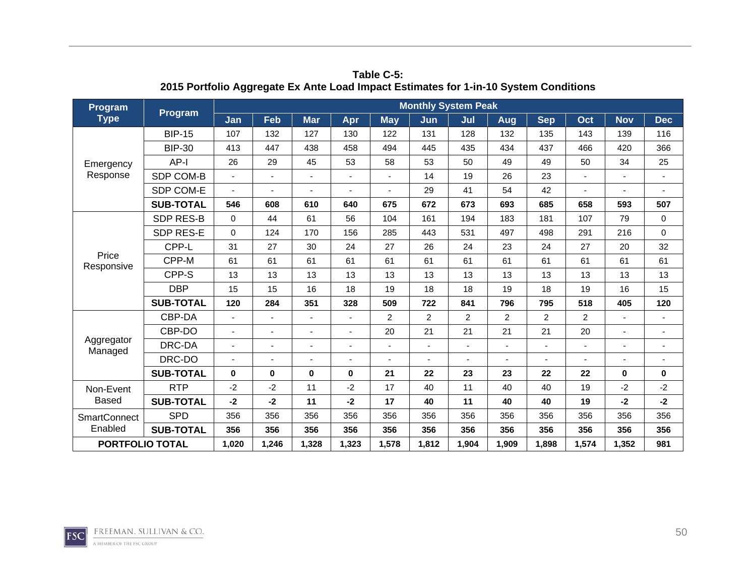| Program                |                  |                          |                          |                          |       |                | <b>Monthly System Peak</b> |                |                |                |                |             |                          |
|------------------------|------------------|--------------------------|--------------------------|--------------------------|-------|----------------|----------------------------|----------------|----------------|----------------|----------------|-------------|--------------------------|
| <b>Type</b>            | <b>Program</b>   | Jan                      | Feb                      | <b>Mar</b>               | Apr   | <b>May</b>     | Jun                        | Jul            | Aug            | <b>Sep</b>     | Oct            | <b>Nov</b>  | <b>Dec</b>               |
|                        | <b>BIP-15</b>    | 107                      | 132                      | 127                      | 130   | 122            | 131                        | 128            | 132            | 135            | 143            | 139         | 116                      |
|                        | <b>BIP-30</b>    | 413                      | 447                      | 438                      | 458   | 494            | 445                        | 435            | 434            | 437            | 466            | 420         | 366                      |
| Emergency              | AP-I             | 26                       | 29                       | 45                       | 53    | 58             | 53                         | 50             | 49             | 49             | 50             | 34          | 25                       |
| Response               | SDP COM-B        | $\overline{\phantom{a}}$ | $\blacksquare$           | $\overline{\phantom{a}}$ |       | $\blacksquare$ | 14                         | 19             | 26             | 23             | $\blacksquare$ |             | $\blacksquare$           |
|                        | SDP COM-E        |                          | ٠                        |                          |       |                | 29                         | 41             | 54             | 42             |                |             |                          |
|                        | <b>SUB-TOTAL</b> | 546                      | 608                      | 610                      | 640   | 675            | 672                        | 673            | 693            | 685            | 658            | 593         | 507                      |
|                        | <b>SDP RES-B</b> | $\Omega$                 | 44                       | 61                       | 56    | 104            | 161                        | 194            | 183            | 181            | 107            | 79          | $\mathbf 0$              |
|                        | SDP RES-E        | $\Omega$                 | 124                      | 170                      | 156   | 285            | 443                        | 531            | 497            | 498            | 291            | 216         | 0                        |
|                        | CPP-L            | 31                       | 27                       | 30                       | 24    | 27             | 26                         | 24             | 23             | 24             | 27             | 20          | 32                       |
| Price<br>Responsive    | CPP-M            | 61                       | 61                       | 61                       | 61    | 61             | 61                         | 61             | 61             | 61             | 61             | 61          | 61                       |
|                        | CPP-S            | 13                       | 13                       | 13                       | 13    | 13             | 13                         | 13             | 13             | 13             | 13             | 13          | 13                       |
|                        | <b>DBP</b>       | 15                       | 15                       | 16                       | 18    | 19             | 18                         | 18             | 19             | 18             | 19             | 16          | 15                       |
|                        | <b>SUB-TOTAL</b> | 120                      | 284                      | 351                      | 328   | 509            | 722                        | 841            | 796            | 795            | 518            | 405         | 120                      |
|                        | CBP-DA           | $\blacksquare$           | $\overline{\phantom{0}}$ |                          |       | $\overline{2}$ | $\overline{2}$             | $\overline{2}$ | $\overline{2}$ | $\overline{c}$ | $\overline{2}$ |             |                          |
|                        | CBP-DO           |                          | L,                       |                          |       | 20             | 21                         | 21             | 21             | 21             | 20             |             |                          |
| Aggregator<br>Managed  | DRC-DA           |                          | $\overline{\phantom{a}}$ |                          |       |                |                            | ٠              | ٠              |                |                |             | $\overline{\phantom{a}}$ |
|                        | DRC-DO           |                          | ÷                        |                          |       |                |                            |                |                |                |                |             |                          |
|                        | <b>SUB-TOTAL</b> | $\bf{0}$                 | $\bf{0}$                 | $\bf{0}$                 | 0     | 21             | 22                         | 23             | 23             | 22             | 22             | $\mathbf 0$ | $\mathbf 0$              |
| Non-Event              | <b>RTP</b>       | $-2$                     | $-2$                     | 11                       | $-2$  | 17             | 40                         | 11             | 40             | 40             | 19             | $-2$        | $-2$                     |
| <b>Based</b>           | <b>SUB-TOTAL</b> | $-2$                     | -2                       | 11                       | -2    | 17             | 40                         | 11             | 40             | 40             | 19             | $-2$        | $-2$                     |
| <b>SmartConnect</b>    | <b>SPD</b>       | 356                      | 356                      | 356                      | 356   | 356            | 356                        | 356            | 356            | 356            | 356            | 356         | 356                      |
| Enabled                | <b>SUB-TOTAL</b> | 356                      | 356                      | 356                      | 356   | 356            | 356                        | 356            | 356            | 356            | 356            | 356         | 356                      |
| <b>PORTFOLIO TOTAL</b> |                  | 1,020                    | 1,246                    | 1,328                    | 1,323 | 1,578          | 1,812                      | 1,904          | 1,909          | 1,898          | 1,574          | 1,352       | 981                      |

**Table C-5: 2015 Portfolio Aggregate Ex Ante Load Impact Estimates for 1-in-10 System Conditions** 

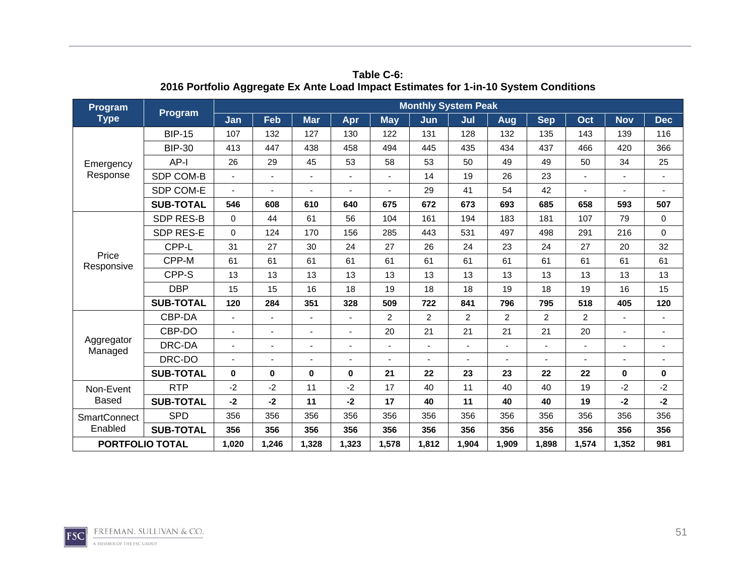| Program                |                  |          |                |                |       |                | <b>Monthly System Peak</b> |                          |                |                |       |            |                          |
|------------------------|------------------|----------|----------------|----------------|-------|----------------|----------------------------|--------------------------|----------------|----------------|-------|------------|--------------------------|
| <b>Type</b>            | <b>Program</b>   | Jan      | Feb            | <b>Mar</b>     | Apr   | <b>May</b>     | Jun                        | Jul                      | Aug            | <b>Sep</b>     | Oct   | <b>Nov</b> | <b>Dec</b>               |
|                        | <b>BIP-15</b>    | 107      | 132            | 127            | 130   | 122            | 131                        | 128                      | 132            | 135            | 143   | 139        | 116                      |
|                        | <b>BIP-30</b>    | 413      | 447            | 438            | 458   | 494            | 445                        | 435                      | 434            | 437            | 466   | 420        | 366                      |
| Emergency              | $AP-I$           | 26       | 29             | 45             | 53    | 58             | 53                         | 50                       | 49             | 49             | 50    | 34         | 25                       |
| Response               | SDP COM-B        |          | ä,             |                |       |                | 14                         | 19                       | 26             | 23             |       |            | $\blacksquare$           |
|                        | SDP COM-E        |          | ٠              |                |       |                | 29                         | 41                       | 54             | 42             |       |            |                          |
|                        | <b>SUB-TOTAL</b> | 546      | 608            | 610            | 640   | 675            | 672                        | 673                      | 693            | 685            | 658   | 593        | 507                      |
|                        | <b>SDP RES-B</b> | $\Omega$ | 44             | 61             | 56    | 104            | 161                        | 194                      | 183            | 181            | 107   | 79         | 0                        |
|                        | SDP RES-E        | $\Omega$ | 124            | 170            | 156   | 285            | 443                        | 531                      | 497            | 498            | 291   | 216        | $\mathbf 0$              |
|                        | CPP-L            | 31       | 27             | 30             | 24    | 27             | 26                         | 24                       | 23             | 24             | 27    | 20         | 32                       |
| Price<br>Responsive    | CPP-M            | 61       | 61             | 61             | 61    | 61             | 61                         | 61                       | 61             | 61             | 61    | 61         | 61                       |
|                        | CPP-S            | 13       | 13             | 13             | 13    | 13             | 13                         | 13                       | 13             | 13             | 13    | 13         | 13                       |
|                        | <b>DBP</b>       | 15       | 15             | 16             | 18    | 19             | 18                         | 18                       | 19             | 18             | 19    | 16         | 15                       |
|                        | <b>SUB-TOTAL</b> | 120      | 284            | 351            | 328   | 509            | 722                        | 841                      | 796            | 795            | 518   | 405        | 120                      |
|                        | CBP-DA           | ä,       | ÷              | $\blacksquare$ |       | $\overline{2}$ | $\overline{2}$             | $\overline{2}$           | $\overline{2}$ | $\overline{2}$ | 2     |            |                          |
|                        | CBP-DO           |          | $\blacksquare$ |                |       | 20             | 21                         | 21                       | 21             | 21             | 20    |            | $\overline{\phantom{a}}$ |
| Aggregator<br>Managed  | DRC-DA           |          | ÷              |                |       |                |                            | $\overline{\phantom{a}}$ | $\blacksquare$ |                |       |            |                          |
|                        | DRC-DO           |          | ٠              | ۰              |       |                |                            |                          |                |                |       |            |                          |
|                        | <b>SUB-TOTAL</b> | $\bf{0}$ | 0              | $\bf{0}$       | 0     | 21             | 22                         | 23                       | 23             | 22             | 22    | $\bf{0}$   | 0                        |
| Non-Event              | <b>RTP</b>       | $-2$     | $-2$           | 11             | $-2$  | 17             | 40                         | 11                       | 40             | 40             | 19    | $-2$       | $-2$                     |
| <b>Based</b>           | <b>SUB-TOTAL</b> | $-2$     | -2             | 11             | -2    | 17             | 40                         | 11                       | 40             | 40             | 19    | $-2$       | $-2$                     |
| <b>SmartConnect</b>    | <b>SPD</b>       | 356      | 356            | 356            | 356   | 356            | 356                        | 356                      | 356            | 356            | 356   | 356        | 356                      |
| Enabled                | <b>SUB-TOTAL</b> | 356      | 356            | 356            | 356   | 356            | 356                        | 356                      | 356            | 356            | 356   | 356        | 356                      |
| <b>PORTFOLIO TOTAL</b> |                  | 1,020    | 1,246          | 1,328          | 1,323 | 1,578          | 1,812                      | 1,904                    | 1,909          | 1,898          | 1,574 | 1,352      | 981                      |

**Table C-6: 2016 Portfolio Aggregate Ex Ante Load Impact Estimates for 1-in-10 System Conditions** 

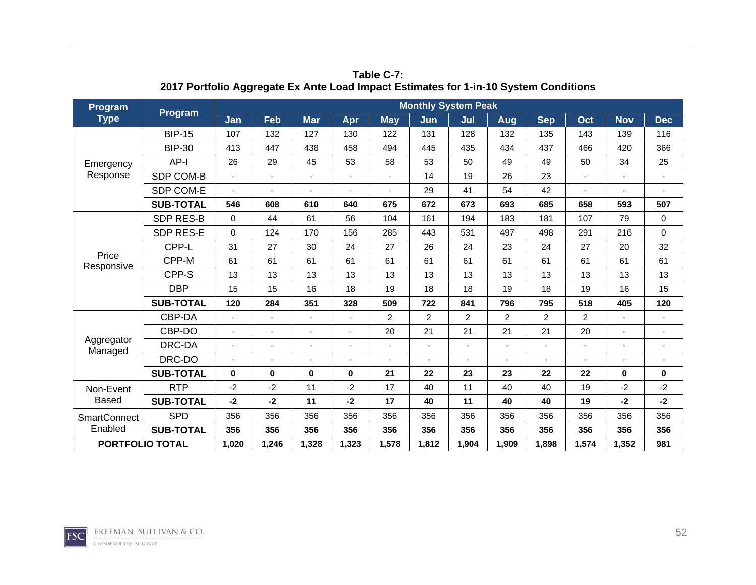| Program                |                  |          |                |            |                |                          | <b>Monthly System Peak</b> |                |                |                |                |            |                          |
|------------------------|------------------|----------|----------------|------------|----------------|--------------------------|----------------------------|----------------|----------------|----------------|----------------|------------|--------------------------|
| <b>Type</b>            | <b>Program</b>   | Jan      | Feb            | <b>Mar</b> | Apr            | <b>May</b>               | Jun                        | Jul            | Aug            | <b>Sep</b>     | Oct            | <b>Nov</b> | <b>Dec</b>               |
|                        | <b>BIP-15</b>    | 107      | 132            | 127        | 130            | 122                      | 131                        | 128            | 132            | 135            | 143            | 139        | 116                      |
|                        | <b>BIP-30</b>    | 413      | 447            | 438        | 458            | 494                      | 445                        | 435            | 434            | 437            | 466            | 420        | 366                      |
| Emergency              | AP-I             | 26       | 29             | 45         | 53             | 58                       | 53                         | 50             | 49             | 49             | 50             | 34         | 25                       |
| Response               | SDP COM-B        |          | $\blacksquare$ |            |                |                          | 14                         | 19             | 26             | 23             |                |            | $\overline{\phantom{a}}$ |
|                        | SDP COM-E        |          | ٠              |            |                |                          | 29                         | 41             | 54             | 42             |                |            |                          |
|                        | <b>SUB-TOTAL</b> | 546      | 608            | 610        | 640            | 675                      | 672                        | 673            | 693            | 685            | 658            | 593        | 507                      |
|                        | <b>SDP RES-B</b> | $\Omega$ | 44             | 61         | 56             | 104                      | 161                        | 194            | 183            | 181            | 107            | 79         | 0                        |
|                        | <b>SDP RES-E</b> | $\Omega$ | 124            | 170        | 156            | 285                      | 443                        | 531            | 497            | 498            | 291            | 216        | $\mathbf 0$              |
|                        | CPP-L            | 31       | 27             | 30         | 24             | 27                       | 26                         | 24             | 23             | 24             | 27             | 20         | 32                       |
| Price<br>Responsive    | CPP-M            | 61       | 61             | 61         | 61             | 61                       | 61                         | 61             | 61             | 61             | 61             | 61         | 61                       |
|                        | CPP-S            | 13       | 13             | 13         | 13             | 13                       | 13                         | 13             | 13             | 13             | 13             | 13         | 13                       |
|                        | <b>DBP</b>       | 15       | 15             | 16         | 18             | 19                       | 18                         | 18             | 19             | 18             | 19             | 16         | 15                       |
|                        | <b>SUB-TOTAL</b> | 120      | 284            | 351        | 328            | 509                      | 722                        | 841            | 796            | 795            | 518            | 405        | 120                      |
|                        | CBP-DA           |          | $\blacksquare$ |            | $\blacksquare$ | $\overline{2}$           | $\overline{2}$             | $\overline{2}$ | $\overline{2}$ | $\overline{c}$ | $\overline{2}$ |            | $\blacksquare$           |
|                        | CBP-DO           |          | $\blacksquare$ |            | $\blacksquare$ | 20                       | 21                         | 21             | 21             | 21             | 20             |            |                          |
| Aggregator<br>Managed  | DRC-DA           |          | ٠              |            |                | $\overline{\phantom{a}}$ |                            | ٠              |                |                |                |            | $\blacksquare$           |
|                        | DRC-DO           |          | ٠              |            |                |                          |                            |                |                |                |                |            |                          |
|                        | <b>SUB-TOTAL</b> | $\bf{0}$ | $\mathbf 0$    | $\bf{0}$   | 0              | 21                       | 22                         | 23             | 23             | 22             | 22             | $\bf{0}$   | 0                        |
| Non-Event              | <b>RTP</b>       | $-2$     | $-2$           | 11         | $-2$           | 17                       | 40                         | 11             | 40             | 40             | 19             | $-2$       | $-2$                     |
| <b>Based</b>           | <b>SUB-TOTAL</b> | $-2$     | $-2$           | 11         | $-2$           | 17                       | 40                         | 11             | 40             | 40             | 19             | $-2$       | $-2$                     |
| <b>SmartConnect</b>    | <b>SPD</b>       | 356      | 356            | 356        | 356            | 356                      | 356                        | 356            | 356            | 356            | 356            | 356        | 356                      |
| Enabled                | <b>SUB-TOTAL</b> | 356      | 356            | 356        | 356            | 356                      | 356                        | 356            | 356            | 356            | 356            | 356        | 356                      |
| <b>PORTFOLIO TOTAL</b> |                  | 1,020    | 1,246          | 1,328      | 1,323          | 1,578                    | 1,812                      | 1,904          | 1,909          | 1,898          | 1,574          | 1,352      | 981                      |

**Table C-7: 2017 Portfolio Aggregate Ex Ante Load Impact Estimates for 1-in-10 System Conditions** 

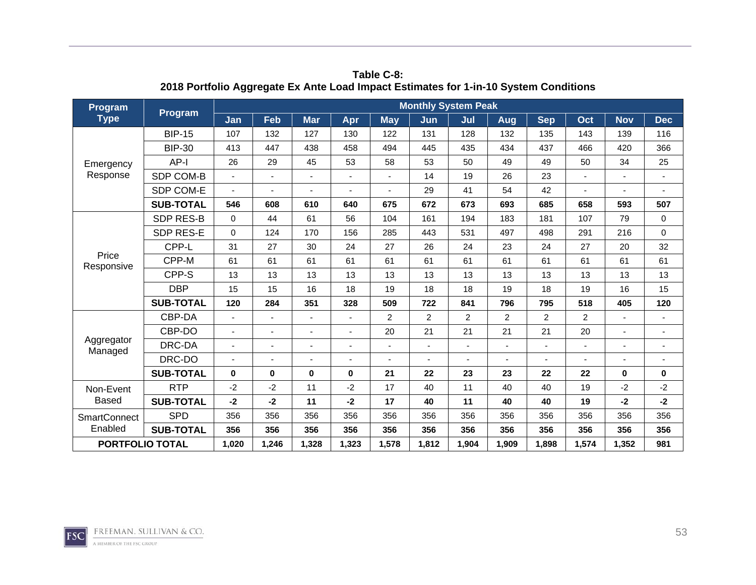| Program                |                  |          |                          |                |                |                | <b>Monthly System Peak</b> |                |                |                |        |            |                |
|------------------------|------------------|----------|--------------------------|----------------|----------------|----------------|----------------------------|----------------|----------------|----------------|--------|------------|----------------|
| <b>Type</b>            | Program          | Jan      | Feb                      | <b>Mar</b>     | Apr            | <b>May</b>     | Jun                        | Jul            | Aug            | <b>Sep</b>     | Oct    | <b>Nov</b> | <b>Dec</b>     |
|                        | <b>BIP-15</b>    | 107      | 132                      | 127            | 130            | 122            | 131                        | 128            | 132            | 135            | 143    | 139        | 116            |
|                        | <b>BIP-30</b>    | 413      | 447                      | 438            | 458            | 494            | 445                        | 435            | 434            | 437            | 466    | 420        | 366            |
| Emergency              | AP-I             | 26       | 29                       | 45             | 53             | 58             | 53                         | 50             | 49             | 49             | 50     | 34         | 25             |
| Response               | SDP COM-B        |          | $\blacksquare$           | $\overline{a}$ |                | $\blacksquare$ | 14                         | 19             | 26             | 23             | $\sim$ |            | $\blacksquare$ |
|                        | SDP COM-E        |          | $\overline{\phantom{0}}$ |                |                |                | 29                         | 41             | 54             | 42             |        |            |                |
|                        | <b>SUB-TOTAL</b> | 546      | 608                      | 610            | 640            | 675            | 672                        | 673            | 693            | 685            | 658    | 593        | 507            |
|                        | <b>SDP RES-B</b> | $\Omega$ | 44                       | 61             | 56             | 104            | 161                        | 194            | 183            | 181            | 107    | 79         | $\mathbf 0$    |
|                        | SDP RES-E        | $\Omega$ | 124                      | 170            | 156            | 285            | 443                        | 531            | 497            | 498            | 291    | 216        | $\mathbf 0$    |
|                        | CPP-L            | 31       | 27                       | 30             | 24             | 27             | 26                         | 24             | 23             | 24             | 27     | 20         | 32             |
| Price<br>Responsive    | CPP-M            | 61       | 61                       | 61             | 61             | 61             | 61                         | 61             | 61             | 61             | 61     | 61         | 61             |
|                        | CPP-S            | 13       | 13                       | 13             | 13             | 13             | 13                         | 13             | 13             | 13             | 13     | 13         | 13             |
|                        | <b>DBP</b>       | 15       | 15                       | 16             | 18             | 19             | 18                         | 18             | 19             | 18             | 19     | 16         | 15             |
|                        | <b>SUB-TOTAL</b> | 120      | 284                      | 351            | 328            | 509            | 722                        | 841            | 796            | 795            | 518    | 405        | 120            |
|                        | CBP-DA           |          | $\blacksquare$           |                | $\blacksquare$ | $\overline{2}$ | $\overline{2}$             | $\overline{2}$ | $\overline{2}$ | $\overline{2}$ | 2      |            | $\blacksquare$ |
|                        | CBP-DO           |          | $\blacksquare$           |                |                | 20             | 21                         | 21             | 21             | 21             | 20     |            |                |
| Aggregator<br>Managed  | DRC-DA           |          | $\overline{\phantom{0}}$ |                |                | $\blacksquare$ |                            | ٠              |                |                |        |            |                |
|                        | DRC-DO           |          | ٠                        |                |                |                |                            |                |                |                |        |            |                |
|                        | <b>SUB-TOTAL</b> | $\bf{0}$ | $\mathbf 0$              | $\bf{0}$       | $\bf{0}$       | 21             | 22                         | 23             | 23             | 22             | 22     | $\bf{0}$   | 0              |
| Non-Event              | <b>RTP</b>       | $-2$     | $-2$                     | 11             | $-2$           | 17             | 40                         | 11             | 40             | 40             | 19     | $-2$       | $-2$           |
| <b>Based</b>           | <b>SUB-TOTAL</b> | $-2$     | $-2$                     | 11             | $-2$           | 17             | 40                         | 11             | 40             | 40             | 19     | $-2$       | $-2$           |
| <b>SmartConnect</b>    | <b>SPD</b>       | 356      | 356                      | 356            | 356            | 356            | 356                        | 356            | 356            | 356            | 356    | 356        | 356            |
| Enabled                | <b>SUB-TOTAL</b> | 356      | 356                      | 356            | 356            | 356            | 356                        | 356            | 356            | 356            | 356    | 356        | 356            |
| <b>PORTFOLIO TOTAL</b> |                  | 1,020    | 1,246                    | 1,328          | 1,323          | 1,578          | 1,812                      | 1,904          | 1,909          | 1,898          | 1,574  | 1,352      | 981            |

**Table C-8: 2018 Portfolio Aggregate Ex Ante Load Impact Estimates for 1-in-10 System Conditions** 

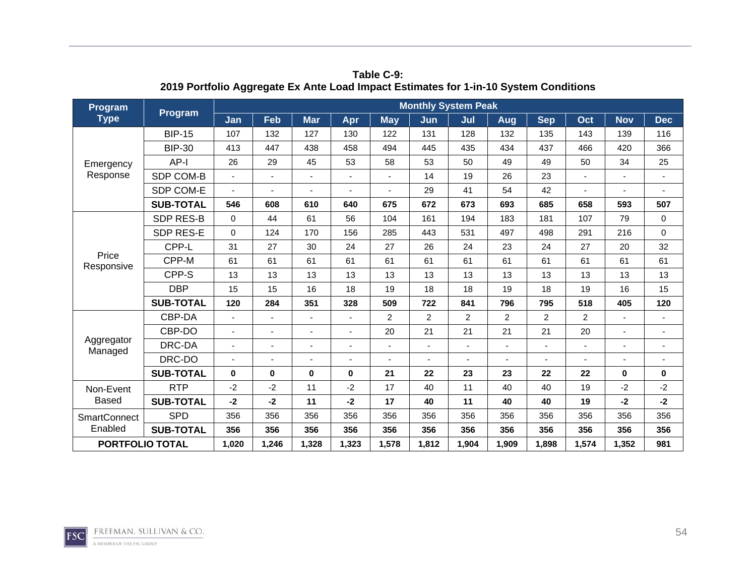| Program                |                  |          |                |                |       |                | <b>Monthly System Peak</b> |                          |                |                |       |             |                          |
|------------------------|------------------|----------|----------------|----------------|-------|----------------|----------------------------|--------------------------|----------------|----------------|-------|-------------|--------------------------|
| <b>Type</b>            | <b>Program</b>   | Jan      | Feb            | <b>Mar</b>     | Apr   | <b>May</b>     | Jun                        | Jul                      | Aug            | <b>Sep</b>     | Oct   | <b>Nov</b>  | <b>Dec</b>               |
|                        | <b>BIP-15</b>    | 107      | 132            | 127            | 130   | 122            | 131                        | 128                      | 132            | 135            | 143   | 139         | 116                      |
|                        | <b>BIP-30</b>    | 413      | 447            | 438            | 458   | 494            | 445                        | 435                      | 434            | 437            | 466   | 420         | 366                      |
| Emergency              | $AP-I$           | 26       | 29             | 45             | 53    | 58             | 53                         | 50                       | 49             | 49             | 50    | 34          | 25                       |
| Response               | SDP COM-B        |          | ä,             |                |       |                | 14                         | 19                       | 26             | 23             |       |             | $\blacksquare$           |
|                        | SDP COM-E        |          | ٠              |                |       |                | 29                         | 41                       | 54             | 42             |       |             |                          |
|                        | <b>SUB-TOTAL</b> | 546      | 608            | 610            | 640   | 675            | 672                        | 673                      | 693            | 685            | 658   | 593         | 507                      |
|                        | <b>SDP RES-B</b> | $\Omega$ | 44             | 61             | 56    | 104            | 161                        | 194                      | 183            | 181            | 107   | 79          | 0                        |
|                        | SDP RES-E        | $\Omega$ | 124            | 170            | 156   | 285            | 443                        | 531                      | 497            | 498            | 291   | 216         | $\mathbf 0$              |
|                        | CPP-L            | 31       | 27             | 30             | 24    | 27             | 26                         | 24                       | 23             | 24             | 27    | 20          | 32                       |
| Price<br>Responsive    | CPP-M            | 61       | 61             | 61             | 61    | 61             | 61                         | 61                       | 61             | 61             | 61    | 61          | 61                       |
|                        | CPP-S            | 13       | 13             | 13             | 13    | 13             | 13                         | 13                       | 13             | 13             | 13    | 13          | 13                       |
|                        | <b>DBP</b>       | 15       | 15             | 16             | 18    | 19             | 18                         | 18                       | 19             | 18             | 19    | 16          | 15                       |
|                        | <b>SUB-TOTAL</b> | 120      | 284            | 351            | 328   | 509            | 722                        | 841                      | 796            | 795            | 518   | 405         | 120                      |
|                        | CBP-DA           | ä,       | ÷              | $\blacksquare$ |       | $\overline{2}$ | $\overline{2}$             | $\overline{2}$           | $\overline{c}$ | $\overline{2}$ | 2     |             |                          |
|                        | CBP-DO           |          | $\blacksquare$ |                |       | 20             | 21                         | 21                       | 21             | 21             | 20    |             | $\overline{\phantom{a}}$ |
| Aggregator<br>Managed  | DRC-DA           |          | ÷              |                |       |                |                            | $\overline{\phantom{a}}$ | $\blacksquare$ |                |       |             |                          |
|                        | DRC-DO           |          | ٠              | ۰              |       |                |                            |                          |                |                |       |             |                          |
|                        | <b>SUB-TOTAL</b> | $\bf{0}$ | 0              | $\bf{0}$       | 0     | 21             | 22                         | 23                       | 23             | 22             | 22    | $\mathbf 0$ | 0                        |
| Non-Event              | <b>RTP</b>       | $-2$     | $-2$           | 11             | $-2$  | 17             | 40                         | 11                       | 40             | 40             | 19    | $-2$        | $-2$                     |
| <b>Based</b>           | <b>SUB-TOTAL</b> | $-2$     | -2             | 11             | -2    | 17             | 40                         | 11                       | 40             | 40             | 19    | $-2$        | $-2$                     |
| <b>SmartConnect</b>    | <b>SPD</b>       | 356      | 356            | 356            | 356   | 356            | 356                        | 356                      | 356            | 356            | 356   | 356         | 356                      |
| Enabled                | <b>SUB-TOTAL</b> | 356      | 356            | 356            | 356   | 356            | 356                        | 356                      | 356            | 356            | 356   | 356         | 356                      |
| <b>PORTFOLIO TOTAL</b> |                  | 1,020    | 1,246          | 1,328          | 1,323 | 1,578          | 1,812                      | 1,904                    | 1,909          | 1,898          | 1,574 | 1,352       | 981                      |

**Table C-9: 2019 Portfolio Aggregate Ex Ante Load Impact Estimates for 1-in-10 System Conditions** 

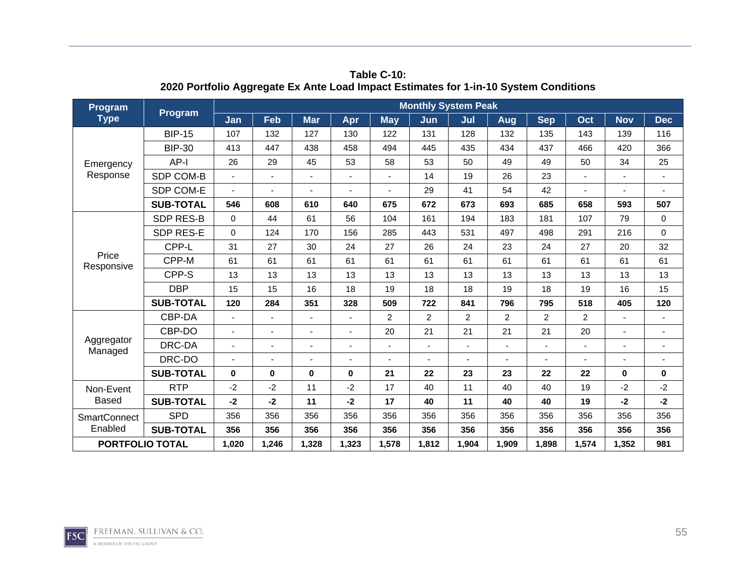| Program                |                  |                          |                          |                          |       |                | <b>Monthly System Peak</b> |                |                |                |                |             |                          |
|------------------------|------------------|--------------------------|--------------------------|--------------------------|-------|----------------|----------------------------|----------------|----------------|----------------|----------------|-------------|--------------------------|
| <b>Type</b>            | <b>Program</b>   | Jan                      | Feb                      | <b>Mar</b>               | Apr   | <b>May</b>     | Jun                        | Jul            | Aug            | <b>Sep</b>     | Oct            | <b>Nov</b>  | <b>Dec</b>               |
|                        | <b>BIP-15</b>    | 107                      | 132                      | 127                      | 130   | 122            | 131                        | 128            | 132            | 135            | 143            | 139         | 116                      |
|                        | <b>BIP-30</b>    | 413                      | 447                      | 438                      | 458   | 494            | 445                        | 435            | 434            | 437            | 466            | 420         | 366                      |
| Emergency              | AP-I             | 26                       | 29                       | 45                       | 53    | 58             | 53                         | 50             | 49             | 49             | 50             | 34          | 25                       |
| Response               | SDP COM-B        | $\overline{\phantom{a}}$ | $\blacksquare$           | $\overline{\phantom{a}}$ |       | $\blacksquare$ | 14                         | 19             | 26             | 23             | $\blacksquare$ |             | $\blacksquare$           |
|                        | SDP COM-E        |                          | ٠                        |                          |       |                | 29                         | 41             | 54             | 42             |                |             |                          |
|                        | <b>SUB-TOTAL</b> | 546                      | 608                      | 610                      | 640   | 675            | 672                        | 673            | 693            | 685            | 658            | 593         | 507                      |
|                        | <b>SDP RES-B</b> | $\Omega$                 | 44                       | 61                       | 56    | 104            | 161                        | 194            | 183            | 181            | 107            | 79          | $\mathbf 0$              |
|                        | SDP RES-E        | $\Omega$                 | 124                      | 170                      | 156   | 285            | 443                        | 531            | 497            | 498            | 291            | 216         | 0                        |
|                        | CPP-L            | 31                       | 27                       | 30                       | 24    | 27             | 26                         | 24             | 23             | 24             | 27             | 20          | 32                       |
| Price<br>Responsive    | CPP-M            | 61                       | 61                       | 61                       | 61    | 61             | 61                         | 61             | 61             | 61             | 61             | 61          | 61                       |
|                        | CPP-S            | 13                       | 13                       | 13                       | 13    | 13             | 13                         | 13             | 13             | 13             | 13             | 13          | 13                       |
|                        | <b>DBP</b>       | 15                       | 15                       | 16                       | 18    | 19             | 18                         | 18             | 19             | 18             | 19             | 16          | 15                       |
|                        | <b>SUB-TOTAL</b> | 120                      | 284                      | 351                      | 328   | 509            | 722                        | 841            | 796            | 795            | 518            | 405         | 120                      |
|                        | CBP-DA           | $\blacksquare$           | $\overline{\phantom{0}}$ |                          |       | $\overline{2}$ | $\overline{2}$             | $\overline{2}$ | $\overline{c}$ | $\overline{c}$ | $\overline{2}$ |             |                          |
|                        | CBP-DO           |                          | L,                       |                          |       | 20             | 21                         | 21             | 21             | 21             | 20             |             |                          |
| Aggregator<br>Managed  | DRC-DA           |                          | $\overline{\phantom{a}}$ |                          |       |                |                            | ٠              | ٠              |                |                |             | $\overline{\phantom{a}}$ |
|                        | DRC-DO           |                          | ÷                        |                          |       |                |                            |                |                |                |                |             |                          |
|                        | <b>SUB-TOTAL</b> | $\bf{0}$                 | $\bf{0}$                 | $\bf{0}$                 | 0     | 21             | 22                         | 23             | 23             | 22             | 22             | $\mathbf 0$ | $\mathbf 0$              |
| Non-Event              | <b>RTP</b>       | $-2$                     | $-2$                     | 11                       | $-2$  | 17             | 40                         | 11             | 40             | 40             | 19             | $-2$        | $-2$                     |
| <b>Based</b>           | <b>SUB-TOTAL</b> | $-2$                     | -2                       | 11                       | -2    | 17             | 40                         | 11             | 40             | 40             | 19             | $-2$        | $-2$                     |
| <b>SmartConnect</b>    | <b>SPD</b>       | 356                      | 356                      | 356                      | 356   | 356            | 356                        | 356            | 356            | 356            | 356            | 356         | 356                      |
| Enabled                | <b>SUB-TOTAL</b> | 356                      | 356                      | 356                      | 356   | 356            | 356                        | 356            | 356            | 356            | 356            | 356         | 356                      |
| <b>PORTFOLIO TOTAL</b> |                  | 1,020                    | 1,246                    | 1,328                    | 1,323 | 1,578          | 1,812                      | 1,904          | 1,909          | 1,898          | 1,574          | 1,352       | 981                      |

**Table C-10: 2020 Portfolio Aggregate Ex Ante Load Impact Estimates for 1-in-10 System Conditions** 

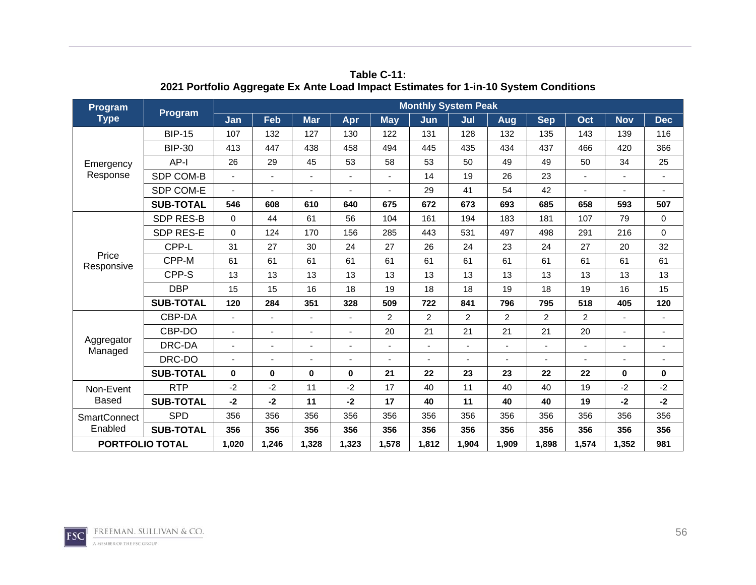| Program                |                  |                          |                          |                          |       |                | <b>Monthly System Peak</b> |                |                |                |                |             |                          |
|------------------------|------------------|--------------------------|--------------------------|--------------------------|-------|----------------|----------------------------|----------------|----------------|----------------|----------------|-------------|--------------------------|
| <b>Type</b>            | <b>Program</b>   | Jan                      | Feb                      | <b>Mar</b>               | Apr   | <b>May</b>     | Jun                        | Jul            | Aug            | <b>Sep</b>     | Oct            | <b>Nov</b>  | <b>Dec</b>               |
|                        | <b>BIP-15</b>    | 107                      | 132                      | 127                      | 130   | 122            | 131                        | 128            | 132            | 135            | 143            | 139         | 116                      |
|                        | <b>BIP-30</b>    | 413                      | 447                      | 438                      | 458   | 494            | 445                        | 435            | 434            | 437            | 466            | 420         | 366                      |
| Emergency              | AP-I             | 26                       | 29                       | 45                       | 53    | 58             | 53                         | 50             | 49             | 49             | 50             | 34          | 25                       |
| Response               | SDP COM-B        | $\overline{\phantom{a}}$ | $\blacksquare$           | $\overline{\phantom{a}}$ |       | $\blacksquare$ | 14                         | 19             | 26             | 23             | $\blacksquare$ |             | $\blacksquare$           |
|                        | SDP COM-E        |                          | ٠                        |                          |       |                | 29                         | 41             | 54             | 42             |                |             |                          |
|                        | <b>SUB-TOTAL</b> | 546                      | 608                      | 610                      | 640   | 675            | 672                        | 673            | 693            | 685            | 658            | 593         | 507                      |
|                        | <b>SDP RES-B</b> | $\Omega$                 | 44                       | 61                       | 56    | 104            | 161                        | 194            | 183            | 181            | 107            | 79          | $\mathbf 0$              |
|                        | SDP RES-E        | $\Omega$                 | 124                      | 170                      | 156   | 285            | 443                        | 531            | 497            | 498            | 291            | 216         | 0                        |
|                        | CPP-L            | 31                       | 27                       | 30                       | 24    | 27             | 26                         | 24             | 23             | 24             | 27             | 20          | 32                       |
| Price<br>Responsive    | CPP-M            | 61                       | 61                       | 61                       | 61    | 61             | 61                         | 61             | 61             | 61             | 61             | 61          | 61                       |
|                        | CPP-S            | 13                       | 13                       | 13                       | 13    | 13             | 13                         | 13             | 13             | 13             | 13             | 13          | 13                       |
|                        | <b>DBP</b>       | 15                       | 15                       | 16                       | 18    | 19             | 18                         | 18             | 19             | 18             | 19             | 16          | 15                       |
|                        | <b>SUB-TOTAL</b> | 120                      | 284                      | 351                      | 328   | 509            | 722                        | 841            | 796            | 795            | 518            | 405         | 120                      |
|                        | CBP-DA           | $\blacksquare$           | $\overline{\phantom{0}}$ |                          |       | $\overline{2}$ | $\overline{2}$             | $\overline{2}$ | $\overline{c}$ | $\overline{c}$ | $\overline{2}$ |             |                          |
|                        | CBP-DO           |                          | L,                       |                          |       | 20             | 21                         | 21             | 21             | 21             | 20             |             |                          |
| Aggregator<br>Managed  | DRC-DA           |                          | $\overline{\phantom{a}}$ |                          |       |                |                            | ٠              | ٠              |                |                |             | $\overline{\phantom{a}}$ |
|                        | DRC-DO           |                          | ÷                        |                          |       |                |                            |                |                |                |                |             |                          |
|                        | <b>SUB-TOTAL</b> | $\bf{0}$                 | $\bf{0}$                 | $\bf{0}$                 | 0     | 21             | 22                         | 23             | 23             | 22             | 22             | $\mathbf 0$ | $\mathbf 0$              |
| Non-Event              | <b>RTP</b>       | $-2$                     | $-2$                     | 11                       | $-2$  | 17             | 40                         | 11             | 40             | 40             | 19             | $-2$        | $-2$                     |
| <b>Based</b>           | <b>SUB-TOTAL</b> | $-2$                     | -2                       | 11                       | -2    | 17             | 40                         | 11             | 40             | 40             | 19             | $-2$        | $-2$                     |
| <b>SmartConnect</b>    | <b>SPD</b>       | 356                      | 356                      | 356                      | 356   | 356            | 356                        | 356            | 356            | 356            | 356            | 356         | 356                      |
| Enabled                | <b>SUB-TOTAL</b> | 356                      | 356                      | 356                      | 356   | 356            | 356                        | 356            | 356            | 356            | 356            | 356         | 356                      |
| <b>PORTFOLIO TOTAL</b> |                  | 1,020                    | 1,246                    | 1,328                    | 1,323 | 1,578          | 1,812                      | 1,904          | 1,909          | 1,898          | 1,574          | 1,352       | 981                      |

**Table C-11: 2021 Portfolio Aggregate Ex Ante Load Impact Estimates for 1-in-10 System Conditions** 

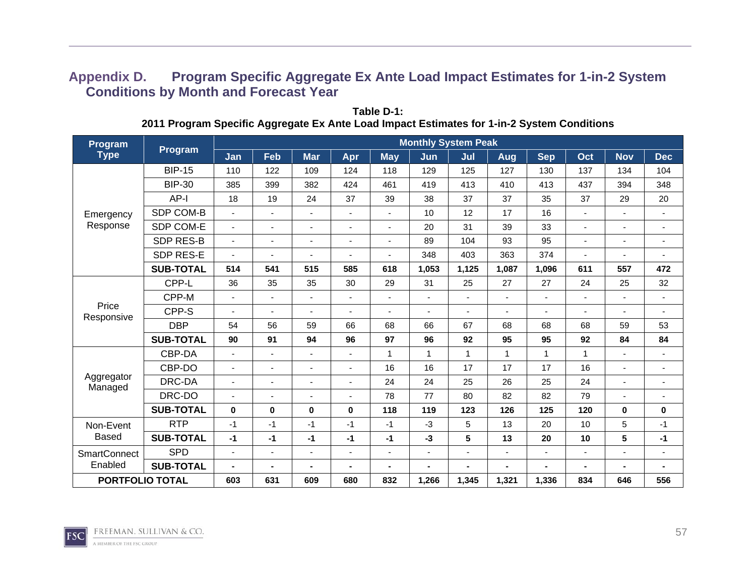## **Appendix D. Program Specific Aggregate Ex Ante Load Impact Estimates for 1-in-2 System Conditions by Month and Forecast Year**

| Program                |                  |                          |                          |                          |                          |                          | <b>Monthly System Peak</b> |                |                |                          |                          |                          |                          |
|------------------------|------------------|--------------------------|--------------------------|--------------------------|--------------------------|--------------------------|----------------------------|----------------|----------------|--------------------------|--------------------------|--------------------------|--------------------------|
| <b>Type</b>            | Program          | Jan                      | Feb                      | <b>Mar</b>               | Apr                      | <b>May</b>               | Jun                        | Jul            | <b>Aug</b>     | <b>Sep</b>               | Oct                      | <b>Nov</b>               | <b>Dec</b>               |
|                        | <b>BIP-15</b>    | 110                      | 122                      | 109                      | 124                      | 118                      | 129                        | 125            | 127            | 130                      | 137                      | 134                      | 104                      |
|                        | <b>BIP-30</b>    | 385                      | 399                      | 382                      | 424                      | 461                      | 419                        | 413            | 410            | 413                      | 437                      | 394                      | 348                      |
|                        | AP-I             | 18                       | 19                       | 24                       | 37                       | 39                       | 38                         | 37             | 37             | 35                       | 37                       | 29                       | 20                       |
| Emergency              | SDP COM-B        | ٠                        | $\blacksquare$           | $\overline{\phantom{a}}$ | $\overline{\phantom{a}}$ | $\blacksquare$           | 10                         | 12             | 17             | 16                       | $\blacksquare$           | $\blacksquare$           | $\blacksquare$           |
| Response               | SDP COM-E        | $\blacksquare$           | $\blacksquare$           | $\blacksquare$           | $\blacksquare$           | $\blacksquare$           | 20                         | 31             | 39             | 33                       | $\overline{\phantom{0}}$ | $\blacksquare$           | $\blacksquare$           |
|                        | <b>SDP RES-B</b> | $\blacksquare$           | $\blacksquare$           | $\overline{\phantom{0}}$ | $\blacksquare$           | $\overline{\phantom{a}}$ | 89                         | 104            | 93             | 95                       | $\blacksquare$           | $\overline{\phantom{0}}$ | ۰                        |
|                        | SDP RES-E        | $\overline{\phantom{a}}$ | $\blacksquare$           |                          |                          | ä,                       | 348                        | 403            | 363            | 374                      | $\blacksquare$           | $\blacksquare$           | $\blacksquare$           |
|                        | <b>SUB-TOTAL</b> | 514                      | 541                      | 515                      | 585                      | 618                      | 1,053                      | 1,125          | 1,087          | 1,096                    | 611                      | 557                      | 472                      |
|                        | CPP-L            | 36                       | 35                       | 35                       | 30                       | 29                       | 31                         | 25             | 27             | 27                       | 24                       | 25                       | 32                       |
|                        | CPP-M            | $\blacksquare$           | $\blacksquare$           | $\overline{\phantom{a}}$ | $\overline{\phantom{a}}$ | $\blacksquare$           | $\blacksquare$             | $\blacksquare$ | $\blacksquare$ | $\overline{\phantom{a}}$ | $\overline{a}$           | $\blacksquare$           | $\blacksquare$           |
| Price<br>Responsive    | CPP-S            | ۰                        | $\blacksquare$           |                          | $\blacksquare$           | $\overline{\phantom{0}}$ | ۰                          | ٠              | $\blacksquare$ | $\overline{\phantom{0}}$ | $\blacksquare$           | $\overline{\phantom{0}}$ | ۰                        |
|                        | <b>DBP</b>       | 54                       | 56                       | 59                       | 66                       | 68                       | 66                         | 67             | 68             | 68                       | 68                       | 59                       | 53                       |
|                        | <b>SUB-TOTAL</b> | 90                       | 91                       | 94                       | 96                       | 97                       | 96                         | 92             | 95             | 95                       | 92                       | 84                       | 84                       |
|                        | CBP-DA           | ٠                        | $\overline{\phantom{a}}$ | $\blacksquare$           | $\blacksquare$           | 1                        | $\mathbf{1}$               | $\mathbf{1}$   | $\mathbf{1}$   | 1                        | 1                        |                          | $\overline{\phantom{0}}$ |
|                        | CBP-DO           | ÷.                       | $\blacksquare$           |                          | $\overline{\phantom{a}}$ | 16                       | 16                         | 17             | 17             | 17                       | 16                       | $\blacksquare$           | $\blacksquare$           |
| Aggregator<br>Managed  | DRC-DA           | ۰                        | $\blacksquare$           |                          | $\blacksquare$           | 24                       | 24                         | 25             | 26             | 25                       | 24                       | ٠                        | ۰                        |
|                        | DRC-DO           | ۰                        | $\blacksquare$           |                          | $\blacksquare$           | 78                       | 77                         | 80             | 82             | 82                       | 79                       |                          | ٠                        |
|                        | <b>SUB-TOTAL</b> | 0                        | $\bf{0}$                 | 0                        | 0                        | 118                      | 119                        | 123            | 126            | 125                      | 120                      | 0                        | 0                        |
| Non-Event              | <b>RTP</b>       | $-1$                     | $-1$                     | $-1$                     | $-1$                     | $-1$                     | $-3$                       | 5              | 13             | 20                       | 10                       | 5                        | $-1$                     |
| <b>Based</b>           | <b>SUB-TOTAL</b> | $-1$                     | $-1$                     | $-1$                     | $-1$                     | $-1$                     | $-3$                       | ${\bf 5}$      | 13             | 20                       | 10                       | 5                        | $-1$                     |
| <b>SmartConnect</b>    | <b>SPD</b>       | ۰                        | $\blacksquare$           | $\blacksquare$           | $\blacksquare$           | $\blacksquare$           | $\blacksquare$             | ٠              | $\blacksquare$ | $\blacksquare$           | ٠                        | $\blacksquare$           | $\blacksquare$           |
| Enabled                | <b>SUB-TOTAL</b> | $\blacksquare$           | $\blacksquare$           | $\blacksquare$           | $\blacksquare$           | ۰.                       |                            | ۰              | $\blacksquare$ | $\blacksquare$           | $\blacksquare$           | $\blacksquare$           | Ξ.                       |
| <b>PORTFOLIO TOTAL</b> |                  | 603                      | 631                      | 609                      | 680                      | 832                      | 1,266                      | 1,345          | 1,321          | 1,336                    | 834                      | 646                      | 556                      |

**Table D-1: 2011 Program Specific Aggregate Ex Ante Load Impact Estimates for 1-in-2 System Conditions** 

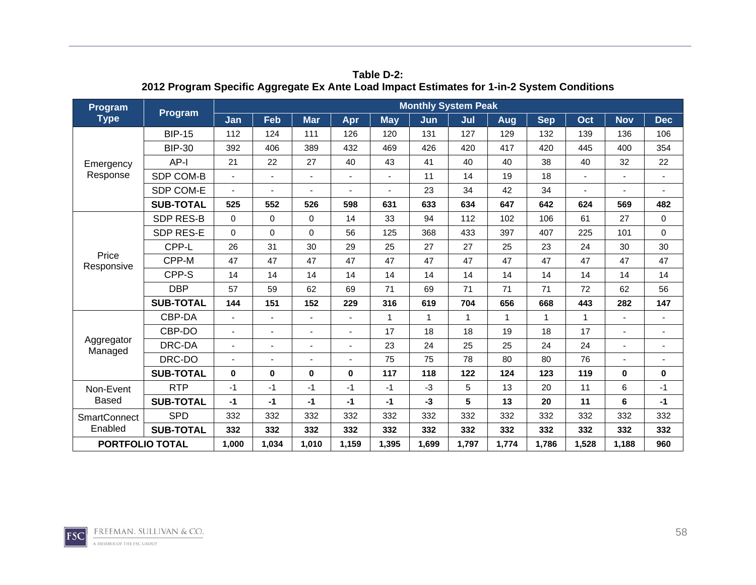| Program                | Program          |          |             |            |          |            | <b>Monthly System Peak</b> |             |              |            |              |              |                |
|------------------------|------------------|----------|-------------|------------|----------|------------|----------------------------|-------------|--------------|------------|--------------|--------------|----------------|
| <b>Type</b>            |                  | Jan      | Feb         | <b>Mar</b> | Apr      | <b>May</b> | Jun                        | Jul         | <b>Aug</b>   | <b>Sep</b> | Oct          | <b>Nov</b>   | <b>Dec</b>     |
|                        | <b>BIP-15</b>    | 112      | 124         | 111        | 126      | 120        | 131                        | 127         | 129          | 132        | 139          | 136          | 106            |
|                        | <b>BIP-30</b>    | 392      | 406         | 389        | 432      | 469        | 426                        | 420         | 417          | 420        | 445          | 400          | 354            |
| Emergency              | $AP-I$           | 21       | 22          | 27         | 40       | 43         | 41                         | 40          | 40           | 38         | 40           | 32           | 22             |
| Response               | SDP COM-B        |          | ÷,          | ٠          |          |            | 11                         | 14          | 19           | 18         |              |              | $\blacksquare$ |
|                        | SDP COM-E        |          |             |            |          |            | 23                         | 34          | 42           | 34         |              |              |                |
|                        | <b>SUB-TOTAL</b> | 525      | 552         | 526        | 598      | 631        | 633                        | 634         | 647          | 642        | 624          | 569          | 482            |
|                        | <b>SDP RES-B</b> | $\Omega$ | $\mathbf 0$ | $\Omega$   | 14       | 33         | 94                         | 112         | 102          | 106        | 61           | 27           | $\mathbf 0$    |
|                        | <b>SDP RES-E</b> | $\Omega$ | 0           | $\Omega$   | 56       | 125        | 368                        | 433         | 397          | 407        | 225          | 101          | $\mathbf 0$    |
|                        | CPP-L            | 26       | 31          | 30         | 29       | 25         | 27                         | 27          | 25           | 23         | 24           | 30           | 30             |
| Price<br>Responsive    | CPP-M            | 47       | 47          | 47         | 47       | 47         | 47                         | 47          | 47           | 47         | 47           | 47           | 47             |
|                        | CPP-S            | 14       | 14          | 14         | 14       | 14         | 14                         | 14          | 14           | 14         | 14           | 14           | 14             |
|                        | <b>DBP</b>       | 57       | 59          | 62         | 69       | 71         | 69                         | 71          | 71           | 71         | 72           | 62           | 56             |
|                        | <b>SUB-TOTAL</b> | 144      | 151         | 152        | 229      | 316        | 619                        | 704         | 656          | 668        | 443          | 282          | 147            |
|                        | CBP-DA           |          |             |            |          | 1          | $\mathbf{1}$               | $\mathbf 1$ | $\mathbf{1}$ | 1          | $\mathbf{1}$ |              |                |
|                        | CBP-DO           |          | ٠           |            |          | 17         | 18                         | 18          | 19           | 18         | 17           |              |                |
| Aggregator<br>Managed  | DRC-DA           |          | ä,          | ä,         |          | 23         | 24                         | 25          | 25           | 24         | 24           |              |                |
|                        | DRC-DO           |          |             | ä,         |          | 75         | 75                         | 78          | 80           | 80         | 76           |              |                |
|                        | <b>SUB-TOTAL</b> | $\bf{0}$ | 0           | $\bf{0}$   | $\bf{0}$ | 117        | 118                        | 122         | 124          | 123        | 119          | $\mathbf{0}$ | $\mathbf 0$    |
| Non-Event              | <b>RTP</b>       | $-1$     | $-1$        | $-1$       | $-1$     | $-1$       | $-3$                       | 5           | 13           | 20         | 11           | 6            | $-1$           |
| <b>Based</b>           | <b>SUB-TOTAL</b> | $-1$     | $-1$        | $-1$       | $-1$     | $-1$       | $-3$                       | 5           | 13           | 20         | 11           | 6            | $-1$           |
| <b>SmartConnect</b>    | <b>SPD</b>       | 332      | 332         | 332        | 332      | 332        | 332                        | 332         | 332          | 332        | 332          | 332          | 332            |
| Enabled                | <b>SUB-TOTAL</b> | 332      | 332         | 332        | 332      | 332        | 332                        | 332         | 332          | 332        | 332          | 332          | 332            |
| <b>PORTFOLIO TOTAL</b> |                  | 1,000    | 1,034       | 1,010      | 1,159    | 1,395      | 1,699                      | 1,797       | 1,774        | 1,786      | 1,528        | 1,188        | 960            |

**Table D-2: 2012 Program Specific Aggregate Ex Ante Load Impact Estimates for 1-in-2 System Conditions** 

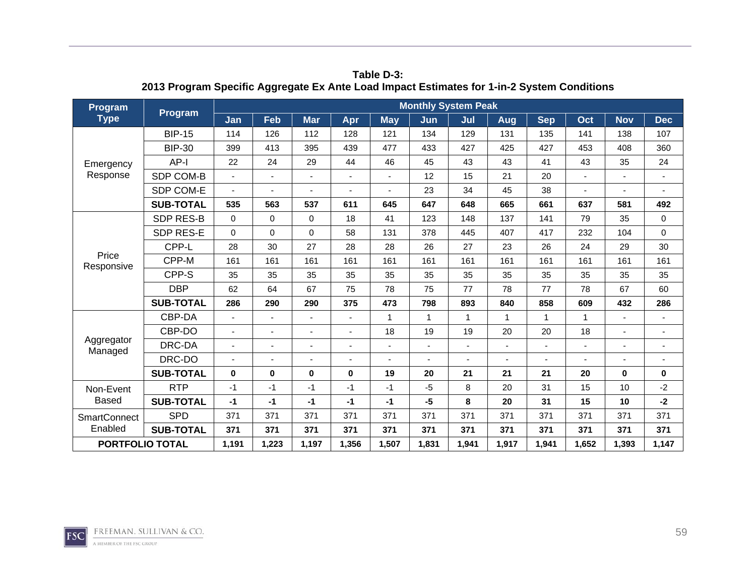| Program                | Program          |          |                |            |          |            | <b>Monthly System Peak</b> |                |              |            |              |              |                |
|------------------------|------------------|----------|----------------|------------|----------|------------|----------------------------|----------------|--------------|------------|--------------|--------------|----------------|
| <b>Type</b>            |                  | Jan      | Feb            | <b>Mar</b> | Apr      | <b>May</b> | Jun                        | Jul            | Aug          | <b>Sep</b> | Oct          | <b>Nov</b>   | <b>Dec</b>     |
|                        | <b>BIP-15</b>    | 114      | 126            | 112        | 128      | 121        | 134                        | 129            | 131          | 135        | 141          | 138          | 107            |
|                        | <b>BIP-30</b>    | 399      | 413            | 395        | 439      | 477        | 433                        | 427            | 425          | 427        | 453          | 408          | 360            |
| Emergency              | $AP-I$           | 22       | 24             | 29         | 44       | 46         | 45                         | 43             | 43           | 41         | 43           | 35           | 24             |
| Response               | SDP COM-B        |          | ÷,             |            |          |            | 12                         | 15             | 21           | 20         |              |              | $\blacksquare$ |
|                        | SDP COM-E        |          |                |            |          |            | 23                         | 34             | 45           | 38         |              |              |                |
|                        | <b>SUB-TOTAL</b> | 535      | 563            | 537        | 611      | 645        | 647                        | 648            | 665          | 661        | 637          | 581          | 492            |
|                        | <b>SDP RES-B</b> | $\Omega$ | $\mathbf 0$    | $\Omega$   | 18       | 41         | 123                        | 148            | 137          | 141        | 79           | 35           | 0              |
|                        | <b>SDP RES-E</b> | $\Omega$ | 0              | $\Omega$   | 58       | 131        | 378                        | 445            | 407          | 417        | 232          | 104          | $\mathbf 0$    |
|                        | CPP-L            | 28       | 30             | 27         | 28       | 28         | 26                         | 27             | 23           | 26         | 24           | 29           | 30             |
| Price<br>Responsive    | CPP-M            | 161      | 161            | 161        | 161      | 161        | 161                        | 161            | 161          | 161        | 161          | 161          | 161            |
|                        | CPP-S            | 35       | 35             | 35         | 35       | 35         | 35                         | 35             | 35           | 35         | 35           | 35           | 35             |
|                        | <b>DBP</b>       | 62       | 64             | 67         | 75       | 78         | 75                         | 77             | 78           | 77         | 78           | 67           | 60             |
|                        | <b>SUB-TOTAL</b> | 286      | 290            | 290        | 375      | 473        | 798                        | 893            | 840          | 858        | 609          | 432          | 286            |
|                        | CBP-DA           |          |                |            |          | 1          | $\mathbf{1}$               | $\mathbf 1$    | $\mathbf{1}$ | 1          | $\mathbf{1}$ |              |                |
|                        | CBP-DO           |          | $\blacksquare$ |            |          | 18         | 19                         | 19             | 20           | 20         | 18           |              |                |
| Aggregator<br>Managed  | DRC-DA           |          | ä,             | ä,         |          |            |                            | $\overline{a}$ | ÷,           |            |              |              |                |
|                        | DRC-DO           |          | ä,             | ä,         |          |            |                            |                |              |            |              |              |                |
|                        | <b>SUB-TOTAL</b> | $\bf{0}$ | 0              | $\bf{0}$   | $\bf{0}$ | 19         | 20                         | 21             | 21           | 21         | 20           | $\mathbf{0}$ | $\mathbf 0$    |
| Non-Event              | <b>RTP</b>       | $-1$     | $-1$           | $-1$       | $-1$     | $-1$       | $-5$                       | 8              | 20           | 31         | 15           | 10           | $-2$           |
| <b>Based</b>           | <b>SUB-TOTAL</b> | $-1$     | $-1$           | $-1$       | $-1$     | $-1$       | $-5$                       | 8              | 20           | 31         | 15           | 10           | $-2$           |
| <b>SmartConnect</b>    | <b>SPD</b>       | 371      | 371            | 371        | 371      | 371        | 371                        | 371            | 371          | 371        | 371          | 371          | 371            |
| Enabled                | <b>SUB-TOTAL</b> | 371      | 371            | 371        | 371      | 371        | 371                        | 371            | 371          | 371        | 371          | 371          | 371            |
| <b>PORTFOLIO TOTAL</b> |                  | 1,191    | 1,223          | 1,197      | 1,356    | 1,507      | 1,831                      | 1,941          | 1,917        | 1,941      | 1,652        | 1,393        | 1,147          |

**Table D-3: 2013 Program Specific Aggregate Ex Ante Load Impact Estimates for 1-in-2 System Conditions** 

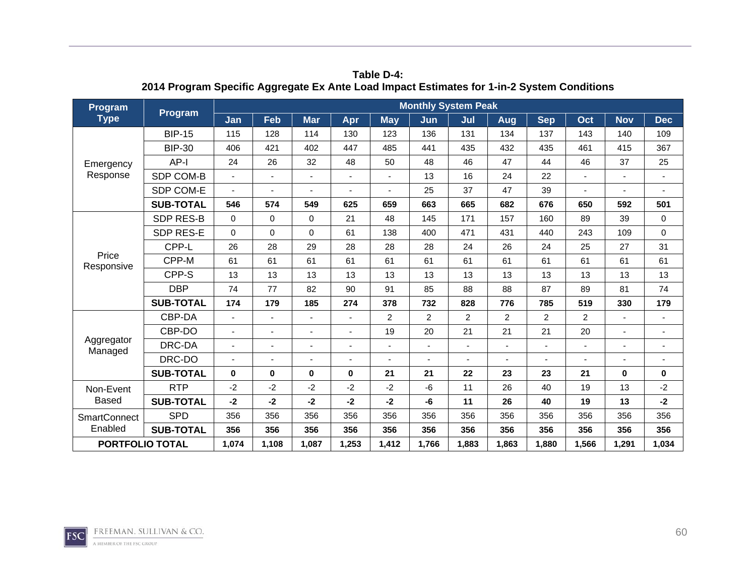| <b>Program</b>         | Program          |          |       |            |       |            | <b>Monthly System Peak</b> |                          |                |                |       |            |             |
|------------------------|------------------|----------|-------|------------|-------|------------|----------------------------|--------------------------|----------------|----------------|-------|------------|-------------|
| <b>Type</b>            |                  | Jan      | Feb   | <b>Mar</b> | Apr   | <b>May</b> | Jun                        | Jul                      | Aug            | <b>Sep</b>     | Oct   | <b>Nov</b> | <b>Dec</b>  |
|                        | <b>BIP-15</b>    | 115      | 128   | 114        | 130   | 123        | 136                        | 131                      | 134            | 137            | 143   | 140        | 109         |
|                        | <b>BIP-30</b>    | 406      | 421   | 402        | 447   | 485        | 441                        | 435                      | 432            | 435            | 461   | 415        | 367         |
| Emergency              | $AP-I$           | 24       | 26    | 32         | 48    | 50         | 48                         | 46                       | 47             | 44             | 46    | 37         | 25          |
| Response               | SDP COM-B        |          | ٠     |            |       |            | 13                         | 16                       | 24             | 22             |       |            |             |
|                        | SDP COM-E        |          | ٠     |            |       |            | 25                         | 37                       | 47             | 39             |       |            |             |
|                        | <b>SUB-TOTAL</b> | 546      | 574   | 549        | 625   | 659        | 663                        | 665                      | 682            | 676            | 650   | 592        | 501         |
|                        | <b>SDP RES-B</b> | $\Omega$ | 0     | $\Omega$   | 21    | 48         | 145                        | 171                      | 157            | 160            | 89    | 39         | 0           |
|                        | <b>SDP RES-E</b> | $\Omega$ | 0     | $\Omega$   | 61    | 138        | 400                        | 471                      | 431            | 440            | 243   | 109        | $\mathbf 0$ |
|                        | CPP-L            | 26       | 28    | 29         | 28    | 28         | 28                         | 24                       | 26             | 24             | 25    | 27         | 31          |
| Price<br>Responsive    | CPP-M            | 61       | 61    | 61         | 61    | 61         | 61                         | 61                       | 61             | 61             | 61    | 61         | 61          |
|                        | CPP-S            | 13       | 13    | 13         | 13    | 13         | 13                         | 13                       | 13             | 13             | 13    | 13         | 13          |
|                        | <b>DBP</b>       | 74       | 77    | 82         | 90    | 91         | 85                         | 88                       | 88             | 87             | 89    | 81         | 74          |
|                        | <b>SUB-TOTAL</b> | 174      | 179   | 185        | 274   | 378        | 732                        | 828                      | 776            | 785            | 519   | 330        | 179         |
|                        | CBP-DA           |          | ÷,    | ä,         |       | 2          | $\overline{2}$             | $\overline{2}$           | $\overline{2}$ | $\overline{c}$ | 2     |            |             |
|                        | CBP-DO           |          | ٠     |            |       | 19         | 20                         | 21                       | 21             | 21             | 20    |            |             |
| Aggregator<br>Managed  | DRC-DA           |          | ٠     |            |       |            |                            | $\overline{\phantom{a}}$ | $\blacksquare$ |                |       |            |             |
|                        | DRC-DO           |          |       |            |       |            |                            |                          |                |                |       |            |             |
|                        | <b>SUB-TOTAL</b> | 0        | 0     | $\bf{0}$   | 0     | 21         | 21                         | 22                       | 23             | 23             | 21    | $\bf{0}$   | 0           |
| Non-Event              | <b>RTP</b>       | $-2$     | $-2$  | $-2$       | $-2$  | $-2$       | $-6$                       | 11                       | 26             | 40             | 19    | 13         | $-2$        |
| Based                  | <b>SUB-TOTAL</b> | $-2$     | $-2$  | -2         | $-2$  | $-2$       | -6                         | 11                       | 26             | 40             | 19    | 13         | $-2$        |
| <b>SmartConnect</b>    | <b>SPD</b>       | 356      | 356   | 356        | 356   | 356        | 356                        | 356                      | 356            | 356            | 356   | 356        | 356         |
| Enabled                | <b>SUB-TOTAL</b> | 356      | 356   | 356        | 356   | 356        | 356                        | 356                      | 356            | 356            | 356   | 356        | 356         |
| <b>PORTFOLIO TOTAL</b> |                  | 1,074    | 1,108 | 1,087      | 1,253 | 1,412      | 1,766                      | 1,883                    | 1,863          | 1,880          | 1,566 | 1,291      | 1,034       |

**Table D-4: 2014 Program Specific Aggregate Ex Ante Load Impact Estimates for 1-in-2 System Conditions** 

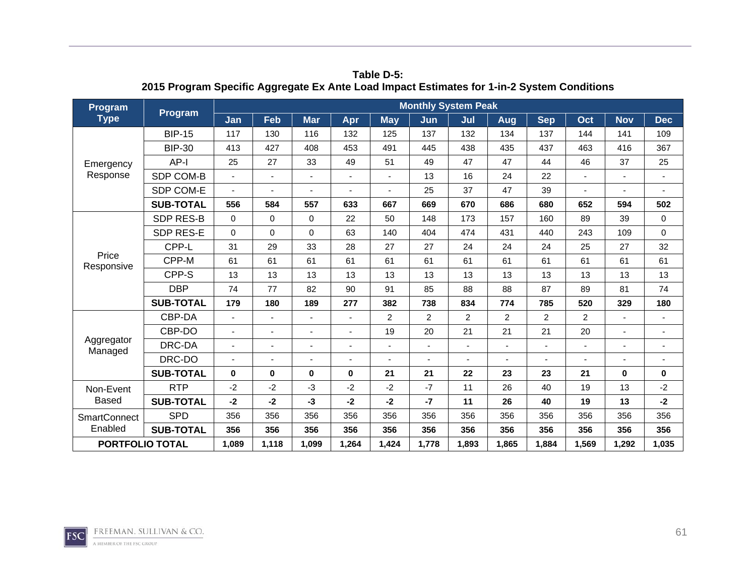| <b>Program</b>         | Program          |          |             |             |                |                | <b>Monthly System Peak</b> |                |                |                |       |            |                          |
|------------------------|------------------|----------|-------------|-------------|----------------|----------------|----------------------------|----------------|----------------|----------------|-------|------------|--------------------------|
| <b>Type</b>            |                  | Jan      | Feb         | <b>Mar</b>  | Apr            | <b>May</b>     | Jun                        | Jul            | Aug            | <b>Sep</b>     | Oct   | <b>Nov</b> | <b>Dec</b>               |
|                        | <b>BIP-15</b>    | 117      | 130         | 116         | 132            | 125            | 137                        | 132            | 134            | 137            | 144   | 141        | 109                      |
|                        | <b>BIP-30</b>    | 413      | 427         | 408         | 453            | 491            | 445                        | 438            | 435            | 437            | 463   | 416        | 367                      |
| Emergency              | AP-I             | 25       | 27          | 33          | 49             | 51             | 49                         | 47             | 47             | 44             | 46    | 37         | 25                       |
| Response               | SDP COM-B        |          | ä,          |             |                |                | 13                         | 16             | 24             | 22             |       | ä,         | $\sim$                   |
|                        | SDP COM-E        |          |             |             | $\blacksquare$ |                | 25                         | 37             | 47             | 39             |       | ä,         |                          |
|                        | <b>SUB-TOTAL</b> | 556      | 584         | 557         | 633            | 667            | 669                        | 670            | 686            | 680            | 652   | 594        | 502                      |
|                        | <b>SDP RES-B</b> | $\Omega$ | $\mathbf 0$ | $\mathbf 0$ | 22             | 50             | 148                        | 173            | 157            | 160            | 89    | 39         | $\mathbf 0$              |
|                        | SDP RES-E        | $\Omega$ | 0           | $\Omega$    | 63             | 140            | 404                        | 474            | 431            | 440            | 243   | 109        | $\mathbf 0$              |
|                        | CPP-L            | 31       | 29          | 33          | 28             | 27             | 27                         | 24             | 24             | 24             | 25    | 27         | 32                       |
| Price<br>Responsive    | CPP-M            | 61       | 61          | 61          | 61             | 61             | 61                         | 61             | 61             | 61             | 61    | 61         | 61                       |
|                        | CPP-S            | 13       | 13          | 13          | 13             | 13             | 13                         | 13             | 13             | 13             | 13    | 13         | 13                       |
|                        | <b>DBP</b>       | 74       | 77          | 82          | 90             | 91             | 85                         | 88             | 88             | 87             | 89    | 81         | 74                       |
|                        | <b>SUB-TOTAL</b> | 179      | 180         | 189         | 277            | 382            | 738                        | 834            | 774            | 785            | 520   | 329        | 180                      |
|                        | CBP-DA           |          |             | ÷,          |                | $\overline{2}$ | $\overline{2}$             | $\overline{c}$ | $\overline{2}$ | $\overline{c}$ | 2     | ٠          |                          |
|                        | CBP-DO           |          | ٠           |             |                | 19             | 20                         | 21             | 21             | 21             | 20    | ä,         |                          |
| Aggregator<br>Managed  | DRC-DA           |          |             |             |                |                |                            |                | L,             |                |       |            | $\overline{\phantom{a}}$ |
|                        | DRC-DO           |          |             |             |                |                |                            |                |                |                |       |            | $\overline{\phantom{a}}$ |
|                        | <b>SUB-TOTAL</b> | $\bf{0}$ | 0           | $\bf{0}$    | $\bf{0}$       | 21             | 21                         | 22             | 23             | 23             | 21    | $\bf{0}$   | $\mathbf 0$              |
| Non-Event              | <b>RTP</b>       | $-2$     | -2          | -3          | $-2$           | $-2$           | $-7$                       | 11             | 26             | 40             | 19    | 13         | $-2$                     |
| <b>Based</b>           | <b>SUB-TOTAL</b> | $-2$     | $-2$        | -3          | $-2$           | $-2$           | $-7$                       | 11             | 26             | 40             | 19    | 13         | $-2$                     |
| <b>SmartConnect</b>    | <b>SPD</b>       | 356      | 356         | 356         | 356            | 356            | 356                        | 356            | 356            | 356            | 356   | 356        | 356                      |
| Enabled                | <b>SUB-TOTAL</b> | 356      | 356         | 356         | 356            | 356            | 356                        | 356            | 356            | 356            | 356   | 356        | 356                      |
| <b>PORTFOLIO TOTAL</b> |                  | 1,089    | 1,118       | 1,099       | 1,264          | 1,424          | 1,778                      | 1,893          | 1,865          | 1,884          | 1,569 | 1,292      | 1,035                    |

**Table D-5: 2015 Program Specific Aggregate Ex Ante Load Impact Estimates for 1-in-2 System Conditions** 

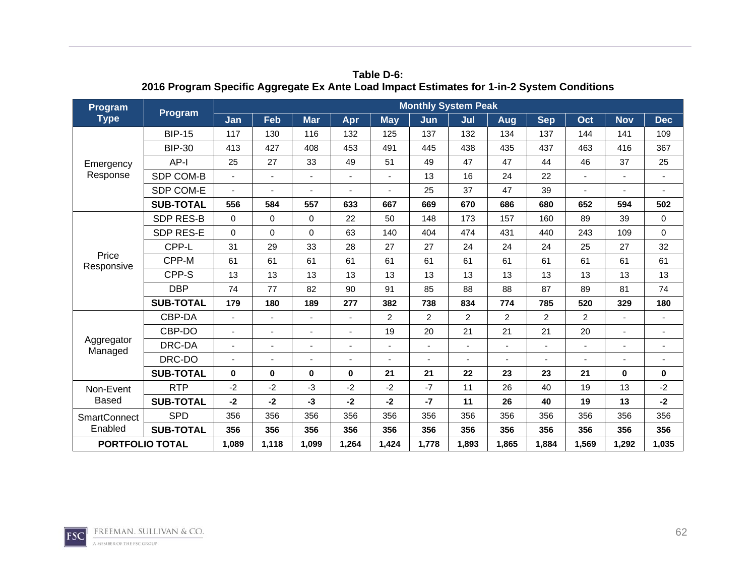| Program                | Program          |          |                          |            |          |                | <b>Monthly System Peak</b> |       |                |            |       |              |                |
|------------------------|------------------|----------|--------------------------|------------|----------|----------------|----------------------------|-------|----------------|------------|-------|--------------|----------------|
| <b>Type</b>            |                  | Jan      | Feb                      | <b>Mar</b> | Apr      | <b>May</b>     | Jun                        | Jul   | <b>Aug</b>     | <b>Sep</b> | Oct   | <b>Nov</b>   | <b>Dec</b>     |
|                        | <b>BIP-15</b>    | 117      | 130                      | 116        | 132      | 125            | 137                        | 132   | 134            | 137        | 144   | 141          | 109            |
|                        | <b>BIP-30</b>    | 413      | 427                      | 408        | 453      | 491            | 445                        | 438   | 435            | 437        | 463   | 416          | 367            |
| Emergency              | AP-I             | 25       | 27                       | 33         | 49       | 51             | 49                         | 47    | 47             | 44         | 46    | 37           | 25             |
| Response               | SDP COM-B        |          | ä,                       |            |          |                | 13                         | 16    | 24             | 22         |       |              | $\blacksquare$ |
|                        | SDP COM-E        |          |                          |            |          |                | 25                         | 37    | 47             | 39         |       |              |                |
|                        | <b>SUB-TOTAL</b> | 556      | 584                      | 557        | 633      | 667            | 669                        | 670   | 686            | 680        | 652   | 594          | 502            |
|                        | <b>SDP RES-B</b> | $\Omega$ | $\mathbf 0$              | $\Omega$   | 22       | 50             | 148                        | 173   | 157            | 160        | 89    | 39           | $\mathbf 0$    |
|                        | SDP RES-E        | $\Omega$ | 0                        | $\Omega$   | 63       | 140            | 404                        | 474   | 431            | 440        | 243   | 109          | $\mathbf 0$    |
|                        | CPP-L            | 31       | 29                       | 33         | 28       | 27             | 27                         | 24    | 24             | 24         | 25    | 27           | 32             |
| Price<br>Responsive    | CPP-M            | 61       | 61                       | 61         | 61       | 61             | 61                         | 61    | 61             | 61         | 61    | 61           | 61             |
|                        | CPP-S            | 13       | 13                       | 13         | 13       | 13             | 13                         | 13    | 13             | 13         | 13    | 13           | 13             |
|                        | <b>DBP</b>       | 74       | 77                       | 82         | 90       | 91             | 85                         | 88    | 88             | 87         | 89    | 81           | 74             |
|                        | <b>SUB-TOTAL</b> | 179      | 180                      | 189        | 277      | 382            | 738                        | 834   | 774            | 785        | 520   | 329          | 180            |
|                        | CBP-DA           |          |                          | ٠          |          | $\overline{c}$ | $\overline{2}$             | 2     | $\overline{2}$ | 2          | 2     |              |                |
|                        | CBP-DO           |          | ٠                        |            |          | 19             | 20                         | 21    | 21             | 21         | 20    |              |                |
| Aggregator<br>Managed  | DRC-DA           |          | $\overline{\phantom{0}}$ | ٠          |          |                |                            | ٠     |                |            | ٠     |              |                |
|                        | DRC-DO           |          | ä,                       |            |          |                |                            |       |                |            |       |              |                |
|                        | <b>SUB-TOTAL</b> | $\bf{0}$ | 0                        | $\bf{0}$   | $\bf{0}$ | 21             | 21                         | 22    | 23             | 23         | 21    | $\mathbf{0}$ | $\bf{0}$       |
| Non-Event              | <b>RTP</b>       | $-2$     | $-2$                     | -3         | $-2$     | $-2$           | $-7$                       | 11    | 26             | 40         | 19    | 13           | $-2$           |
| <b>Based</b>           | <b>SUB-TOTAL</b> | $-2$     | $-2$                     | $-3$       | $-2$     | $-2$           | $-7$                       | 11    | 26             | 40         | 19    | 13           | $-2$           |
| <b>SmartConnect</b>    | <b>SPD</b>       | 356      | 356                      | 356        | 356      | 356            | 356                        | 356   | 356            | 356        | 356   | 356          | 356            |
| Enabled                | <b>SUB-TOTAL</b> | 356      | 356                      | 356        | 356      | 356            | 356                        | 356   | 356            | 356        | 356   | 356          | 356            |
| <b>PORTFOLIO TOTAL</b> |                  | 1,089    | 1,118                    | 1,099      | 1,264    | 1,424          | 1,778                      | 1,893 | 1,865          | 1,884      | 1,569 | 1,292        | 1,035          |

**Table D-6: 2016 Program Specific Aggregate Ex Ante Load Impact Estimates for 1-in-2 System Conditions** 

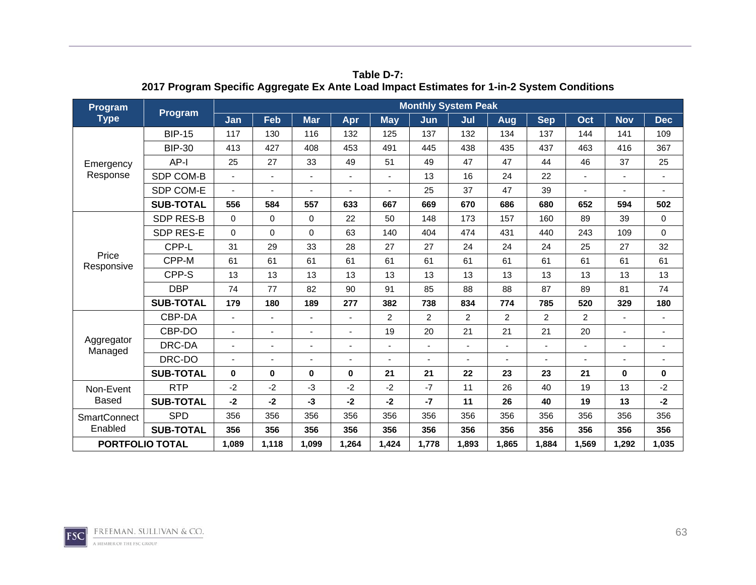| Program                | Program          |          |                          |            |          |                | <b>Monthly System Peak</b> |       |                |            |       |              |                |
|------------------------|------------------|----------|--------------------------|------------|----------|----------------|----------------------------|-------|----------------|------------|-------|--------------|----------------|
| <b>Type</b>            |                  | Jan      | Feb                      | <b>Mar</b> | Apr      | <b>May</b>     | Jun                        | Jul   | <b>Aug</b>     | <b>Sep</b> | Oct   | <b>Nov</b>   | <b>Dec</b>     |
|                        | <b>BIP-15</b>    | 117      | 130                      | 116        | 132      | 125            | 137                        | 132   | 134            | 137        | 144   | 141          | 109            |
|                        | <b>BIP-30</b>    | 413      | 427                      | 408        | 453      | 491            | 445                        | 438   | 435            | 437        | 463   | 416          | 367            |
| Emergency              | AP-I             | 25       | 27                       | 33         | 49       | 51             | 49                         | 47    | 47             | 44         | 46    | 37           | 25             |
| Response               | SDP COM-B        |          | ä,                       |            |          |                | 13                         | 16    | 24             | 22         |       |              | $\blacksquare$ |
|                        | SDP COM-E        |          |                          |            |          |                | 25                         | 37    | 47             | 39         |       |              |                |
|                        | <b>SUB-TOTAL</b> | 556      | 584                      | 557        | 633      | 667            | 669                        | 670   | 686            | 680        | 652   | 594          | 502            |
|                        | <b>SDP RES-B</b> | $\Omega$ | $\mathbf 0$              | $\Omega$   | 22       | 50             | 148                        | 173   | 157            | 160        | 89    | 39           | $\mathbf 0$    |
|                        | SDP RES-E        | $\Omega$ | 0                        | $\Omega$   | 63       | 140            | 404                        | 474   | 431            | 440        | 243   | 109          | $\mathbf 0$    |
|                        | CPP-L            | 31       | 29                       | 33         | 28       | 27             | 27                         | 24    | 24             | 24         | 25    | 27           | 32             |
| Price<br>Responsive    | CPP-M            | 61       | 61                       | 61         | 61       | 61             | 61                         | 61    | 61             | 61         | 61    | 61           | 61             |
|                        | CPP-S            | 13       | 13                       | 13         | 13       | 13             | 13                         | 13    | 13             | 13         | 13    | 13           | 13             |
|                        | <b>DBP</b>       | 74       | 77                       | 82         | 90       | 91             | 85                         | 88    | 88             | 87         | 89    | 81           | 74             |
|                        | <b>SUB-TOTAL</b> | 179      | 180                      | 189        | 277      | 382            | 738                        | 834   | 774            | 785        | 520   | 329          | 180            |
|                        | CBP-DA           |          |                          | ٠          |          | $\overline{c}$ | $\overline{2}$             | 2     | $\overline{2}$ | 2          | 2     |              |                |
|                        | CBP-DO           |          | ٠                        |            |          | 19             | 20                         | 21    | 21             | 21         | 20    |              |                |
| Aggregator<br>Managed  | DRC-DA           |          | $\overline{\phantom{0}}$ | ٠          |          |                |                            | ٠     |                |            | ٠     |              |                |
|                        | DRC-DO           |          | ä,                       |            |          |                |                            |       |                |            |       |              |                |
|                        | <b>SUB-TOTAL</b> | $\bf{0}$ | 0                        | $\bf{0}$   | $\bf{0}$ | 21             | 21                         | 22    | 23             | 23         | 21    | $\mathbf{0}$ | $\bf{0}$       |
| Non-Event              | <b>RTP</b>       | $-2$     | $-2$                     | -3         | $-2$     | $-2$           | $-7$                       | 11    | 26             | 40         | 19    | 13           | $-2$           |
| <b>Based</b>           | <b>SUB-TOTAL</b> | $-2$     | $-2$                     | $-3$       | $-2$     | $-2$           | $-7$                       | 11    | 26             | 40         | 19    | 13           | $-2$           |
| <b>SmartConnect</b>    | <b>SPD</b>       | 356      | 356                      | 356        | 356      | 356            | 356                        | 356   | 356            | 356        | 356   | 356          | 356            |
| Enabled                | <b>SUB-TOTAL</b> | 356      | 356                      | 356        | 356      | 356            | 356                        | 356   | 356            | 356        | 356   | 356          | 356            |
| <b>PORTFOLIO TOTAL</b> |                  | 1,089    | 1,118                    | 1,099      | 1,264    | 1,424          | 1,778                      | 1,893 | 1,865          | 1,884      | 1,569 | 1,292        | 1,035          |

**Table D-7: 2017 Program Specific Aggregate Ex Ante Load Impact Estimates for 1-in-2 System Conditions** 

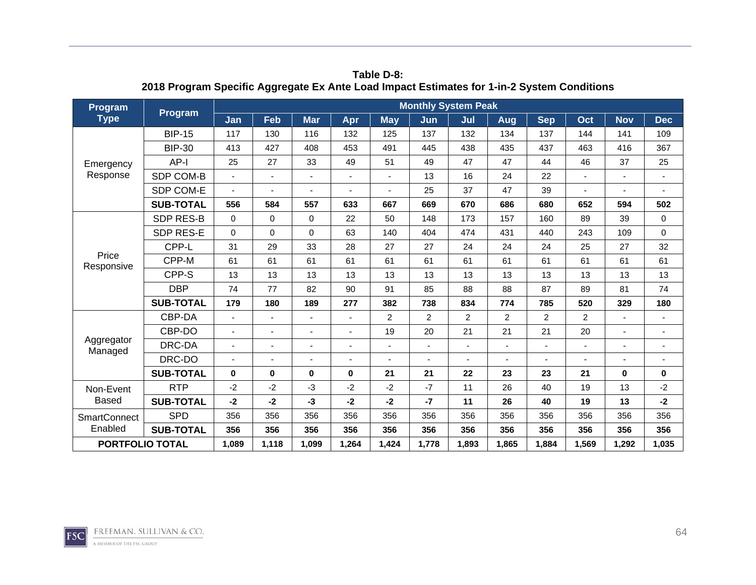| <b>Program</b>         | Program          |          |                |                          |          |            | <b>Monthly System Peak</b> |                |                |                |                |            |                          |
|------------------------|------------------|----------|----------------|--------------------------|----------|------------|----------------------------|----------------|----------------|----------------|----------------|------------|--------------------------|
| <b>Type</b>            |                  | Jan      | Feb            | <b>Mar</b>               | Apr      | <b>May</b> | Jun                        | Jul            | Aug            | <b>Sep</b>     | Oct            | <b>Nov</b> | <b>Dec</b>               |
|                        | <b>BIP-15</b>    | 117      | 130            | 116                      | 132      | 125        | 137                        | 132            | 134            | 137            | 144            | 141        | 109                      |
|                        | <b>BIP-30</b>    | 413      | 427            | 408                      | 453      | 491        | 445                        | 438            | 435            | 437            | 463            | 416        | 367                      |
| Emergency              | $AP-I$           | 25       | 27             | 33                       | 49       | 51         | 49                         | 47             | 47             | 44             | 46             | 37         | 25                       |
| Response               | SDP COM-B        |          | ä,             |                          |          |            | 13                         | 16             | 24             | 22             |                | ÷,         | $\sim$                   |
|                        | SDP COM-E        |          |                |                          | ٠        |            | 25                         | 37             | 47             | 39             |                |            |                          |
|                        | <b>SUB-TOTAL</b> | 556      | 584            | 557                      | 633      | 667        | 669                        | 670            | 686            | 680            | 652            | 594        | 502                      |
|                        | <b>SDP RES-B</b> | $\Omega$ | $\mathbf 0$    | $\Omega$                 | 22       | 50         | 148                        | 173            | 157            | 160            | 89             | 39         | 0                        |
|                        | <b>SDP RES-E</b> | $\Omega$ | $\mathbf 0$    | $\Omega$                 | 63       | 140        | 404                        | 474            | 431            | 440            | 243            | 109        | $\mathbf 0$              |
|                        | CPP-L            | 31       | 29             | 33                       | 28       | 27         | 27                         | 24             | 24             | 24             | 25             | 27         | 32                       |
| Price<br>Responsive    | CPP-M            | 61       | 61             | 61                       | 61       | 61         | 61                         | 61             | 61             | 61             | 61             | 61         | 61                       |
|                        | CPP-S            | 13       | 13             | 13                       | 13       | 13         | 13                         | 13             | 13             | 13             | 13             | 13         | 13                       |
|                        | <b>DBP</b>       | 74       | 77             | 82                       | 90       | 91         | 85                         | 88             | 88             | 87             | 89             | 81         | 74                       |
|                        | <b>SUB-TOTAL</b> | 179      | 180            | 189                      | 277      | 382        | 738                        | 834            | 774            | 785            | 520            | 329        | 180                      |
|                        | CBP-DA           |          |                |                          |          | 2          | $\overline{2}$             | $\overline{c}$ | $\overline{2}$ | $\overline{2}$ | $\overline{2}$ |            | $\overline{a}$           |
|                        | CBP-DO           |          | $\blacksquare$ |                          |          | 19         | 20                         | 21             | 21             | 21             | 20             | ÷,         |                          |
| Aggregator<br>Managed  | DRC-DA           |          | ÷,             | $\overline{\phantom{0}}$ |          |            |                            | ÷,             | $\overline{a}$ |                |                |            | $\overline{\phantom{a}}$ |
|                        | DRC-DO           |          |                | ä,                       |          |            |                            |                | ÷,             |                |                |            | $\overline{\phantom{a}}$ |
|                        | <b>SUB-TOTAL</b> | $\bf{0}$ | 0              | $\bf{0}$                 | $\bf{0}$ | 21         | 21                         | 22             | 23             | 23             | 21             | $\bf{0}$   | $\mathbf 0$              |
| Non-Event              | <b>RTP</b>       | $-2$     | $-2$           | -3                       | $-2$     | $-2$       | $-7$                       | 11             | 26             | 40             | 19             | 13         | $-2$                     |
| <b>Based</b>           | <b>SUB-TOTAL</b> | $-2$     | $-2$           | -3                       | $-2$     | $-2$       | $-7$                       | 11             | 26             | 40             | 19             | 13         | $-2$                     |
| <b>SmartConnect</b>    | <b>SPD</b>       | 356      | 356            | 356                      | 356      | 356        | 356                        | 356            | 356            | 356            | 356            | 356        | 356                      |
| Enabled                | <b>SUB-TOTAL</b> | 356      | 356            | 356                      | 356      | 356        | 356                        | 356            | 356            | 356            | 356            | 356        | 356                      |
| <b>PORTFOLIO TOTAL</b> |                  | 1,089    | 1,118          | 1,099                    | 1,264    | 1,424      | 1,778                      | 1,893          | 1.865          | 1.884          | 1,569          | 1,292      | 1,035                    |

**Table D-8: 2018 Program Specific Aggregate Ex Ante Load Impact Estimates for 1-in-2 System Conditions** 

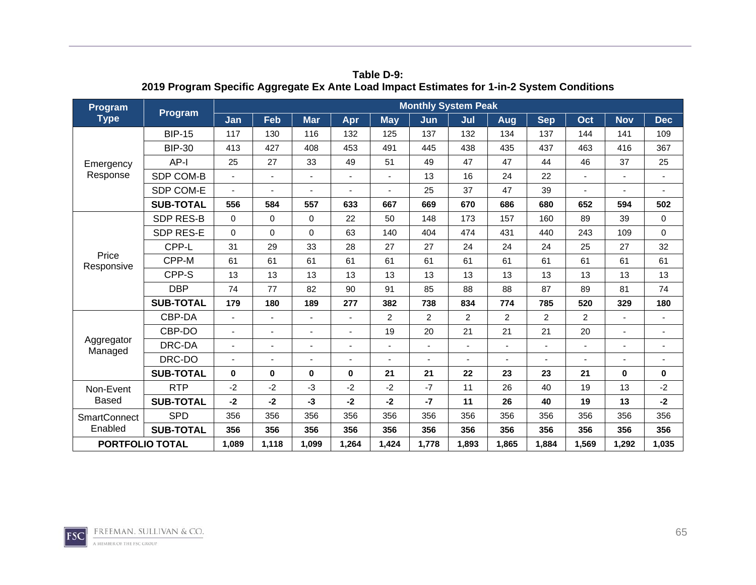| Program                |                  |          |             |            |          |            | <b>Monthly System Peak</b> |                |                |                |                |             |                |
|------------------------|------------------|----------|-------------|------------|----------|------------|----------------------------|----------------|----------------|----------------|----------------|-------------|----------------|
| <b>Type</b>            | <b>Program</b>   | Jan      | Feb         | <b>Mar</b> | Apr      | <b>May</b> | Jun                        | Jul            | Aug            | <b>Sep</b>     | Oct            | <b>Nov</b>  | <b>Dec</b>     |
|                        | <b>BIP-15</b>    | 117      | 130         | 116        | 132      | 125        | 137                        | 132            | 134            | 137            | 144            | 141         | 109            |
|                        | <b>BIP-30</b>    | 413      | 427         | 408        | 453      | 491        | 445                        | 438            | 435            | 437            | 463            | 416         | 367            |
| Emergency              | $AP-I$           | 25       | 27          | 33         | 49       | 51         | 49                         | 47             | 47             | 44             | 46             | 37          | 25             |
| Response               | SDP COM-B        |          | ÷,          |            |          |            | 13                         | 16             | 24             | 22             |                |             | $\blacksquare$ |
|                        | SDP COM-E        |          |             |            |          |            | 25                         | 37             | 47             | 39             |                |             |                |
|                        | <b>SUB-TOTAL</b> | 556      | 584         | 557        | 633      | 667        | 669                        | 670            | 686            | 680            | 652            | 594         | 502            |
|                        | <b>SDP RES-B</b> | $\Omega$ | $\mathbf 0$ | $\Omega$   | 22       | 50         | 148                        | 173            | 157            | 160            | 89             | 39          | 0              |
|                        | <b>SDP RES-E</b> | $\Omega$ | 0           | $\Omega$   | 63       | 140        | 404                        | 474            | 431            | 440            | 243            | 109         | $\mathbf 0$    |
|                        | CPP-L            | 31       | 29          | 33         | 28       | 27         | 27                         | 24             | 24             | 24             | 25             | 27          | 32             |
| Price<br>Responsive    | CPP-M            | 61       | 61          | 61         | 61       | 61         | 61                         | 61             | 61             | 61             | 61             | 61          | 61             |
|                        | CPP-S            | 13       | 13          | 13         | 13       | 13         | 13                         | 13             | 13             | 13             | 13             | 13          | 13             |
|                        | <b>DBP</b>       | 74       | 77          | 82         | 90       | 91         | 85                         | 88             | 88             | 87             | 89             | 81          | 74             |
|                        | <b>SUB-TOTAL</b> | 179      | 180         | 189        | 277      | 382        | 738                        | 834            | 774            | 785            | 520            | 329         | 180            |
|                        | CBP-DA           |          |             |            |          | 2          | $\overline{2}$             | 2              | $\overline{2}$ | $\overline{2}$ | $\overline{2}$ |             |                |
|                        | CBP-DO           |          | ٠           |            |          | 19         | 20                         | 21             | 21             | 21             | 20             |             |                |
| Aggregator<br>Managed  | DRC-DA           |          | ä,          | ä,         |          |            |                            | $\overline{a}$ | ÷,             |                |                |             |                |
|                        | DRC-DO           |          | ä,          | ä,         |          |            |                            |                | ä,             |                |                |             |                |
|                        | <b>SUB-TOTAL</b> | $\bf{0}$ | 0           | $\bf{0}$   | $\bf{0}$ | 21         | 21                         | 22             | 23             | 23             | 21             | $\mathbf 0$ | $\mathbf 0$    |
| Non-Event              | <b>RTP</b>       | $-2$     | $-2$        | $-3$       | $-2$     | $-2$       | $-7$                       | 11             | 26             | 40             | 19             | 13          | $-2$           |
| <b>Based</b>           | <b>SUB-TOTAL</b> | $-2$     | $-2$        | $-3$       | $-2$     | $-2$       | $-7$                       | 11             | 26             | 40             | 19             | 13          | $-2$           |
| <b>SmartConnect</b>    | <b>SPD</b>       | 356      | 356         | 356        | 356      | 356        | 356                        | 356            | 356            | 356            | 356            | 356         | 356            |
| Enabled                | <b>SUB-TOTAL</b> | 356      | 356         | 356        | 356      | 356        | 356                        | 356            | 356            | 356            | 356            | 356         | 356            |
| <b>PORTFOLIO TOTAL</b> |                  | 1,089    | 1,118       | 1,099      | 1.264    | 1,424      | 1,778                      | 1,893          | 1.865          | 1.884          | 1,569          | 1,292       | 1,035          |

**Table D-9: 2019 Program Specific Aggregate Ex Ante Load Impact Estimates for 1-in-2 System Conditions** 

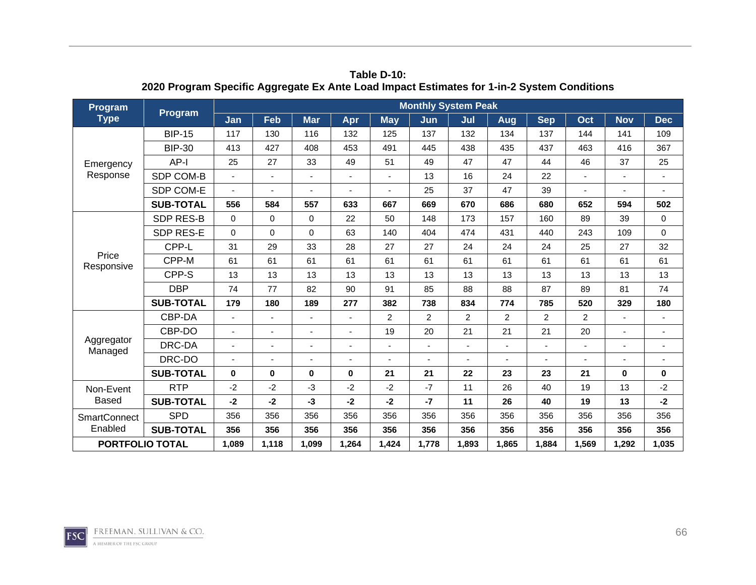| <b>Program</b>         | Program          |          |             |                |       |            | <b>Monthly System Peak</b> |                |                |                |       |            |                |
|------------------------|------------------|----------|-------------|----------------|-------|------------|----------------------------|----------------|----------------|----------------|-------|------------|----------------|
| <b>Type</b>            |                  | Jan      | Feb         | <b>Mar</b>     | Apr   | <b>May</b> | Jun                        | Jul            | Aug            | <b>Sep</b>     | Oct   | <b>Nov</b> | <b>Dec</b>     |
|                        | <b>BIP-15</b>    | 117      | 130         | 116            | 132   | 125        | 137                        | 132            | 134            | 137            | 144   | 141        | 109            |
|                        | <b>BIP-30</b>    | 413      | 427         | 408            | 453   | 491        | 445                        | 438            | 435            | 437            | 463   | 416        | 367            |
| Emergency              | AP-I             | 25       | 27          | 33             | 49    | 51         | 49                         | 47             | 47             | 44             | 46    | 37         | 25             |
| Response               | SDP COM-B        |          | ٠           | ä,             |       |            | 13                         | 16             | 24             | 22             |       |            | $\blacksquare$ |
|                        | SDP COM-E        |          |             |                |       |            | 25                         | 37             | 47             | 39             |       |            |                |
|                        | <b>SUB-TOTAL</b> | 556      | 584         | 557            | 633   | 667        | 669                        | 670            | 686            | 680            | 652   | 594        | 502            |
|                        | <b>SDP RES-B</b> | $\Omega$ | $\mathbf 0$ | $\Omega$       | 22    | 50         | 148                        | 173            | 157            | 160            | 89    | 39         | $\mathbf 0$    |
|                        | <b>SDP RES-E</b> | $\Omega$ | 0           | $\Omega$       | 63    | 140        | 404                        | 474            | 431            | 440            | 243   | 109        | 0              |
|                        | CPP-L            | 31       | 29          | 33             | 28    | 27         | 27                         | 24             | 24             | 24             | 25    | 27         | 32             |
| Price<br>Responsive    | CPP-M            | 61       | 61          | 61             | 61    | 61         | 61                         | 61             | 61             | 61             | 61    | 61         | 61             |
|                        | CPP-S            | 13       | 13          | 13             | 13    | 13         | 13                         | 13             | 13             | 13             | 13    | 13         | 13             |
|                        | <b>DBP</b>       | 74       | 77          | 82             | 90    | 91         | 85                         | 88             | 88             | 87             | 89    | 81         | 74             |
|                        | <b>SUB-TOTAL</b> | 179      | 180         | 189            | 277   | 382        | 738                        | 834            | 774            | 785            | 520   | 329        | 180            |
|                        | CBP-DA           |          | ٠           | $\blacksquare$ |       | 2          | $\overline{2}$             | 2              | $\overline{2}$ | $\overline{c}$ | 2     |            |                |
|                        | CBP-DO           |          | ÷,          |                |       | 19         | 20                         | 21             | 21             | 21             | 20    |            |                |
| Aggregator<br>Managed  | DRC-DA           |          | ٠           |                |       |            |                            | $\blacksquare$ | $\blacksquare$ |                |       |            | $\blacksquare$ |
|                        | DRC-DO           |          |             |                |       |            |                            |                |                |                |       |            |                |
|                        | <b>SUB-TOTAL</b> | $\bf{0}$ | 0           | $\bf{0}$       | 0     | 21         | 21                         | 22             | 23             | 23             | 21    | $\bf{0}$   | 0              |
| Non-Event              | <b>RTP</b>       | $-2$     | $-2$        | $-3$           | -2    | $-2$       | $-7$                       | 11             | 26             | 40             | 19    | 13         | $-2$           |
| <b>Based</b>           | <b>SUB-TOTAL</b> | $-2$     | $-2$        | -3             | $-2$  | $-2$       | $-7$                       | 11             | 26             | 40             | 19    | 13         | $-2$           |
| <b>SmartConnect</b>    | <b>SPD</b>       | 356      | 356         | 356            | 356   | 356        | 356                        | 356            | 356            | 356            | 356   | 356        | 356            |
| Enabled                | <b>SUB-TOTAL</b> | 356      | 356         | 356            | 356   | 356        | 356                        | 356            | 356            | 356            | 356   | 356        | 356            |
| <b>PORTFOLIO TOTAL</b> |                  | 1,089    | 1,118       | 1,099          | 1,264 | 1,424      | 1,778                      | 1,893          | 1,865          | 1,884          | 1,569 | 1,292      | 1,035          |

**Table D-10: 2020 Program Specific Aggregate Ex Ante Load Impact Estimates for 1-in-2 System Conditions** 

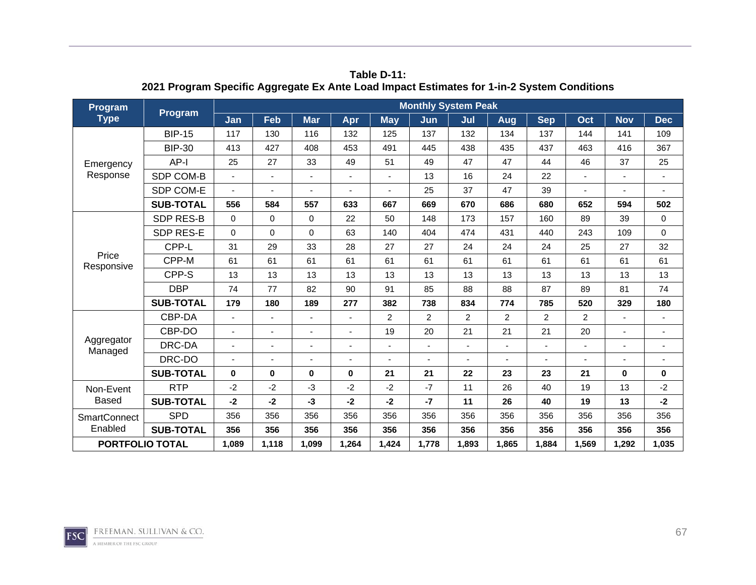| <b>Program</b>         | Program          |          |                |                          |          |            | <b>Monthly System Peak</b> |                |                |                |                |            |                          |
|------------------------|------------------|----------|----------------|--------------------------|----------|------------|----------------------------|----------------|----------------|----------------|----------------|------------|--------------------------|
| <b>Type</b>            |                  | Jan      | Feb            | <b>Mar</b>               | Apr      | <b>May</b> | Jun                        | Jul            | Aug            | <b>Sep</b>     | Oct            | <b>Nov</b> | <b>Dec</b>               |
|                        | <b>BIP-15</b>    | 117      | 130            | 116                      | 132      | 125        | 137                        | 132            | 134            | 137            | 144            | 141        | 109                      |
|                        | <b>BIP-30</b>    | 413      | 427            | 408                      | 453      | 491        | 445                        | 438            | 435            | 437            | 463            | 416        | 367                      |
| Emergency              | $AP-I$           | 25       | 27             | 33                       | 49       | 51         | 49                         | 47             | 47             | 44             | 46             | 37         | 25                       |
| Response               | SDP COM-B        |          | ä,             |                          |          |            | 13                         | 16             | 24             | 22             |                | ÷,         | $\sim$                   |
|                        | SDP COM-E        |          |                |                          | ٠        |            | 25                         | 37             | 47             | 39             |                |            |                          |
|                        | <b>SUB-TOTAL</b> | 556      | 584            | 557                      | 633      | 667        | 669                        | 670            | 686            | 680            | 652            | 594        | 502                      |
|                        | <b>SDP RES-B</b> | $\Omega$ | $\mathbf 0$    | $\Omega$                 | 22       | 50         | 148                        | 173            | 157            | 160            | 89             | 39         | 0                        |
|                        | <b>SDP RES-E</b> | $\Omega$ | $\mathbf 0$    | $\Omega$                 | 63       | 140        | 404                        | 474            | 431            | 440            | 243            | 109        | $\mathbf 0$              |
|                        | CPP-L            | 31       | 29             | 33                       | 28       | 27         | 27                         | 24             | 24             | 24             | 25             | 27         | 32                       |
| Price<br>Responsive    | CPP-M            | 61       | 61             | 61                       | 61       | 61         | 61                         | 61             | 61             | 61             | 61             | 61         | 61                       |
|                        | CPP-S            | 13       | 13             | 13                       | 13       | 13         | 13                         | 13             | 13             | 13             | 13             | 13         | 13                       |
|                        | <b>DBP</b>       | 74       | 77             | 82                       | 90       | 91         | 85                         | 88             | 88             | 87             | 89             | 81         | 74                       |
|                        | <b>SUB-TOTAL</b> | 179      | 180            | 189                      | 277      | 382        | 738                        | 834            | 774            | 785            | 520            | 329        | 180                      |
|                        | CBP-DA           |          |                |                          |          | 2          | $\overline{2}$             | $\overline{c}$ | $\overline{2}$ | $\overline{2}$ | $\overline{2}$ |            | $\overline{a}$           |
|                        | CBP-DO           |          | $\blacksquare$ |                          |          | 19         | 20                         | 21             | 21             | 21             | 20             | ÷,         |                          |
| Aggregator<br>Managed  | DRC-DA           |          | ÷,             | $\overline{\phantom{0}}$ |          |            |                            | ÷,             | $\overline{a}$ |                |                |            | $\overline{\phantom{a}}$ |
|                        | DRC-DO           |          |                | ä,                       |          |            |                            |                | ÷,             |                |                |            | $\overline{\phantom{a}}$ |
|                        | <b>SUB-TOTAL</b> | $\bf{0}$ | 0              | $\bf{0}$                 | $\bf{0}$ | 21         | 21                         | 22             | 23             | 23             | 21             | $\bf{0}$   | $\mathbf 0$              |
| Non-Event              | <b>RTP</b>       | $-2$     | $-2$           | -3                       | $-2$     | $-2$       | $-7$                       | 11             | 26             | 40             | 19             | 13         | $-2$                     |
| <b>Based</b>           | <b>SUB-TOTAL</b> | $-2$     | $-2$           | -3                       | $-2$     | $-2$       | $-7$                       | 11             | 26             | 40             | 19             | 13         | $-2$                     |
| <b>SmartConnect</b>    | <b>SPD</b>       | 356      | 356            | 356                      | 356      | 356        | 356                        | 356            | 356            | 356            | 356            | 356        | 356                      |
| Enabled                | <b>SUB-TOTAL</b> | 356      | 356            | 356                      | 356      | 356        | 356                        | 356            | 356            | 356            | 356            | 356        | 356                      |
| <b>PORTFOLIO TOTAL</b> |                  | 1,089    | 1,118          | 1,099                    | 1,264    | 1,424      | 1,778                      | 1,893          | 1.865          | 1.884          | 1,569          | 1,292      | 1,035                    |

**Table D-11: 2021 Program Specific Aggregate Ex Ante Load Impact Estimates for 1-in-2 System Conditions** 

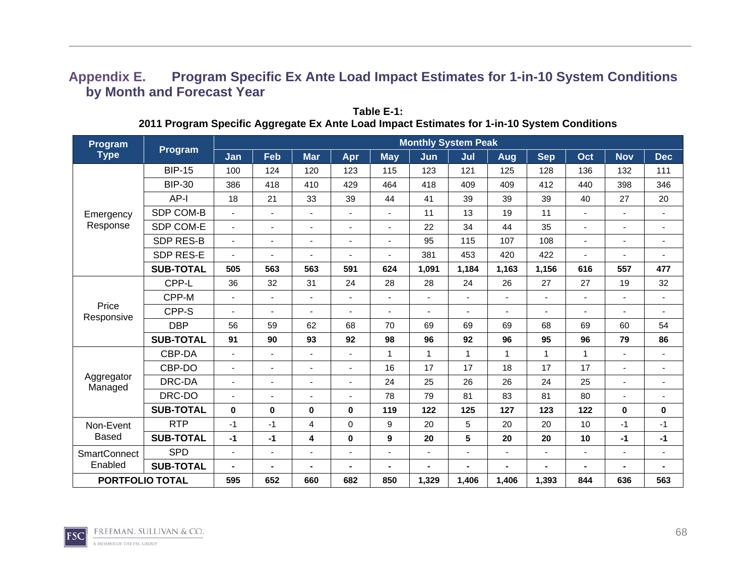## **Appendix E. Program Specific Ex Ante Load Impact Estimates for 1-in-10 System Conditions by Month and Forecast Year**

| Program                |                  |                |                          |                          |                          |                          | <b>Monthly System Peak</b> |                |                          |                |                          |                |                          |
|------------------------|------------------|----------------|--------------------------|--------------------------|--------------------------|--------------------------|----------------------------|----------------|--------------------------|----------------|--------------------------|----------------|--------------------------|
| <b>Type</b>            | <b>Program</b>   | Jan            | Feb                      | <b>Mar</b>               | Apr                      | <b>May</b>               | Jun                        | Jul            | <b>Aug</b>               | <b>Sep</b>     | Oct                      | <b>Nov</b>     | <b>Dec</b>               |
|                        | <b>BIP-15</b>    | 100            | 124                      | 120                      | 123                      | 115                      | 123                        | 121            | 125                      | 128            | 136                      | 132            | 111                      |
|                        | <b>BIP-30</b>    | 386            | 418                      | 410                      | 429                      | 464                      | 418                        | 409            | 409                      | 412            | 440                      | 398            | 346                      |
|                        | AP-I             | 18             | 21                       | 33                       | 39                       | 44                       | 41                         | 39             | 39                       | 39             | 40                       | 27             | 20                       |
| Emergency              | SDP COM-B        | ÷              | $\blacksquare$           | $\overline{\phantom{a}}$ | $\overline{\phantom{a}}$ | $\blacksquare$           | 11                         | 13             | 19                       | 11             | $\overline{\phantom{0}}$ | $\blacksquare$ | $\blacksquare$           |
| Response               | SDP COM-E        | $\blacksquare$ | $\overline{\phantom{a}}$ |                          | $\blacksquare$           | $\blacksquare$           | 22                         | 34             | 44                       | 35             | $\overline{\phantom{0}}$ | $\blacksquare$ | ٠                        |
|                        | <b>SDP RES-B</b> | ٠              | $\blacksquare$           |                          |                          | $\overline{\phantom{a}}$ | 95                         | 115            | 107                      | 108            | $\overline{a}$           |                | ٠                        |
|                        | SDP RES-E        | ۰              | $\blacksquare$           |                          |                          | ۰                        | 381                        | 453            | 420                      | 422            | $\blacksquare$           | $\blacksquare$ | ٠                        |
|                        | <b>SUB-TOTAL</b> | 505            | 563                      | 563                      | 591                      | 624                      | 1,091                      | 1,184          | 1,163                    | 1,156          | 616                      | 557            | 477                      |
|                        | CPP-L            | 36             | 32                       | 31                       | 24                       | 28                       | 28                         | 24             | 26                       | 27             | 27                       | 19             | 32                       |
|                        | CPP-M            | ٠              | $\blacksquare$           |                          | $\blacksquare$           | $\blacksquare$           | ٠                          | ٠              | $\blacksquare$           | $\overline{a}$ | $\overline{\phantom{0}}$ |                | $\overline{\phantom{0}}$ |
| Price<br>Responsive    | CPP-S            | ÷              | $\blacksquare$           |                          |                          | $\overline{\phantom{a}}$ | ۰                          | ٠              |                          |                |                          |                | $\blacksquare$           |
|                        | <b>DBP</b>       | 56             | 59                       | 62                       | 68                       | 70                       | 69                         | 69             | 69                       | 68             | 69                       | 60             | 54                       |
|                        | <b>SUB-TOTAL</b> | 91             | 90                       | 93                       | 92                       | 98                       | 96                         | 92             | 96                       | 95             | 96                       | 79             | 86                       |
|                        | CBP-DA           | ٠              | $\blacksquare$           |                          |                          | 1                        | $\mathbf{1}$               | $\mathbf{1}$   | $\mathbf{1}$             | 1              | 1                        |                | ٠                        |
|                        | CBP-DO           | ٠              | $\blacksquare$           |                          | $\blacksquare$           | 16                       | 17                         | 17             | 18                       | 17             | 17                       | $\blacksquare$ | ٠                        |
| Aggregator<br>Managed  | DRC-DA           | ÷              | $\blacksquare$           |                          |                          | 24                       | 25                         | 26             | 26                       | 24             | 25                       |                | ٠                        |
|                        | DRC-DO           | $\blacksquare$ | $\blacksquare$           |                          |                          | 78                       | 79                         | 81             | 83                       | 81             | 80                       |                | ä,                       |
|                        | <b>SUB-TOTAL</b> | $\bf{0}$       | $\mathbf 0$              | $\bf{0}$                 | 0                        | 119                      | 122                        | 125            | 127                      | 123            | 122                      | $\bf{0}$       | 0                        |
| Non-Event              | <b>RTP</b>       | $-1$           | $-1$                     | 4                        | 0                        | 9                        | 20                         | 5              | 20                       | 20             | 10                       | $-1$           | $-1$                     |
| <b>Based</b>           | <b>SUB-TOTAL</b> | $-1$           | $-1$                     | 4                        | 0                        | 9                        | 20                         | $5\phantom{a}$ | 20                       | 20             | 10                       | $-1$           | $-1$                     |
| <b>SmartConnect</b>    | <b>SPD</b>       | $\blacksquare$ | $\blacksquare$           |                          | $\blacksquare$           | $\overline{\phantom{a}}$ | ٠                          | $\blacksquare$ | $\overline{\phantom{a}}$ | $\blacksquare$ |                          | $\blacksquare$ | $\sim$                   |
| Enabled                | <b>SUB-TOTAL</b> | $\blacksquare$ | $\blacksquare$           |                          |                          | $\blacksquare$           |                            | $\blacksquare$ |                          |                | $\blacksquare$           |                |                          |
| <b>PORTFOLIO TOTAL</b> |                  | 595            | 652                      | 660                      | 682                      | 850                      | 1,329                      | 1,406          | 1,406                    | 1,393          | 844                      | 636            | 563                      |

**Table E-1: 2011 Program Specific Aggregate Ex Ante Load Impact Estimates for 1-in-10 System Conditions** 

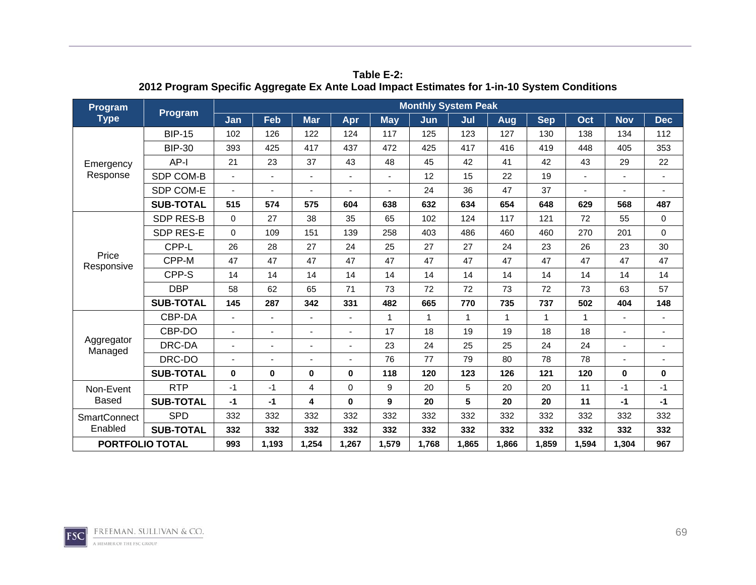| Program                | Program          |          |       |            |             |            | <b>Monthly System Peak</b> |              |              |            |              |              |                |
|------------------------|------------------|----------|-------|------------|-------------|------------|----------------------------|--------------|--------------|------------|--------------|--------------|----------------|
| <b>Type</b>            |                  | Jan      | Feb   | <b>Mar</b> | Apr         | <b>May</b> | Jun                        | Jul          | Aug          | <b>Sep</b> | Oct          | <b>Nov</b>   | <b>Dec</b>     |
|                        | <b>BIP-15</b>    | 102      | 126   | 122        | 124         | 117        | 125                        | 123          | 127          | 130        | 138          | 134          | 112            |
|                        | <b>BIP-30</b>    | 393      | 425   | 417        | 437         | 472        | 425                        | 417          | 416          | 419        | 448          | 405          | 353            |
| Emergency              | $AP-I$           | 21       | 23    | 37         | 43          | 48         | 45                         | 42           | 41           | 42         | 43           | 29           | 22             |
| Response               | SDP COM-B        |          | ÷,    | ٠          |             |            | 12                         | 15           | 22           | 19         |              |              | $\blacksquare$ |
|                        | SDP COM-E        |          |       |            |             |            | 24                         | 36           | 47           | 37         |              |              |                |
|                        | <b>SUB-TOTAL</b> | 515      | 574   | 575        | 604         | 638        | 632                        | 634          | 654          | 648        | 629          | 568          | 487            |
|                        | <b>SDP RES-B</b> | $\Omega$ | 27    | 38         | 35          | 65         | 102                        | 124          | 117          | 121        | 72           | 55           | 0              |
|                        | <b>SDP RES-E</b> | $\Omega$ | 109   | 151        | 139         | 258        | 403                        | 486          | 460          | 460        | 270          | 201          | $\mathbf 0$    |
|                        | CPP-L            | 26       | 28    | 27         | 24          | 25         | 27                         | 27           | 24           | 23         | 26           | 23           | 30             |
| Price<br>Responsive    | CPP-M            | 47       | 47    | 47         | 47          | 47         | 47                         | 47           | 47           | 47         | 47           | 47           | 47             |
|                        | CPP-S            | 14       | 14    | 14         | 14          | 14         | 14                         | 14           | 14           | 14         | 14           | 14           | 14             |
|                        | <b>DBP</b>       | 58       | 62    | 65         | 71          | 73         | 72                         | 72           | 73           | 72         | 73           | 63           | 57             |
|                        | <b>SUB-TOTAL</b> | 145      | 287   | 342        | 331         | 482        | 665                        | 770          | 735          | 737        | 502          | 404          | 148            |
|                        | CBP-DA           |          |       |            |             | 1          | $\mathbf{1}$               | $\mathbf{1}$ | $\mathbf{1}$ | 1          | $\mathbf{1}$ |              |                |
|                        | CBP-DO           |          | ٠     |            |             | 17         | 18                         | 19           | 19           | 18         | 18           |              |                |
| Aggregator<br>Managed  | DRC-DA           |          | ä,    | ä,         |             | 23         | 24                         | 25           | 25           | 24         | 24           |              |                |
|                        | DRC-DO           |          |       | ä,         |             | 76         | 77                         | 79           | 80           | 78         | 78           |              |                |
|                        | <b>SUB-TOTAL</b> | $\bf{0}$ | 0     | $\bf{0}$   | $\bf{0}$    | 118        | 120                        | 123          | 126          | 121        | 120          | $\mathbf{0}$ | $\mathbf 0$    |
| Non-Event              | <b>RTP</b>       | $-1$     | $-1$  | 4          | $\mathbf 0$ | 9          | 20                         | 5            | 20           | 20         | 11           | $-1$         | $-1$           |
| <b>Based</b>           | <b>SUB-TOTAL</b> | $-1$     | $-1$  | 4          | $\bf{0}$    | 9          | 20                         | 5            | 20           | 20         | 11           | $-1$         | $-1$           |
| <b>SmartConnect</b>    | <b>SPD</b>       | 332      | 332   | 332        | 332         | 332        | 332                        | 332          | 332          | 332        | 332          | 332          | 332            |
| Enabled                | <b>SUB-TOTAL</b> | 332      | 332   | 332        | 332         | 332        | 332                        | 332          | 332          | 332        | 332          | 332          | 332            |
| <b>PORTFOLIO TOTAL</b> |                  | 993      | 1,193 | 1,254      | 1.267       | 1,579      | 1,768                      | 1.865        | 1.866        | 1.859      | 1,594        | 1,304        | 967            |

**Table E-2: 2012 Program Specific Aggregate Ex Ante Load Impact Estimates for 1-in-10 System Conditions** 

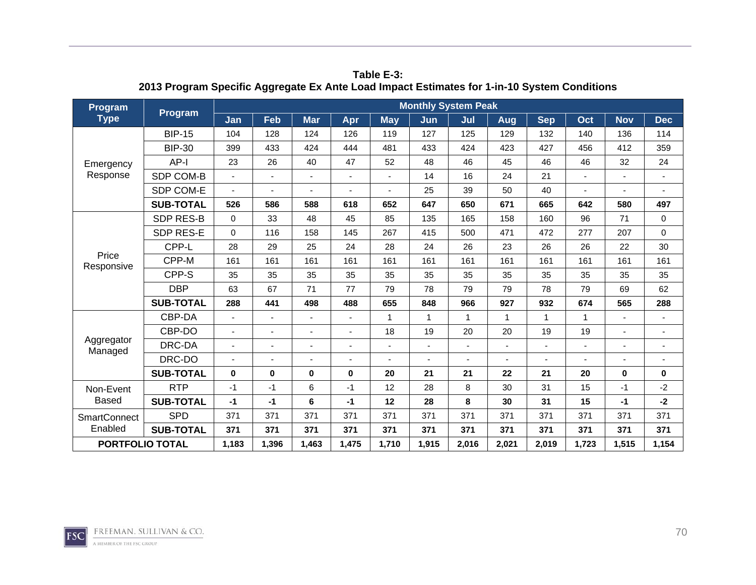| Program                | Program          | <b>Monthly System Peak</b> |       |                |          |             |              |             |              |            |              |              |                |
|------------------------|------------------|----------------------------|-------|----------------|----------|-------------|--------------|-------------|--------------|------------|--------------|--------------|----------------|
| <b>Type</b>            |                  | Jan                        | Feb   | <b>Mar</b>     | Apr      | <b>May</b>  | Jun          | Jul         | Aug          | <b>Sep</b> | Oct          | <b>Nov</b>   | <b>Dec</b>     |
|                        | <b>BIP-15</b>    | 104                        | 128   | 124            | 126      | 119         | 127          | 125         | 129          | 132        | 140          | 136          | 114            |
|                        | <b>BIP-30</b>    | 399                        | 433   | 424            | 444      | 481         | 433          | 424         | 423          | 427        | 456          | 412          | 359            |
| Emergency              | AP-I             | 23                         | 26    | 40             | 47       | 52          | 48           | 46          | 45           | 46         | 46           | 32           | 24             |
| Response               | SDP COM-B        |                            | ä,    | $\blacksquare$ |          |             | 14           | 16          | 24           | 21         |              |              | $\blacksquare$ |
|                        | SDP COM-E        |                            |       |                |          |             | 25           | 39          | 50           | 40         |              |              |                |
|                        | <b>SUB-TOTAL</b> | 526                        | 586   | 588            | 618      | 652         | 647          | 650         | 671          | 665        | 642          | 580          | 497            |
|                        | <b>SDP RES-B</b> | $\mathbf 0$                | 33    | 48             | 45       | 85          | 135          | 165         | 158          | 160        | 96           | 71           | $\mathbf 0$    |
|                        | SDP RES-E        | $\Omega$                   | 116   | 158            | 145      | 267         | 415          | 500         | 471          | 472        | 277          | 207          | $\mathbf 0$    |
|                        | CPP-L            | 28                         | 29    | 25             | 24       | 28          | 24           | 26          | 23           | 26         | 26           | 22           | 30             |
| Price<br>Responsive    | CPP-M            | 161                        | 161   | 161            | 161      | 161         | 161          | 161         | 161          | 161        | 161          | 161          | 161            |
|                        | CPP-S            | 35                         | 35    | 35             | 35       | 35          | 35           | 35          | 35           | 35         | 35           | 35           | 35             |
|                        | <b>DBP</b>       | 63                         | 67    | 71             | 77       | 79          | 78           | 79          | 79           | 78         | 79           | 69           | 62             |
|                        | <b>SUB-TOTAL</b> | 288                        | 441   | 498            | 488      | 655         | 848          | 966         | 927          | 932        | 674          | 565          | 288            |
|                        | CBP-DA           |                            |       | ٠              |          | $\mathbf 1$ | $\mathbf{1}$ | $\mathbf 1$ | $\mathbf{1}$ | 1          | $\mathbf{1}$ |              |                |
|                        | CBP-DO           |                            | ٠     |                |          | 18          | 19           | 20          | 20           | 19         | 19           |              |                |
| Aggregator<br>Managed  | DRC-DA           |                            | ٠     |                |          |             |              | ٠           | ٠            |            |              |              |                |
|                        | DRC-DO           |                            |       |                |          |             |              |             |              |            |              |              |                |
|                        | <b>SUB-TOTAL</b> | $\mathbf{0}$               | 0     | $\bf{0}$       | $\bf{0}$ | 20          | 21           | 21          | 22           | 21         | 20           | $\mathbf{0}$ | $\bf{0}$       |
| Non-Event              | <b>RTP</b>       | $-1$                       | $-1$  | 6              | $-1$     | 12          | 28           | 8           | 30           | 31         | 15           | $-1$         | $-2$           |
| <b>Based</b>           | <b>SUB-TOTAL</b> | $-1$                       | $-1$  | 6              | $-1$     | 12          | 28           | 8           | 30           | 31         | 15           | $-1$         | $-2$           |
| <b>SmartConnect</b>    | <b>SPD</b>       | 371                        | 371   | 371            | 371      | 371         | 371          | 371         | 371          | 371        | 371          | 371          | 371            |
| Enabled                | <b>SUB-TOTAL</b> | 371                        | 371   | 371            | 371      | 371         | 371          | 371         | 371          | 371        | 371          | 371          | 371            |
| <b>PORTFOLIO TOTAL</b> |                  | 1,183                      | 1,396 | 1,463          | 1,475    | 1,710       | 1,915        | 2,016       | 2,021        | 2,019      | 1,723        | 1,515        | 1,154          |

**Table E-3: 2013 Program Specific Aggregate Ex Ante Load Impact Estimates for 1-in-10 System Conditions** 

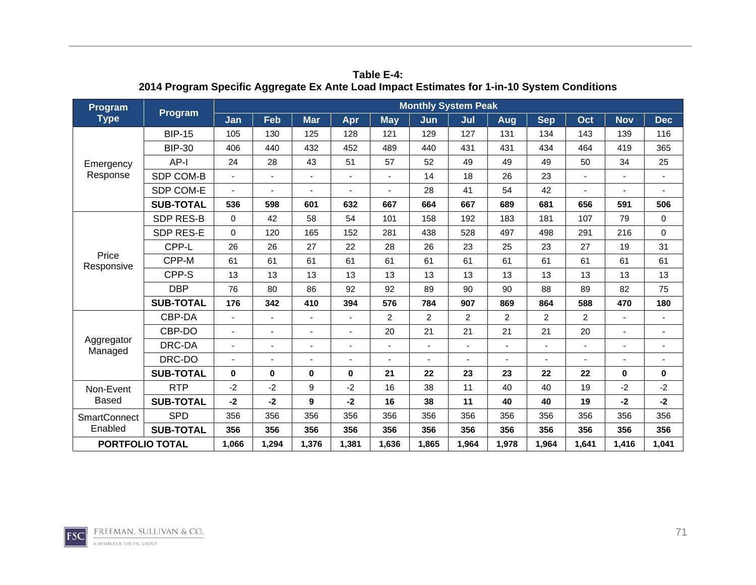| <b>Program</b>         | Program          | <b>Monthly System Peak</b> |                          |            |          |            |                |       |                |            |       |              |                |
|------------------------|------------------|----------------------------|--------------------------|------------|----------|------------|----------------|-------|----------------|------------|-------|--------------|----------------|
| <b>Type</b>            |                  | Jan                        | Feb                      | <b>Mar</b> | Apr      | <b>May</b> | Jun            | Jul   | Aug            | <b>Sep</b> | Oct   | <b>Nov</b>   | <b>Dec</b>     |
|                        | <b>BIP-15</b>    | 105                        | 130                      | 125        | 128      | 121        | 129            | 127   | 131            | 134        | 143   | 139          | 116            |
|                        | <b>BIP-30</b>    | 406                        | 440                      | 432        | 452      | 489        | 440            | 431   | 431            | 434        | 464   | 419          | 365            |
| Emergency              | AP-I             | 24                         | 28                       | 43         | 51       | 57         | 52             | 49    | 49             | 49         | 50    | 34           | 25             |
| Response               | SDP COM-B        |                            | ä,                       |            |          |            | 14             | 18    | 26             | 23         |       |              | $\blacksquare$ |
|                        | SDP COM-E        |                            |                          |            |          |            | 28             | 41    | 54             | 42         |       |              |                |
|                        | <b>SUB-TOTAL</b> | 536                        | 598                      | 601        | 632      | 667        | 664            | 667   | 689            | 681        | 656   | 591          | 506            |
|                        | <b>SDP RES-B</b> | $\mathbf 0$                | 42                       | 58         | 54       | 101        | 158            | 192   | 183            | 181        | 107   | 79           | $\mathbf 0$    |
|                        | <b>SDP RES-E</b> | $\Omega$                   | 120                      | 165        | 152      | 281        | 438            | 528   | 497            | 498        | 291   | 216          | $\mathbf 0$    |
|                        | CPP-L            | 26                         | 26                       | 27         | 22       | 28         | 26             | 23    | 25             | 23         | 27    | 19           | 31             |
| Price<br>Responsive    | CPP-M            | 61                         | 61                       | 61         | 61       | 61         | 61             | 61    | 61             | 61         | 61    | 61           | 61             |
|                        | CPP-S            | 13                         | 13                       | 13         | 13       | 13         | 13             | 13    | 13             | 13         | 13    | 13           | 13             |
|                        | <b>DBP</b>       | 76                         | 80                       | 86         | 92       | 92         | 89             | 90    | 90             | 88         | 89    | 82           | 75             |
|                        | <b>SUB-TOTAL</b> | 176                        | 342                      | 410        | 394      | 576        | 784            | 907   | 869            | 864        | 588   | 470          | 180            |
|                        | CBP-DA           |                            |                          | ٠          |          | 2          | $\overline{c}$ | 2     | $\overline{c}$ | 2          | 2     |              |                |
|                        | CBP-DO           |                            | ٠                        |            |          | 20         | 21             | 21    | 21             | 21         | 20    |              |                |
| Aggregator<br>Managed  | DRC-DA           |                            | $\overline{\phantom{0}}$ | ٠          |          |            |                | ٠     |                |            | ٠     |              |                |
|                        | DRC-DO           |                            | ä,                       |            |          |            |                |       |                |            |       |              |                |
|                        | <b>SUB-TOTAL</b> | $\bf{0}$                   | 0                        | $\bf{0}$   | $\bf{0}$ | 21         | 22             | 23    | 23             | 22         | 22    | $\mathbf{0}$ | $\bf{0}$       |
| Non-Event              | <b>RTP</b>       | $-2$                       | $-2$                     | 9          | $-2$     | 16         | 38             | 11    | 40             | 40         | 19    | $-2$         | $-2$           |
| <b>Based</b>           | <b>SUB-TOTAL</b> | $-2$                       | $-2$                     | 9          | $-2$     | 16         | 38             | 11    | 40             | 40         | 19    | $-2$         | $-2$           |
| <b>SmartConnect</b>    | <b>SPD</b>       | 356                        | 356                      | 356        | 356      | 356        | 356            | 356   | 356            | 356        | 356   | 356          | 356            |
| Enabled                | <b>SUB-TOTAL</b> | 356                        | 356                      | 356        | 356      | 356        | 356            | 356   | 356            | 356        | 356   | 356          | 356            |
| <b>PORTFOLIO TOTAL</b> |                  | 1,066                      | 1,294                    | 1,376      | 1,381    | 1,636      | 1,865          | 1,964 | 1,978          | 1,964      | 1,641 | 1,416        | 1,041          |

**Table E-4: 2014 Program Specific Aggregate Ex Ante Load Impact Estimates for 1-in-10 System Conditions** 

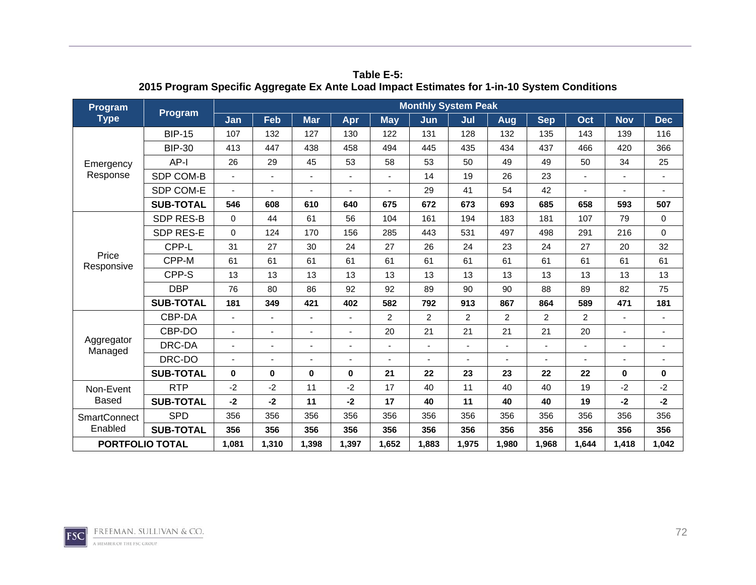| Program                | Program          | <b>Monthly System Peak</b> |       |            |          |            |                |                |                |                |                |              |                |
|------------------------|------------------|----------------------------|-------|------------|----------|------------|----------------|----------------|----------------|----------------|----------------|--------------|----------------|
| <b>Type</b>            |                  | Jan                        | Feb   | <b>Mar</b> | Apr      | <b>May</b> | Jun            | Jul            | Aug            | <b>Sep</b>     | Oct            | <b>Nov</b>   | <b>Dec</b>     |
|                        | <b>BIP-15</b>    | 107                        | 132   | 127        | 130      | 122        | 131            | 128            | 132            | 135            | 143            | 139          | 116            |
|                        | <b>BIP-30</b>    | 413                        | 447   | 438        | 458      | 494        | 445            | 435            | 434            | 437            | 466            | 420          | 366            |
| Emergency              | $AP-I$           | 26                         | 29    | 45         | 53       | 58         | 53             | 50             | 49             | 49             | 50             | 34           | 25             |
| Response               | SDP COM-B        |                            | ÷,    | ä,         |          |            | 14             | 19             | 26             | 23             |                |              | $\blacksquare$ |
|                        | SDP COM-E        |                            |       |            |          |            | 29             | 41             | 54             | 42             |                |              |                |
|                        | <b>SUB-TOTAL</b> | 546                        | 608   | 610        | 640      | 675        | 672            | 673            | 693            | 685            | 658            | 593          | 507            |
|                        | <b>SDP RES-B</b> | $\Omega$                   | 44    | 61         | 56       | 104        | 161            | 194            | 183            | 181            | 107            | 79           | 0              |
|                        | <b>SDP RES-E</b> | $\Omega$                   | 124   | 170        | 156      | 285        | 443            | 531            | 497            | 498            | 291            | 216          | $\mathbf 0$    |
|                        | CPP-L            | 31                         | 27    | 30         | 24       | 27         | 26             | 24             | 23             | 24             | 27             | 20           | 32             |
| Price<br>Responsive    | CPP-M            | 61                         | 61    | 61         | 61       | 61         | 61             | 61             | 61             | 61             | 61             | 61           | 61             |
|                        | CPP-S            | 13                         | 13    | 13         | 13       | 13         | 13             | 13             | 13             | 13             | 13             | 13           | 13             |
|                        | <b>DBP</b>       | 76                         | 80    | 86         | 92       | 92         | 89             | 90             | 90             | 88             | 89             | 82           | 75             |
|                        | <b>SUB-TOTAL</b> | 181                        | 349   | 421        | 402      | 582        | 792            | 913            | 867            | 864            | 589            | 471          | 181            |
|                        | CBP-DA           |                            |       |            |          | 2          | $\overline{2}$ | 2              | $\overline{c}$ | $\overline{2}$ | $\overline{2}$ |              |                |
|                        | CBP-DO           |                            | ٠     |            |          | 20         | 21             | 21             | 21             | 21             | 20             |              |                |
| Aggregator<br>Managed  | DRC-DA           |                            | ä,    | ä,         |          |            |                | $\overline{a}$ | ÷,             |                |                |              |                |
|                        | DRC-DO           |                            | ä,    | ä,         |          |            |                |                |                |                |                |              |                |
|                        | <b>SUB-TOTAL</b> | $\bf{0}$                   | 0     | $\bf{0}$   | $\bf{0}$ | 21         | 22             | 23             | 23             | 22             | 22             | $\mathbf{0}$ | $\bf{0}$       |
| Non-Event              | <b>RTP</b>       | $-2$                       | $-2$  | 11         | $-2$     | 17         | 40             | 11             | 40             | 40             | 19             | $-2$         | $-2$           |
| <b>Based</b>           | <b>SUB-TOTAL</b> | $-2$                       | $-2$  | 11         | $-2$     | 17         | 40             | 11             | 40             | 40             | 19             | $-2$         | $-2$           |
| <b>SmartConnect</b>    | <b>SPD</b>       | 356                        | 356   | 356        | 356      | 356        | 356            | 356            | 356            | 356            | 356            | 356          | 356            |
| Enabled                | <b>SUB-TOTAL</b> | 356                        | 356   | 356        | 356      | 356        | 356            | 356            | 356            | 356            | 356            | 356          | 356            |
| <b>PORTFOLIO TOTAL</b> |                  | 1,081                      | 1,310 | 1,398      | 1,397    | 1,652      | 1,883          | 1,975          | 1.980          | 1,968          | 1,644          | 1,418        | 1,042          |

**Table E-5: 2015 Program Specific Aggregate Ex Ante Load Impact Estimates for 1-in-10 System Conditions** 

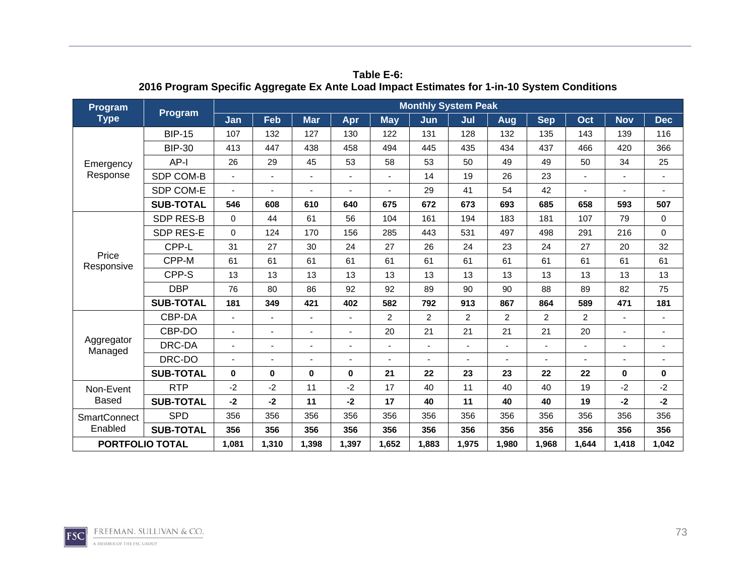| Program                | Program          | <b>Monthly System Peak</b> |                          |            |          |                |                |       |                |            |       |              |                |
|------------------------|------------------|----------------------------|--------------------------|------------|----------|----------------|----------------|-------|----------------|------------|-------|--------------|----------------|
| <b>Type</b>            |                  | Jan                        | Feb                      | <b>Mar</b> | Apr      | <b>May</b>     | Jun            | Jul   | Aug            | <b>Sep</b> | Oct   | <b>Nov</b>   | <b>Dec</b>     |
|                        | <b>BIP-15</b>    | 107                        | 132                      | 127        | 130      | 122            | 131            | 128   | 132            | 135        | 143   | 139          | 116            |
|                        | <b>BIP-30</b>    | 413                        | 447                      | 438        | 458      | 494            | 445            | 435   | 434            | 437        | 466   | 420          | 366            |
| Emergency              | AP-I             | 26                         | 29                       | 45         | 53       | 58             | 53             | 50    | 49             | 49         | 50    | 34           | 25             |
| Response               | SDP COM-B        |                            | ä,                       |            |          |                | 14             | 19    | 26             | 23         |       |              | $\blacksquare$ |
|                        | SDP COM-E        |                            |                          |            |          |                | 29             | 41    | 54             | 42         |       |              |                |
|                        | <b>SUB-TOTAL</b> | 546                        | 608                      | 610        | 640      | 675            | 672            | 673   | 693            | 685        | 658   | 593          | 507            |
|                        | <b>SDP RES-B</b> | $\mathbf 0$                | 44                       | 61         | 56       | 104            | 161            | 194   | 183            | 181        | 107   | 79           | $\mathbf 0$    |
|                        | <b>SDP RES-E</b> | $\Omega$                   | 124                      | 170        | 156      | 285            | 443            | 531   | 497            | 498        | 291   | 216          | $\mathbf 0$    |
|                        | CPP-L            | 31                         | 27                       | 30         | 24       | 27             | 26             | 24    | 23             | 24         | 27    | 20           | 32             |
| Price<br>Responsive    | CPP-M            | 61                         | 61                       | 61         | 61       | 61             | 61             | 61    | 61             | 61         | 61    | 61           | 61             |
|                        | CPP-S            | 13                         | 13                       | 13         | 13       | 13             | 13             | 13    | 13             | 13         | 13    | 13           | 13             |
|                        | <b>DBP</b>       | 76                         | 80                       | 86         | 92       | 92             | 89             | 90    | 90             | 88         | 89    | 82           | 75             |
|                        | <b>SUB-TOTAL</b> | 181                        | 349                      | 421        | 402      | 582            | 792            | 913   | 867            | 864        | 589   | 471          | 181            |
|                        | CBP-DA           |                            |                          | ٠          |          | $\overline{c}$ | $\overline{c}$ | 2     | $\overline{c}$ | 2          | 2     |              |                |
|                        | CBP-DO           |                            | ٠                        |            |          | 20             | 21             | 21    | 21             | 21         | 20    |              |                |
| Aggregator<br>Managed  | DRC-DA           |                            | $\overline{\phantom{0}}$ |            |          |                |                | ٠     |                |            | ٠     |              |                |
|                        | DRC-DO           |                            |                          |            |          |                |                |       |                |            |       |              |                |
|                        | <b>SUB-TOTAL</b> | $\bf{0}$                   | 0                        | $\bf{0}$   | $\bf{0}$ | 21             | 22             | 23    | 23             | 22         | 22    | $\mathbf{0}$ | $\bf{0}$       |
| Non-Event              | <b>RTP</b>       | $-2$                       | $-2$                     | 11         | $-2$     | 17             | 40             | 11    | 40             | 40         | 19    | $-2$         | $-2$           |
| <b>Based</b>           | <b>SUB-TOTAL</b> | $-2$                       | $-2$                     | 11         | $-2$     | 17             | 40             | 11    | 40             | 40         | 19    | $-2$         | $-2$           |
| <b>SmartConnect</b>    | <b>SPD</b>       | 356                        | 356                      | 356        | 356      | 356            | 356            | 356   | 356            | 356        | 356   | 356          | 356            |
| Enabled                | <b>SUB-TOTAL</b> | 356                        | 356                      | 356        | 356      | 356            | 356            | 356   | 356            | 356        | 356   | 356          | 356            |
| <b>PORTFOLIO TOTAL</b> |                  | 1,081                      | 1,310                    | 1,398      | 1,397    | 1,652          | 1,883          | 1,975 | 1,980          | 1,968      | 1,644 | 1,418        | 1,042          |

**Table E-6: 2016 Program Specific Aggregate Ex Ante Load Impact Estimates for 1-in-10 System Conditions** 

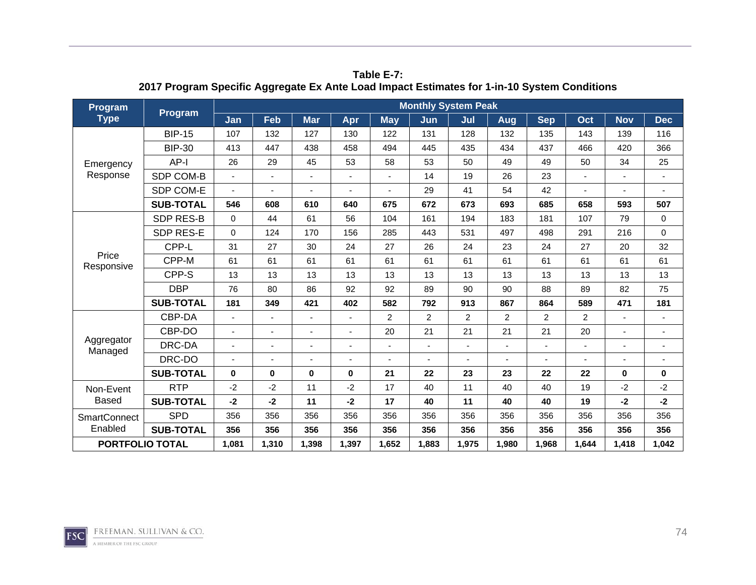| Program                | Program          | <b>Monthly System Peak</b> |       |            |          |            |                |                |                |                |                |              |                |
|------------------------|------------------|----------------------------|-------|------------|----------|------------|----------------|----------------|----------------|----------------|----------------|--------------|----------------|
| <b>Type</b>            |                  | Jan                        | Feb   | <b>Mar</b> | Apr      | <b>May</b> | Jun            | Jul            | Aug            | <b>Sep</b>     | Oct            | <b>Nov</b>   | <b>Dec</b>     |
|                        | <b>BIP-15</b>    | 107                        | 132   | 127        | 130      | 122        | 131            | 128            | 132            | 135            | 143            | 139          | 116            |
|                        | <b>BIP-30</b>    | 413                        | 447   | 438        | 458      | 494        | 445            | 435            | 434            | 437            | 466            | 420          | 366            |
| Emergency              | $AP-I$           | 26                         | 29    | 45         | 53       | 58         | 53             | 50             | 49             | 49             | 50             | 34           | 25             |
| Response               | SDP COM-B        |                            | ÷,    | ä,         |          |            | 14             | 19             | 26             | 23             |                |              | $\blacksquare$ |
|                        | SDP COM-E        |                            |       |            |          |            | 29             | 41             | 54             | 42             |                |              |                |
|                        | <b>SUB-TOTAL</b> | 546                        | 608   | 610        | 640      | 675        | 672            | 673            | 693            | 685            | 658            | 593          | 507            |
|                        | <b>SDP RES-B</b> | $\Omega$                   | 44    | 61         | 56       | 104        | 161            | 194            | 183            | 181            | 107            | 79           | 0              |
|                        | <b>SDP RES-E</b> | $\Omega$                   | 124   | 170        | 156      | 285        | 443            | 531            | 497            | 498            | 291            | 216          | $\mathbf 0$    |
|                        | CPP-L            | 31                         | 27    | 30         | 24       | 27         | 26             | 24             | 23             | 24             | 27             | 20           | 32             |
| Price<br>Responsive    | CPP-M            | 61                         | 61    | 61         | 61       | 61         | 61             | 61             | 61             | 61             | 61             | 61           | 61             |
|                        | CPP-S            | 13                         | 13    | 13         | 13       | 13         | 13             | 13             | 13             | 13             | 13             | 13           | 13             |
|                        | <b>DBP</b>       | 76                         | 80    | 86         | 92       | 92         | 89             | 90             | 90             | 88             | 89             | 82           | 75             |
|                        | <b>SUB-TOTAL</b> | 181                        | 349   | 421        | 402      | 582        | 792            | 913            | 867            | 864            | 589            | 471          | 181            |
|                        | CBP-DA           |                            |       |            |          | 2          | $\overline{2}$ | 2              | $\overline{c}$ | $\overline{2}$ | $\overline{2}$ |              |                |
|                        | CBP-DO           |                            | ٠     |            |          | 20         | 21             | 21             | 21             | 21             | 20             |              |                |
| Aggregator<br>Managed  | DRC-DA           |                            | ä,    | ä,         |          |            |                | $\overline{a}$ | ÷,             |                |                |              |                |
|                        | DRC-DO           |                            | ä,    | ä,         |          |            |                |                |                |                |                |              |                |
|                        | <b>SUB-TOTAL</b> | $\bf{0}$                   | 0     | $\bf{0}$   | $\bf{0}$ | 21         | 22             | 23             | 23             | 22             | 22             | $\mathbf{0}$ | $\bf{0}$       |
| Non-Event              | <b>RTP</b>       | $-2$                       | $-2$  | 11         | $-2$     | 17         | 40             | 11             | 40             | 40             | 19             | $-2$         | $-2$           |
| <b>Based</b>           | <b>SUB-TOTAL</b> | $-2$                       | $-2$  | 11         | $-2$     | 17         | 40             | 11             | 40             | 40             | 19             | $-2$         | $-2$           |
| <b>SmartConnect</b>    | <b>SPD</b>       | 356                        | 356   | 356        | 356      | 356        | 356            | 356            | 356            | 356            | 356            | 356          | 356            |
| Enabled                | <b>SUB-TOTAL</b> | 356                        | 356   | 356        | 356      | 356        | 356            | 356            | 356            | 356            | 356            | 356          | 356            |
| <b>PORTFOLIO TOTAL</b> |                  | 1,081                      | 1,310 | 1,398      | 1,397    | 1,652      | 1,883          | 1,975          | 1.980          | 1,968          | 1,644          | 1,418        | 1,042          |

**Table E-7: 2017 Program Specific Aggregate Ex Ante Load Impact Estimates for 1-in-10 System Conditions** 

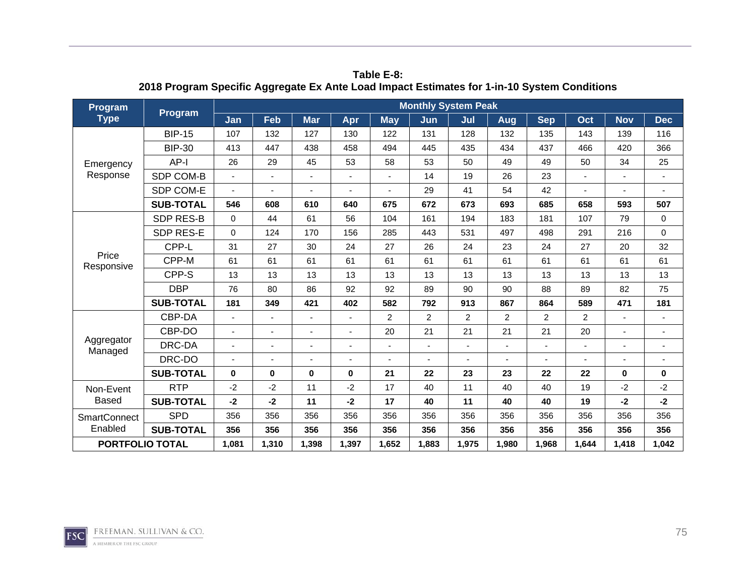| Program                | Program          | <b>Monthly System Peak</b> |                          |            |          |                |                |       |                |            |       |              |                |
|------------------------|------------------|----------------------------|--------------------------|------------|----------|----------------|----------------|-------|----------------|------------|-------|--------------|----------------|
| <b>Type</b>            |                  | Jan                        | Feb                      | <b>Mar</b> | Apr      | <b>May</b>     | Jun            | Jul   | Aug            | <b>Sep</b> | Oct   | <b>Nov</b>   | <b>Dec</b>     |
|                        | <b>BIP-15</b>    | 107                        | 132                      | 127        | 130      | 122            | 131            | 128   | 132            | 135        | 143   | 139          | 116            |
|                        | <b>BIP-30</b>    | 413                        | 447                      | 438        | 458      | 494            | 445            | 435   | 434            | 437        | 466   | 420          | 366            |
| Emergency              | AP-I             | 26                         | 29                       | 45         | 53       | 58             | 53             | 50    | 49             | 49         | 50    | 34           | 25             |
| Response               | SDP COM-B        |                            | ä,                       |            |          |                | 14             | 19    | 26             | 23         |       |              | $\blacksquare$ |
|                        | SDP COM-E        |                            |                          |            |          |                | 29             | 41    | 54             | 42         |       |              |                |
|                        | <b>SUB-TOTAL</b> | 546                        | 608                      | 610        | 640      | 675            | 672            | 673   | 693            | 685        | 658   | 593          | 507            |
|                        | <b>SDP RES-B</b> | $\mathbf 0$                | 44                       | 61         | 56       | 104            | 161            | 194   | 183            | 181        | 107   | 79           | $\mathbf 0$    |
|                        | SDP RES-E        | $\Omega$                   | 124                      | 170        | 156      | 285            | 443            | 531   | 497            | 498        | 291   | 216          | $\mathbf 0$    |
|                        | CPP-L            | 31                         | 27                       | 30         | 24       | 27             | 26             | 24    | 23             | 24         | 27    | 20           | 32             |
| Price<br>Responsive    | CPP-M            | 61                         | 61                       | 61         | 61       | 61             | 61             | 61    | 61             | 61         | 61    | 61           | 61             |
|                        | CPP-S            | 13                         | 13                       | 13         | 13       | 13             | 13             | 13    | 13             | 13         | 13    | 13           | 13             |
|                        | <b>DBP</b>       | 76                         | 80                       | 86         | 92       | 92             | 89             | 90    | 90             | 88         | 89    | 82           | 75             |
|                        | <b>SUB-TOTAL</b> | 181                        | 349                      | 421        | 402      | 582            | 792            | 913   | 867            | 864        | 589   | 471          | 181            |
|                        | CBP-DA           |                            |                          | ٠          |          | $\overline{c}$ | $\overline{c}$ | 2     | $\overline{c}$ | 2          | 2     |              |                |
|                        | CBP-DO           |                            | ٠                        |            |          | 20             | 21             | 21    | 21             | 21         | 20    |              |                |
| Aggregator<br>Managed  | DRC-DA           |                            | $\overline{\phantom{0}}$ |            |          |                |                | ٠     |                |            | ٠     |              |                |
|                        | DRC-DO           |                            |                          |            |          |                |                |       |                |            |       |              |                |
|                        | <b>SUB-TOTAL</b> | $\bf{0}$                   | 0                        | $\bf{0}$   | $\bf{0}$ | 21             | 22             | 23    | 23             | 22         | 22    | $\mathbf{0}$ | $\bf{0}$       |
| Non-Event              | <b>RTP</b>       | $-2$                       | $-2$                     | 11         | $-2$     | 17             | 40             | 11    | 40             | 40         | 19    | $-2$         | $-2$           |
| <b>Based</b>           | <b>SUB-TOTAL</b> | $-2$                       | $-2$                     | 11         | $-2$     | 17             | 40             | 11    | 40             | 40         | 19    | $-2$         | $-2$           |
| <b>SmartConnect</b>    | <b>SPD</b>       | 356                        | 356                      | 356        | 356      | 356            | 356            | 356   | 356            | 356        | 356   | 356          | 356            |
| Enabled                | <b>SUB-TOTAL</b> | 356                        | 356                      | 356        | 356      | 356            | 356            | 356   | 356            | 356        | 356   | 356          | 356            |
| <b>PORTFOLIO TOTAL</b> |                  | 1,081                      | 1,310                    | 1,398      | 1,397    | 1,652          | 1,883          | 1,975 | 1,980          | 1,968      | 1,644 | 1,418        | 1,042          |

**Table E-8: 2018 Program Specific Aggregate Ex Ante Load Impact Estimates for 1-in-10 System Conditions** 

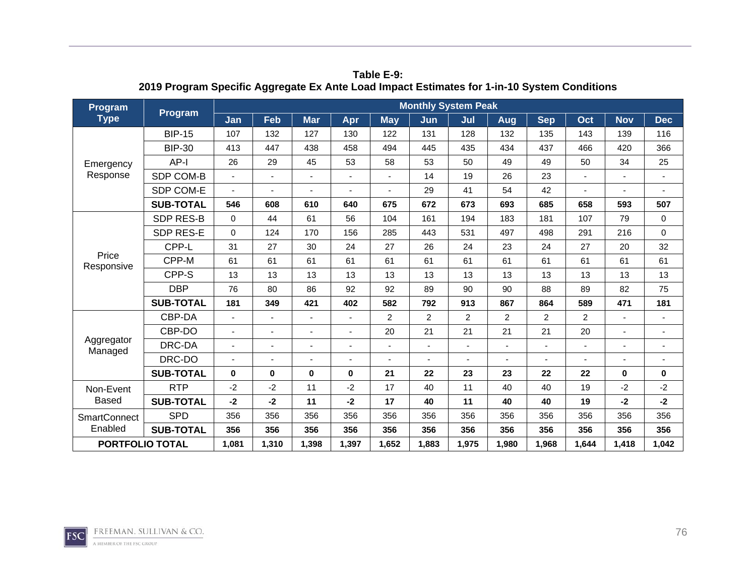| Program                | Program          | <b>Monthly System Peak</b> |       |            |          |            |                |                |                |                |                |              |                |
|------------------------|------------------|----------------------------|-------|------------|----------|------------|----------------|----------------|----------------|----------------|----------------|--------------|----------------|
| <b>Type</b>            |                  | Jan                        | Feb   | <b>Mar</b> | Apr      | <b>May</b> | Jun            | Jul            | Aug            | <b>Sep</b>     | Oct            | <b>Nov</b>   | <b>Dec</b>     |
|                        | <b>BIP-15</b>    | 107                        | 132   | 127        | 130      | 122        | 131            | 128            | 132            | 135            | 143            | 139          | 116            |
|                        | <b>BIP-30</b>    | 413                        | 447   | 438        | 458      | 494        | 445            | 435            | 434            | 437            | 466            | 420          | 366            |
| Emergency              | $AP-I$           | 26                         | 29    | 45         | 53       | 58         | 53             | 50             | 49             | 49             | 50             | 34           | 25             |
| Response               | SDP COM-B        |                            | ÷,    | ä,         |          |            | 14             | 19             | 26             | 23             |                |              | $\blacksquare$ |
|                        | SDP COM-E        |                            |       |            |          |            | 29             | 41             | 54             | 42             |                |              |                |
|                        | <b>SUB-TOTAL</b> | 546                        | 608   | 610        | 640      | 675        | 672            | 673            | 693            | 685            | 658            | 593          | 507            |
|                        | <b>SDP RES-B</b> | $\Omega$                   | 44    | 61         | 56       | 104        | 161            | 194            | 183            | 181            | 107            | 79           | 0              |
|                        | <b>SDP RES-E</b> | $\Omega$                   | 124   | 170        | 156      | 285        | 443            | 531            | 497            | 498            | 291            | 216          | $\mathbf 0$    |
|                        | CPP-L            | 31                         | 27    | 30         | 24       | 27         | 26             | 24             | 23             | 24             | 27             | 20           | 32             |
| Price<br>Responsive    | CPP-M            | 61                         | 61    | 61         | 61       | 61         | 61             | 61             | 61             | 61             | 61             | 61           | 61             |
|                        | CPP-S            | 13                         | 13    | 13         | 13       | 13         | 13             | 13             | 13             | 13             | 13             | 13           | 13             |
|                        | <b>DBP</b>       | 76                         | 80    | 86         | 92       | 92         | 89             | 90             | 90             | 88             | 89             | 82           | 75             |
|                        | <b>SUB-TOTAL</b> | 181                        | 349   | 421        | 402      | 582        | 792            | 913            | 867            | 864            | 589            | 471          | 181            |
|                        | CBP-DA           |                            |       |            |          | 2          | $\overline{2}$ | 2              | $\overline{c}$ | $\overline{2}$ | $\overline{2}$ |              |                |
|                        | CBP-DO           |                            | ٠     |            |          | 20         | 21             | 21             | 21             | 21             | 20             |              |                |
| Aggregator<br>Managed  | DRC-DA           |                            | ä,    | ä,         |          |            |                | $\overline{a}$ | ÷,             |                |                |              |                |
|                        | DRC-DO           |                            | ä,    | ä,         |          |            |                |                |                |                |                |              |                |
|                        | <b>SUB-TOTAL</b> | $\bf{0}$                   | 0     | $\bf{0}$   | $\bf{0}$ | 21         | 22             | 23             | 23             | 22             | 22             | $\mathbf{0}$ | $\bf{0}$       |
| Non-Event              | <b>RTP</b>       | $-2$                       | $-2$  | 11         | $-2$     | 17         | 40             | 11             | 40             | 40             | 19             | $-2$         | $-2$           |
| <b>Based</b>           | <b>SUB-TOTAL</b> | $-2$                       | $-2$  | 11         | $-2$     | 17         | 40             | 11             | 40             | 40             | 19             | $-2$         | $-2$           |
| <b>SmartConnect</b>    | <b>SPD</b>       | 356                        | 356   | 356        | 356      | 356        | 356            | 356            | 356            | 356            | 356            | 356          | 356            |
| Enabled                | <b>SUB-TOTAL</b> | 356                        | 356   | 356        | 356      | 356        | 356            | 356            | 356            | 356            | 356            | 356          | 356            |
| <b>PORTFOLIO TOTAL</b> |                  | 1,081                      | 1,310 | 1,398      | 1,397    | 1,652      | 1,883          | 1,975          | 1.980          | 1,968          | 1,644          | 1,418        | 1,042          |

**Table E-9: 2019 Program Specific Aggregate Ex Ante Load Impact Estimates for 1-in-10 System Conditions** 

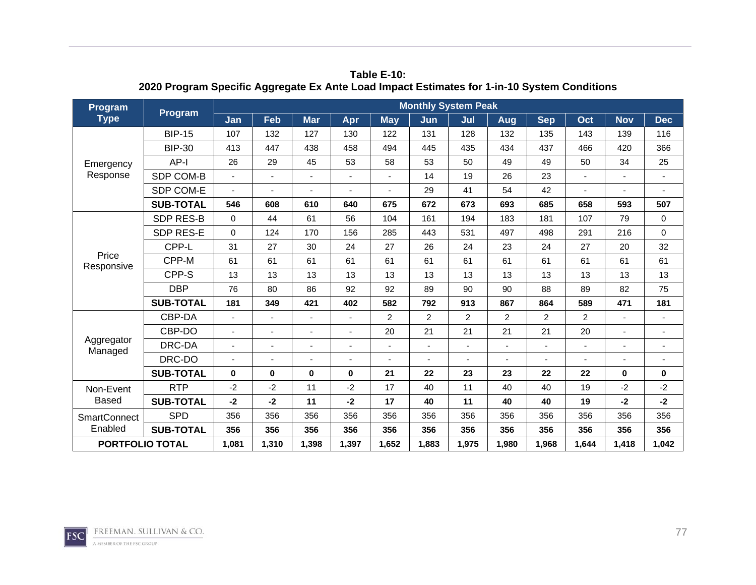| Program                | Program          | <b>Monthly System Peak</b> |                          |            |          |                |                |       |                |            |       |              |                |
|------------------------|------------------|----------------------------|--------------------------|------------|----------|----------------|----------------|-------|----------------|------------|-------|--------------|----------------|
| <b>Type</b>            |                  | Jan                        | Feb                      | <b>Mar</b> | Apr      | <b>May</b>     | Jun            | Jul   | Aug            | <b>Sep</b> | Oct   | <b>Nov</b>   | <b>Dec</b>     |
|                        | <b>BIP-15</b>    | 107                        | 132                      | 127        | 130      | 122            | 131            | 128   | 132            | 135        | 143   | 139          | 116            |
|                        | <b>BIP-30</b>    | 413                        | 447                      | 438        | 458      | 494            | 445            | 435   | 434            | 437        | 466   | 420          | 366            |
| Emergency              | AP-I             | 26                         | 29                       | 45         | 53       | 58             | 53             | 50    | 49             | 49         | 50    | 34           | 25             |
| Response               | SDP COM-B        |                            | ä,                       |            |          |                | 14             | 19    | 26             | 23         |       |              | $\blacksquare$ |
|                        | SDP COM-E        |                            |                          |            |          |                | 29             | 41    | 54             | 42         |       |              |                |
|                        | <b>SUB-TOTAL</b> | 546                        | 608                      | 610        | 640      | 675            | 672            | 673   | 693            | 685        | 658   | 593          | 507            |
|                        | <b>SDP RES-B</b> | $\mathbf 0$                | 44                       | 61         | 56       | 104            | 161            | 194   | 183            | 181        | 107   | 79           | $\mathbf 0$    |
|                        | SDP RES-E        | $\Omega$                   | 124                      | 170        | 156      | 285            | 443            | 531   | 497            | 498        | 291   | 216          | $\mathbf 0$    |
|                        | CPP-L            | 31                         | 27                       | 30         | 24       | 27             | 26             | 24    | 23             | 24         | 27    | 20           | 32             |
| Price<br>Responsive    | CPP-M            | 61                         | 61                       | 61         | 61       | 61             | 61             | 61    | 61             | 61         | 61    | 61           | 61             |
|                        | CPP-S            | 13                         | 13                       | 13         | 13       | 13             | 13             | 13    | 13             | 13         | 13    | 13           | 13             |
|                        | <b>DBP</b>       | 76                         | 80                       | 86         | 92       | 92             | 89             | 90    | 90             | 88         | 89    | 82           | 75             |
|                        | <b>SUB-TOTAL</b> | 181                        | 349                      | 421        | 402      | 582            | 792            | 913   | 867            | 864        | 589   | 471          | 181            |
|                        | CBP-DA           |                            |                          | ٠          |          | $\overline{c}$ | $\overline{c}$ | 2     | $\overline{c}$ | 2          | 2     |              |                |
|                        | CBP-DO           |                            | ٠                        |            |          | 20             | 21             | 21    | 21             | 21         | 20    |              |                |
| Aggregator<br>Managed  | DRC-DA           |                            | $\overline{\phantom{0}}$ |            |          |                |                | ٠     |                |            | ٠     |              |                |
|                        | DRC-DO           |                            |                          |            |          |                |                |       |                |            |       |              |                |
|                        | <b>SUB-TOTAL</b> | $\bf{0}$                   | 0                        | $\bf{0}$   | $\bf{0}$ | 21             | 22             | 23    | 23             | 22         | 22    | $\mathbf{0}$ | $\bf{0}$       |
| Non-Event              | <b>RTP</b>       | $-2$                       | $-2$                     | 11         | $-2$     | 17             | 40             | 11    | 40             | 40         | 19    | $-2$         | $-2$           |
| <b>Based</b>           | <b>SUB-TOTAL</b> | $-2$                       | $-2$                     | 11         | $-2$     | 17             | 40             | 11    | 40             | 40         | 19    | $-2$         | $-2$           |
| <b>SmartConnect</b>    | <b>SPD</b>       | 356                        | 356                      | 356        | 356      | 356            | 356            | 356   | 356            | 356        | 356   | 356          | 356            |
| Enabled                | <b>SUB-TOTAL</b> | 356                        | 356                      | 356        | 356      | 356            | 356            | 356   | 356            | 356        | 356   | 356          | 356            |
| <b>PORTFOLIO TOTAL</b> |                  | 1,081                      | 1,310                    | 1,398      | 1,397    | 1,652          | 1,883          | 1,975 | 1,980          | 1,968      | 1,644 | 1,418        | 1,042          |

**Table E-10: 2020 Program Specific Aggregate Ex Ante Load Impact Estimates for 1-in-10 System Conditions**